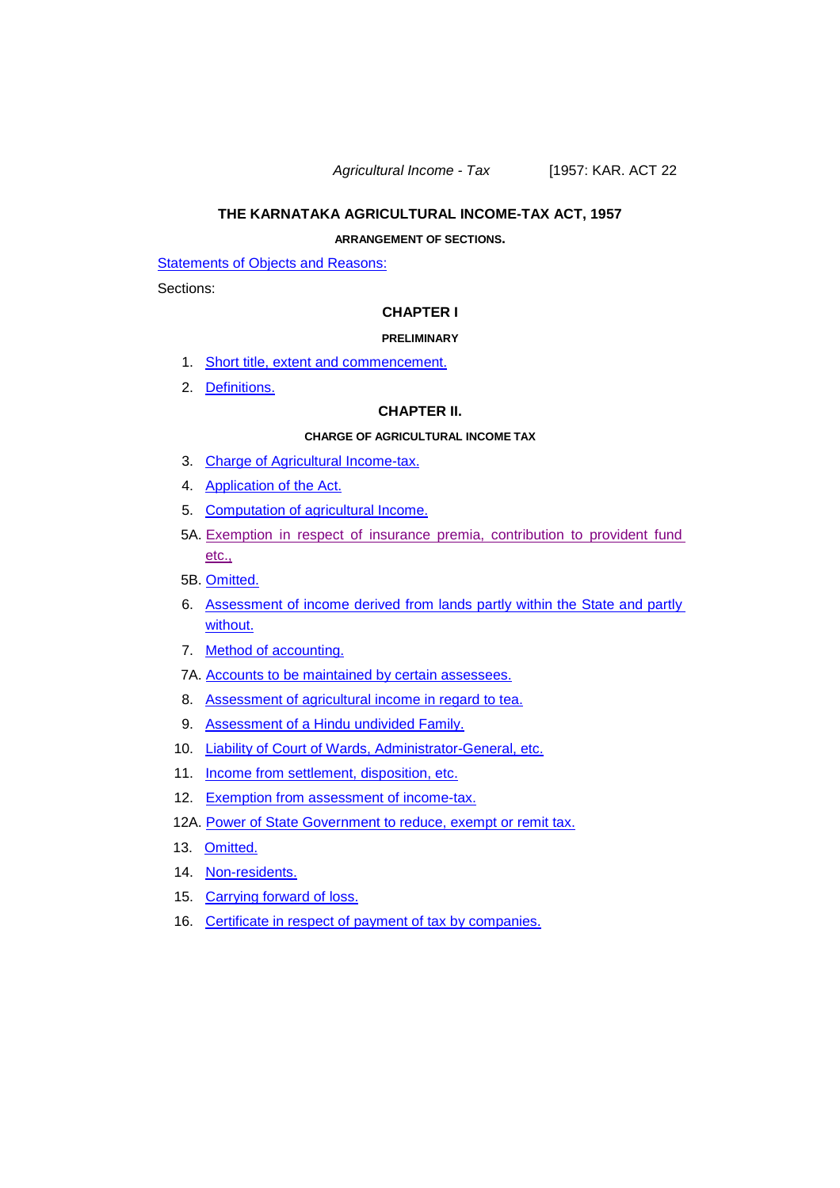*Agricultural Income - Tax* [1957: KAR. ACT 22

### **THE KARNATAKA AGRICULTURAL INCOME-TAX ACT, 1957**

### **ARRANGEMENT OF SECTIONS.**

**[Statements](#page-3-0) of Objects and Reasons:** 

Sections:

#### **CHAPTER I**

#### **PRELIMINARY**

- 1. Short title, extent and [commencement.](#page-19-0)
- 2. [Definitions.](#page-19-1)

### **CHAPTER II.**

#### **CHARGE OF AGRICULTURAL INCOME TAX**

- 3. Charge [of Agricultural](#page-24-0) Income-tax.
- 4. [Application](#page-25-0) of the Act.
- 5. Computation [of agricultural](#page-25-1) Income.
- 5A. Exemption in respect of insurance premia, [contribution](#page-33-0) to provident fund [etc.,](#page-33-0)
- 5B. [Omitted.](#page-35-0)
- 6. [Assessment](#page-35-1) of income derived from lands partly within the State and partly [without.](#page-35-1)
- 7. Method [of accounting.](#page-35-2)
- 7A. Accounts to be maintained by certain [assessees.](#page-35-3)
- 8. Assessment [of agricultural](#page-36-0) income in regard to tea.
- 9. [Assessment](#page-36-1) of a Hindu undivided Family.
- 10. Liability of Court [of Wards, Administrator-General,](#page-36-2) etc.
- 11. **Income [from settlement,](#page-37-0) disposition, etc.**
- 12. Exemption [from assessment](#page-40-0) of income-tax.
- 12A. Power [of State Government](#page-42-0) to reduce, exempt or remit tax.
- 13. [Omitted.](#page-43-0)
- 14. [Non-residents.](#page-43-1)
- 15. [Carrying](#page-43-2) forward of loss.
- 16. Certificate in respect of payment of tax by [companies.](#page-44-0)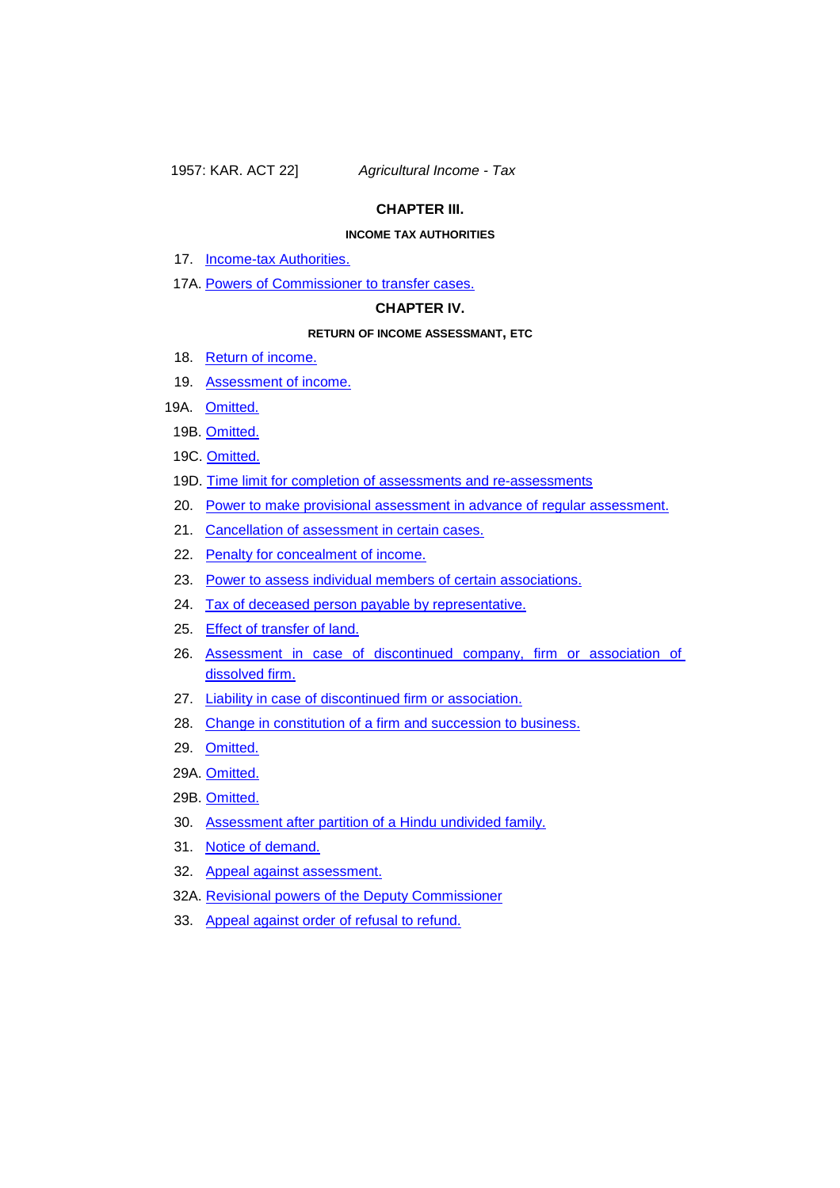### **CHAPTER III.**

### **INCOME TAX AUTHORITIES**

- 17. **[Income-tax](#page-44-1) Authorities.**
- 17A. Powers [of Commissioner](#page-46-0) to transfer cases.

### **CHAPTER IV.**

#### **RETURN OF INCOME ASSESSMANT, ETC**

- 18. Return [of income.](#page-46-1)
- 19. [Assessment](#page-49-0) of income.
- 19A. [Omitted.](#page-50-0)
	- 19B. [Omitted.](#page-50-1)
	- 19C. [Omitted.](#page-50-2)
	- 19D. Time limit for completion of assessments and [re-assessments](#page-50-3)
	- 20. Power to make provisional assessment in advance of regular [assessment.](#page-51-0)
	- 21. Cancellation [of assessment](#page-52-0) in certain cases.
	- 22. Penalty [for concealment](#page-52-1) of income.
	- 23. Power to assess individual members of certain [associations.](#page-54-0)
	- 24. [Tax of deceased](#page-54-1) person payable by representative.
	- 25. [Effect of transfer](#page-55-0) of land.
	- 26. [Assessment in case of discontinued company, firm or association of](#page-56-0)  [dissolved](#page-56-0) firm.
	- 27. Liability in case [of discontinued](#page-58-0) firm or association.
	- 28. Change in constitution [of a firm and](#page-58-1) succession to business.
	- 29. [Omitted.](#page-59-0)
	- 29A. [Omitted.](#page-59-1)
- 29B. [Omitted.](#page-59-2)
- 30. Assessment [after partition](#page-59-3) of a Hindu undivided family.
- 31. Notice [of demand.](#page-61-0)
- 32. Appeal against [assessment.](#page-61-1)
- 32A. Revisional powers of the Deputy [Commissioner](#page-63-0)
- 33. Appeal against order of refusal [to refund.](#page-63-1)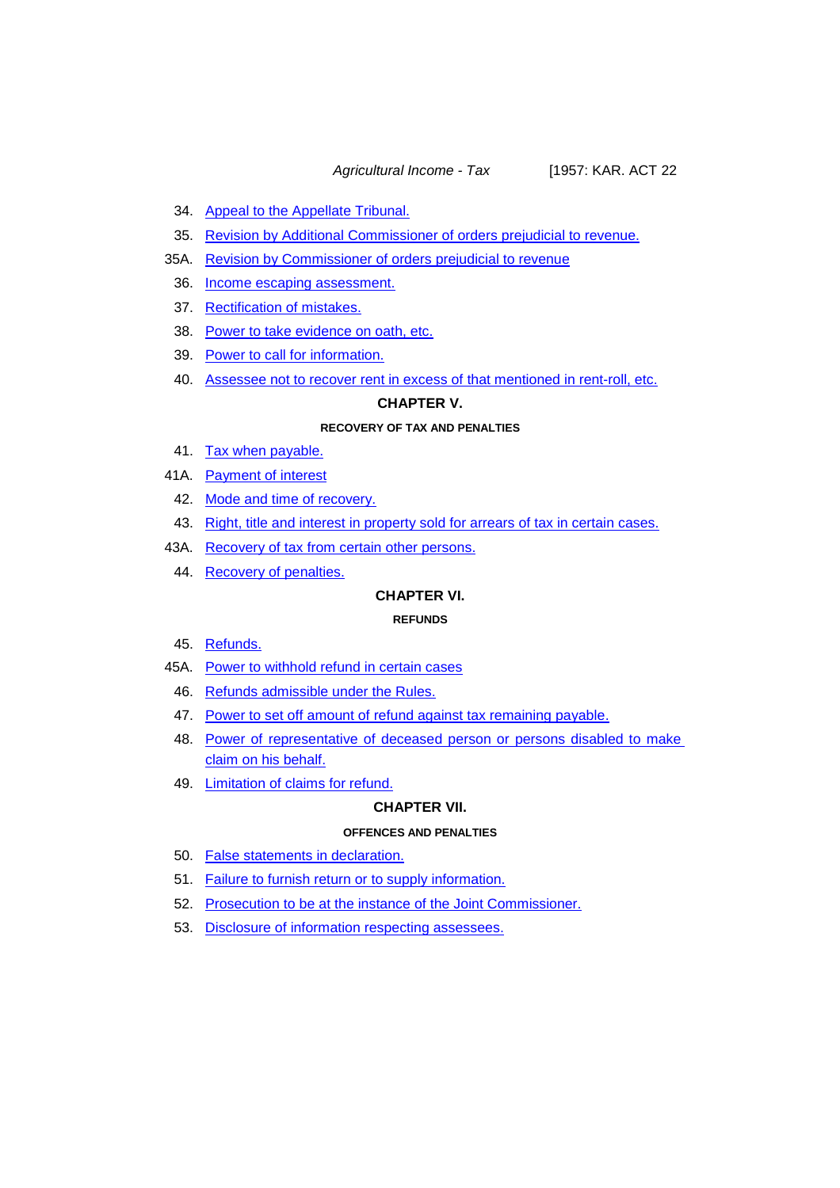*Agricultural Income - Tax* [1957: KAR. ACT 22

- 34. Appeal to the [Appellate](#page-63-2) Tribunal.
- 35. Revision by Additional [Commissioner](#page-66-0) of orders prejudicial to revenue.
- 35A. Revision by [Commissioner](#page-67-0) of orders prejudicial to revenue
	- 36. Income escaping [assessment.](#page-67-1)
	- 37. [Rectification](#page-68-0) of mistakes.
	- 38. Power to take [evidence](#page-68-1) on oath, etc.
	- 39. Power to call [for information.](#page-69-0)
	- 40. Assessee not to recover rent in [excess of that mentioned](#page-69-1) in rent-roll, etc.

### **CHAPTER V.**

### **RECOVERY OF TAX AND PENALTIES**

- 41. [Tax when](#page-70-0) payable.
- 41A. Payment [of interest](#page-71-0)
	- 42. Mode and time [of recovery.](#page-71-1)
	- 43. Right, title and interest in property sold [for arrears](#page-73-0) of tax in certain cases.
- 43A. Recovery [of tax from certain](#page-73-1) other persons.
	- 44. Recovery [of penalties.](#page-74-0)

### **CHAPTER VI.**

### **REFUNDS**

- 45. [Refunds.](#page-75-0)
- 45A. Power [to withhold](#page-75-1) refund in certain cases
	- 46. Refunds [admissible](#page-76-0) under the Rules.
	- 47. Power [to set off amount](#page-76-1) of refund against tax remaining payable.
	- 48. Power of [representative](#page-76-2) of deceased person or persons disabled to make claim on his [behalf.](#page-76-2)
	- 49. Limitation of claims [for refund.](#page-76-3)

#### **CHAPTER VII.**

### **OFFENCES AND PENALTIES**

- 50. False statements in [declaration.](#page-76-4)
- 51. Failure to furnish return or to supply [information.](#page-77-0)
- 52. Prosecution to be at the instance of the Joint [Commissioner.](#page-77-1)
- 53. Disclosure [of information](#page-77-2) respecting assessees.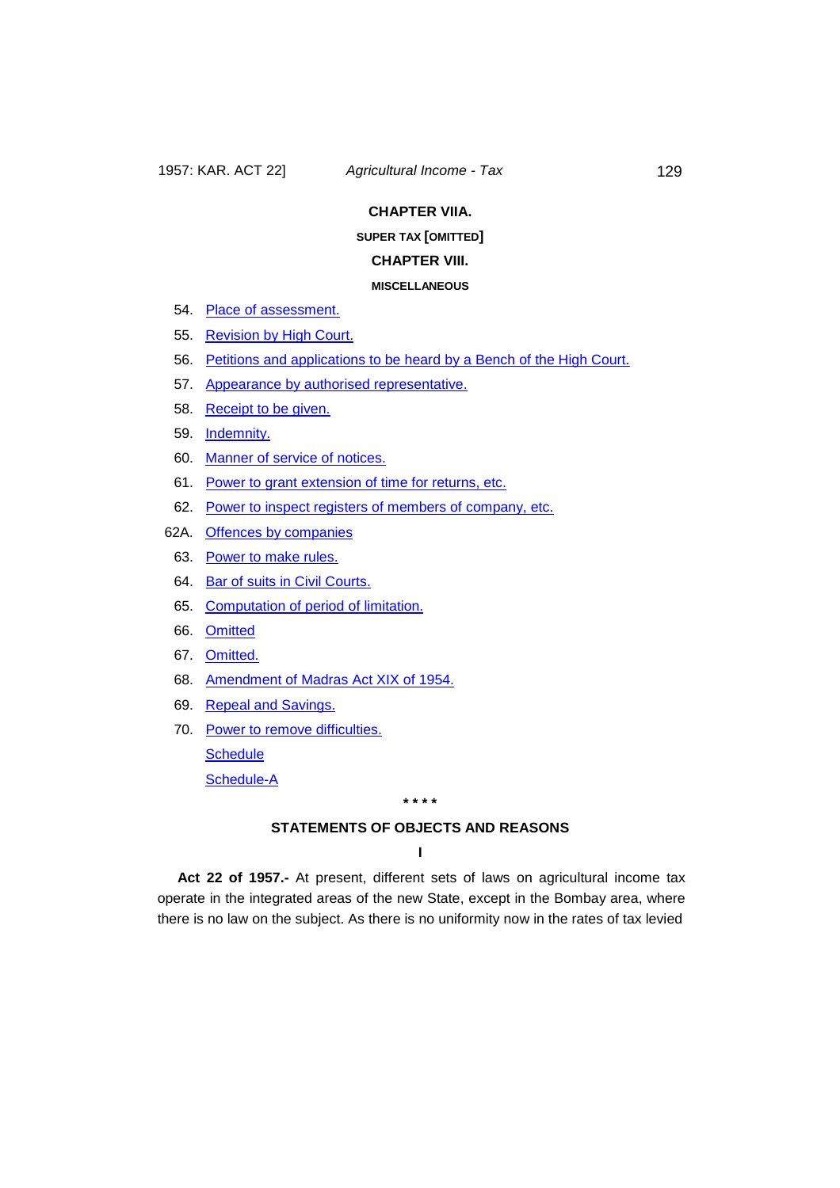### **CHAPTER VIIA.**

### **SUPER TAX [OMITTED]**

### **CHAPTER VIII.**

#### **MISCELLANEOUS**

- 54. Place [of assessment.](#page-78-0)
- 55. [Revision](#page-79-0) by High Court.
- 56. Petitions and applications to be [heard by a Bench](#page-81-0) of the High Court.
- 57. Appearance by authorised [representative.](#page-81-1)
- 58. [Receipt](#page-82-0) to be given.
- 59. [Indemnity.](#page-82-1)
- 60. Manner of service [of notices.](#page-82-2)
- 61. Power to grant extension of time [for returns,](#page-83-0) etc.
- 62. Power to inspect registers of members [of company,](#page-83-1) etc.
- 62A. [Offences by](#page-83-2) companies
	- 63. Power [to make rules.](#page-84-0)
	- 64. Bar of suits in Civil [Courts.](#page-85-0)
	- 65. [Computation](#page-85-1) of period of limitation.
	- 66. [Omitted](#page-85-2)
	- 67. [Omitted.](#page-85-3)
	- 68. Amendment of Madras [Act XIX of 1954.](#page-86-0)
	- 69. Repeal and [Savings.](#page-86-1)
	- 70. Power to remove [difficulties.](#page-87-0) **[Schedule](#page-88-0)**

[Schedule-A](#page-88-1)

**\* \* \* \***

### **STATEMENTS OF OBJECTS AND REASONS**

**I**

<span id="page-3-0"></span>**Act 22 of 1957.-** At present, different sets of laws on agricultural income tax operate in the integrated areas of the new State, except in the Bombay area, where there is no law on the subject. As there is no uniformity now in the rates of tax levied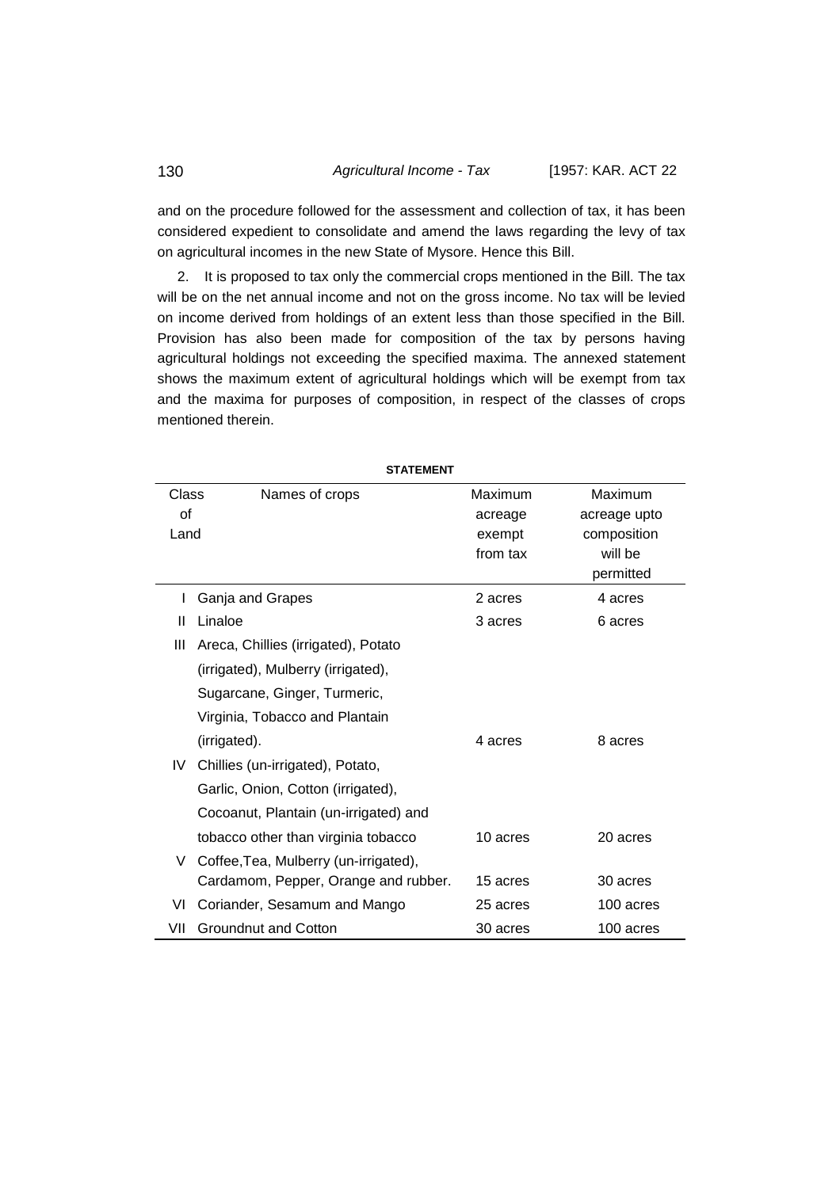### 130 *Agricultural Income - Tax* [1957: KAR. ACT 22

and on the procedure followed for the assessment and collection of tax, it has been considered expedient to consolidate and amend the laws regarding the levy of tax on agricultural incomes in the new State of Mysore. Hence this Bill.

2. It is proposed to tax only the commercial crops mentioned in the Bill. The tax will be on the net annual income and not on the gross income. No tax will be levied on income derived from holdings of an extent less than those specified in the Bill. Provision has also been made for composition of the tax by persons having agricultural holdings not exceeding the specified maxima. The annexed statement shows the maximum extent of agricultural holdings which will be exempt from tax and the maxima for purposes of composition, in respect of the classes of crops mentioned therein.

| <b>STATEMENT</b> |                                       |          |              |  |
|------------------|---------------------------------------|----------|--------------|--|
| Class            | Names of crops                        | Maximum  | Maximum      |  |
| of               |                                       | acreage  | acreage upto |  |
| Land             |                                       | exempt   | composition  |  |
|                  |                                       | from tax | will be      |  |
|                  |                                       |          | permitted    |  |
| L                | Ganja and Grapes                      | 2 acres  | 4 acres      |  |
| Ш                | Linaloe                               | 3 acres  | 6 acres      |  |
| Ш                | Areca, Chillies (irrigated), Potato   |          |              |  |
|                  | (irrigated), Mulberry (irrigated),    |          |              |  |
|                  | Sugarcane, Ginger, Turmeric,          |          |              |  |
|                  | Virginia, Tobacco and Plantain        |          |              |  |
|                  | (irrigated).                          | 4 acres  | 8 acres      |  |
| IV.              | Chillies (un-irrigated), Potato,      |          |              |  |
|                  | Garlic, Onion, Cotton (irrigated),    |          |              |  |
|                  | Cocoanut, Plantain (un-irrigated) and |          |              |  |
|                  | tobacco other than virginia tobacco   | 10 acres | 20 acres     |  |
| V                | Coffee, Tea, Mulberry (un-irrigated), |          |              |  |
|                  | Cardamom, Pepper, Orange and rubber.  | 15 acres | 30 acres     |  |
| VI               | Coriander, Sesamum and Mango          | 25 acres | 100 acres    |  |
| VII              | Groundnut and Cotton                  | 30 acres | 100 acres    |  |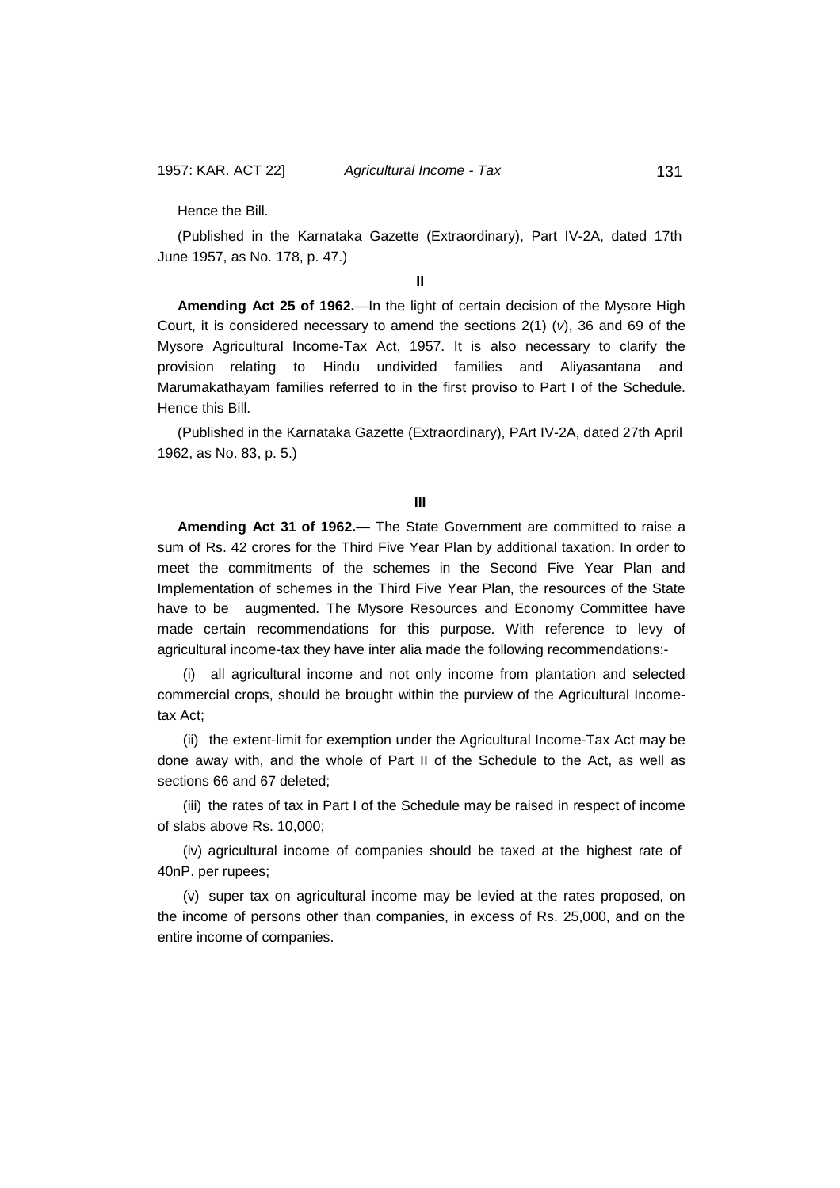Hence the Bill.

(Published in the Karnataka Gazette (Extraordinary), Part IV-2A, dated 17th June 1957, as No. 178, p. 47.)

**II**

**Amending Act 25 of 1962.**—In the light of certain decision of the Mysore High Court, it is considered necessary to amend the sections 2(1) (*v*), 36 and 69 of the Mysore Agricultural Income-Tax Act, 1957. It is also necessary to clarify the provision relating to Hindu undivided families and Aliyasantana and Marumakathayam families referred to in the first proviso to Part I of the Schedule. Hence this Bill.

(Published in the Karnataka Gazette (Extraordinary), PArt IV-2A, dated 27th April 1962, as No. 83, p. 5.)

**III**

**Amending Act 31 of 1962.**— The State Government are committed to raise a sum of Rs. 42 crores for the Third Five Year Plan by additional taxation. In order to meet the commitments of the schemes in the Second Five Year Plan and Implementation of schemes in the Third Five Year Plan, the resources of the State have to be augmented. The Mysore Resources and Economy Committee have made certain recommendations for this purpose. With reference to levy of agricultural income-tax they have inter alia made the following recommendations:-

(i) all agricultural income and not only income from plantation and selected commercial crops, should be brought within the purview of the Agricultural Incometax Act;

(ii) the extent-limit for exemption under the Agricultural Income-Tax Act may be done away with, and the whole of Part II of the Schedule to the Act, as well as sections 66 and 67 deleted;

(iii) the rates of tax in Part I of the Schedule may be raised in respect of income of slabs above Rs. 10,000;

(iv) agricultural income of companies should be taxed at the highest rate of 40nP. per rupees;

(v) super tax on agricultural income may be levied at the rates proposed, on the income of persons other than companies, in excess of Rs. 25,000, and on the entire income of companies.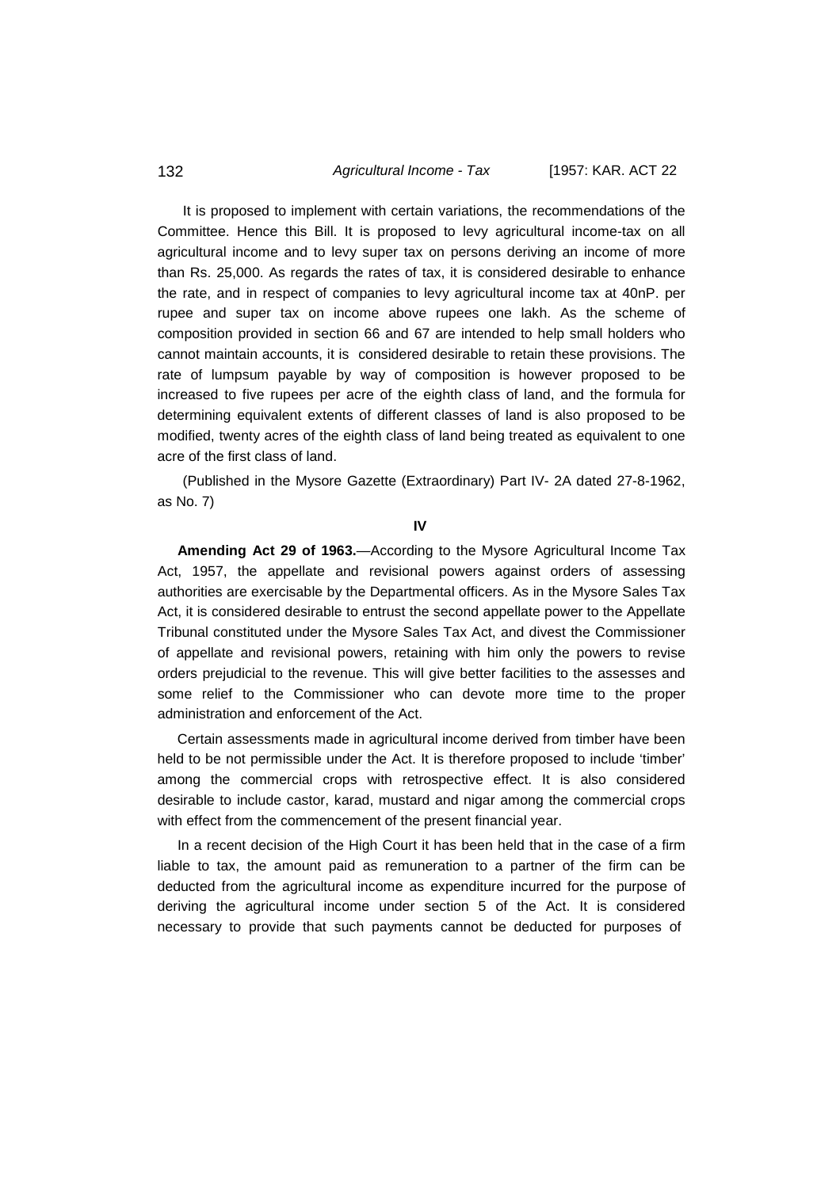#### 132 *Agricultural Income - Tax* [1957: KAR. ACT 22

It is proposed to implement with certain variations, the recommendations of the Committee. Hence this Bill. It is proposed to levy agricultural income-tax on all agricultural income and to levy super tax on persons deriving an income of more than Rs. 25,000. As regards the rates of tax, it is considered desirable to enhance the rate, and in respect of companies to levy agricultural income tax at 40nP. per rupee and super tax on income above rupees one lakh. As the scheme of composition provided in section 66 and 67 are intended to help small holders who cannot maintain accounts, it is considered desirable to retain these provisions. The rate of lumpsum payable by way of composition is however proposed to be increased to five rupees per acre of the eighth class of land, and the formula for determining equivalent extents of different classes of land is also proposed to be modified, twenty acres of the eighth class of land being treated as equivalent to one acre of the first class of land.

(Published in the Mysore Gazette (Extraordinary) Part IV- 2A dated 27-8-1962, as No. 7)

**IV**

**Amending Act 29 of 1963.**—According to the Mysore Agricultural Income Tax Act, 1957, the appellate and revisional powers against orders of assessing authorities are exercisable by the Departmental officers. As in the Mysore Sales Tax Act, it is considered desirable to entrust the second appellate power to the Appellate Tribunal constituted under the Mysore Sales Tax Act, and divest the Commissioner of appellate and revisional powers, retaining with him only the powers to revise orders prejudicial to the revenue. This will give better facilities to the assesses and some relief to the Commissioner who can devote more time to the proper administration and enforcement of the Act.

Certain assessments made in agricultural income derived from timber have been held to be not permissible under the Act. It is therefore proposed to include 'timber' among the commercial crops with retrospective effect. It is also considered desirable to include castor, karad, mustard and nigar among the commercial crops with effect from the commencement of the present financial year.

In a recent decision of the High Court it has been held that in the case of a firm liable to tax, the amount paid as remuneration to a partner of the firm can be deducted from the agricultural income as expenditure incurred for the purpose of deriving the agricultural income under section 5 of the Act. It is considered necessary to provide that such payments cannot be deducted for purposes of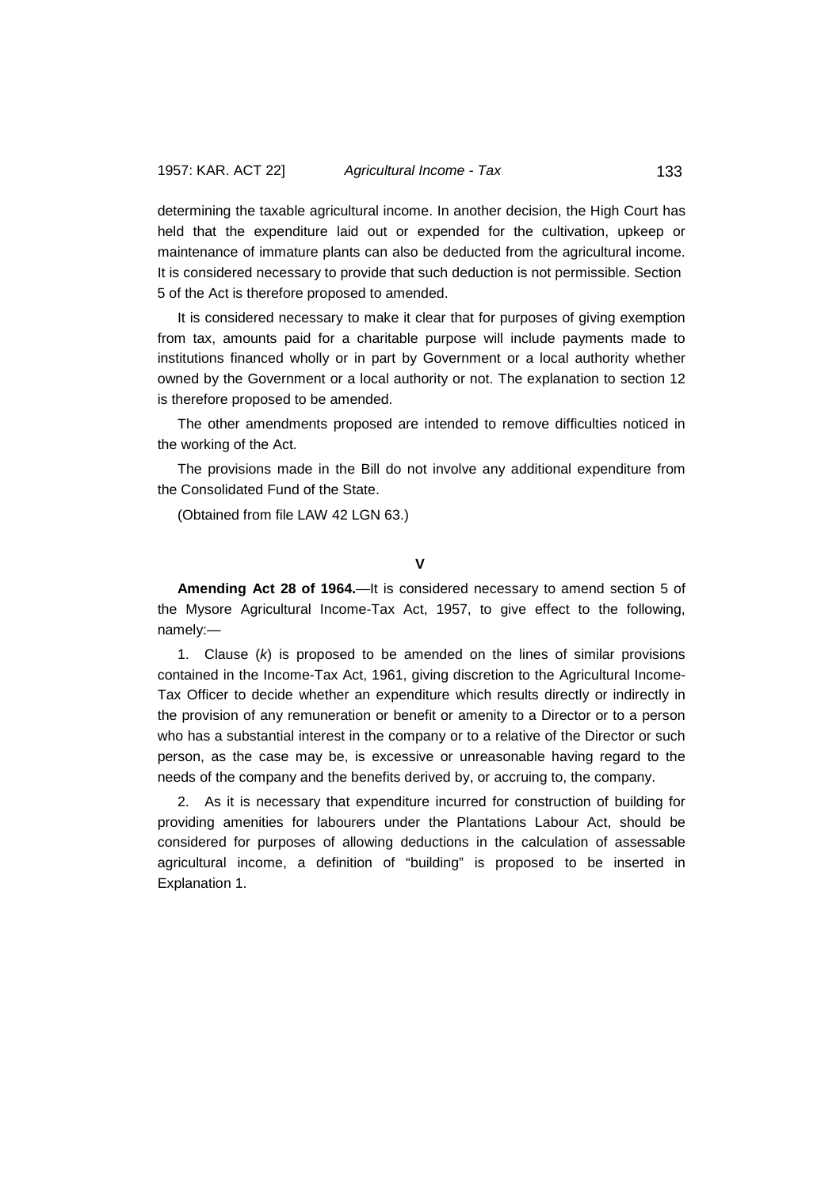determining the taxable agricultural income. In another decision, the High Court has held that the expenditure laid out or expended for the cultivation, upkeep or maintenance of immature plants can also be deducted from the agricultural income. It is considered necessary to provide that such deduction is not permissible. Section 5 of the Act is therefore proposed to amended.

It is considered necessary to make it clear that for purposes of giving exemption from tax, amounts paid for a charitable purpose will include payments made to institutions financed wholly or in part by Government or a local authority whether owned by the Government or a local authority or not. The explanation to section 12 is therefore proposed to be amended.

The other amendments proposed are intended to remove difficulties noticed in the working of the Act.

The provisions made in the Bill do not involve any additional expenditure from the Consolidated Fund of the State.

(Obtained from file LAW 42 LGN 63.)

### **V**

**Amending Act 28 of 1964.**—It is considered necessary to amend section 5 of the Mysore Agricultural Income-Tax Act, 1957, to give effect to the following, namely:—

1. Clause (*k*) is proposed to be amended on the lines of similar provisions contained in the Income-Tax Act, 1961, giving discretion to the Agricultural Income-Tax Officer to decide whether an expenditure which results directly or indirectly in the provision of any remuneration or benefit or amenity to a Director or to a person who has a substantial interest in the company or to a relative of the Director or such person, as the case may be, is excessive or unreasonable having regard to the needs of the company and the benefits derived by, or accruing to, the company.

2. As it is necessary that expenditure incurred for construction of building for providing amenities for labourers under the Plantations Labour Act, should be considered for purposes of allowing deductions in the calculation of assessable agricultural income, a definition of "building" is proposed to be inserted in Explanation 1.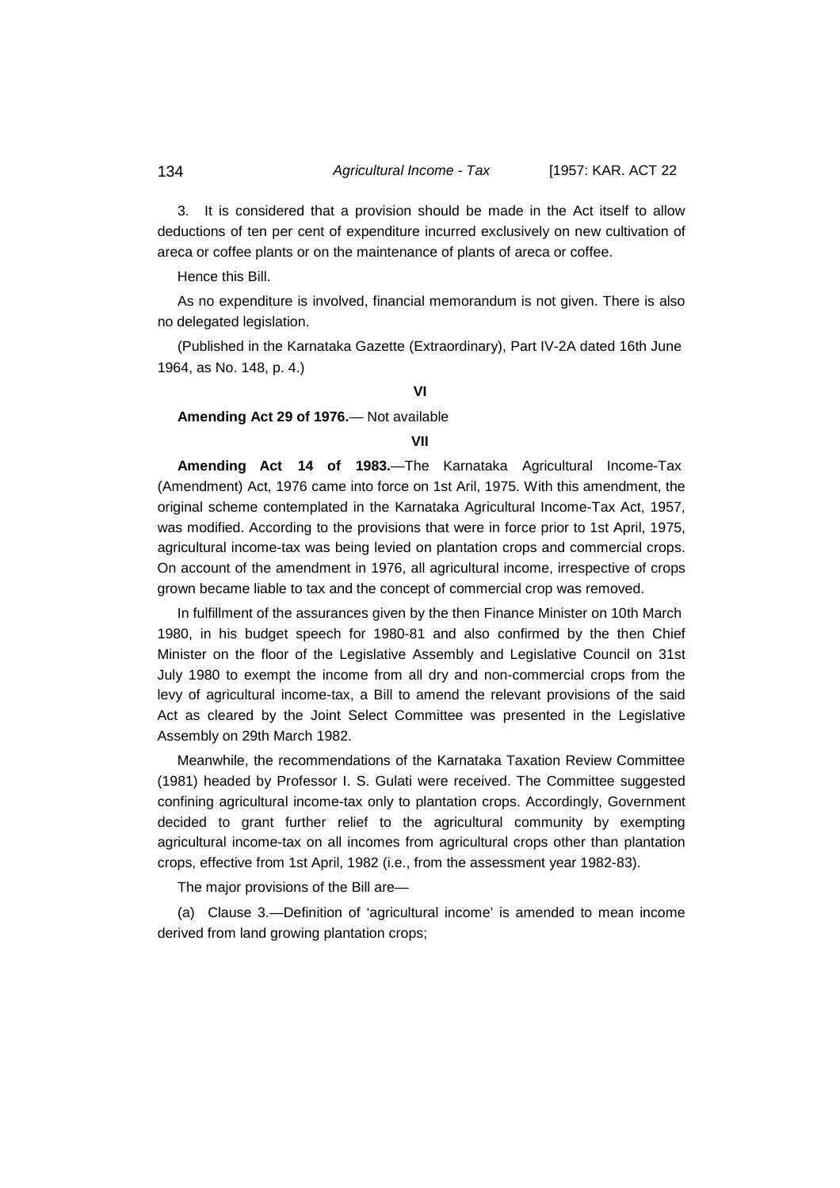#### 134 *Agricultural Income - Tax* [1957: KAR. ACT 22

3. It is considered that a provision should be made in the Act itself to allow deductions of ten per cent of expenditure incurred exclusively on new cultivation of areca or coffee plants or on the maintenance of plants of areca or coffee.

Hence this Bill.

As no expenditure is involved, financial memorandum is not given. There is also no delegated legislation.

(Published in the Karnataka Gazette (Extraordinary), Part IV-2A dated 16th June 1964, as No. 148, p. 4.)

# **VI**

### **Amending Act 29 of 1976.**— Not available

### **VII**

**Amending Act 14 of 1983.**—The Karnataka Agricultural Income-Tax (Amendment) Act, 1976 came into force on 1st Aril, 1975. With this amendment, the original scheme contemplated in the Karnataka Agricultural Income-Tax Act, 1957, was modified. According to the provisions that were in force prior to 1st April, 1975, agricultural income-tax was being levied on plantation crops and commercial crops. On account of the amendment in 1976, all agricultural income, irrespective of crops grown became liable to tax and the concept of commercial crop was removed.

In fulfillment of the assurances given by the then Finance Minister on 10th March 1980, in his budget speech for 1980-81 and also confirmed by the then Chief Minister on the floor of the Legislative Assembly and Legislative Council on 31st July 1980 to exempt the income from all dry and non-commercial crops from the levy of agricultural income-tax, a Bill to amend the relevant provisions of the said Act as cleared by the Joint Select Committee was presented in the Legislative Assembly on 29th March 1982.

Meanwhile, the recommendations of the Karnataka Taxation Review Committee (1981) headed by Professor I. S. Gulati were received. The Committee suggested confining agricultural income-tax only to plantation crops. Accordingly, Government decided to grant further relief to the agricultural community by exempting agricultural income-tax on all incomes from agricultural crops other than plantation crops, effective from 1st April, 1982 (i.e., from the assessment year 1982-83).

The major provisions of the Bill are—

(a) Clause 3.—Definition of 'agricultural income' is amended to mean income derived from land growing plantation crops;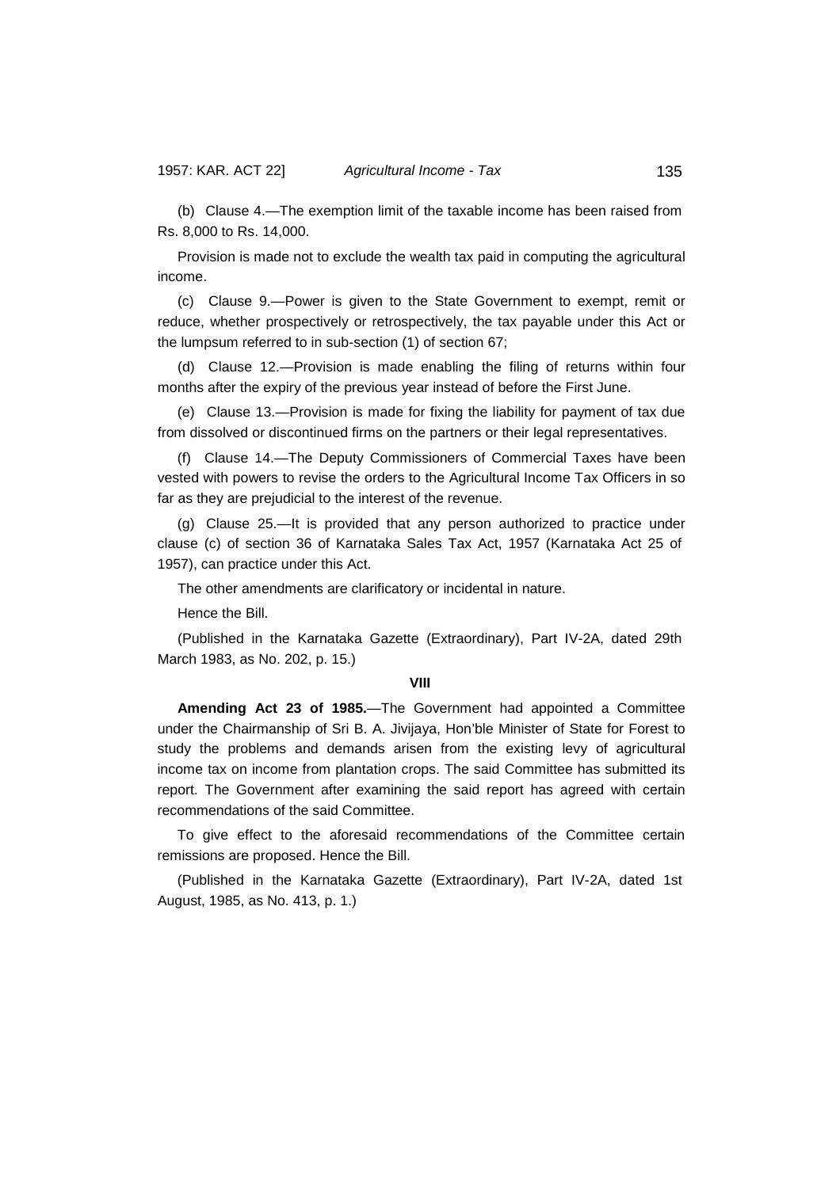(b) Clause 4.—The exemption limit of the taxable income has been raised from Rs. 8,000 to Rs. 14,000.

Provision is made not to exclude the wealth tax paid in computing the agricultural income.

(c) Clause 9.—Power is given to the State Government to exempt, remit or reduce, whether prospectively or retrospectively, the tax payable under this Act or the lumpsum referred to in sub-section (1) of section 67;

(d) Clause 12.—Provision is made enabling the filing of returns within four months after the expiry of the previous year instead of before the First June.

(e) Clause 13.—Provision is made for fixing the liability for payment of tax due from dissolved or discontinued firms on the partners or their legal representatives.

(f) Clause 14.—The Deputy Commissioners of Commercial Taxes have been vested with powers to revise the orders to the Agricultural Income Tax Officers in so far as they are prejudicial to the interest of the revenue.

(g) Clause 25.—It is provided that any person authorized to practice under clause (c) of section 36 of Karnataka Sales Tax Act, 1957 (Karnataka Act 25 of 1957), can practice under this Act.

The other amendments are clarificatory or incidental in nature.

Hence the Bill.

(Published in the Karnataka Gazette (Extraordinary), Part IV-2A, dated 29th March 1983, as No. 202, p. 15.)

#### **VIII**

**Amending Act 23 of 1985.**—The Government had appointed a Committee under the Chairmanship of Sri B. A. Jivijaya, Hon'ble Minister of State for Forest to study the problems and demands arisen from the existing levy of agricultural income tax on income from plantation crops. The said Committee has submitted its report. The Government after examining the said report has agreed with certain recommendations of the said Committee.

To give effect to the aforesaid recommendations of the Committee certain remissions are proposed. Hence the Bill.

(Published in the Karnataka Gazette (Extraordinary), Part IV-2A, dated 1st August, 1985, as No. 413, p. 1.)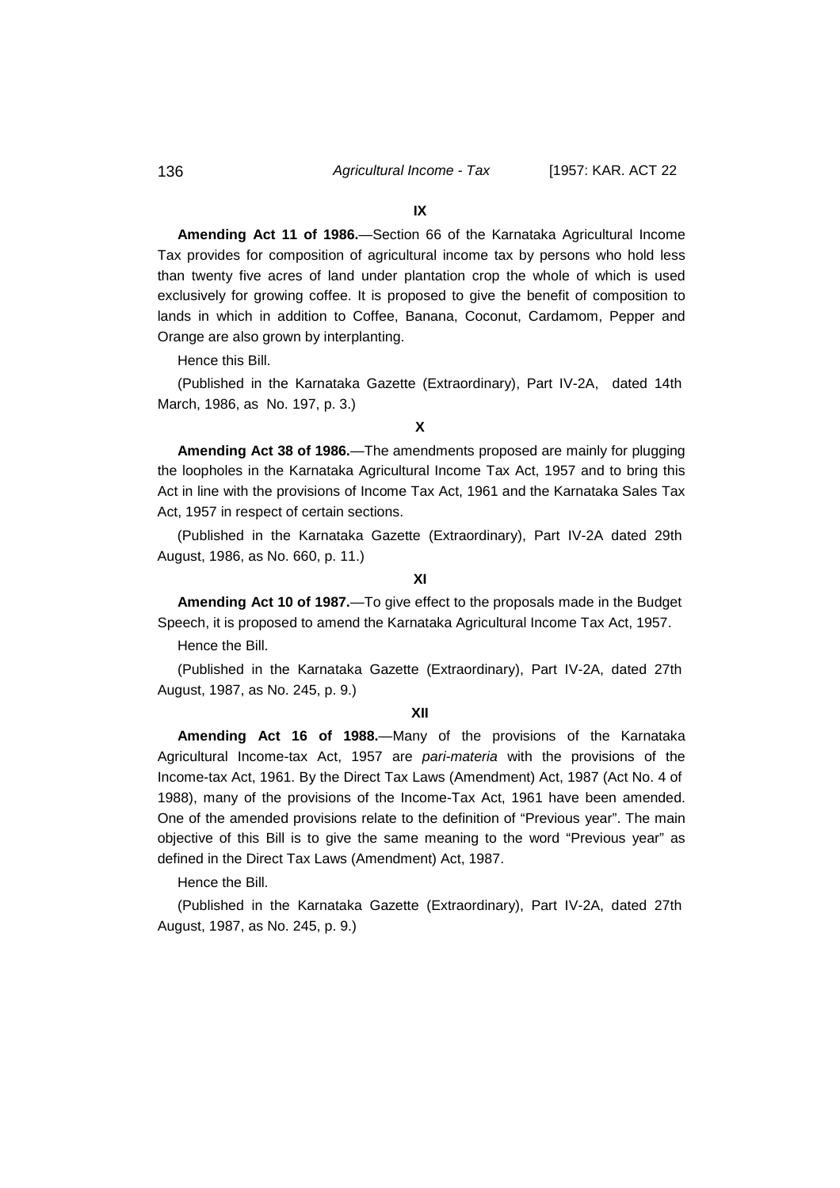136 *Agricultural Income - Tax* [1957: KAR. ACT 22

### **IX**

**Amending Act 11 of 1986.**—Section 66 of the Karnataka Agricultural Income Tax provides for composition of agricultural income tax by persons who hold less than twenty five acres of land under plantation crop the whole of which is used exclusively for growing coffee. It is proposed to give the benefit of composition to lands in which in addition to Coffee, Banana, Coconut, Cardamom, Pepper and Orange are also grown by interplanting.

Hence this Bill.

(Published in the Karnataka Gazette (Extraordinary), Part IV-2A, dated 14th March, 1986, as No. 197, p. 3.)

#### **X**

**Amending Act 38 of 1986.**—The amendments proposed are mainly for plugging the loopholes in the Karnataka Agricultural Income Tax Act, 1957 and to bring this Act in line with the provisions of Income Tax Act, 1961 and the Karnataka Sales Tax Act, 1957 in respect of certain sections.

(Published in the Karnataka Gazette (Extraordinary), Part IV-2A dated 29th August, 1986, as No. 660, p. 11.)

**XI**

**Amending Act 10 of 1987.**—To give effect to the proposals made in the Budget Speech, it is proposed to amend the Karnataka Agricultural Income Tax Act, 1957.

Hence the Bill.

(Published in the Karnataka Gazette (Extraordinary), Part IV-2A, dated 27th August, 1987, as No. 245, p. 9.)

#### **XII**

**Amending Act 16 of 1988.**—Many of the provisions of the Karnataka Agricultural Income-tax Act, 1957 are *pari-materia* with the provisions of the Income-tax Act, 1961. By the Direct Tax Laws (Amendment) Act, 1987 (Act No. 4 of 1988), many of the provisions of the Income-Tax Act, 1961 have been amended. One of the amended provisions relate to the definition of "Previous year". The main objective of this Bill is to give the same meaning to the word "Previous year" as defined in the Direct Tax Laws (Amendment) Act, 1987.

Hence the Bill.

(Published in the Karnataka Gazette (Extraordinary), Part IV-2A, dated 27th August, 1987, as No. 245, p. 9.)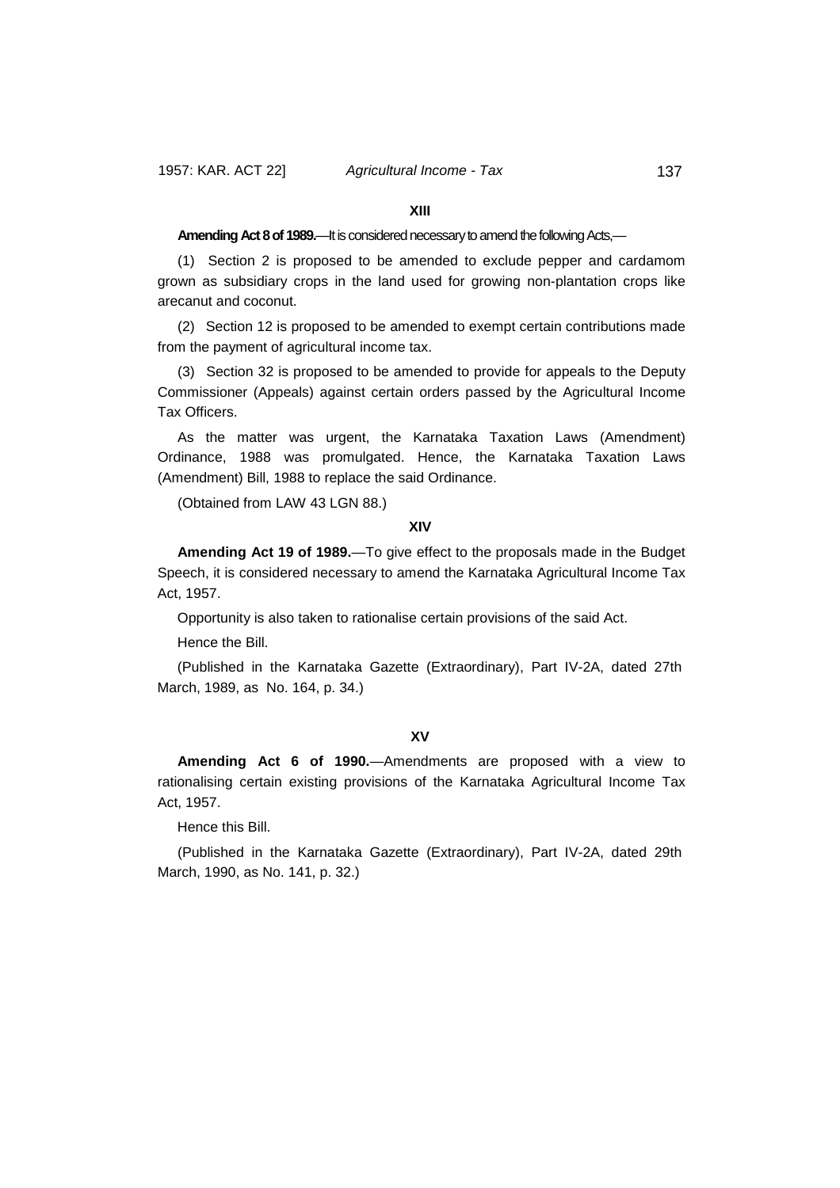#### **XIII**

#### **Amending Act 8 of 1989.**—It is considered necessary to amend the following Acts,—

(1) Section 2 is proposed to be amended to exclude pepper and cardamom grown as subsidiary crops in the land used for growing non-plantation crops like arecanut and coconut.

(2) Section 12 is proposed to be amended to exempt certain contributions made from the payment of agricultural income tax.

(3) Section 32 is proposed to be amended to provide for appeals to the Deputy Commissioner (Appeals) against certain orders passed by the Agricultural Income Tax Officers.

As the matter was urgent, the Karnataka Taxation Laws (Amendment) Ordinance, 1988 was promulgated. Hence, the Karnataka Taxation Laws (Amendment) Bill, 1988 to replace the said Ordinance.

(Obtained from LAW 43 LGN 88.)

#### **XIV**

**Amending Act 19 of 1989.**—To give effect to the proposals made in the Budget Speech, it is considered necessary to amend the Karnataka Agricultural Income Tax Act, 1957.

Opportunity is also taken to rationalise certain provisions of the said Act.

Hence the Bill.

(Published in the Karnataka Gazette (Extraordinary), Part IV-2A, dated 27th March, 1989, as No. 164, p. 34.)

### **XV**

**Amending Act 6 of 1990.**—Amendments are proposed with a view to rationalising certain existing provisions of the Karnataka Agricultural Income Tax Act, 1957.

Hence this Bill.

(Published in the Karnataka Gazette (Extraordinary), Part IV-2A, dated 29th March, 1990, as No. 141, p. 32.)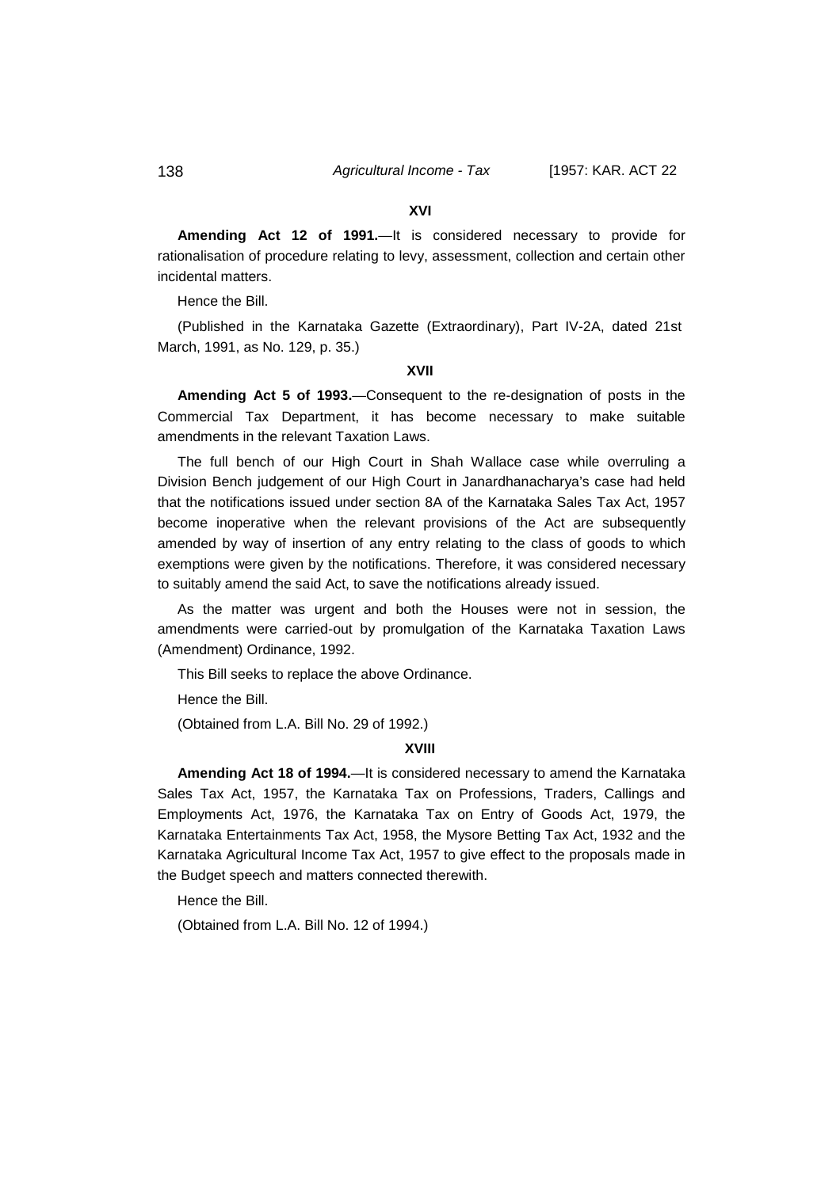#### **XVI**

**Amending Act 12 of 1991.**—It is considered necessary to provide for rationalisation of procedure relating to levy, assessment, collection and certain other incidental matters.

Hence the Bill.

(Published in the Karnataka Gazette (Extraordinary), Part IV-2A, dated 21st March, 1991, as No. 129, p. 35.)

### **XVII**

**Amending Act 5 of 1993.**—Consequent to the re-designation of posts in the Commercial Tax Department, it has become necessary to make suitable amendments in the relevant Taxation Laws.

The full bench of our High Court in Shah Wallace case while overruling a Division Bench judgement of our High Court in Janardhanacharya's case had held that the notifications issued under section 8A of the Karnataka Sales Tax Act, 1957 become inoperative when the relevant provisions of the Act are subsequently amended by way of insertion of any entry relating to the class of goods to which exemptions were given by the notifications. Therefore, it was considered necessary to suitably amend the said Act, to save the notifications already issued.

As the matter was urgent and both the Houses were not in session, the amendments were carried-out by promulgation of the Karnataka Taxation Laws (Amendment) Ordinance, 1992.

This Bill seeks to replace the above Ordinance.

Hence the Bill.

(Obtained from L.A. Bill No. 29 of 1992.)

#### **XVIII**

**Amending Act 18 of 1994.**—It is considered necessary to amend the Karnataka Sales Tax Act, 1957, the Karnataka Tax on Professions, Traders, Callings and Employments Act, 1976, the Karnataka Tax on Entry of Goods Act, 1979, the Karnataka Entertainments Tax Act, 1958, the Mysore Betting Tax Act, 1932 and the Karnataka Agricultural Income Tax Act, 1957 to give effect to the proposals made in the Budget speech and matters connected therewith.

Hence the Bill.

(Obtained from L.A. Bill No. 12 of 1994.)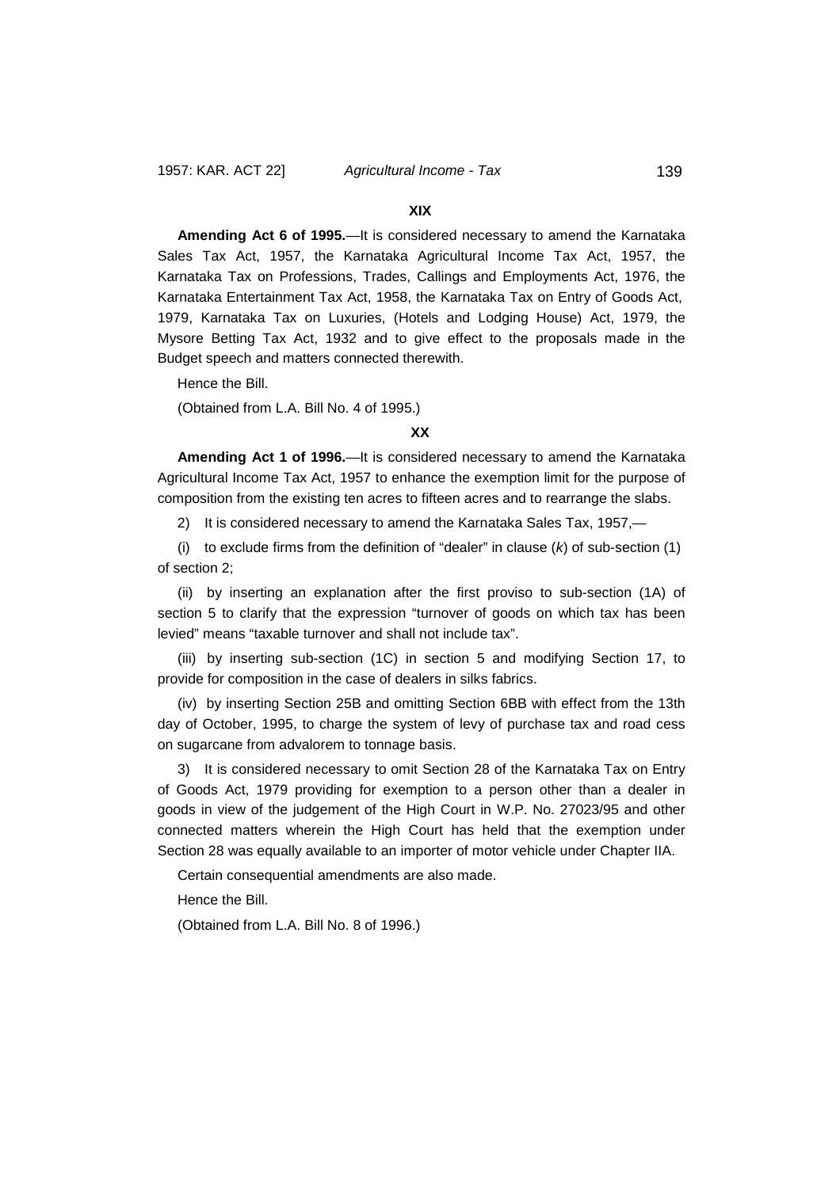#### **XIX**

**Amending Act 6 of 1995.**—It is considered necessary to amend the Karnataka Sales Tax Act, 1957, the Karnataka Agricultural Income Tax Act, 1957, the Karnataka Tax on Professions, Trades, Callings and Employments Act, 1976, the Karnataka Entertainment Tax Act, 1958, the Karnataka Tax on Entry of Goods Act, 1979, Karnataka Tax on Luxuries, (Hotels and Lodging House) Act, 1979, the Mysore Betting Tax Act, 1932 and to give effect to the proposals made in the Budget speech and matters connected therewith.

Hence the Bill.

(Obtained from L.A. Bill No. 4 of 1995.)

#### **XX**

**Amending Act 1 of 1996.**—It is considered necessary to amend the Karnataka Agricultural Income Tax Act, 1957 to enhance the exemption limit for the purpose of composition from the existing ten acres to fifteen acres and to rearrange the slabs.

2) It is considered necessary to amend the Karnataka Sales Tax, 1957,—

(i) to exclude firms from the definition of "dealer" in clause (*k*) of sub-section (1) of section 2;

(ii) by inserting an explanation after the first proviso to sub-section (1A) of section 5 to clarify that the expression "turnover of goods on which tax has been levied" means "taxable turnover and shall not include tax".

(iii) by inserting sub-section (1C) in section 5 and modifying Section 17, to provide for composition in the case of dealers in silks fabrics.

(iv) by inserting Section 25B and omitting Section 6BB with effect from the 13th day of October, 1995, to charge the system of levy of purchase tax and road cess on sugarcane from advalorem to tonnage basis.

3) It is considered necessary to omit Section 28 of the Karnataka Tax on Entry of Goods Act, 1979 providing for exemption to a person other than a dealer in goods in view of the judgement of the High Court in W.P. No. 27023/95 and other connected matters wherein the High Court has held that the exemption under Section 28 was equally available to an importer of motor vehicle under Chapter IIA.

Certain consequential amendments are also made.

Hence the Bill.

(Obtained from L.A. Bill No. 8 of 1996.)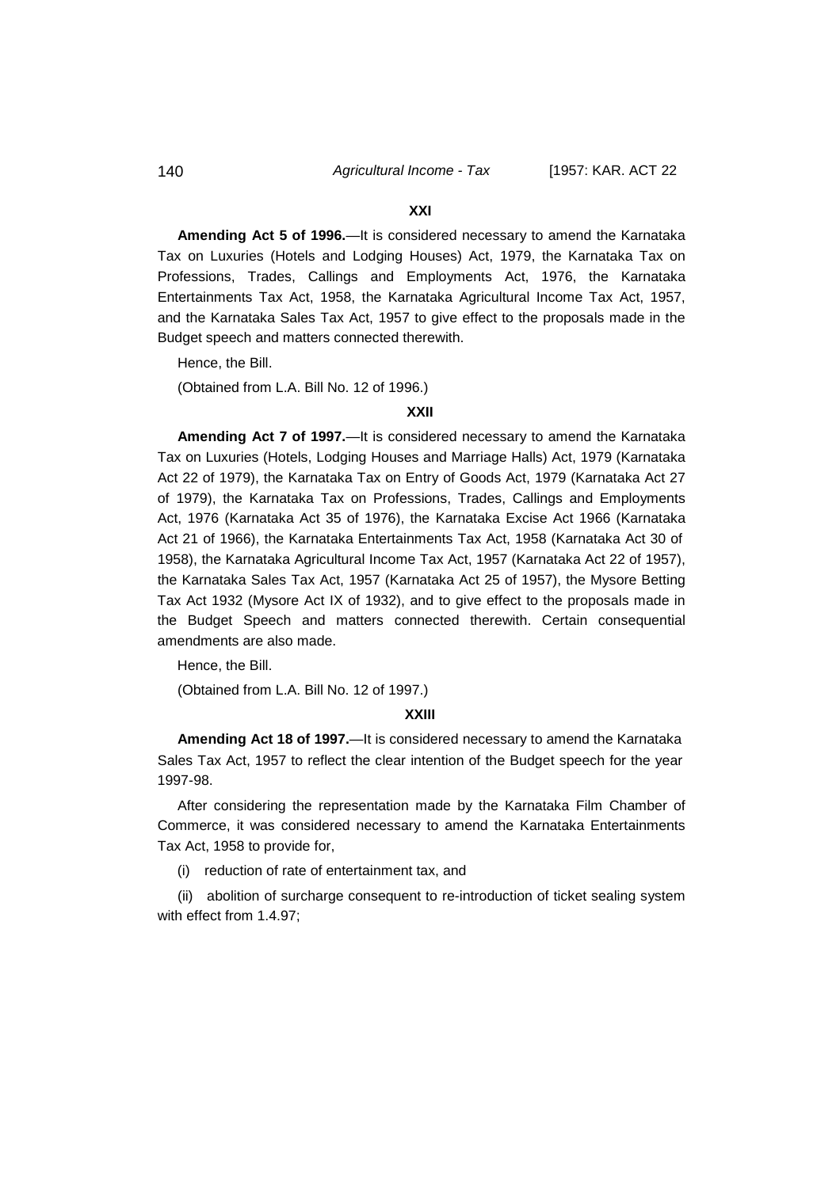#### **XXI**

**Amending Act 5 of 1996.**—It is considered necessary to amend the Karnataka Tax on Luxuries (Hotels and Lodging Houses) Act, 1979, the Karnataka Tax on Professions, Trades, Callings and Employments Act, 1976, the Karnataka Entertainments Tax Act, 1958, the Karnataka Agricultural Income Tax Act, 1957, and the Karnataka Sales Tax Act, 1957 to give effect to the proposals made in the Budget speech and matters connected therewith.

Hence, the Bill.

(Obtained from L.A. Bill No. 12 of 1996.)

#### **XXII**

**Amending Act 7 of 1997.**—It is considered necessary to amend the Karnataka Tax on Luxuries (Hotels, Lodging Houses and Marriage Halls) Act, 1979 (Karnataka Act 22 of 1979), the Karnataka Tax on Entry of Goods Act, 1979 (Karnataka Act 27 of 1979), the Karnataka Tax on Professions, Trades, Callings and Employments Act, 1976 (Karnataka Act 35 of 1976), the Karnataka Excise Act 1966 (Karnataka Act 21 of 1966), the Karnataka Entertainments Tax Act, 1958 (Karnataka Act 30 of 1958), the Karnataka Agricultural Income Tax Act, 1957 (Karnataka Act 22 of 1957), the Karnataka Sales Tax Act, 1957 (Karnataka Act 25 of 1957), the Mysore Betting Tax Act 1932 (Mysore Act IX of 1932), and to give effect to the proposals made in the Budget Speech and matters connected therewith. Certain consequential amendments are also made.

Hence, the Bill.

(Obtained from L.A. Bill No. 12 of 1997.)

#### **XXIII**

**Amending Act 18 of 1997.**—It is considered necessary to amend the Karnataka Sales Tax Act, 1957 to reflect the clear intention of the Budget speech for the year 1997-98.

After considering the representation made by the Karnataka Film Chamber of Commerce, it was considered necessary to amend the Karnataka Entertainments Tax Act, 1958 to provide for,

(i) reduction of rate of entertainment tax, and

(ii) abolition of surcharge consequent to re-introduction of ticket sealing system with effect from 1.4.97;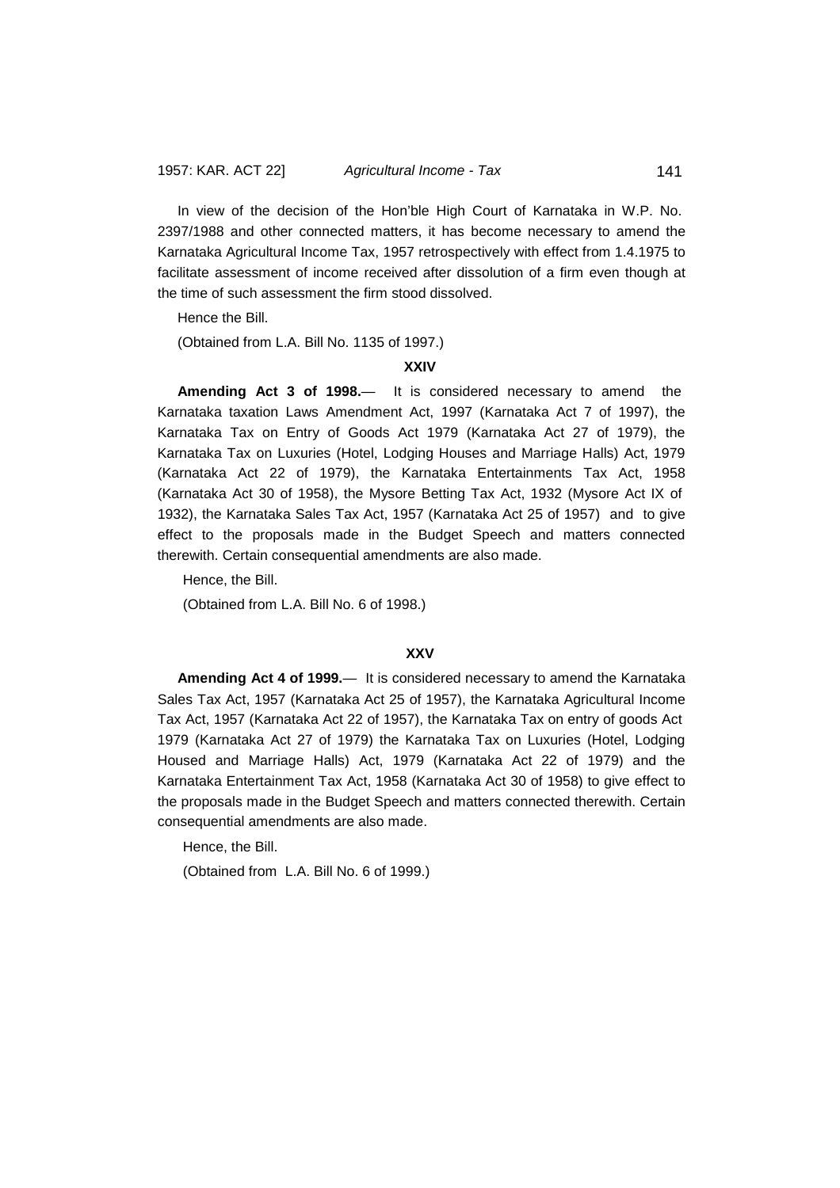In view of the decision of the Hon'ble High Court of Karnataka in W.P. No. 2397/1988 and other connected matters, it has become necessary to amend the Karnataka Agricultural Income Tax, 1957 retrospectively with effect from 1.4.1975 to facilitate assessment of income received after dissolution of a firm even though at the time of such assessment the firm stood dissolved.

Hence the Bill.

(Obtained from L.A. Bill No. 1135 of 1997.)

#### **XXIV**

**Amending Act 3 of 1998.**— It is considered necessary to amend the Karnataka taxation Laws Amendment Act, 1997 (Karnataka Act 7 of 1997), the Karnataka Tax on Entry of Goods Act 1979 (Karnataka Act 27 of 1979), the Karnataka Tax on Luxuries (Hotel, Lodging Houses and Marriage Halls) Act, 1979 (Karnataka Act 22 of 1979), the Karnataka Entertainments Tax Act, 1958 (Karnataka Act 30 of 1958), the Mysore Betting Tax Act, 1932 (Mysore Act IX of 1932), the Karnataka Sales Tax Act, 1957 (Karnataka Act 25 of 1957) and to give effect to the proposals made in the Budget Speech and matters connected therewith. Certain consequential amendments are also made.

Hence, the Bill.

(Obtained from L.A. Bill No. 6 of 1998.)

### **XXV**

**Amending Act 4 of 1999.**— It is considered necessary to amend the Karnataka Sales Tax Act, 1957 (Karnataka Act 25 of 1957), the Karnataka Agricultural Income Tax Act, 1957 (Karnataka Act 22 of 1957), the Karnataka Tax on entry of goods Act 1979 (Karnataka Act 27 of 1979) the Karnataka Tax on Luxuries (Hotel, Lodging Housed and Marriage Halls) Act, 1979 (Karnataka Act 22 of 1979) and the Karnataka Entertainment Tax Act, 1958 (Karnataka Act 30 of 1958) to give effect to the proposals made in the Budget Speech and matters connected therewith. Certain consequential amendments are also made.

Hence, the Bill.

(Obtained from L.A. Bill No. 6 of 1999.)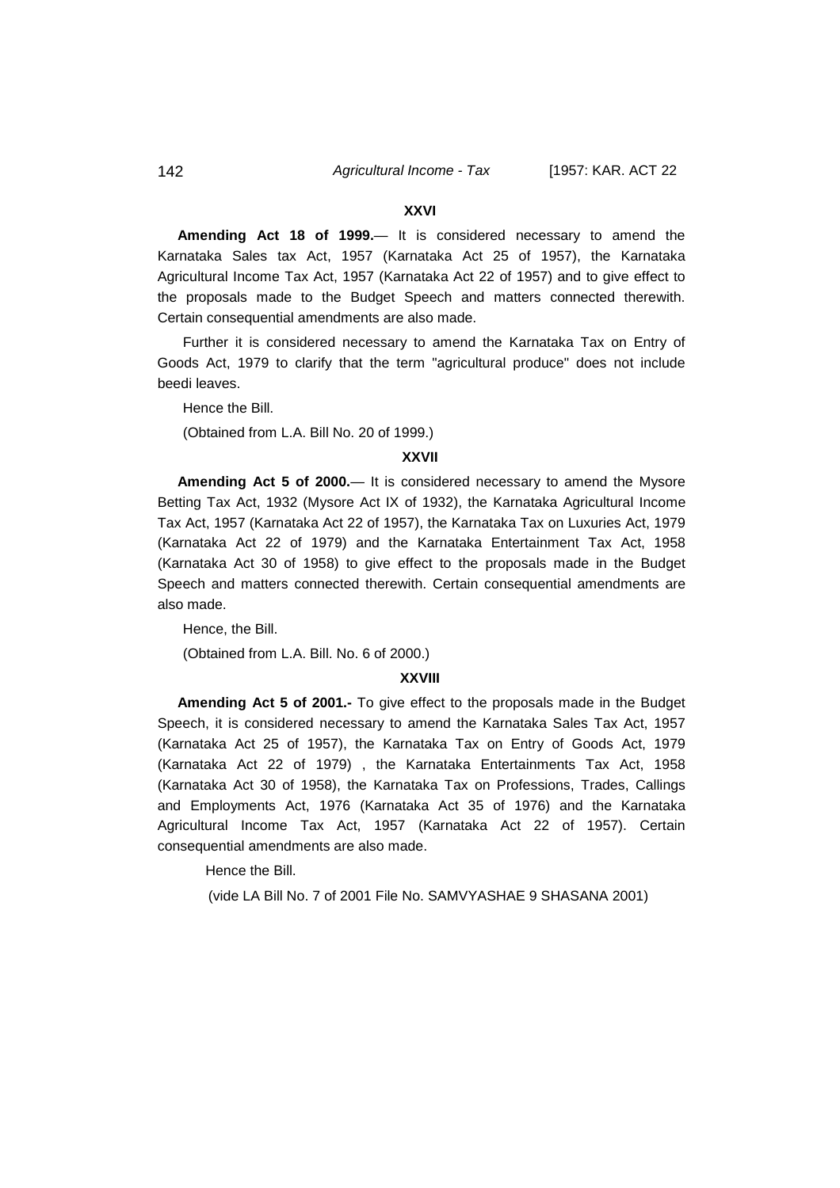#### **XXVI**

**Amending Act 18 of 1999.**— It is considered necessary to amend the Karnataka Sales tax Act, 1957 (Karnataka Act 25 of 1957), the Karnataka Agricultural Income Tax Act, 1957 (Karnataka Act 22 of 1957) and to give effect to the proposals made to the Budget Speech and matters connected therewith. Certain consequential amendments are also made.

Further it is considered necessary to amend the Karnataka Tax on Entry of Goods Act, 1979 to clarify that the term "agricultural produce" does not include beedi leaves.

Hence the Bill.

(Obtained from L.A. Bill No. 20 of 1999.)

### **XXVII**

**Amending Act 5 of 2000.**— It is considered necessary to amend the Mysore Betting Tax Act, 1932 (Mysore Act IX of 1932), the Karnataka Agricultural Income Tax Act, 1957 (Karnataka Act 22 of 1957), the Karnataka Tax on Luxuries Act, 1979 (Karnataka Act 22 of 1979) and the Karnataka Entertainment Tax Act, 1958 (Karnataka Act 30 of 1958) to give effect to the proposals made in the Budget Speech and matters connected therewith. Certain consequential amendments are also made.

Hence, the Bill.

(Obtained from L.A. Bill. No. 6 of 2000.)

#### **XXVIII**

**Amending Act 5 of 2001.-** To give effect to the proposals made in the Budget Speech, it is considered necessary to amend the Karnataka Sales Tax Act, 1957 (Karnataka Act 25 of 1957), the Karnataka Tax on Entry of Goods Act, 1979 (Karnataka Act 22 of 1979) , the Karnataka Entertainments Tax Act, 1958 (Karnataka Act 30 of 1958), the Karnataka Tax on Professions, Trades, Callings and Employments Act, 1976 (Karnataka Act 35 of 1976) and the Karnataka Agricultural Income Tax Act, 1957 (Karnataka Act 22 of 1957). Certain consequential amendments are also made.

Hence the Bill.

(vide LA Bill No. 7 of 2001 File No. SAMVYASHAE 9 SHASANA 2001)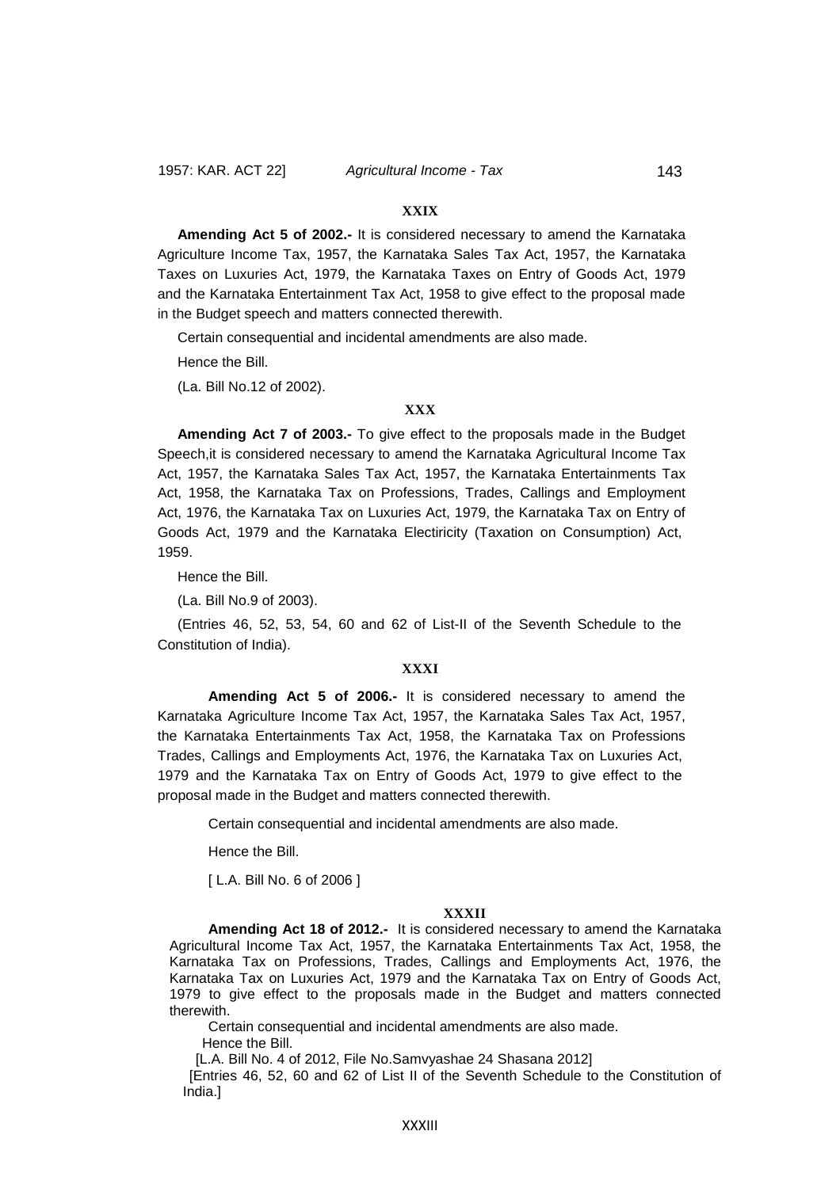#### **XXIX**

**Amending Act 5 of 2002.-** It is considered necessary to amend the Karnataka Agriculture Income Tax, 1957, the Karnataka Sales Tax Act, 1957, the Karnataka Taxes on Luxuries Act, 1979, the Karnataka Taxes on Entry of Goods Act, 1979 and the Karnataka Entertainment Tax Act, 1958 to give effect to the proposal made in the Budget speech and matters connected therewith.

Certain consequential and incidental amendments are also made.

Hence the Bill.

(La. Bill No.12 of 2002).

### **XXX**

**Amending Act 7 of 2003.-** To give effect to the proposals made in the Budget Speech,it is considered necessary to amend the Karnataka Agricultural Income Tax Act, 1957, the Karnataka Sales Tax Act, 1957, the Karnataka Entertainments Tax Act, 1958, the Karnataka Tax on Professions, Trades, Callings and Employment Act, 1976, the Karnataka Tax on Luxuries Act, 1979, the Karnataka Tax on Entry of Goods Act, 1979 and the Karnataka Electiricity (Taxation on Consumption) Act, 1959.

Hence the Bill.

(La. Bill No.9 of 2003).

(Entries 46, 52, 53, 54, 60 and 62 of List-II of the Seventh Schedule to the Constitution of India).

#### **XXXI**

**Amending Act 5 of 2006.-** It is considered necessary to amend the Karnataka Agriculture Income Tax Act, 1957, the Karnataka Sales Tax Act, 1957, the Karnataka Entertainments Tax Act, 1958, the Karnataka Tax on Professions Trades, Callings and Employments Act, 1976, the Karnataka Tax on Luxuries Act, 1979 and the Karnataka Tax on Entry of Goods Act, 1979 to give effect to the proposal made in the Budget and matters connected therewith.

Certain consequential and incidental amendments are also made.

Hence the Bill.

[ L.A. Bill No. 6 of 2006 ]

#### **XXXII**

**Amending Act 18 of 2012.-** It is considered necessary to amend the Karnataka Agricultural Income Tax Act, 1957, the Karnataka Entertainments Tax Act, 1958, the Karnataka Tax on Professions, Trades, Callings and Employments Act, 1976, the Karnataka Tax on Luxuries Act, 1979 and the Karnataka Tax on Entry of Goods Act, 1979 to give effect to the proposals made in the Budget and matters connected therewith.

Certain consequential and incidental amendments are also made.

Hence the Bill.

[L.A. Bill No. 4 of 2012, File No.Samvyashae 24 Shasana 2012]

[Entries 46, 52, 60 and 62 of List II of the Seventh Schedule to the Constitution of India.]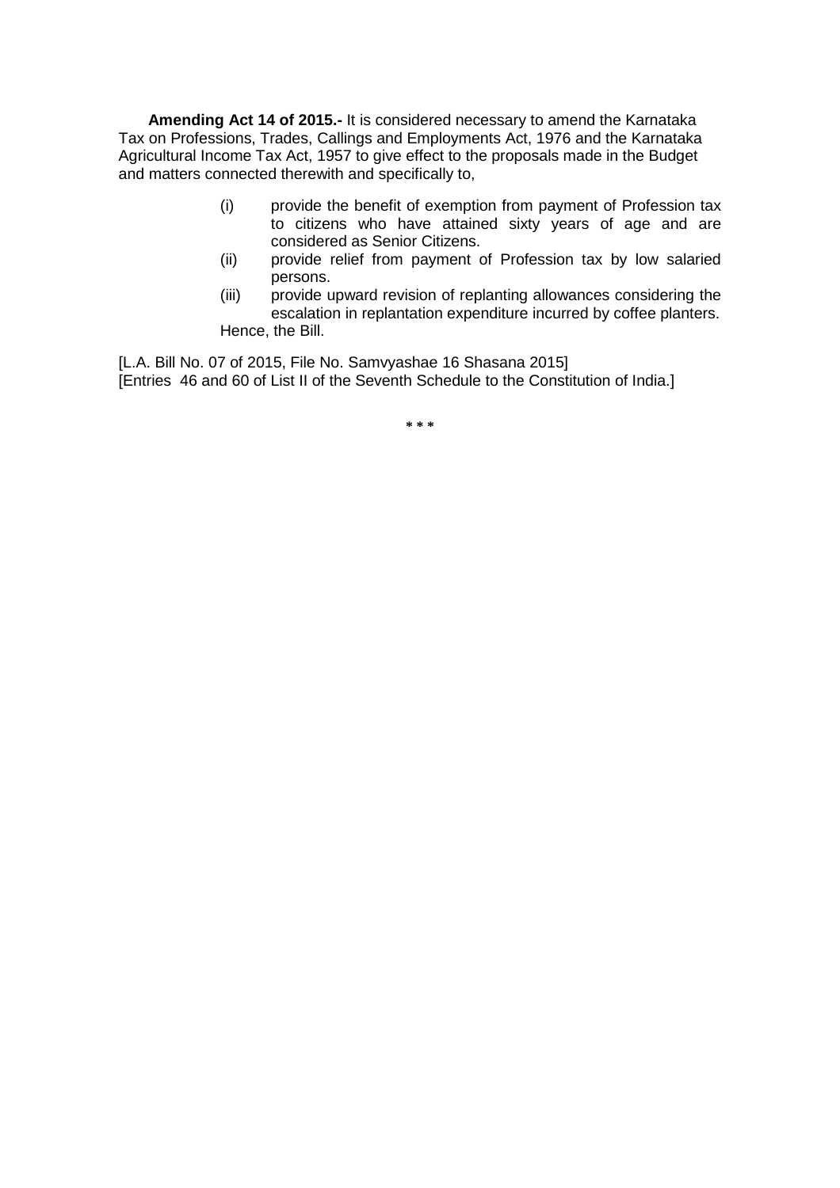**Amending Act 14 of 2015.-** It is considered necessary to amend the Karnataka Tax on Professions, Trades, Callings and Employments Act, 1976 and the Karnataka Agricultural Income Tax Act, 1957 to give effect to the proposals made in the Budget and matters connected therewith and specifically to,

- (i) provide the benefit of exemption from payment of Profession tax to citizens who have attained sixty years of age and are considered as Senior Citizens.
- (ii) provide relief from payment of Profession tax by low salaried persons.
- (iii) provide upward revision of replanting allowances considering the escalation in replantation expenditure incurred by coffee planters. Hence, the Bill.

[L.A. Bill No. 07 of 2015, File No. Samvyashae 16 Shasana 2015] [Entries 46 and 60 of List II of the Seventh Schedule to the Constitution of India.]

**\* \* \***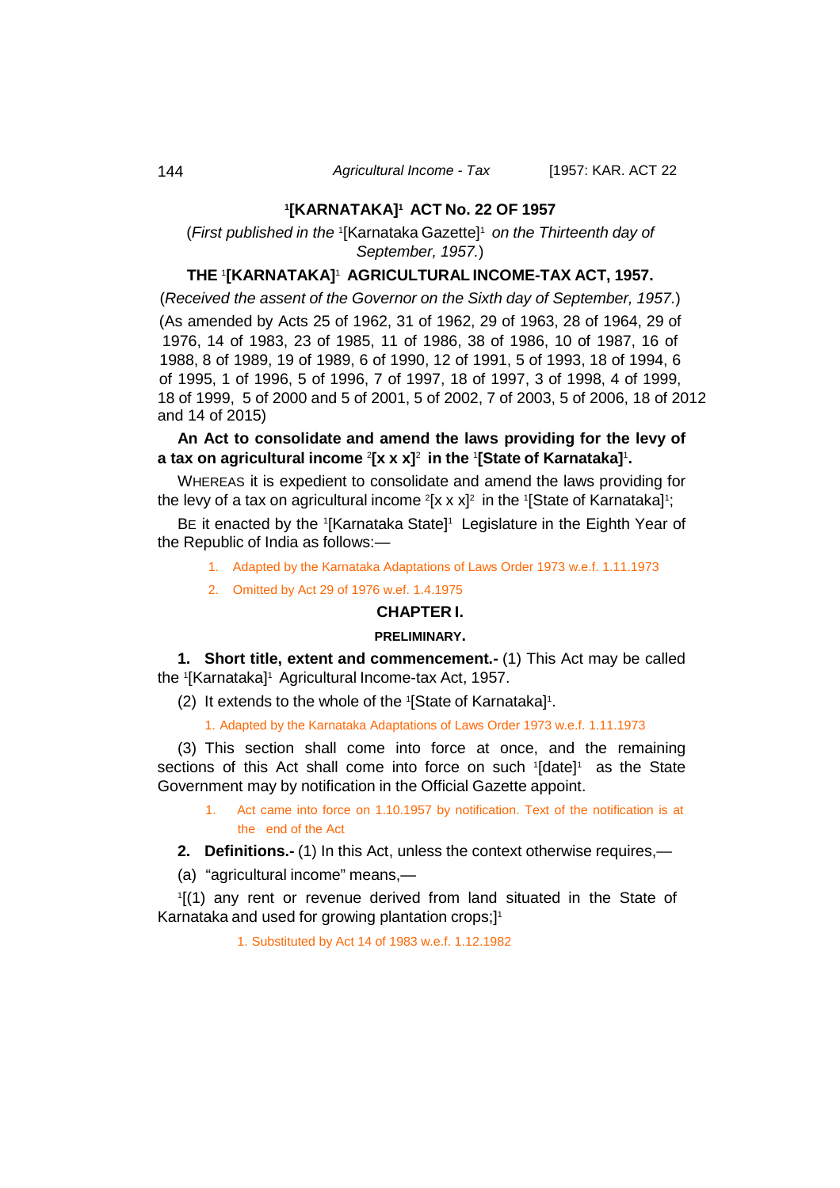### **1 [KARNATAKA]1 ACT No. 22 OF 1957**

(*First published in the* <sup>1</sup> [Karnataka Gazette]1 *on the Thirteenth day of September, 1957.*)

### **THE** <sup>1</sup> **[KARNATAKA]**1 **AGRICULTURAL INCOME-TAX ACT, 1957.**

(*Received the assent of the Governor on the Sixth day of September, 1957.*)

(As amended by Acts 25 of 1962, 31 of 1962, 29 of 1963, 28 of 1964, 29 of 1976, 14 of 1983, 23 of 1985, 11 of 1986, 38 of 1986, 10 of 1987, 16 of 1988, 8 of 1989, 19 of 1989, 6 of 1990, 12 of 1991, 5 of 1993, 18 of 1994, 6 of 1995, 1 of 1996, 5 of 1996, 7 of 1997, 18 of 1997, 3 of 1998, 4 of 1999, 18 of 1999, 5 of 2000 and 5 of 2001, 5 of 2002, 7 of 2003, 5 of 2006, 18 of 2012 and 14 of 2015)

## **An Act to consolidate and amend the laws providing for the levy of a tax on agricultural income** <sup>2</sup> **[x x x]**2 **in the** <sup>1</sup> **[State of Karnataka]**<sup>1</sup> **.**

WHEREAS it is expedient to consolidate and amend the laws providing for the levy of a tax on agricultural income  $^{\rm 2}[$ x x x] $^{\rm 2}$  in the 1[State of Karnataka]1;

BE it enacted by the 1[Karnataka State]1 Legislature in the Eighth Year of the Republic of India as follows:—

1. Adapted by the Karnataka Adaptations of Laws Order 1973 w.e.f. 1.11.1973

2. Omitted by Act 29 of 1976 w.ef. 1.4.1975

### **CHAPTER I.**

#### **PRELIMINARY.**

<span id="page-19-0"></span>**1. Short title, extent and commencement.-** (1) This Act may be called the 1 [Karnataka]1 Agricultural Income-tax Act, 1957.

(2) It extends to the whole of the  $I$ [State of Karnataka]<sup>1</sup>.

1. Adapted by the Karnataka Adaptations of Laws Order 1973 w.e.f. 1.11.1973

(3) This section shall come into force at once, and the remaining sections of this Act shall come into force on such '[date]<sup>1</sup> as the State Government may by notification in the Official Gazette appoint.

1. Act came into force on 1.10.1957 by notification. Text of the notification is at the end of the Act

<span id="page-19-1"></span>**2. Definitions.-** (1) In this Act, unless the context otherwise requires,—

(a) "agricultural income" means,—

1 [(1) any rent or revenue derived from land situated in the State of Karnataka and used for growing plantation crops;] 1

1. Substituted by Act 14 of 1983 w.e.f. 1.12.1982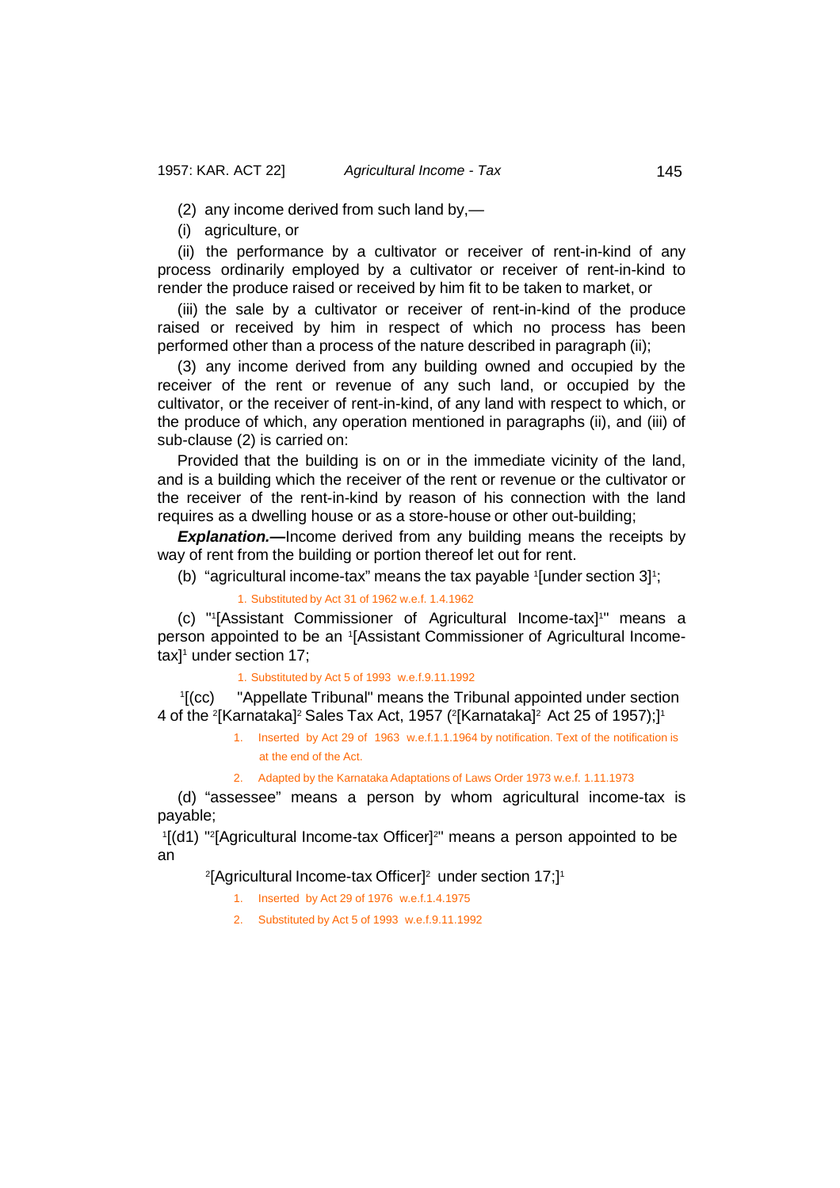(2) any income derived from such land by,—

(i) agriculture, or

(ii) the performance by a cultivator or receiver of rent-in-kind of any process ordinarily employed by a cultivator or receiver of rent-in-kind to render the produce raised or received by him fit to be taken to market, or

(iii) the sale by a cultivator or receiver of rent-in-kind of the produce raised or received by him in respect of which no process has been performed other than a process of the nature described in paragraph (ii);

(3) any income derived from any building owned and occupied by the receiver of the rent or revenue of any such land, or occupied by the cultivator, or the receiver of rent-in-kind, of any land with respect to which, or the produce of which, any operation mentioned in paragraphs (ii), and (iii) of sub-clause (2) is carried on:

Provided that the building is on or in the immediate vicinity of the land, and is a building which the receiver of the rent or revenue or the cultivator or the receiver of the rent-in-kind by reason of his connection with the land requires as a dwelling house or as a store-house or other out-building;

**Explanation.**—Income derived from any building means the receipts by way of rent from the building or portion thereof let out for rent.

(b) "agricultural income-tax" means the tax payable <sup>1</sup> [under section 3] 1 ;

1. Substituted by Act 31 of 1962 w.e.f. 1.4.1962

(c) "1 [Assistant Commissioner of Agricultural Income-tax]1 " means a person appointed to be an <sup>1</sup> [Assistant Commissioner of Agricultural Incometax] 1 under section 17;

1. Substituted by Act 5 of 1993 w.e.f.9.11.1992

 $\sqrt[1]{1}$  (CC) "Appellate Tribunal" means the Tribunal appointed under section 4 of the <sup>2</sup>[Karnataka]<sup>2</sup> Sales Tax Act, 1957 (<sup>2</sup>[Karnataka]<sup>2</sup> Act 25 of 1957);]1

> 1. Inserted by Act 29 of 1963 w.e.f.1.1.1964 by notification. Text of the notification is at the end of the Act.

2. Adapted by the Karnataka Adaptations of Laws Order 1973 w.e.f. 1.11.1973

(d) "assessee" means a person by whom agricultural income-tax is payable;

<sup>1</sup>[(d1) "<sup>2</sup>[Agricultural Income-tax Officer]<sup>2</sup>" means a person appointed to be an

2 [Agricultural Income-tax Officer]2 under section 17;]1

- 1. Inserted by Act 29 of 1976 w.e.f.1.4.1975
- 2. Substituted by Act 5 of 1993 w.e.f.9.11.1992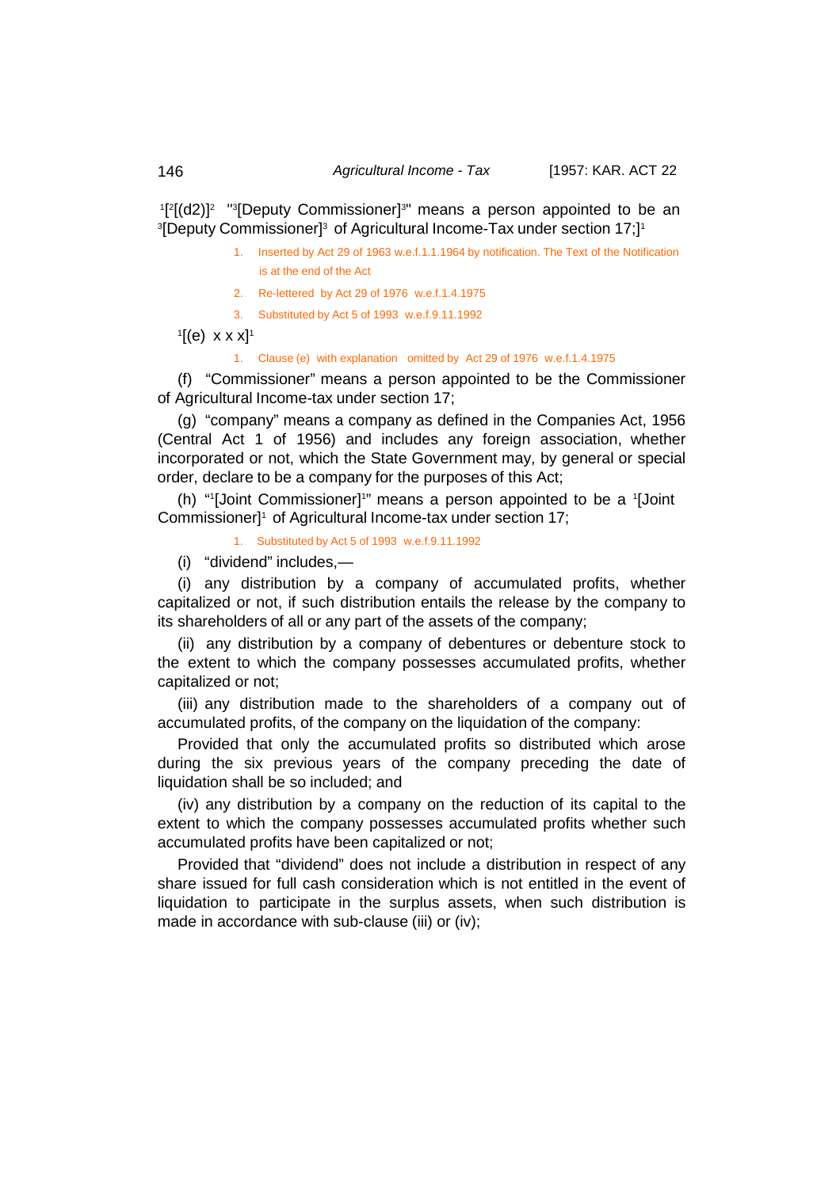<sup>1</sup>[<sup>2</sup>[(d2)]<sup>2</sup> sapputy Commissioner]<sup>3</sup> means a person appointed to be an  $\rm ^3$ [Deputy Commissioner] $\rm ^3$  of Agricultural Income-Tax under section 17;] $\rm ^1$ 

- 1. Inserted by Act 29 of 1963 w.e.f.1.1.1964 by notification. The Text of the Notification is at the end of the Act
- 2. Re-lettered by Act 29 of 1976 w.e.f.1.4.1975
- 3. Substituted by Act 5 of 1993 w.e.f.9.11.1992
- $\mathbf{1}$ [(e) x x x]<sup>1</sup>

1. Clause (e) with explanation omitted by Act 29 of 1976 w.e.f.1.4.1975

(f) "Commissioner" means a person appointed to be the Commissioner of Agricultural Income-tax under section 17;

(g) "company" means a company as defined in the Companies Act, 1956 (Central Act 1 of 1956) and includes any foreign association, whether incorporated or not, which the State Government may, by general or special order, declare to be a company for the purposes of this Act;

(h) "<sup>1</sup>[Joint Commissioner]<sup>1</sup>" means a person appointed to be a <sup>1</sup>[Joint Commissioner]1 of Agricultural Income-tax under section 17;

1. Substituted by Act 5 of 1993 w.e.f.9.11.1992

(i) "dividend" includes,—

(i) any distribution by a company of accumulated profits, whether capitalized or not, if such distribution entails the release by the company to its shareholders of all or any part of the assets of the company;

(ii) any distribution by a company of debentures or debenture stock to the extent to which the company possesses accumulated profits, whether capitalized or not;

(iii) any distribution made to the shareholders of a company out of accumulated profits, of the company on the liquidation of the company:

Provided that only the accumulated profits so distributed which arose during the six previous years of the company preceding the date of liquidation shall be so included; and

(iv) any distribution by a company on the reduction of its capital to the extent to which the company possesses accumulated profits whether such accumulated profits have been capitalized or not;

Provided that "dividend" does not include a distribution in respect of any share issued for full cash consideration which is not entitled in the event of liquidation to participate in the surplus assets, when such distribution is made in accordance with sub-clause (iii) or (iv);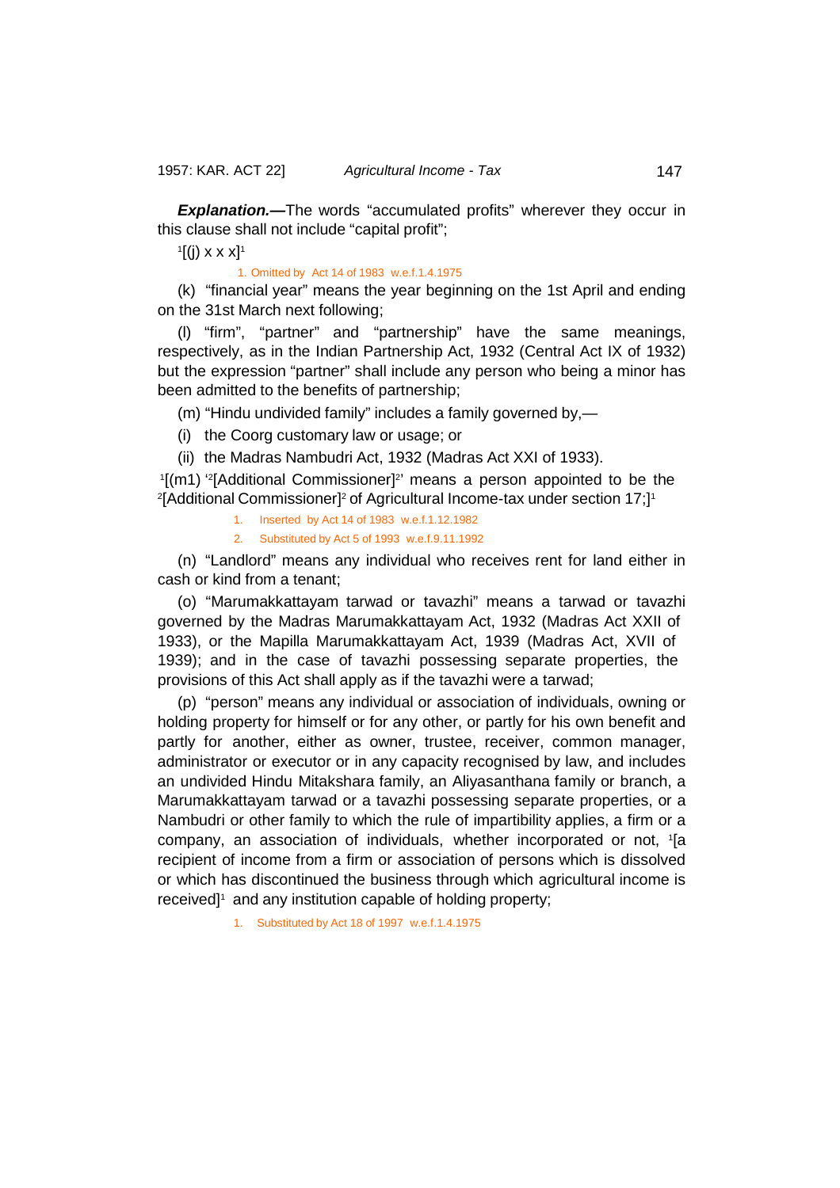**Explanation.—The words "accumulated profits" wherever they occur in** this clause shall not include "capital profit";

 $\mathbb{I}[(j) \times \times \times]$ <sup>1</sup>

1. Omitted by Act 14 of 1983 w.e.f.1.4.1975

(k) "financial year" means the year beginning on the 1st April and ending on the 31st March next following;

(l) "firm", "partner" and "partnership" have the same meanings, respectively, as in the Indian Partnership Act, 1932 (Central Act IX of 1932) but the expression "partner" shall include any person who being a minor has been admitted to the benefits of partnership;

(m) "Hindu undivided family" includes a family governed by,—

(i) the Coorg customary law or usage; or

(ii) the Madras Nambudri Act, 1932 (Madras Act XXI of 1933).

'[(m1) ''[Additional Commissioner]'' means a person appointed to be the <sup>2</sup>[Additional Commissioner]<sup>2</sup> of Agricultural Income-tax under section 17;]<sup>1</sup>

1. Inserted by Act 14 of 1983 w.e.f.1.12.1982

2. Substituted by Act 5 of 1993 w.e.f.9.11.1992

(n) "Landlord" means any individual who receives rent for land either in cash or kind from a tenant;

(o) "Marumakkattayam tarwad or tavazhi" means a tarwad or tavazhi governed by the Madras Marumakkattayam Act, 1932 (Madras Act XXII of 1933), or the Mapilla Marumakkattayam Act, 1939 (Madras Act, XVII of 1939); and in the case of tavazhi possessing separate properties, the provisions of this Act shall apply as if the tavazhi were a tarwad;

(p) "person" means any individual or association of individuals, owning or holding property for himself or for any other, or partly for his own benefit and partly for another, either as owner, trustee, receiver, common manager, administrator or executor or in any capacity recognised by law, and includes an undivided Hindu Mitakshara family, an Aliyasanthana family or branch, a Marumakkattayam tarwad or a tavazhi possessing separate properties, or a Nambudri or other family to which the rule of impartibility applies, a firm or a company, an association of individuals, whether incorporated or not, <sup>1</sup> [a recipient of income from a firm or association of persons which is dissolved or which has discontinued the business through which agricultural income is received]<sup>1</sup> and any institution capable of holding property;

1. Substituted by Act 18 of 1997 w.e.f.1.4.1975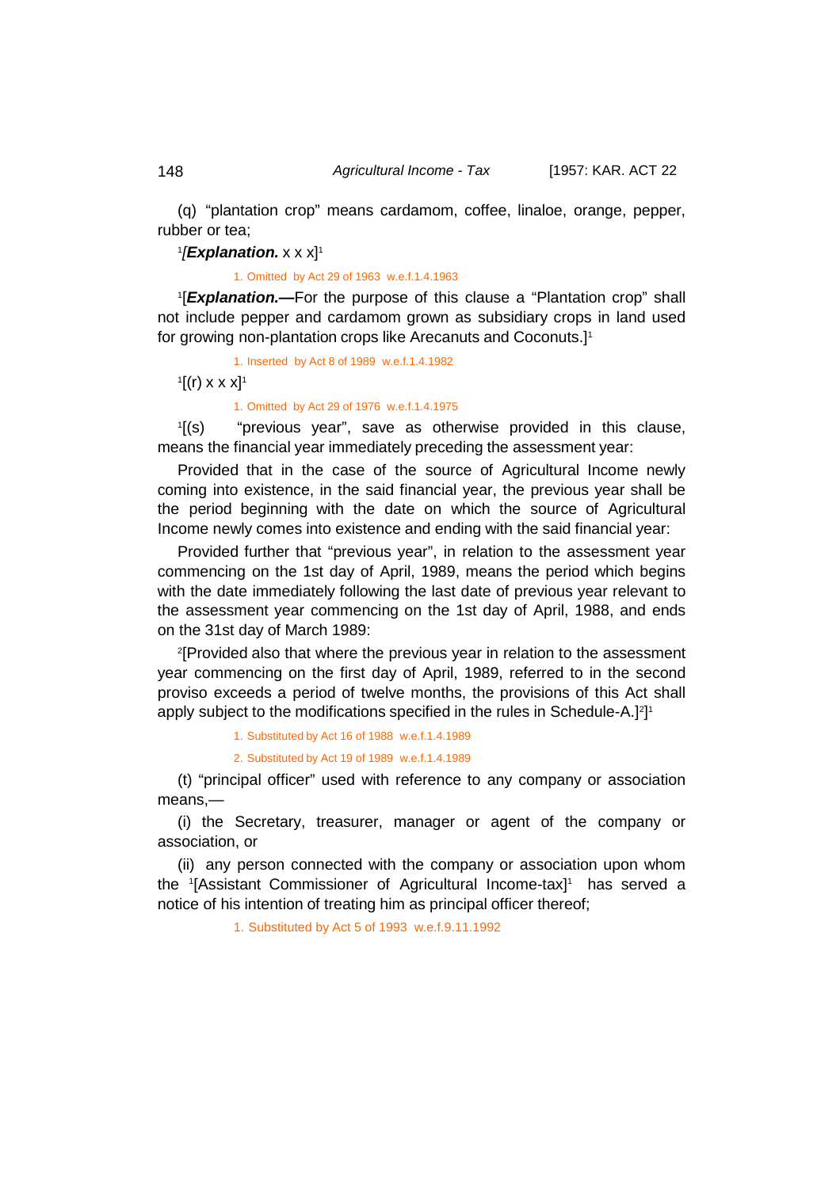(q) "plantation crop" means cardamom, coffee, linaloe, orange, pepper, rubber or tea;

1*[Explanation.* x x x]<sup>1</sup>

1. Omitted by Act 29 of 1963 w.e.f.1.4.1963

1 [*Explanation.—*For the purpose of this clause a "Plantation crop" shall not include pepper and cardamom grown as subsidiary crops in land used for growing non-plantation crops like Arecanuts and Coconuts.]1

1. Inserted by Act 8 of 1989 w.e.f.1.4.1982

 $\frac{1}{2}[(r) \times x \times x]^T$ 

1. Omitted by Act 29 of 1976 w.e.f.1.4.1975

 $\sqrt[1]{(s)}$ "previous year", save as otherwise provided in this clause, means the financial year immediately preceding the assessment year:

Provided that in the case of the source of Agricultural Income newly coming into existence, in the said financial year, the previous year shall be the period beginning with the date on which the source of Agricultural Income newly comes into existence and ending with the said financial year:

Provided further that "previous year", in relation to the assessment year commencing on the 1st day of April, 1989, means the period which begins with the date immediately following the last date of previous year relevant to the assessment year commencing on the 1st day of April, 1988, and ends on the 31st day of March 1989:

2 [Provided also that where the previous year in relation to the assessment year commencing on the first day of April, 1989, referred to in the second proviso exceeds a period of twelve months, the provisions of this Act shall apply subject to the modifications specified in the rules in Schedule-A.] $^2$ ] $^1$ 

1. Substituted by Act 16 of 1988 w.e.f.1.4.1989

2. Substituted by Act 19 of 1989 w.e.f.1.4.1989

(t) "principal officer" used with reference to any company or association means,—

(i) the Secretary, treasurer, manager or agent of the company or association, or

(ii) any person connected with the company or association upon whom the 1[Assistant Commissioner of Agricultural Income-tax]<sup>1</sup> has served a notice of his intention of treating him as principal officer thereof;

1. Substituted by Act 5 of 1993 w.e.f.9.11.1992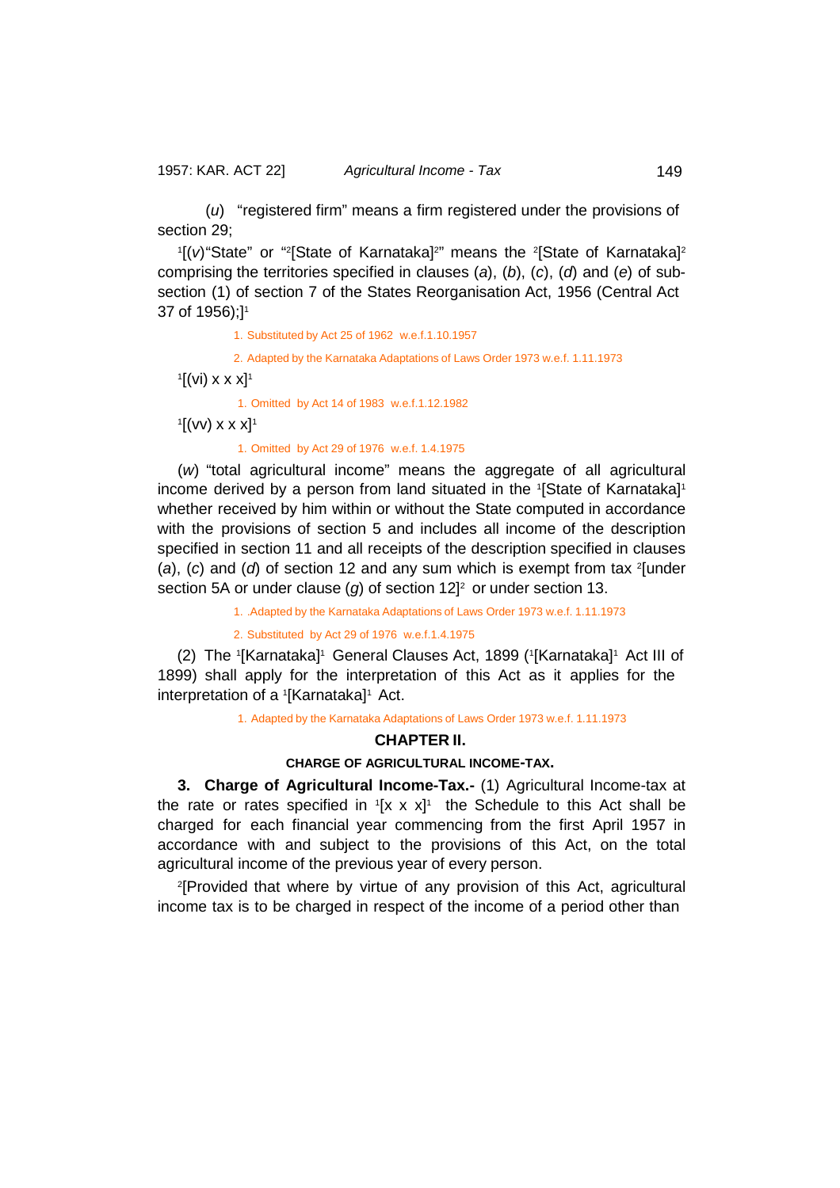(*u*) "registered firm" means a firm registered under the provisions of section 29;

<sup>1</sup>[(v) "State" or "<sup>2</sup>[State of Karnataka]<sup>2</sup>" means the <sup>2</sup>[State of Karnataka]<sup>2</sup> comprising the territories specified in clauses (*a*), (*b*), (*c*), (*d*) and (*e*) of subsection (1) of section 7 of the States Reorganisation Act, 1956 (Central Act 37 of 1956);]<sup>1</sup>

1. Substituted by Act 25 of 1962 w.e.f.1.10.1957

2. Adapted by the Karnataka Adaptations of Laws Order 1973 w.e.f. 1.11.1973

 $\mathbb{I}[(\mathsf{vi}) \times \mathsf{x} \times \mathsf{x}]^1$ 

1. Omitted by Act 14 of 1983 w.e.f.1.12.1982

 $\mathbb{I}[(\mathsf{vv}) \times \mathsf{x} \times \mathsf{x}]^1$ 

1. Omitted by Act 29 of 1976 w.e.f. 1.4.1975

(*w*) "total agricultural income" means the aggregate of all agricultural income derived by a person from land situated in the  $\mathord{\text{\rm !}}$ State of Karnataka] $\mathord{\text{\rm !}}$ whether received by him within or without the State computed in accordance with the provisions of section 5 and includes all income of the description specified in section 11 and all receipts of the description specified in clauses (*a*), (*c*) and (*d*) of section 12 and any sum which is exempt from tax <sup>2</sup> [under section 5A or under clause (*g*) of section 12<sup>2</sup> or under section 13.

1. .Adapted by the Karnataka Adaptations of Laws Order 1973 w.e.f. 1.11.1973

2. Substituted by Act 29 of 1976 w.e.f.1.4.1975

(2) The 1[Karnataka]1 General Clauses Act, 1899 (1[Karnataka]1 Act III of 1899) shall apply for the interpretation of this Act as it applies for the interpretation of a 1 [Karnataka]1 Act.

1. Adapted by the Karnataka Adaptations of Laws Order 1973 w.e.f. 1.11.1973

#### **CHAPTER II.**

### **CHARGE OF AGRICULTURAL INCOME-TAX.**

<span id="page-24-0"></span>**3. Charge of Agricultural Income-Tax.-** (1) Agricultural Income-tax at the rate or rates specified in  $[$ x x x $]$ <sup>1</sup> the Schedule to this Act shall be charged for each financial year commencing from the first April 1957 in accordance with and subject to the provisions of this Act, on the total agricultural income of the previous year of every person.

2 [Provided that where by virtue of any provision of this Act, agricultural income tax is to be charged in respect of the income of a period other than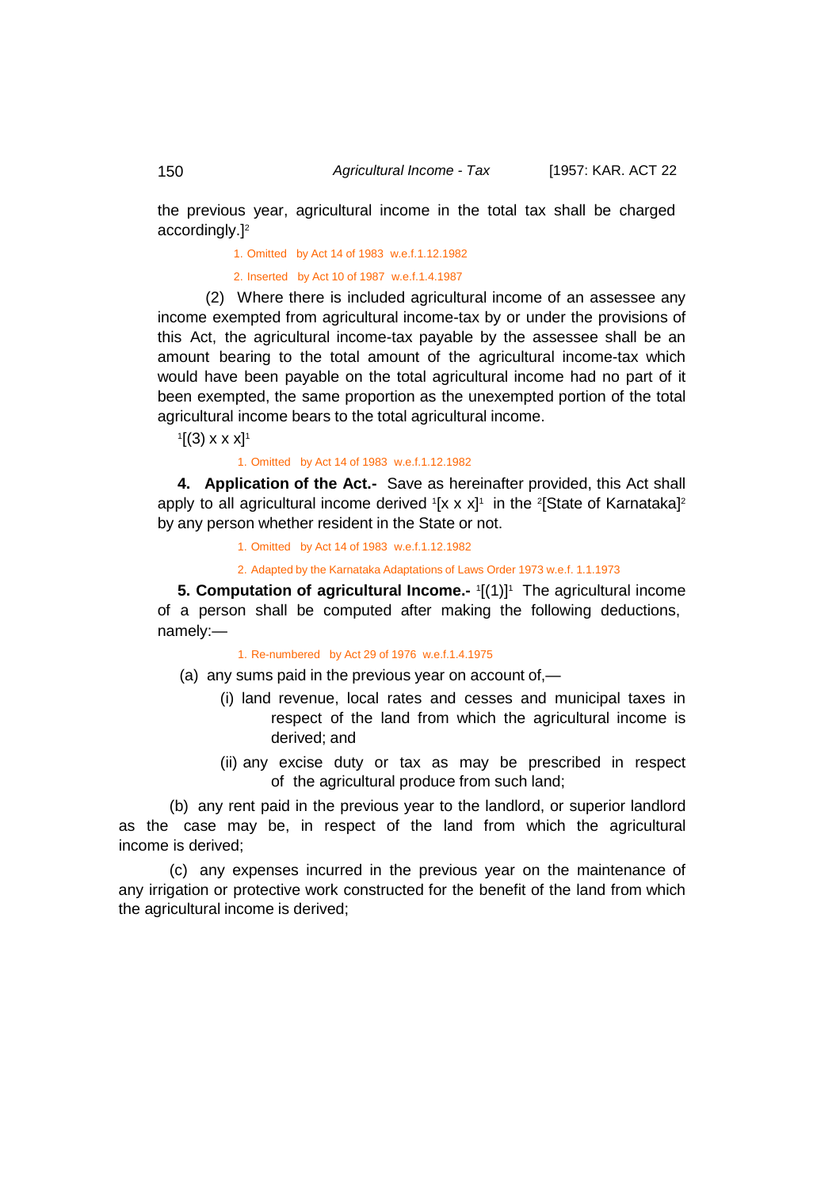the previous year, agricultural income in the total tax shall be charged accordingly.]2

1. Omitted by Act 14 of 1983 w.e.f.1.12.1982

2. Inserted by Act 10 of 1987 w.e.f.1.4.1987

(2) Where there is included agricultural income of an assessee any income exempted from agricultural income-tax by or under the provisions of this Act, the agricultural income-tax payable by the assessee shall be an amount bearing to the total amount of the agricultural income-tax which would have been payable on the total agricultural income had no part of it been exempted, the same proportion as the unexempted portion of the total agricultural income bears to the total agricultural income.

 $\rm ^1[(3)$  x x x]<sup>1</sup>

<span id="page-25-0"></span>1. Omitted by Act 14 of 1983 w.e.f.1.12.1982

**4. Application of the Act.-** Save as hereinafter provided, this Act shall apply to all agricultural income derived  ${}^{\scriptscriptstyle{1}}$ [x x x] ${}^{\scriptscriptstyle{1}}$  in the  ${}^{\scriptscriptstyle{2}}$ [State of Karnataka] ${}^{\scriptscriptstyle{2}}$ by any person whether resident in the State or not.

1. Omitted by Act 14 of 1983 w.e.f.1.12.1982

2. Adapted by the Karnataka Adaptations of Laws Order 1973 w.e.f. 1.1.1973

<span id="page-25-1"></span>**5. Computation of agricultural Income.-**  $1[(1)]$ <sup>1</sup> The agricultural income of a person shall be computed after making the following deductions, namely:—

1. Re-numbered by Act 29 of 1976 w.e.f.1.4.1975

- (a) any sums paid in the previous year on account of,—
	- (i) land revenue, local rates and cesses and municipal taxes in respect of the land from which the agricultural income is derived; and
	- (ii) any excise duty or tax as may be prescribed in respect of the agricultural produce from such land;

(b) any rent paid in the previous year to the landlord, or superior landlord as the case may be, in respect of the land from which the agricultural income is derived;

(c) any expenses incurred in the previous year on the maintenance of any irrigation or protective work constructed for the benefit of the land from which the agricultural income is derived;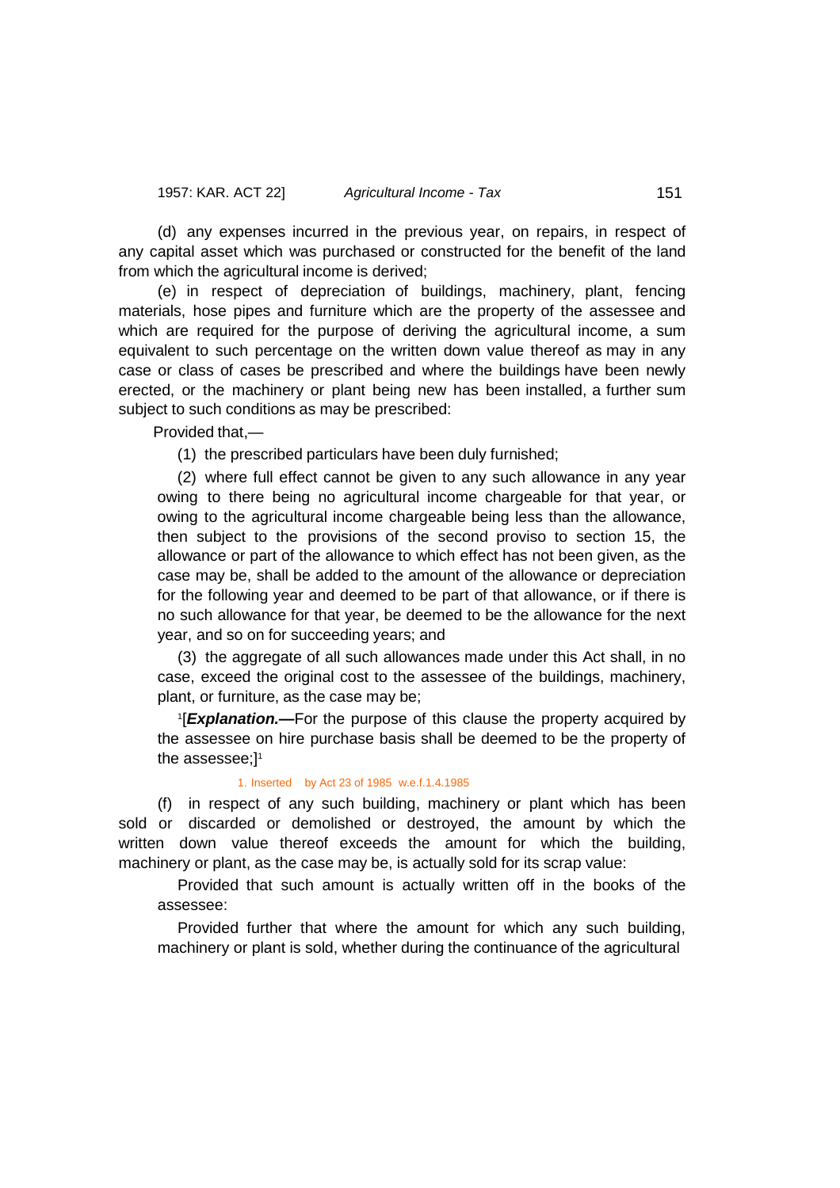(d) any expenses incurred in the previous year, on repairs, in respect of any capital asset which was purchased or constructed for the benefit of the land from which the agricultural income is derived;

(e) in respect of depreciation of buildings, machinery, plant, fencing materials, hose pipes and furniture which are the property of the assessee and which are required for the purpose of deriving the agricultural income, a sum equivalent to such percentage on the written down value thereof as may in any case or class of cases be prescribed and where the buildings have been newly erected, or the machinery or plant being new has been installed, a further sum subject to such conditions as may be prescribed:

Provided that,—

(1) the prescribed particulars have been duly furnished;

(2) where full effect cannot be given to any such allowance in any year owing to there being no agricultural income chargeable for that year, or owing to the agricultural income chargeable being less than the allowance, then subject to the provisions of the second proviso to section 15, the allowance or part of the allowance to which effect has not been given, as the case may be, shall be added to the amount of the allowance or depreciation for the following year and deemed to be part of that allowance, or if there is no such allowance for that year, be deemed to be the allowance for the next year, and so on for succeeding years; and

(3) the aggregate of all such allowances made under this Act shall, in no case, exceed the original cost to the assessee of the buildings, machinery, plant, or furniture, as the case may be;

1 [*Explanation.—*For the purpose of this clause the property acquired by the assessee on hire purchase basis shall be deemed to be the property of the assessee; $l<sup>1</sup>$ 

#### 1. Inserted by Act 23 of 1985 w.e.f.1.4.1985

(f) in respect of any such building, machinery or plant which has been sold or discarded or demolished or destroyed, the amount by which the written down value thereof exceeds the amount for which the building, machinery or plant, as the case may be, is actually sold for its scrap value:

Provided that such amount is actually written off in the books of the assessee:

Provided further that where the amount for which any such building, machinery or plant is sold, whether during the continuance of the agricultural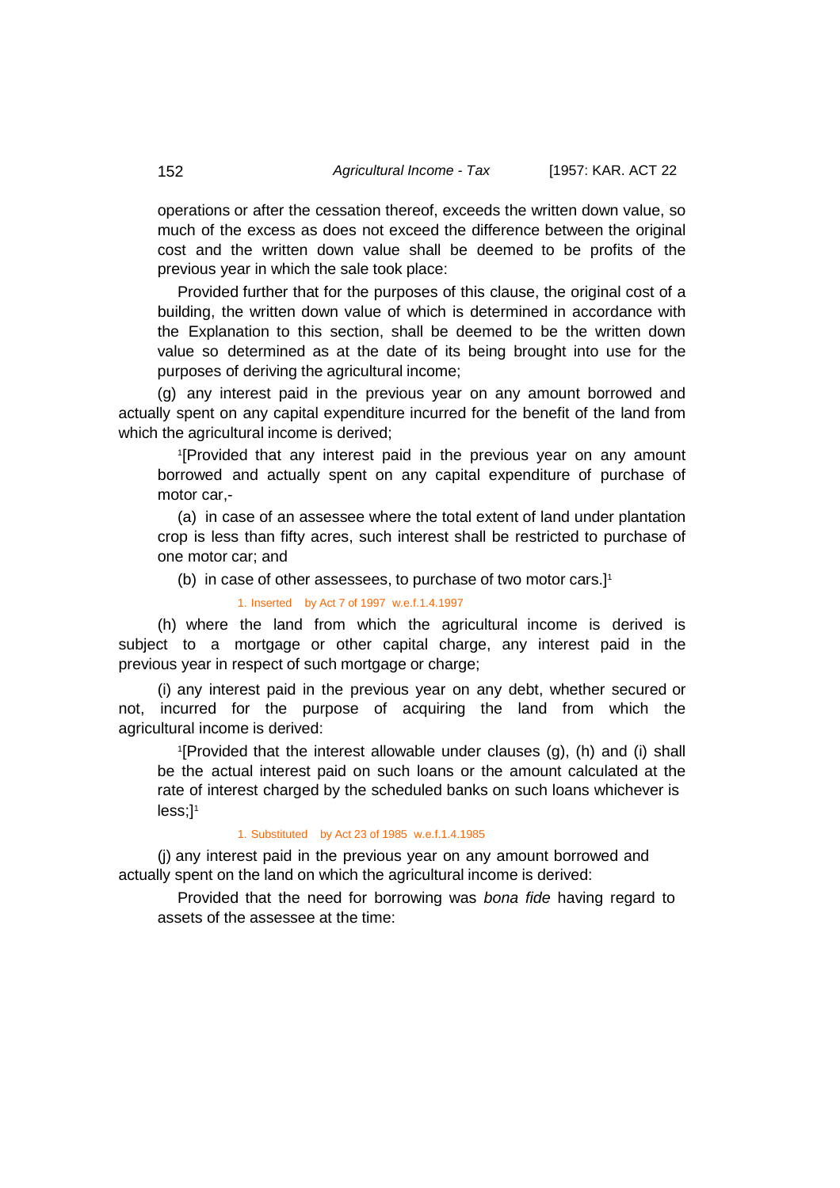operations or after the cessation thereof, exceeds the written down value, so much of the excess as does not exceed the difference between the original cost and the written down value shall be deemed to be profits of the previous year in which the sale took place:

Provided further that for the purposes of this clause, the original cost of a building, the written down value of which is determined in accordance with the Explanation to this section, shall be deemed to be the written down value so determined as at the date of its being brought into use for the purposes of deriving the agricultural income;

(g) any interest paid in the previous year on any amount borrowed and actually spent on any capital expenditure incurred for the benefit of the land from which the agricultural income is derived:

1 [Provided that any interest paid in the previous year on any amount borrowed and actually spent on any capital expenditure of purchase of motor car,-

(a) in case of an assessee where the total extent of land under plantation crop is less than fifty acres, such interest shall be restricted to purchase of one motor car; and

(b) in case of other assessees, to purchase of two motor cars.] 1

1. Inserted by Act 7 of 1997 w.e.f.1.4.1997

(h) where the land from which the agricultural income is derived is subject to a mortgage or other capital charge, any interest paid in the previous year in respect of such mortgage or charge;

(i) any interest paid in the previous year on any debt, whether secured or not, incurred for the purpose of acquiring the land from which the agricultural income is derived:

1 [Provided that the interest allowable under clauses (g), (h) and (i) shall be the actual interest paid on such loans or the amount calculated at the rate of interest charged by the scheduled banks on such loans whichever is less;<sup>11</sup>

#### 1. Substituted by Act 23 of 1985 w.e.f.1.4.1985

 (j) any interest paid in the previous year on any amount borrowed and actually spent on the land on which the agricultural income is derived:

Provided that the need for borrowing was *bona fide* having regard to assets of the assessee at the time: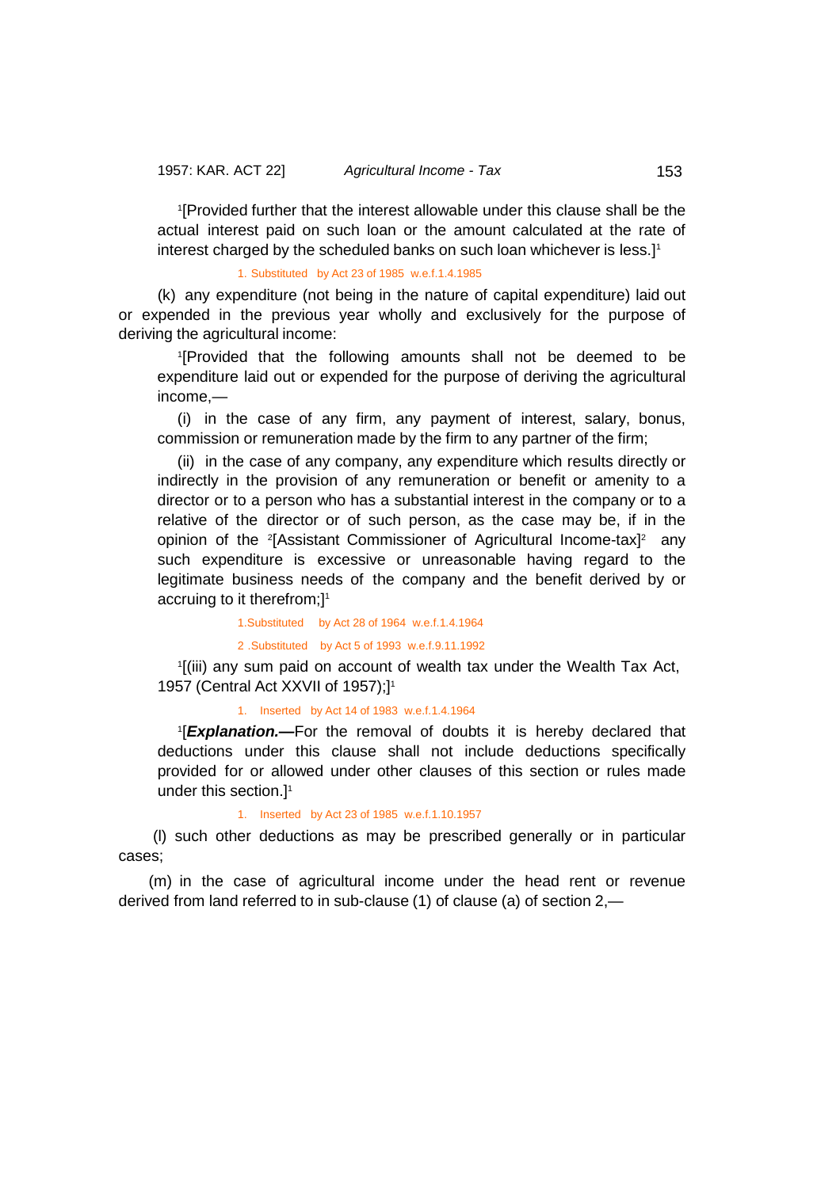1 [Provided further that the interest allowable under this clause shall be the actual interest paid on such loan or the amount calculated at the rate of interest charged by the scheduled banks on such loan whichever is less.] 1

1. Substituted by Act 23 of 1985 w.e.f.1.4.1985

(k) any expenditure (not being in the nature of capital expenditure) laid out or expended in the previous year wholly and exclusively for the purpose of deriving the agricultural income:

1 [Provided that the following amounts shall not be deemed to be expenditure laid out or expended for the purpose of deriving the agricultural income,—

(i) in the case of any firm, any payment of interest, salary, bonus, commission or remuneration made by the firm to any partner of the firm;

(ii) in the case of any company, any expenditure which results directly or indirectly in the provision of any remuneration or benefit or amenity to a director or to a person who has a substantial interest in the company or to a relative of the director or of such person, as the case may be, if in the opinion of the <sup>2</sup>[Assistant Commissioner of Agricultural Income-tax]<sup>2</sup> any such expenditure is excessive or unreasonable having regard to the legitimate business needs of the company and the benefit derived by or accruing to it therefrom;]<sup>1</sup>

> 1.Substituted by Act 28 of 1964 w.e.f.1.4.1964 2 .Substituted by Act 5 of 1993 w.e.f.9.11.1992

1 [(iii) any sum paid on account of wealth tax under the Wealth Tax Act, 1957 (Central Act XXVII of 1957);]1

1. Inserted by Act 14 of 1983 w.e.f.1.4.1964

1 [*Explanation.—*For the removal of doubts it is hereby declared that deductions under this clause shall not include deductions specifically provided for or allowed under other clauses of this section or rules made under this section.]<sup>1</sup>

1. Inserted by Act 23 of 1985 w.e.f.1.10.1957

 (l) such other deductions as may be prescribed generally or in particular cases;

 (m) in the case of agricultural income under the head rent or revenue derived from land referred to in sub-clause (1) of clause (a) of section 2,—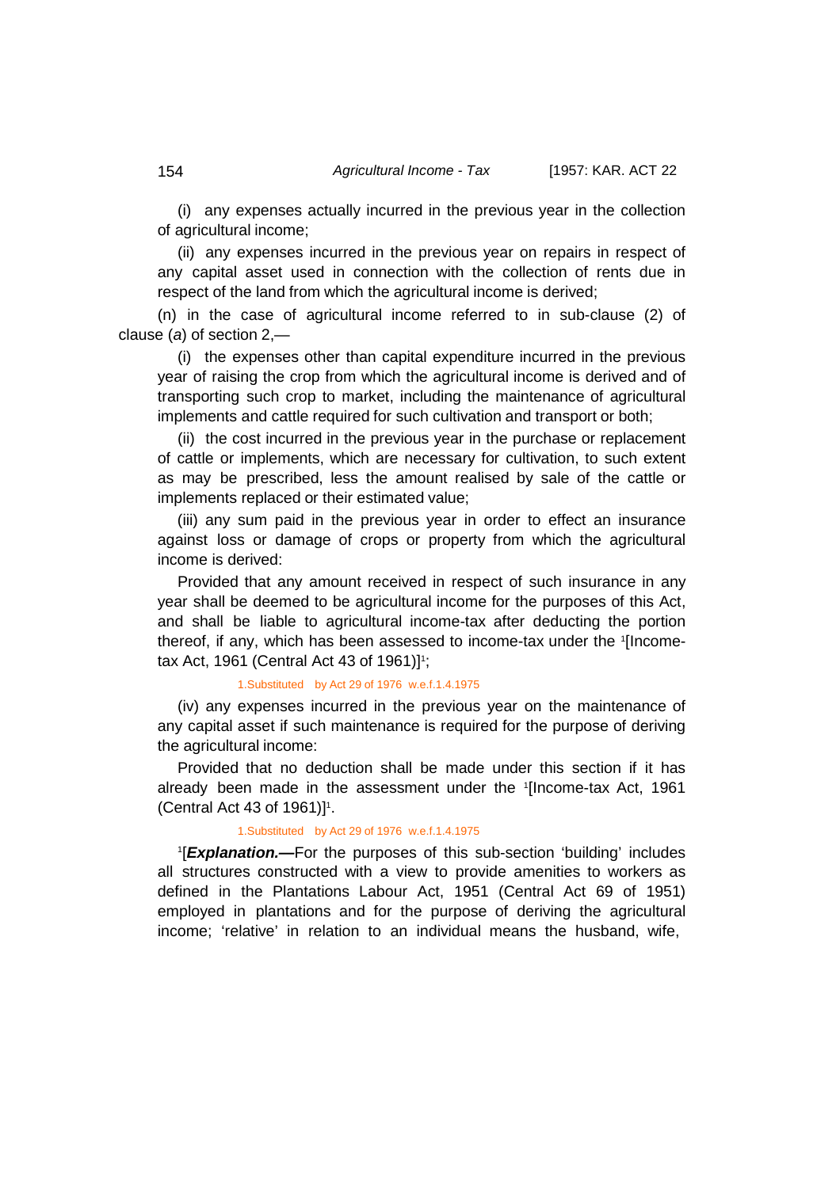(i) any expenses actually incurred in the previous year in the collection of agricultural income;

(ii) any expenses incurred in the previous year on repairs in respect of any capital asset used in connection with the collection of rents due in respect of the land from which the agricultural income is derived;

(n) in the case of agricultural income referred to in sub-clause (2) of clause (*a*) of section 2,—

(i) the expenses other than capital expenditure incurred in the previous year of raising the crop from which the agricultural income is derived and of transporting such crop to market, including the maintenance of agricultural implements and cattle required for such cultivation and transport or both;

(ii) the cost incurred in the previous year in the purchase or replacement of cattle or implements, which are necessary for cultivation, to such extent as may be prescribed, less the amount realised by sale of the cattle or implements replaced or their estimated value;

(iii) any sum paid in the previous year in order to effect an insurance against loss or damage of crops or property from which the agricultural income is derived:

Provided that any amount received in respect of such insurance in any year shall be deemed to be agricultural income for the purposes of this Act, and shall be liable to agricultural income-tax after deducting the portion thereof, if any, which has been assessed to income-tax under the <sup>1</sup> [Incometax Act, 1961 (Central Act 43 of 1961)] 1 ;

#### 1.Substituted by Act 29 of 1976 w.e.f.1.4.1975

(iv) any expenses incurred in the previous year on the maintenance of any capital asset if such maintenance is required for the purpose of deriving the agricultural income:

Provided that no deduction shall be made under this section if it has already been made in the assessment under the <sup>1</sup> [Income-tax Act, 1961  $(Central Act 43 of 1961)]<sup>1</sup>$ .

### 1.Substituted by Act 29 of 1976 w.e.f.1.4.1975

1 [*Explanation.—*For the purposes of this sub-section 'building' includes all structures constructed with a view to provide amenities to workers as defined in the Plantations Labour Act, 1951 (Central Act 69 of 1951) employed in plantations and for the purpose of deriving the agricultural income; 'relative' in relation to an individual means the husband, wife,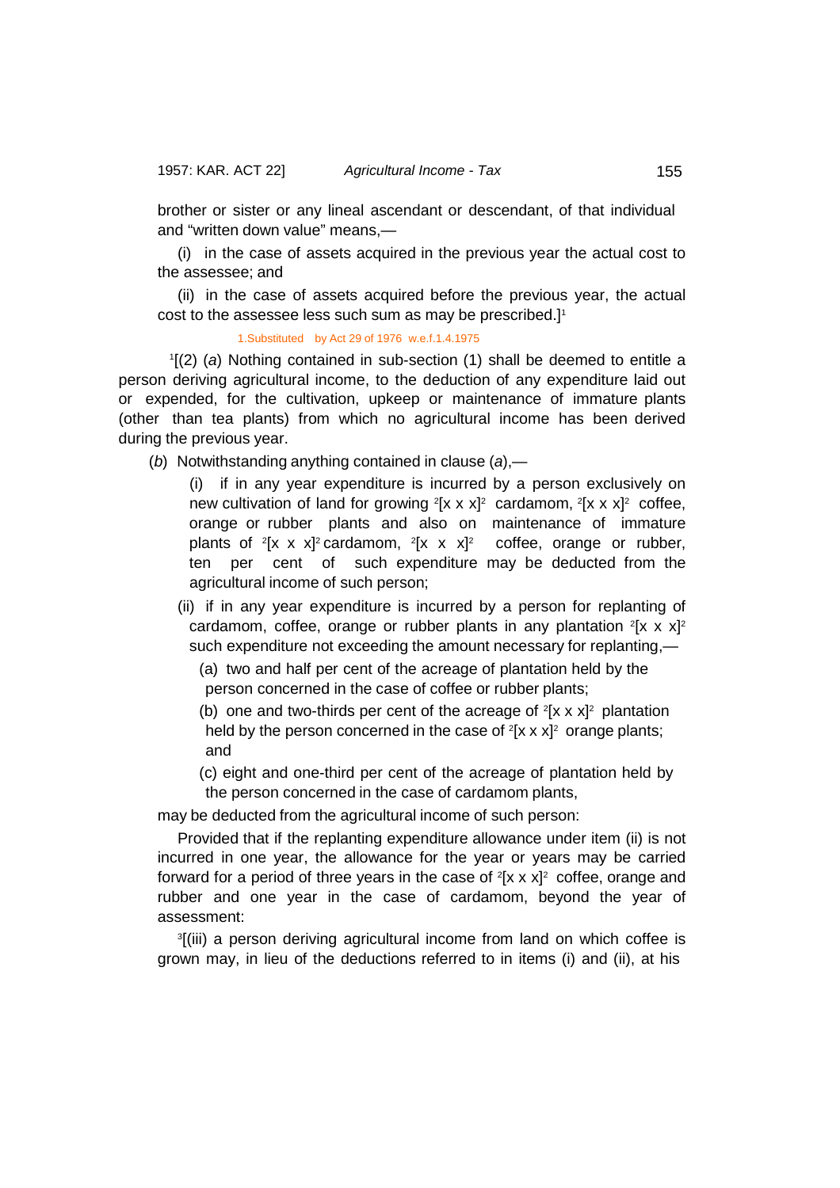and "written down value" means,—

(i) in the case of assets acquired in the previous year the actual cost to the assessee; and

(ii) in the case of assets acquired before the previous year, the actual cost to the assessee less such sum as may be prescribed.] 1

1.Substituted by Act 29 of 1976 w.e.f.1.4.1975

1 [(2) (*a*) Nothing contained in sub-section (1) shall be deemed to entitle a person deriving agricultural income, to the deduction of any expenditure laid out or expended, for the cultivation, upkeep or maintenance of immature plants (other than tea plants) from which no agricultural income has been derived during the previous year.

(*b*) Notwithstanding anything contained in clause (*a*),—

(i) if in any year expenditure is incurred by a person exclusively on new cultivation of land for growing  $2[x \times x]^2$  cardamom,  $2[x \times x]^2$  coffee, orange or rubber plants and also on maintenance of immature plants of  $2[x \times x]^2$  cardamom,  $2[x \times x]^2$  coffee, orange or rubber, ten per cent of such expenditure may be deducted from the agricultural income of such person;

(ii) if in any year expenditure is incurred by a person for replanting of cardamom, coffee, orange or rubber plants in any plantation  $2[x \times x]^2$ such expenditure not exceeding the amount necessary for replanting,—

 (a) two and half per cent of the acreage of plantation held by the person concerned in the case of coffee or rubber plants;

(b) one and two-thirds per cent of the acreage of  $2[x \times x]^2$  plantation held by the person concerned in the case of  $^2$ [x x x] $^2$  orange plants; and

 (c) eight and one-third per cent of the acreage of plantation held by the person concerned in the case of cardamom plants,

may be deducted from the agricultural income of such person:

Provided that if the replanting expenditure allowance under item (ii) is not incurred in one year, the allowance for the year or years may be carried forward for a period of three years in the case of  $^2$ [x x x] $^2\,$  coffee, orange and rubber and one year in the case of cardamom, beyond the year of assessment:

3 [(iii) a person deriving agricultural income from land on which coffee is grown may, in lieu of the deductions referred to in items (i) and (ii), at his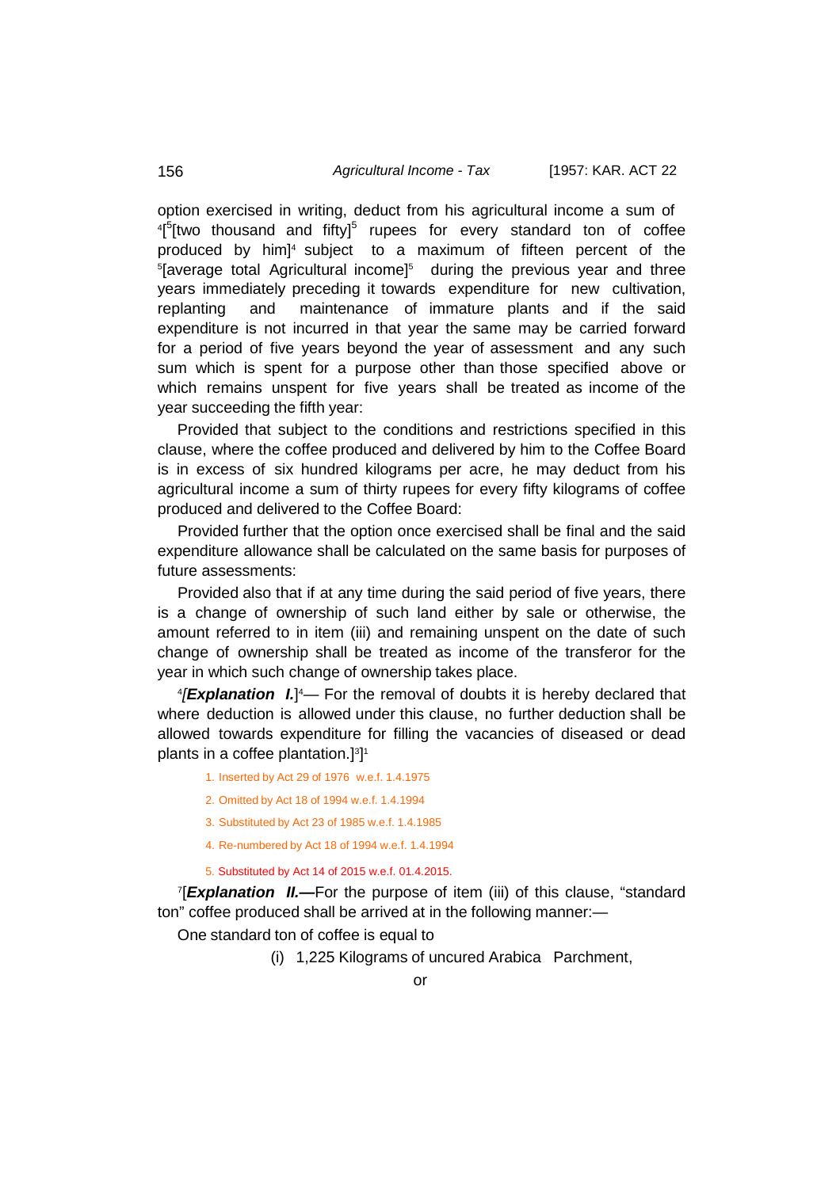option exercised in writing, deduct from his agricultural income a sum of <sup>4</sup>[<sup>5</sup>[two thousand and fifty]<sup>5</sup> rupees for every standard ton of coffee produced by him] 4 subject to a maximum of fifteen percent of the 5 [average total Agricultural income]5 during the previous year and three years immediately preceding it towards expenditure for new cultivation, replanting and maintenance of immature plants and if the said expenditure is not incurred in that year the same may be carried forward for a period of five years beyond the year of assessment and any such sum which is spent for a purpose other than those specified above or which remains unspent for five years shall be treated as income of the year succeeding the fifth year:

Provided that subject to the conditions and restrictions specified in this clause, where the coffee produced and delivered by him to the Coffee Board is in excess of six hundred kilograms per acre, he may deduct from his agricultural income a sum of thirty rupees for every fifty kilograms of coffee produced and delivered to the Coffee Board:

Provided further that the option once exercised shall be final and the said expenditure allowance shall be calculated on the same basis for purposes of future assessments:

Provided also that if at any time during the said period of five years, there is a change of ownership of such land either by sale or otherwise, the amount referred to in item (iii) and remaining unspent on the date of such change of ownership shall be treated as income of the transferor for the year in which such change of ownership takes place.

4 *[Explanation I.*] 4 — For the removal of doubts it is hereby declared that where deduction is allowed under this clause, no further deduction shall be allowed towards expenditure for filling the vacancies of diseased or dead plants in a coffee plantation.] 3 ] 1

- 1. Inserted by Act 29 of 1976 w.e.f. 1.4.1975
- 2. Omitted by Act 18 of 1994 w.e.f. 1.4.1994
- 3. Substituted by Act 23 of 1985 w.e.f. 1.4.1985
- 4. Re-numbered by Act 18 of 1994 w.e.f. 1.4.1994
- 5. Substituted by Act 14 of 2015 w.e.f. 01.4.2015.

7 [*Explanation II.—*For the purpose of item (iii) of this clause, "standard ton" coffee produced shall be arrived at in the following manner:—

One standard ton of coffee is equal to

(i) 1,225 Kilograms of uncured Arabica Parchment,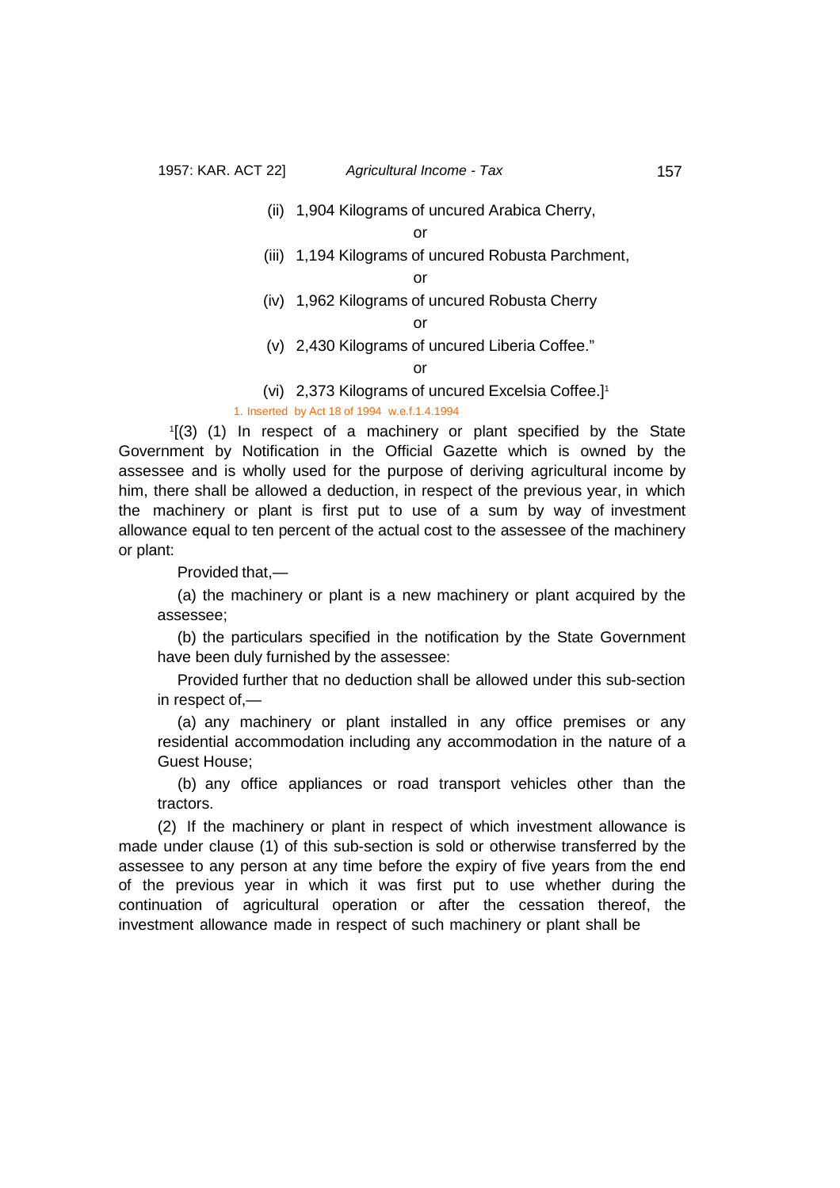(ii) 1,904 Kilograms of uncured Arabica Cherry,

or

(iii) 1,194 Kilograms of uncured Robusta Parchment,

or

(iv) 1,962 Kilograms of uncured Robusta Cherry

or

(v) 2,430 Kilograms of uncured Liberia Coffee."

or

(vi) 2,373 Kilograms of uncured Excelsia Coffee.]1

### 1. Inserted by Act 18 of 1994 w.e.f.1.4.1994

1 [(3) (1) In respect of a machinery or plant specified by the State Government by Notification in the Official Gazette which is owned by the assessee and is wholly used for the purpose of deriving agricultural income by him, there shall be allowed a deduction, in respect of the previous year, in which the machinery or plant is first put to use of a sum by way of investment allowance equal to ten percent of the actual cost to the assessee of the machinery or plant:

Provided that,—

(a) the machinery or plant is a new machinery or plant acquired by the assessee;

(b) the particulars specified in the notification by the State Government have been duly furnished by the assessee:

Provided further that no deduction shall be allowed under this sub-section in respect of,—

(a) any machinery or plant installed in any office premises or any residential accommodation including any accommodation in the nature of a Guest House;

(b) any office appliances or road transport vehicles other than the tractors.

(2) If the machinery or plant in respect of which investment allowance is made under clause (1) of this sub-section is sold or otherwise transferred by the assessee to any person at any time before the expiry of five years from the end of the previous year in which it was first put to use whether during the continuation of agricultural operation or after the cessation thereof, the investment allowance made in respect of such machinery or plant shall be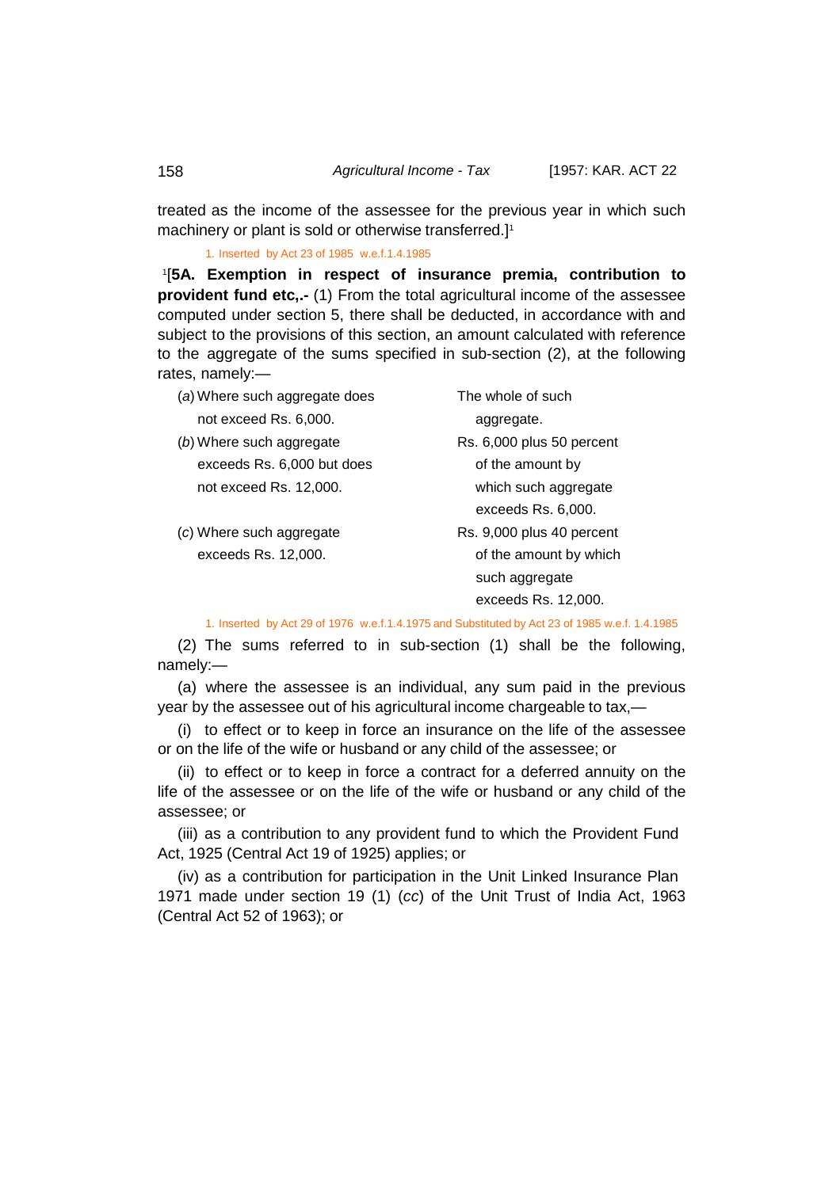treated as the income of the assessee for the previous year in which such machinery or plant is sold or otherwise transferred.] 1

<span id="page-33-0"></span>1. Inserted by Act 23 of 1985 w.e.f.1.4.1985

1 [**5A. Exemption in respect of insurance premia, contribution to provident fund etc,.-** (1) From the total agricultural income of the assessee computed under section 5, there shall be deducted, in accordance with and subject to the provisions of this section, an amount calculated with reference to the aggregate of the sums specified in sub-section (2), at the following rates, namely:—

| (a) Where such aggregate does | The whole of such         |  |
|-------------------------------|---------------------------|--|
| not exceed Rs. 6,000.         | aggregate.                |  |
| (b) Where such aggregate      | Rs. 6,000 plus 50 percent |  |
| exceeds Rs. 6,000 but does    | of the amount by          |  |
| not exceed Rs. 12,000.        | which such aggregate      |  |
|                               | exceeds Rs. 6,000.        |  |
| (c) Where such aggregate      | Rs. 9,000 plus 40 percent |  |
| exceeds Rs. 12,000.           | of the amount by which    |  |
|                               | such aggregate            |  |
|                               | exceeds Rs. 12,000.       |  |

1. Inserted by Act 29 of 1976 w.e.f.1.4.1975 and Substituted by Act 23 of 1985 w.e.f. 1.4.1985

(2) The sums referred to in sub-section (1) shall be the following, namely:—

(a) where the assessee is an individual, any sum paid in the previous year by the assessee out of his agricultural income chargeable to tax,—

(i) to effect or to keep in force an insurance on the life of the assessee or on the life of the wife or husband or any child of the assessee; or

(ii) to effect or to keep in force a contract for a deferred annuity on the life of the assessee or on the life of the wife or husband or any child of the assessee; or

(iii) as a contribution to any provident fund to which the Provident Fund Act, 1925 (Central Act 19 of 1925) applies; or

(iv) as a contribution for participation in the Unit Linked Insurance Plan 1971 made under section 19 (1) (*cc*) of the Unit Trust of India Act, 1963 (Central Act 52 of 1963); or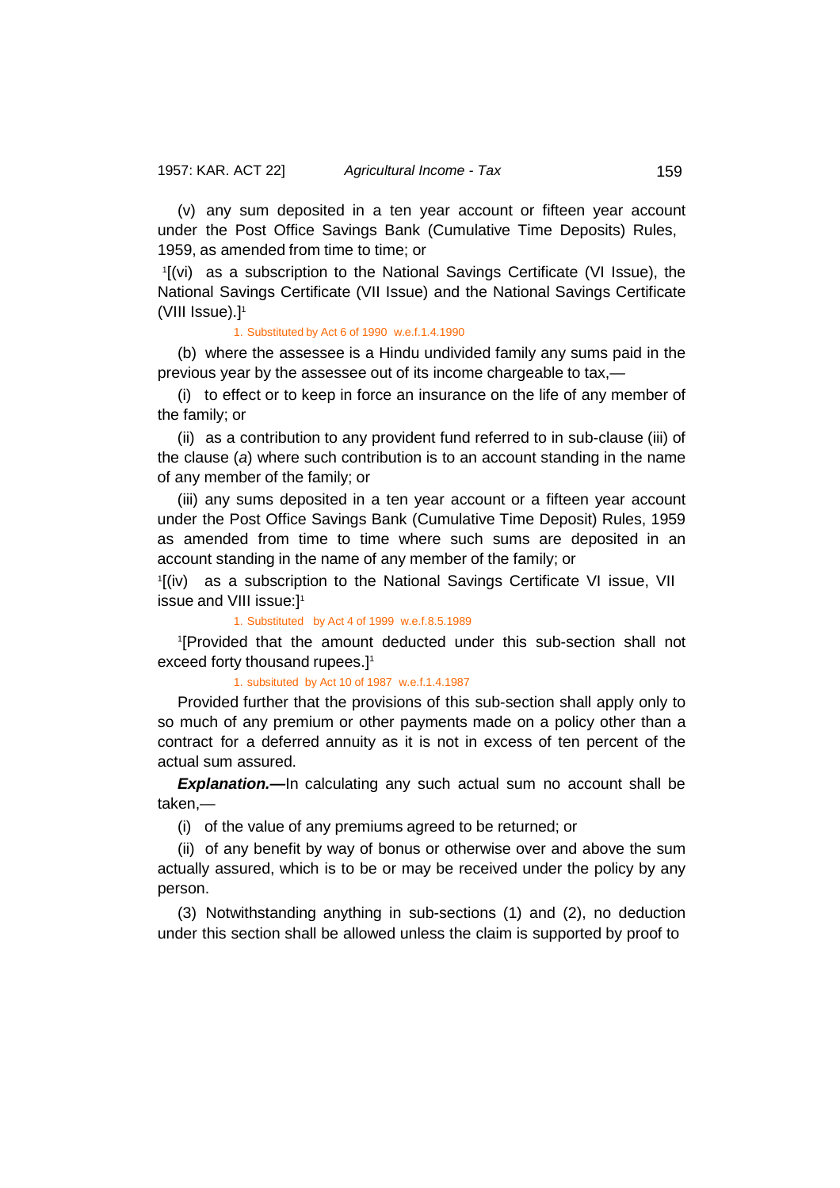(v) any sum deposited in a ten year account or fifteen year account under the Post Office Savings Bank (Cumulative Time Deposits) Rules, 1959, as amended from time to time; or

1 [(vi) as a subscription to the National Savings Certificate (VI Issue), the National Savings Certificate (VII Issue) and the National Savings Certificate (VIII Issue). $]$ <sup>1</sup>

1. Substituted by Act 6 of 1990 w.e.f.1.4.1990

(b) where the assessee is a Hindu undivided family any sums paid in the previous year by the assessee out of its income chargeable to tax,—

(i) to effect or to keep in force an insurance on the life of any member of the family; or

(ii) as a contribution to any provident fund referred to in sub-clause (iii) of the clause (*a*) where such contribution is to an account standing in the name of any member of the family; or

(iii) any sums deposited in a ten year account or a fifteen year account under the Post Office Savings Bank (Cumulative Time Deposit) Rules, 1959 as amended from time to time where such sums are deposited in an account standing in the name of any member of the family; or

1 [(iv) as a subscription to the National Savings Certificate VI issue, VII issue and VIII issue:]1

1. Substituted by Act 4 of 1999 w.e.f.8.5.1989

1 [Provided that the amount deducted under this sub-section shall not exceed forty thousand rupees.] 1

1. subsituted by Act 10 of 1987 w.e.f.1.4.1987

Provided further that the provisions of this sub-section shall apply only to so much of any premium or other payments made on a policy other than a contract for a deferred annuity as it is not in excess of ten percent of the actual sum assured.

**Explanation.**—In calculating any such actual sum no account shall be taken,—

(i) of the value of any premiums agreed to be returned; or

(ii) of any benefit by way of bonus or otherwise over and above the sum actually assured, which is to be or may be received under the policy by any person.

(3) Notwithstanding anything in sub-sections (1) and (2), no deduction under this section shall be allowed unless the claim is supported by proof to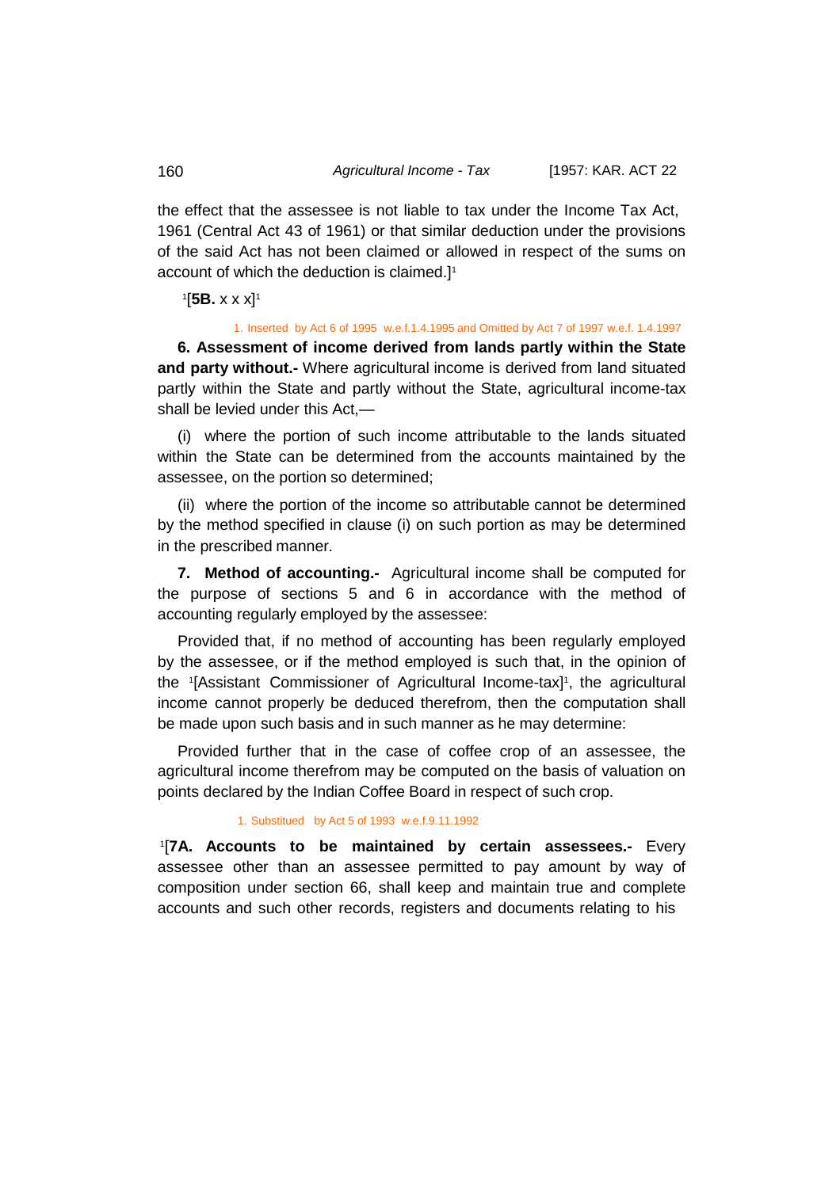the effect that the assessee is not liable to tax under the Income Tax Act, 1961 (Central Act 43 of 1961) or that similar deduction under the provisions of the said Act has not been claimed or allowed in respect of the sums on account of which the deduction is claimed.] 1

### <span id="page-35-0"></span>1 [**5B.** x x x]1

#### 1. Inserted by Act 6 of 1995 w.e.f.1.4.1995 and Omitted by Act 7 of 1997 w.e.f. 1.4.1997

<span id="page-35-1"></span>**6. Assessment of income derived from lands partly within the State and party without.-** Where agricultural income is derived from land situated partly within the State and partly without the State, agricultural income-tax shall be levied under this Act,—

(i) where the portion of such income attributable to the lands situated within the State can be determined from the accounts maintained by the assessee, on the portion so determined;

(ii) where the portion of the income so attributable cannot be determined by the method specified in clause (i) on such portion as may be determined in the prescribed manner.

<span id="page-35-2"></span>**7. Method of accounting.-** Agricultural income shall be computed for the purpose of sections 5 and 6 in accordance with the method of accounting regularly employed by the assessee:

Provided that, if no method of accounting has been regularly employed by the assessee, or if the method employed is such that, in the opinion of the 1[Assistant Commissioner of Agricultural Income-tax]1, the agricultural income cannot properly be deduced therefrom, then the computation shall be made upon such basis and in such manner as he may determine:

Provided further that in the case of coffee crop of an assessee, the agricultural income therefrom may be computed on the basis of valuation on points declared by the Indian Coffee Board in respect of such crop.

#### <span id="page-35-3"></span>1. Substitued by Act 5 of 1993 w.e.f.9.11.1992

1 [**7A. Accounts to be maintained by certain assessees.-** Every assessee other than an assessee permitted to pay amount by way of composition under section 66, shall keep and maintain true and complete accounts and such other records, registers and documents relating to his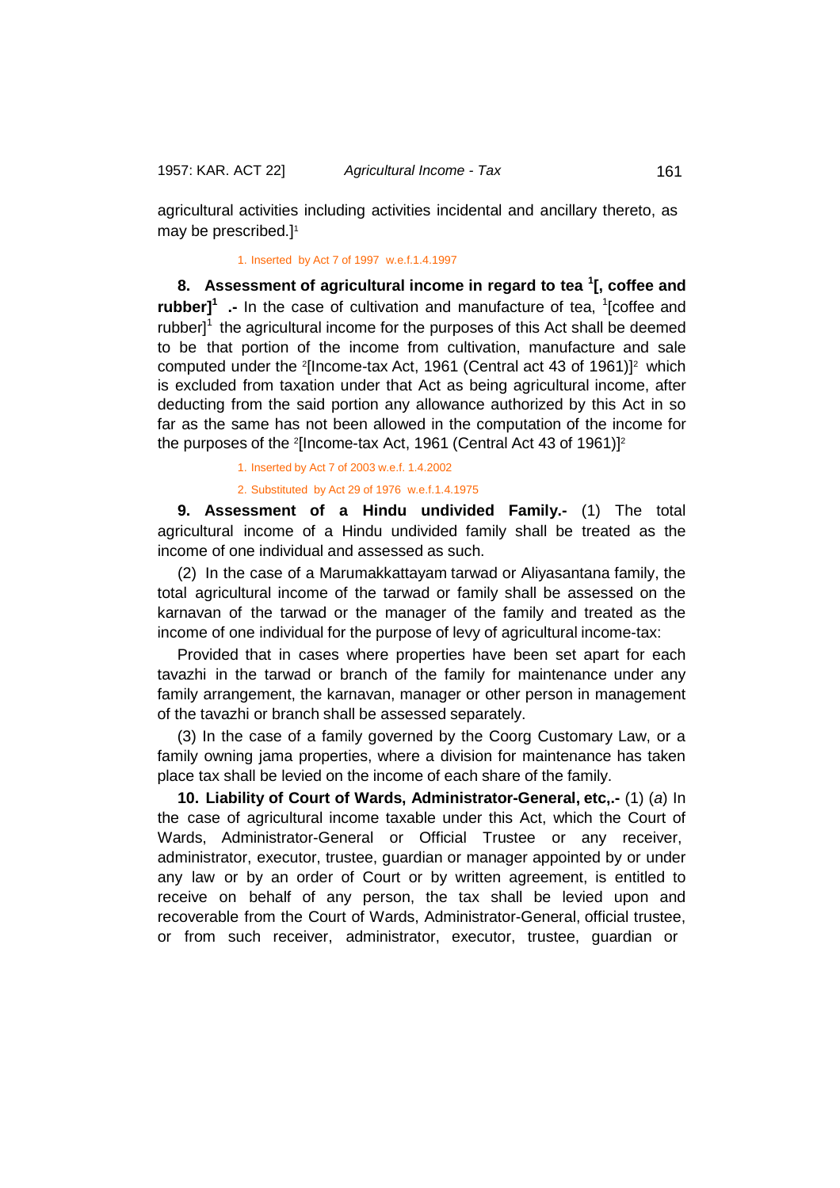agricultural activities including activities incidental and ancillary thereto, as may be prescribed.] 1

# 1. Inserted by Act 7 of 1997 w.e.f.1.4.1997

**8. Assessment of agricultural income in regard to tea <sup>1</sup> [, coffee and rubber]<sup>1</sup>** .- In the case of cultivation and manufacture of tea, <sup>1</sup>[coffee and rubber $l^1$  the agricultural income for the purposes of this Act shall be deemed to be that portion of the income from cultivation, manufacture and sale computed under the <sup>2</sup>[Income-tax Act, 1961 (Central act 43 of 1961)]<sup>2</sup> which is excluded from taxation under that Act as being agricultural income, after deducting from the said portion any allowance authorized by this Act in so far as the same has not been allowed in the computation of the income for the purposes of the <sup>2</sup>[Income-tax Act, 1961 (Central Act 43 of 1961)]<sup>2</sup>

1. Inserted by Act 7 of 2003 w.e.f. 1.4.2002

2. Substituted by Act 29 of 1976 w.e.f.1.4.1975

**9. Assessment of a Hindu undivided Family.-** (1) The total agricultural income of a Hindu undivided family shall be treated as the income of one individual and assessed as such.

(2) In the case of a Marumakkattayam tarwad or Aliyasantana family, the total agricultural income of the tarwad or family shall be assessed on the karnavan of the tarwad or the manager of the family and treated as the income of one individual for the purpose of levy of agricultural income-tax:

Provided that in cases where properties have been set apart for each tavazhi in the tarwad or branch of the family for maintenance under any family arrangement, the karnavan, manager or other person in management of the tavazhi or branch shall be assessed separately.

(3) In the case of a family governed by the Coorg Customary Law, or a family owning jama properties, where a division for maintenance has taken place tax shall be levied on the income of each share of the family.

**10. Liability of Court of Wards, Administrator-General, etc,.-** (1) (*a*) In the case of agricultural income taxable under this Act, which the Court of Wards, Administrator-General or Official Trustee or any receiver, administrator, executor, trustee, guardian or manager appointed by or under any law or by an order of Court or by written agreement, is entitled to receive on behalf of any person, the tax shall be levied upon and recoverable from the Court of Wards, Administrator-General, official trustee, or from such receiver, administrator, executor, trustee, guardian or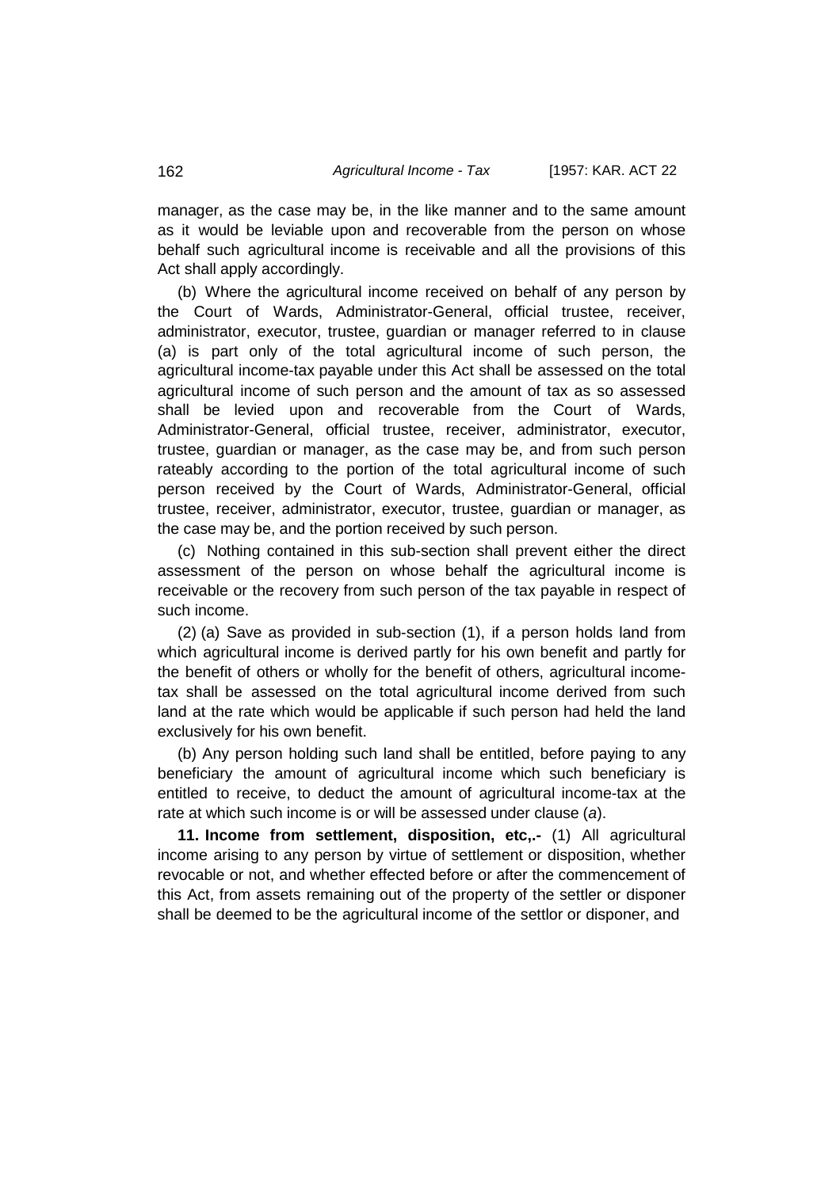manager, as the case may be, in the like manner and to the same amount as it would be leviable upon and recoverable from the person on whose behalf such agricultural income is receivable and all the provisions of this Act shall apply accordingly.

(b) Where the agricultural income received on behalf of any person by the Court of Wards, Administrator-General, official trustee, receiver, administrator, executor, trustee, guardian or manager referred to in clause (a) is part only of the total agricultural income of such person, the agricultural income-tax payable under this Act shall be assessed on the total agricultural income of such person and the amount of tax as so assessed shall be levied upon and recoverable from the Court of Wards, Administrator-General, official trustee, receiver, administrator, executor, trustee, guardian or manager, as the case may be, and from such person rateably according to the portion of the total agricultural income of such person received by the Court of Wards, Administrator-General, official trustee, receiver, administrator, executor, trustee, guardian or manager, as the case may be, and the portion received by such person.

(c) Nothing contained in this sub-section shall prevent either the direct assessment of the person on whose behalf the agricultural income is receivable or the recovery from such person of the tax payable in respect of such income.

(2) (a) Save as provided in sub-section (1), if a person holds land from which agricultural income is derived partly for his own benefit and partly for the benefit of others or wholly for the benefit of others, agricultural incometax shall be assessed on the total agricultural income derived from such land at the rate which would be applicable if such person had held the land exclusively for his own benefit.

(b) Any person holding such land shall be entitled, before paying to any beneficiary the amount of agricultural income which such beneficiary is entitled to receive, to deduct the amount of agricultural income-tax at the rate at which such income is or will be assessed under clause (*a*).

**11. Income from settlement, disposition, etc,.-** (1) All agricultural income arising to any person by virtue of settlement or disposition, whether revocable or not, and whether effected before or after the commencement of this Act, from assets remaining out of the property of the settler or disponer shall be deemed to be the agricultural income of the settlor or disponer, and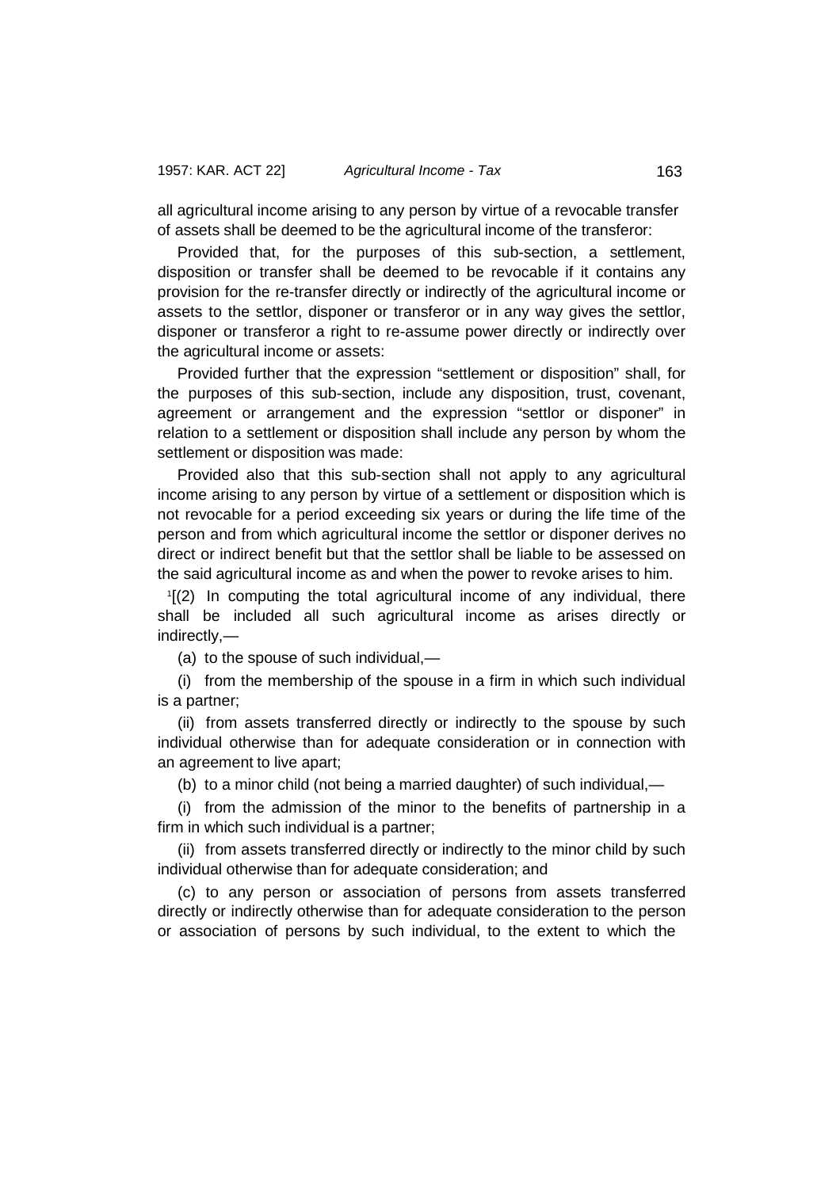all agricultural income arising to any person by virtue of a revocable transfer of assets shall be deemed to be the agricultural income of the transferor:

Provided that, for the purposes of this sub-section, a settlement, disposition or transfer shall be deemed to be revocable if it contains any provision for the re-transfer directly or indirectly of the agricultural income or assets to the settlor, disponer or transferor or in any way gives the settlor, disponer or transferor a right to re-assume power directly or indirectly over the agricultural income or assets:

Provided further that the expression "settlement or disposition" shall, for the purposes of this sub-section, include any disposition, trust, covenant, agreement or arrangement and the expression "settlor or disponer" in relation to a settlement or disposition shall include any person by whom the settlement or disposition was made:

Provided also that this sub-section shall not apply to any agricultural income arising to any person by virtue of a settlement or disposition which is not revocable for a period exceeding six years or during the life time of the person and from which agricultural income the settlor or disponer derives no direct or indirect benefit but that the settlor shall be liable to be assessed on the said agricultural income as and when the power to revoke arises to him.

1 [(2) In computing the total agricultural income of any individual, there shall be included all such agricultural income as arises directly or indirectly,—

(a) to the spouse of such individual,—

(i) from the membership of the spouse in a firm in which such individual is a partner;

(ii) from assets transferred directly or indirectly to the spouse by such individual otherwise than for adequate consideration or in connection with an agreement to live apart;

(b) to a minor child (not being a married daughter) of such individual,—

(i) from the admission of the minor to the benefits of partnership in a firm in which such individual is a partner;

(ii) from assets transferred directly or indirectly to the minor child by such individual otherwise than for adequate consideration; and

(c) to any person or association of persons from assets transferred directly or indirectly otherwise than for adequate consideration to the person or association of persons by such individual, to the extent to which the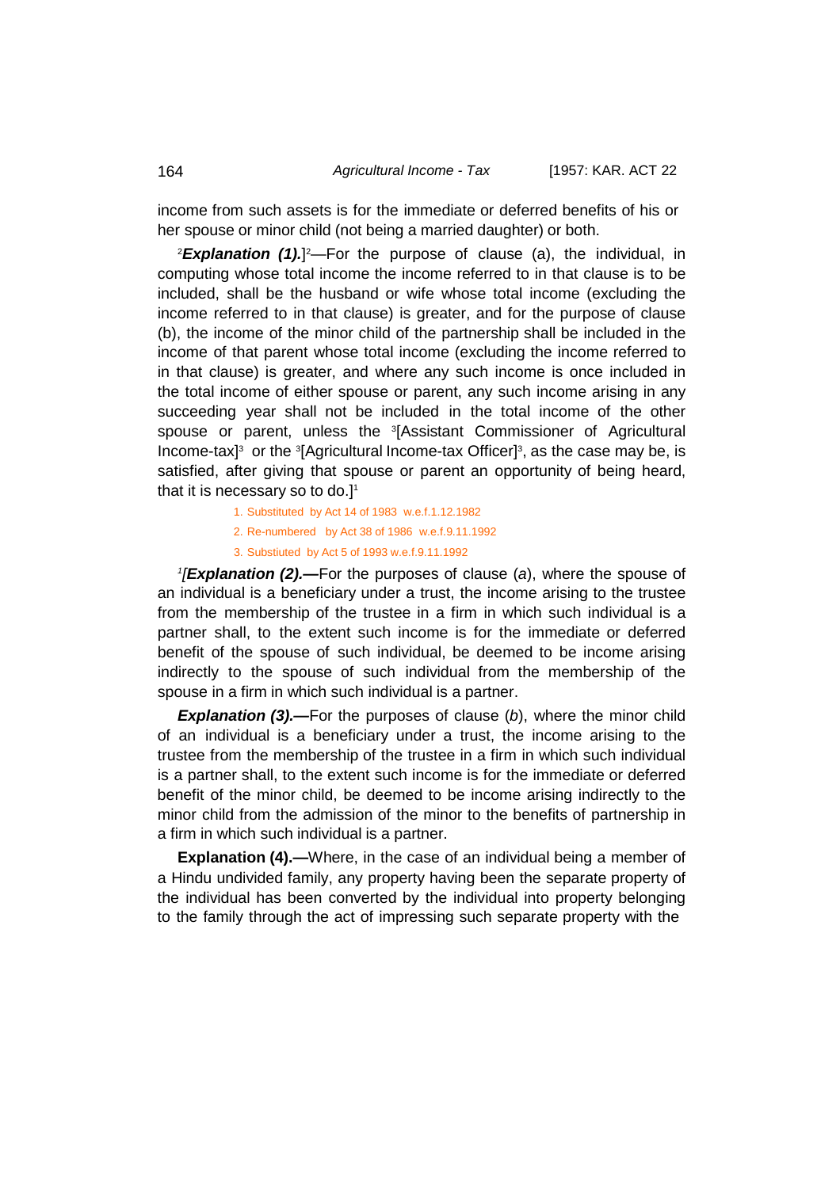income from such assets is for the immediate or deferred benefits of his or her spouse or minor child (not being a married daughter) or both.

<sup>2</sup>**Explanation (1).**]<sup>2</sup>—For the purpose of clause (a), the individual, in computing whose total income the income referred to in that clause is to be included, shall be the husband or wife whose total income (excluding the income referred to in that clause) is greater, and for the purpose of clause (b), the income of the minor child of the partnership shall be included in the income of that parent whose total income (excluding the income referred to in that clause) is greater, and where any such income is once included in the total income of either spouse or parent, any such income arising in any succeeding year shall not be included in the total income of the other spouse or parent, unless the 3 [Assistant Commissioner of Agricultural Income-tax]<sup>3</sup> or the <sup>3</sup>[Agricultural Income-tax Officer]<sup>3</sup>, as the case may be, is satisfied, after giving that spouse or parent an opportunity of being heard, that it is necessary so to do.] 1

1. Substituted by Act 14 of 1983 w.e.f.1.12.1982

2. Re-numbered by Act 38 of 1986 w.e.f.9.11.1992

3. Substiuted by Act 5 of 1993 w.e.f.9.11.1992

*1 [Explanation (2).—*For the purposes of clause (*a*), where the spouse of an individual is a beneficiary under a trust, the income arising to the trustee from the membership of the trustee in a firm in which such individual is a partner shall, to the extent such income is for the immediate or deferred benefit of the spouse of such individual, be deemed to be income arising indirectly to the spouse of such individual from the membership of the spouse in a firm in which such individual is a partner.

*Explanation (3).—*For the purposes of clause (*b*), where the minor child of an individual is a beneficiary under a trust, the income arising to the trustee from the membership of the trustee in a firm in which such individual is a partner shall, to the extent such income is for the immediate or deferred benefit of the minor child, be deemed to be income arising indirectly to the minor child from the admission of the minor to the benefits of partnership in a firm in which such individual is a partner.

**Explanation (4).—**Where, in the case of an individual being a member of a Hindu undivided family, any property having been the separate property of the individual has been converted by the individual into property belonging to the family through the act of impressing such separate property with the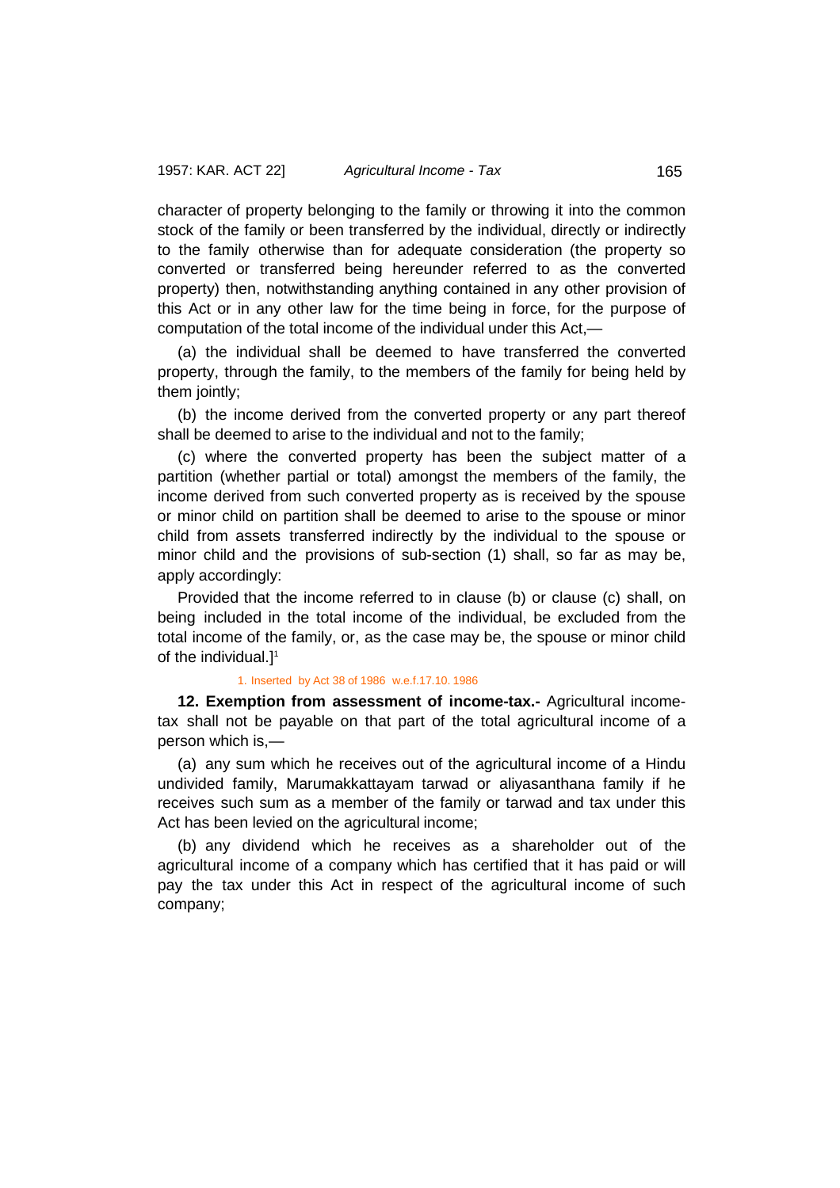character of property belonging to the family or throwing it into the common stock of the family or been transferred by the individual, directly or indirectly to the family otherwise than for adequate consideration (the property so converted or transferred being hereunder referred to as the converted property) then, notwithstanding anything contained in any other provision of this Act or in any other law for the time being in force, for the purpose of computation of the total income of the individual under this Act,—

(a) the individual shall be deemed to have transferred the converted property, through the family, to the members of the family for being held by them jointly;

(b) the income derived from the converted property or any part thereof shall be deemed to arise to the individual and not to the family;

(c) where the converted property has been the subject matter of a partition (whether partial or total) amongst the members of the family, the income derived from such converted property as is received by the spouse or minor child on partition shall be deemed to arise to the spouse or minor child from assets transferred indirectly by the individual to the spouse or minor child and the provisions of sub-section (1) shall, so far as may be, apply accordingly:

Provided that the income referred to in clause (b) or clause (c) shall, on being included in the total income of the individual, be excluded from the total income of the family, or, as the case may be, the spouse or minor child of the individual.]1

### 1. Inserted by Act 38 of 1986 w.e.f.17.10. 1986

**12. Exemption from assessment of income-tax.-** Agricultural incometax shall not be payable on that part of the total agricultural income of a person which is,—

(a) any sum which he receives out of the agricultural income of a Hindu undivided family, Marumakkattayam tarwad or aliyasanthana family if he receives such sum as a member of the family or tarwad and tax under this Act has been levied on the agricultural income;

(b) any dividend which he receives as a shareholder out of the agricultural income of a company which has certified that it has paid or will pay the tax under this Act in respect of the agricultural income of such company;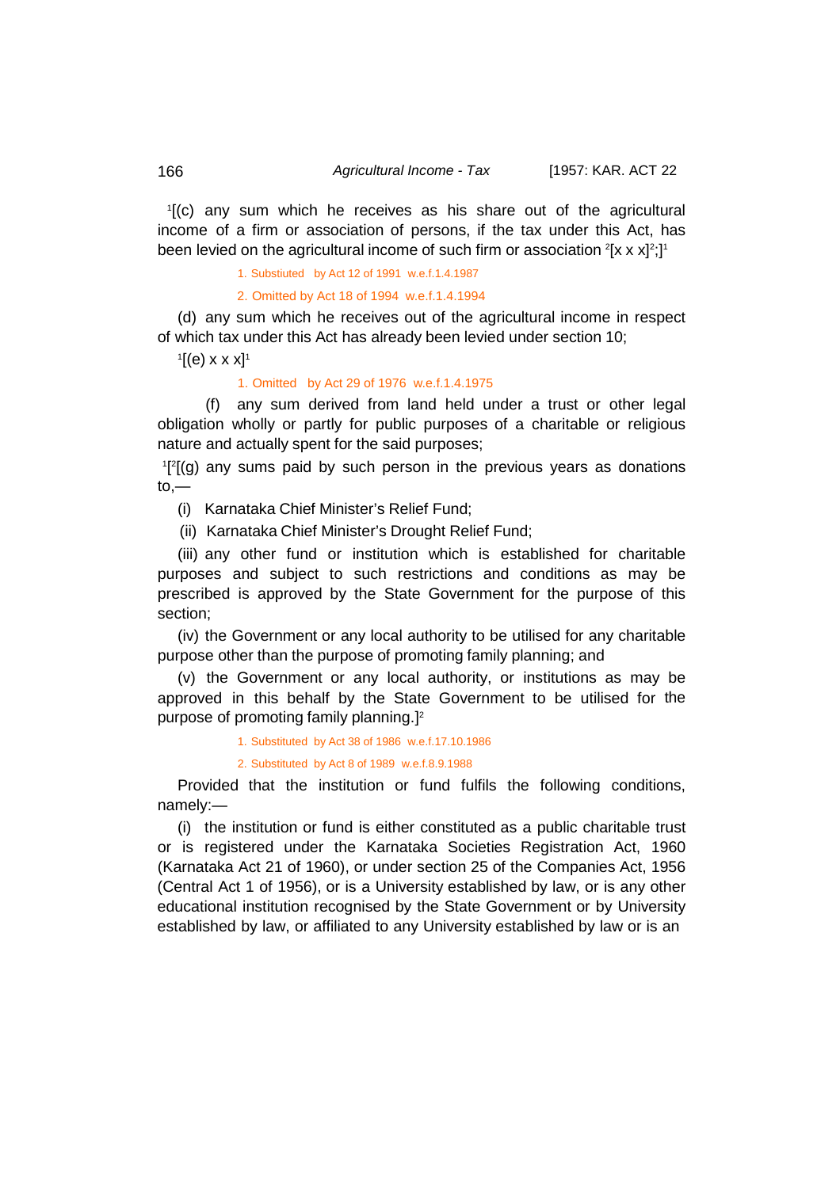1 [(c) any sum which he receives as his share out of the agricultural income of a firm or association of persons, if the tax under this Act, has been levied on the agricultural income of such firm or association  $^2$ [x x x] $^2;$ ] $^1$ 

1. Substiuted by Act 12 of 1991 w.e.f.1.4.1987

2. Omitted by Act 18 of 1994 w.e.f.1.4.1994

(d) any sum which he receives out of the agricultural income in respect of which tax under this Act has already been levied under section 10;

 $\mathbf{1}$ [(e) x x x] $\mathbf{1}$ 

1. Omitted by Act 29 of 1976 w.e.f.1.4.1975

(f) any sum derived from land held under a trust or other legal obligation wholly or partly for public purposes of a charitable or religious nature and actually spent for the said purposes;

<sup>1</sup>[<sup>2</sup>[(g) any sums paid by such person in the previous years as donations  $to,$ 

(i) Karnataka Chief Minister's Relief Fund;

(ii) Karnataka Chief Minister's Drought Relief Fund;

(iii) any other fund or institution which is established for charitable purposes and subject to such restrictions and conditions as may be prescribed is approved by the State Government for the purpose of this section;

(iv) the Government or any local authority to be utilised for any charitable purpose other than the purpose of promoting family planning; and

(v) the Government or any local authority, or institutions as may be approved in this behalf by the State Government to be utilised for the purpose of promoting family planning.] 2

1. Substituted by Act 38 of 1986 w.e.f.17.10.1986

2. Substituted by Act 8 of 1989 w.e.f.8.9.1988

Provided that the institution or fund fulfils the following conditions, namely:—

(i) the institution or fund is either constituted as a public charitable trust or is registered under the Karnataka Societies Registration Act, 1960 (Karnataka Act 21 of 1960), or under section 25 of the Companies Act, 1956 (Central Act 1 of 1956), or is a University established by law, or is any other educational institution recognised by the State Government or by University established by law, or affiliated to any University established by law or is an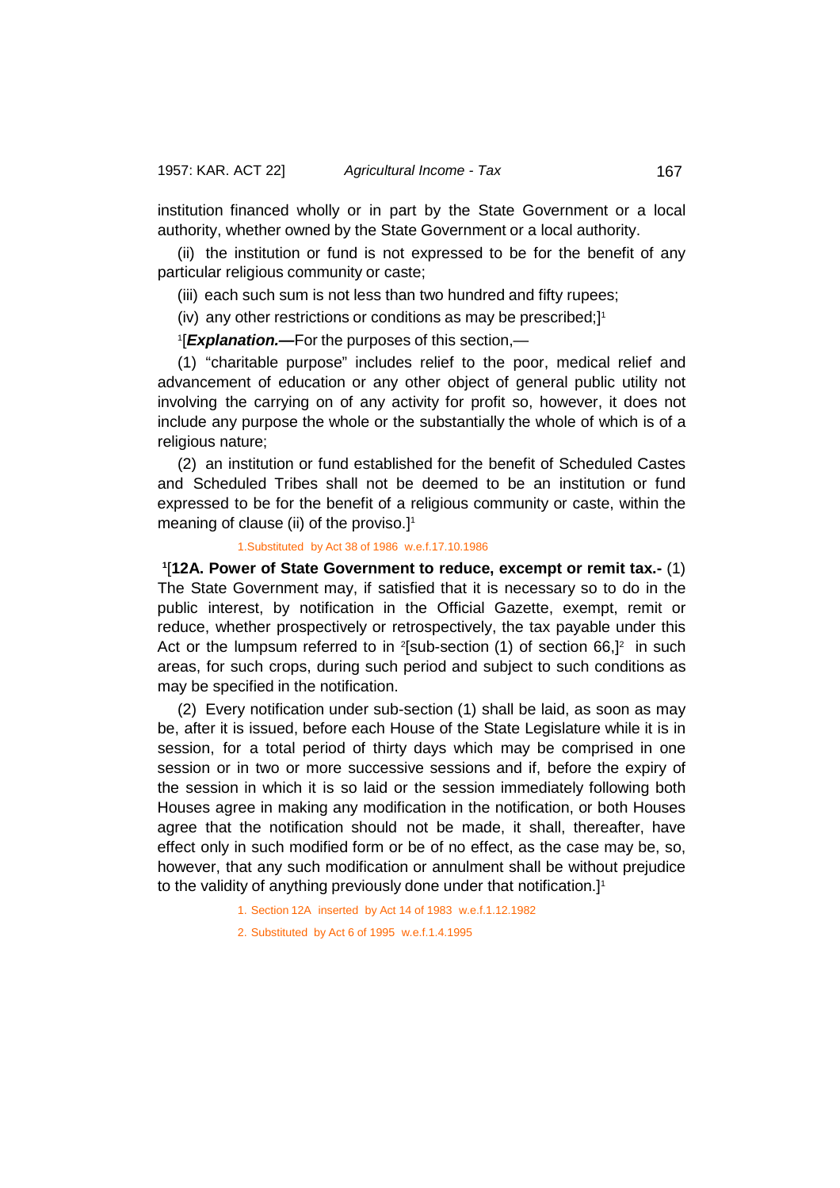institution financed wholly or in part by the State Government or a local authority, whether owned by the State Government or a local authority.

(ii) the institution or fund is not expressed to be for the benefit of any particular religious community or caste;

(iii) each such sum is not less than two hundred and fifty rupees;

(iv) any other restrictions or conditions as may be prescribed;] 1

1 [*Explanation.—*For the purposes of this section,—

(1) "charitable purpose" includes relief to the poor, medical relief and advancement of education or any other object of general public utility not involving the carrying on of any activity for profit so, however, it does not include any purpose the whole or the substantially the whole of which is of a religious nature;

(2) an institution or fund established for the benefit of Scheduled Castes and Scheduled Tribes shall not be deemed to be an institution or fund expressed to be for the benefit of a religious community or caste, within the meaning of clause (ii) of the proviso.] 1

# 1.Substituted by Act 38 of 1986 w.e.f.17.10.1986

**1** [**12A. Power of State Government to reduce, excempt or remit tax.-** (1) The State Government may, if satisfied that it is necessary so to do in the public interest, by notification in the Official Gazette, exempt, remit or reduce, whether prospectively or retrospectively, the tax payable under this Act or the lumpsum referred to in <sup>2</sup>[sub-section (1) of section 66,]<sup>2</sup> in such areas, for such crops, during such period and subject to such conditions as may be specified in the notification.

(2) Every notification under sub-section (1) shall be laid, as soon as may be, after it is issued, before each House of the State Legislature while it is in session, for a total period of thirty days which may be comprised in one session or in two or more successive sessions and if, before the expiry of the session in which it is so laid or the session immediately following both Houses agree in making any modification in the notification, or both Houses agree that the notification should not be made, it shall, thereafter, have effect only in such modified form or be of no effect, as the case may be, so, however, that any such modification or annulment shall be without prejudice to the validity of anything previously done under that notification.] 1

1. Section 12A inserted by Act 14 of 1983 w.e.f.1.12.1982

2. Substituted by Act 6 of 1995 w.e.f.1.4.1995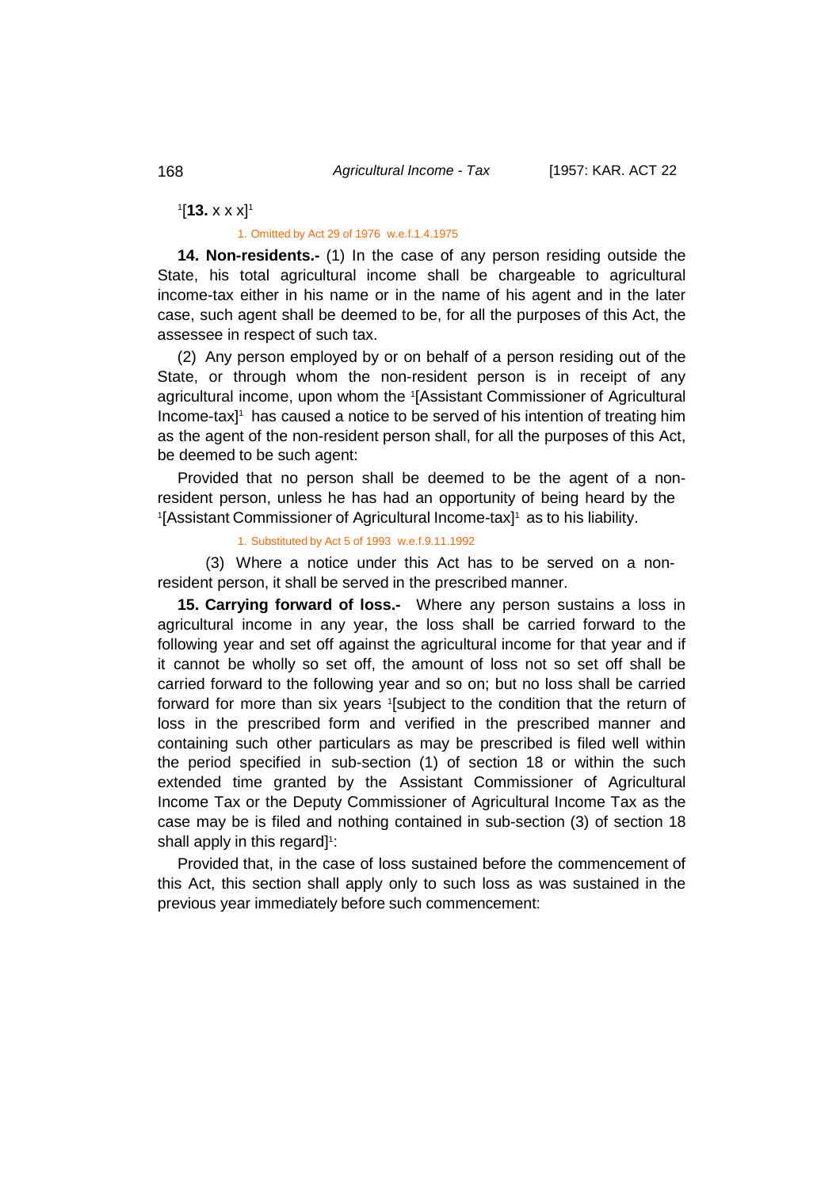1 [**13.** x x x]1

1. Omitted by Act 29 of 1976 w.e.f.1.4.1975

**14. Non-residents.-** (1) In the case of any person residing outside the State, his total agricultural income shall be chargeable to agricultural income-tax either in his name or in the name of his agent and in the later case, such agent shall be deemed to be, for all the purposes of this Act, the assessee in respect of such tax.

(2) Any person employed by or on behalf of a person residing out of the State, or through whom the non-resident person is in receipt of any agricultural income, upon whom the <sup>1</sup> [Assistant Commissioner of Agricultural Income-tax<sup>1</sup> has caused a notice to be served of his intention of treating him as the agent of the non-resident person shall, for all the purposes of this Act, be deemed to be such agent:

Provided that no person shall be deemed to be the agent of a nonresident person, unless he has had an opportunity of being heard by the <sup>1</sup>[Assistant Commissioner of Agricultural Income-tax]<sup>1</sup> as to his liability.

### 1. Substituted by Act 5 of 1993 w.e.f.9.11.1992

(3) Where a notice under this Act has to be served on a nonresident person, it shall be served in the prescribed manner.

**15. Carrying forward of loss.-** Where any person sustains a loss in agricultural income in any year, the loss shall be carried forward to the following year and set off against the agricultural income for that year and if it cannot be wholly so set off, the amount of loss not so set off shall be carried forward to the following year and so on; but no loss shall be carried forward for more than six years <sup>1</sup> [subject to the condition that the return of loss in the prescribed form and verified in the prescribed manner and containing such other particulars as may be prescribed is filed well within the period specified in sub-section (1) of section 18 or within the such extended time granted by the Assistant Commissioner of Agricultural Income Tax or the Deputy Commissioner of Agricultural Income Tax as the case may be is filed and nothing contained in sub-section (3) of section 18 shall apply in this regard] 1 :

Provided that, in the case of loss sustained before the commencement of this Act, this section shall apply only to such loss as was sustained in the previous year immediately before such commencement: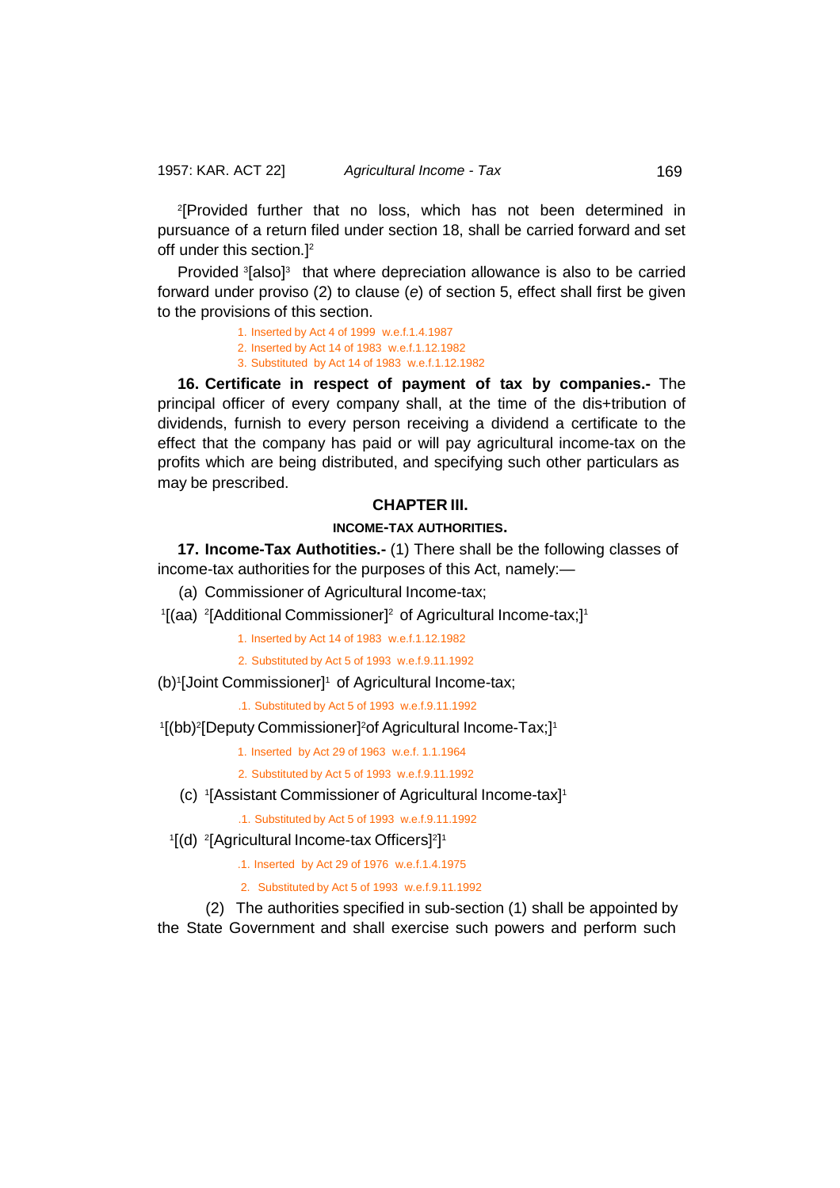2 [Provided further that no loss, which has not been determined in pursuance of a return filed under section 18, shall be carried forward and set off under this section.] 2

Provided <sup>3</sup>[also]<sup>3</sup> that where depreciation allowance is also to be carried forward under proviso (2) to clause (*e*) of section 5, effect shall first be given to the provisions of this section.

> 1. Inserted by Act 4 of 1999 w.e.f.1.4.1987 2. Inserted by Act 14 of 1983 w.e.f.1.12.1982 3. Substituted by Act 14 of 1983 w.e.f.1.12.1982

**16. Certificate in respect of payment of tax by companies.-** The principal officer of every company shall, at the time of the dis+tribution of dividends, furnish to every person receiving a dividend a certificate to the effect that the company has paid or will pay agricultural income-tax on the profits which are being distributed, and specifying such other particulars as may be prescribed.

# **CHAPTER III.**

# **INCOME-TAX AUTHORITIES.**

**17. Income-Tax Authotities.-** (1) There shall be the following classes of income-tax authorities for the purposes of this Act, namely:—

(a) Commissioner of Agricultural Income-tax;

1 [(aa) <sup>2</sup> [Additional Commissioner] 2 of Agricultural Income-tax;]1

1. Inserted by Act 14 of 1983 w.e.f.1.12.1982

2. Substituted by Act 5 of 1993 w.e.f.9.11.1992

(b)<sup>1</sup>[Joint Commissioner]<sup>1</sup> of Agricultural Income-tax;

.1. Substituted by Act 5 of 1993 w.e.f.9.11.1992

### 1[(bb)<del>2</del>[Deputy Commissioner]<sup>2</sup>of Agricultural Income-Tax;]1

1. Inserted by Act 29 of 1963 w.e.f. 1.1.1964

- 2. Substituted by Act 5 of 1993 w.e.f.9.11.1992
- (c) <sup>1</sup>[Assistant Commissioner of Agricultural Income-tax]<sup>1</sup>

.1. Substituted by Act 5 of 1993 w.e.f.9.11.1992

- <sup>1</sup>[(d) <sup>2</sup>[Agricultural Income-tax Officers]<sup>2</sup>]<sup>1</sup>
	- .1. Inserted by Act 29 of 1976 w.e.f.1.4.1975
	- 2. Substituted by Act 5 of 1993 w.e.f.9.11.1992

(2) The authorities specified in sub-section (1) shall be appointed by the State Government and shall exercise such powers and perform such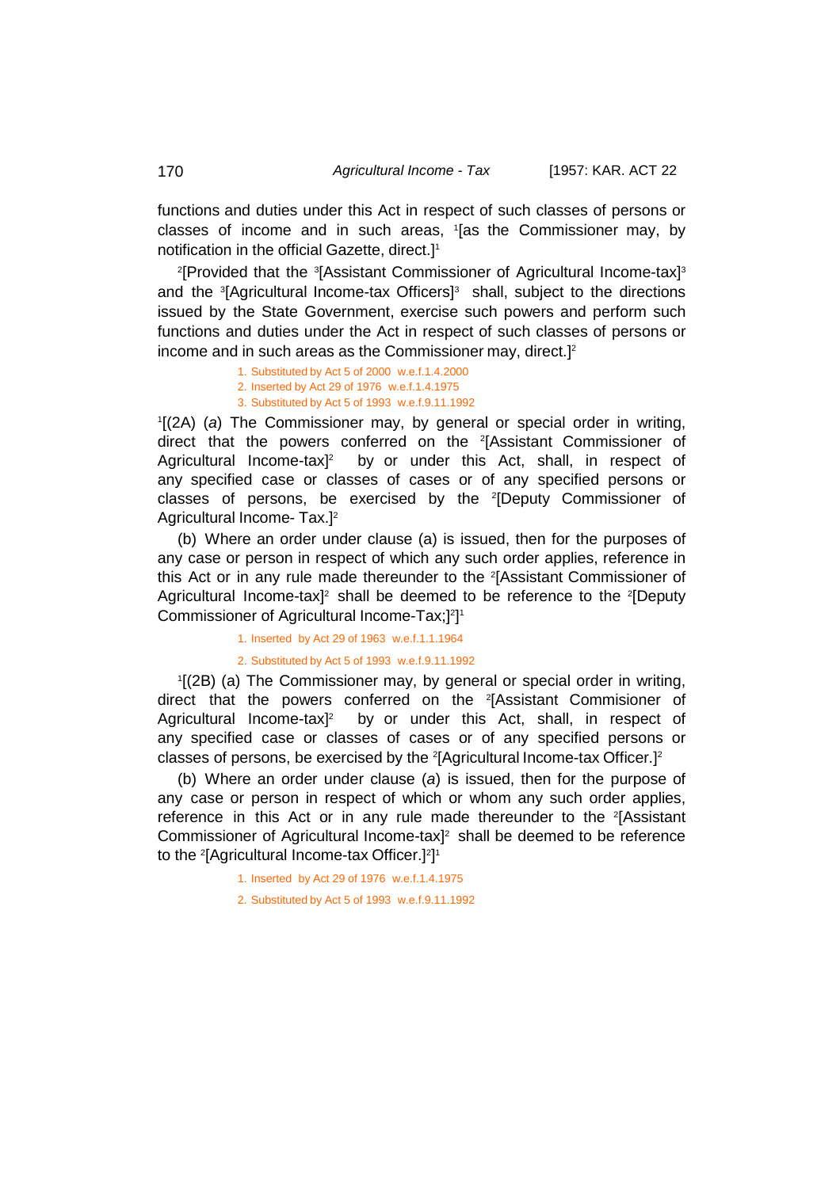functions and duties under this Act in respect of such classes of persons or classes of income and in such areas, 1 [as the Commissioner may, by notification in the official Gazette, direct.]1

<sup>2</sup>[Provided that the <sup>3</sup>[Assistant Commissioner of Agricultural Income-tax]<sup>3</sup> and the <sup>3</sup> [Agricultural Income-tax Officers]3 shall, subject to the directions issued by the State Government, exercise such powers and perform such functions and duties under the Act in respect of such classes of persons or income and in such areas as the Commissioner may, direct.] 2

> 1. Substituted by Act 5 of 2000 w.e.f.1.4.2000 2. Inserted by Act 29 of 1976 w.e.f.1.4.1975 3. Substituted by Act 5 of 1993 w.e.f.9.11.1992

1 [(2A) (*a*) The Commissioner may, by general or special order in writing, direct that the powers conferred on the <sup>2</sup>[Assistant Commissioner of Agricultural Income-tax $l^2$  by or under this Act, shall, in respect of any specified case or classes of cases or of any specified persons or classes of persons, be exercised by the <sup>2</sup>[Deputy Commissioner of Agricultural Income- Tax.]2

(b) Where an order under clause (a) is issued, then for the purposes of any case or person in respect of which any such order applies, reference in this Act or in any rule made thereunder to the <sup>2</sup>[Assistant Commissioner of Agricultural Income-tax]<sup>2</sup> shall be deemed to be reference to the <sup>2</sup>[Deputy Commissioner of Agricultural Income-Tax;] 2 ] 1

1. Inserted by Act 29 of 1963 w.e.f.1.1.1964

2. Substituted by Act 5 of 1993 w.e.f.9.11.1992

1 [(2B) (a) The Commissioner may, by general or special order in writing, direct that the powers conferred on the <sup>2</sup>[Assistant Commisioner of Agricultural Income-tax<sup>12</sup> by or under this Act, shall, in respect of any specified case or classes of cases or of any specified persons or classes of persons, be exercised by the <sup>2</sup> [Agricultural Income-tax Officer.]2

(b) Where an order under clause (*a*) is issued, then for the purpose of any case or person in respect of which or whom any such order applies, reference in this Act or in any rule made thereunder to the <sup>2</sup>[Assistant Commissioner of Agricultural Income-tax] 2 shall be deemed to be reference to the <sup>2</sup> [Agricultural Income-tax Officer.]2 ] 1

1. Inserted by Act 29 of 1976 w.e.f.1.4.1975

2. Substituted by Act 5 of 1993 w.e.f.9.11.1992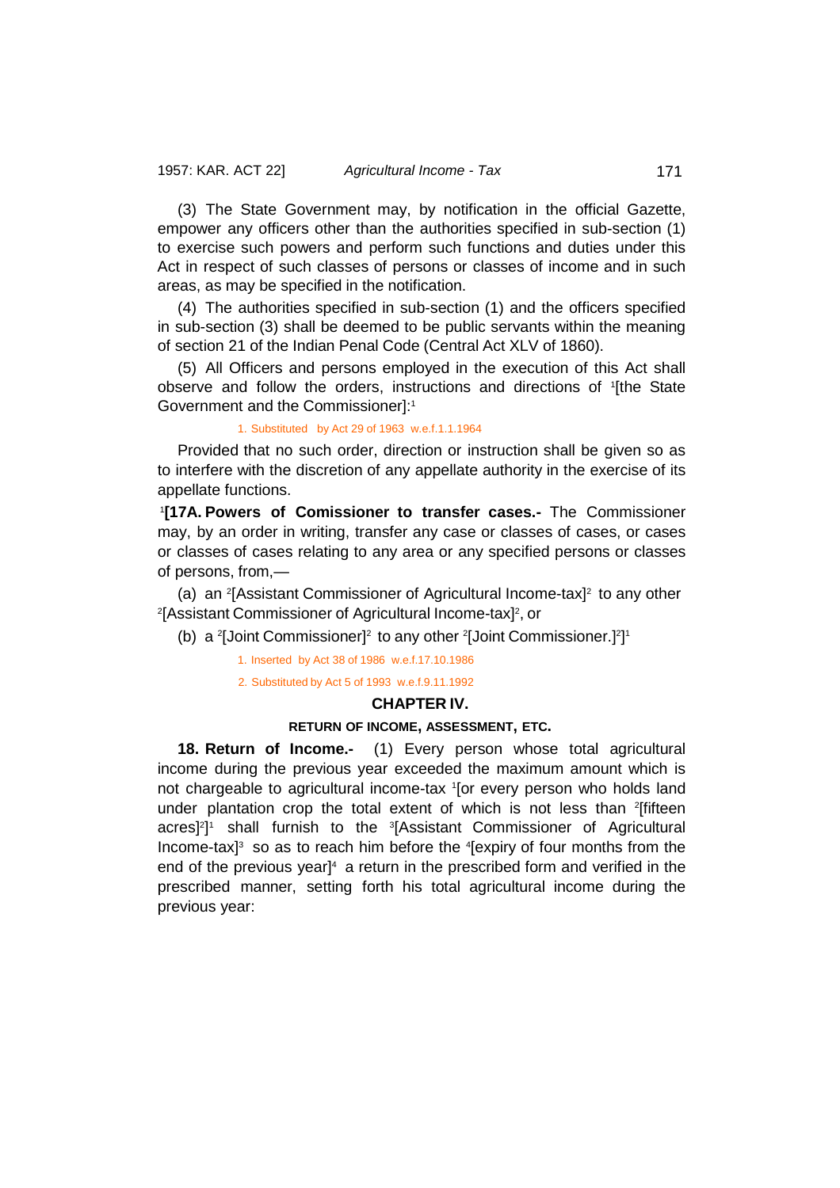(3) The State Government may, by notification in the official Gazette, empower any officers other than the authorities specified in sub-section (1) to exercise such powers and perform such functions and duties under this Act in respect of such classes of persons or classes of income and in such areas, as may be specified in the notification.

(4) The authorities specified in sub-section (1) and the officers specified in sub-section (3) shall be deemed to be public servants within the meaning of section 21 of the Indian Penal Code (Central Act XLV of 1860).

(5) All Officers and persons employed in the execution of this Act shall observe and follow the orders, instructions and directions of <sup>1</sup> [the State Government and the Commissioner]:<sup>1</sup>

# 1. Substituted by Act 29 of 1963 w.e.f.1.1.1964

Provided that no such order, direction or instruction shall be given so as to interfere with the discretion of any appellate authority in the exercise of its appellate functions.

1 **[17A. Powers of Comissioner to transfer cases.-** The Commissioner may, by an order in writing, transfer any case or classes of cases, or cases or classes of cases relating to any area or any specified persons or classes of persons, from,—

(a) an <sup>2</sup>[Assistant Commissioner of Agricultural Income-tax]<sup>2</sup> to any other <sup>2</sup>[Assistant Commissioner of Agricultural Income-tax]<sup>2</sup>, or

(b) a <sup>2</sup>[Joint Commissioner]<sup>2</sup> to any other <sup>2</sup>[Joint Commissioner.]<sup>2</sup>]<sup>1</sup>

1. Inserted by Act 38 of 1986 w.e.f.17.10.1986

2. Substituted by Act 5 of 1993 w.e.f.9.11.1992

# **CHAPTER IV.**

# **RETURN OF INCOME, ASSESSMENT, ETC.**

**18. Return of Income.-** (1) Every person whose total agricultural income during the previous year exceeded the maximum amount which is not chargeable to agricultural income-tax <sup>1</sup> [or every person who holds land under plantation crop the total extent of which is not less than <sup>2</sup>[fifteen acres]<sup>2</sup>]<sup>1</sup> shall furnish to the <sup>3</sup>[Assistant Commissioner of Agricultural Income-tax] $3$  so as to reach him before the  $4$ [expiry of four months from the end of the previous yearl<sup>4</sup> a return in the prescribed form and verified in the prescribed manner, setting forth his total agricultural income during the previous year: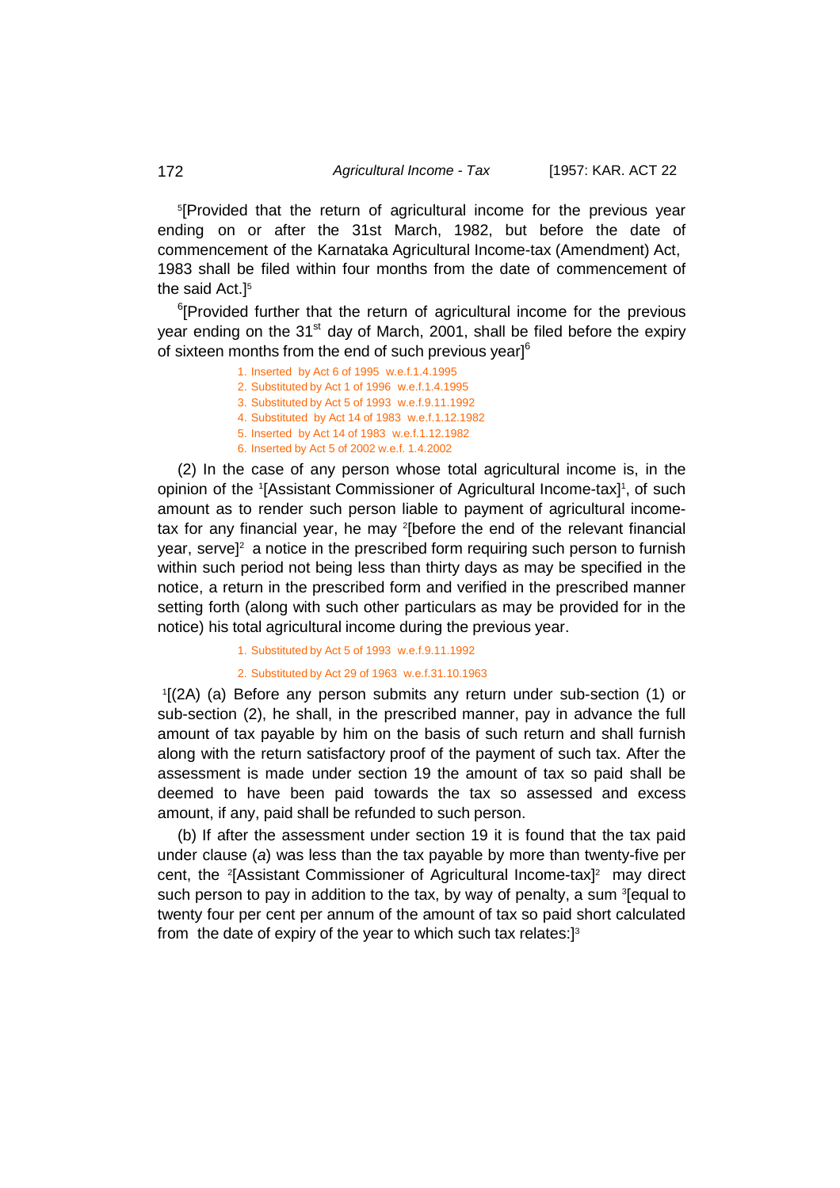5 [Provided that the return of agricultural income for the previous year ending on or after the 31st March, 1982, but before the date of commencement of the Karnataka Agricultural Income-tax (Amendment) Act, 1983 shall be filed within four months from the date of commencement of the said Act.<sup>15</sup>

<sup>6</sup>[Provided further that the return of agricultural income for the previous year ending on the  $31<sup>st</sup>$  day of March, 2001, shall be filed before the expiry of sixteen months from the end of such previous year] $6$ 

- 1. Inserted by Act 6 of 1995 w.e.f.1.4.1995
- 2. Substituted by Act 1 of 1996 w.e.f.1.4.1995
- 3. Substituted by Act 5 of 1993 w.e.f.9.11.1992
- 4. Substituted by Act 14 of 1983 w.e.f.1.12.1982 5. Inserted by Act 14 of 1983 w.e.f.1.12.1982
- 6. Inserted by Act 5 of 2002 w.e.f. 1.4.2002
- 

(2) In the case of any person whose total agricultural income is, in the opinion of the '[Assistant Commissioner of Agricultural Income-tax]<sup>1</sup>, of such amount as to render such person liable to payment of agricultural incometax for any financial year, he may <sup>2</sup> [before the end of the relevant financial year, serve]<sup>2</sup> a notice in the prescribed form requiring such person to furnish within such period not being less than thirty days as may be specified in the notice, a return in the prescribed form and verified in the prescribed manner setting forth (along with such other particulars as may be provided for in the notice) his total agricultural income during the previous year.

1. Substituted by Act 5 of 1993 w.e.f.9.11.1992

# 2. Substituted by Act 29 of 1963 w.e.f.31.10.1963

1 [(2A) (a) Before any person submits any return under sub-section (1) or sub-section (2), he shall, in the prescribed manner, pay in advance the full amount of tax payable by him on the basis of such return and shall furnish along with the return satisfactory proof of the payment of such tax. After the assessment is made under section 19 the amount of tax so paid shall be deemed to have been paid towards the tax so assessed and excess amount, if any, paid shall be refunded to such person.

(b) If after the assessment under section 19 it is found that the tax paid under clause (*a*) was less than the tax payable by more than twenty-five per cent, the 2 [Assistant Commissioner of Agricultural Income-tax]2 may direct such person to pay in addition to the tax, by way of penalty, a sum <sup>3</sup>[equal to twenty four per cent per annum of the amount of tax so paid short calculated from the date of expiry of the year to which such tax relates:]3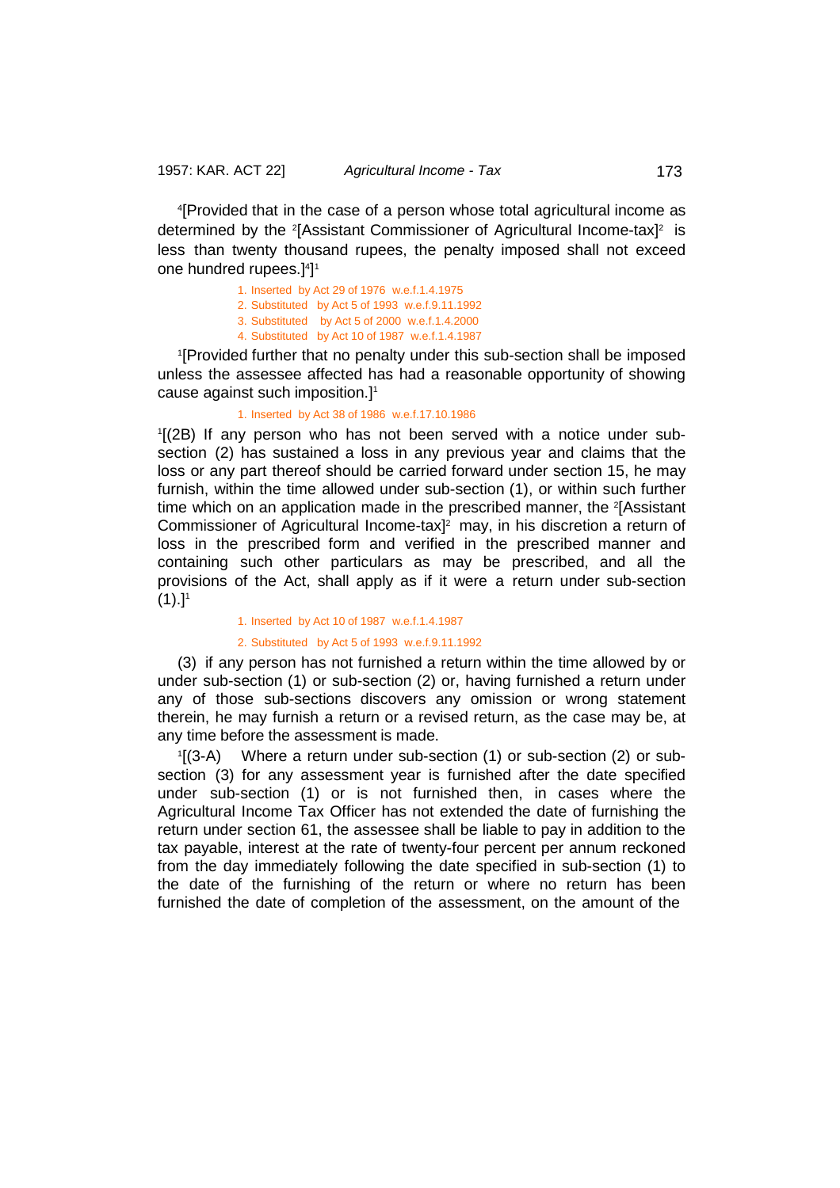4 [Provided that in the case of a person whose total agricultural income as determined by the <sup>2</sup>[Assistant Commissioner of Agricultural Income-tax]<sup>2</sup> is less than twenty thousand rupees, the penalty imposed shall not exceed one hundred rupees.] $4$ ] $^{\circ}$ 

1. Inserted by Act 29 of 1976 w.e.f.1.4.1975

2. Substituted by Act 5 of 1993 w.e.f.9.11.1992

3. Substituted by Act 5 of 2000 w.e.f.1.4.2000

4. Substituted by Act 10 of 1987 w.e.f.1.4.1987

1 [Provided further that no penalty under this sub-section shall be imposed unless the assessee affected has had a reasonable opportunity of showing cause against such imposition.] 1

### 1. Inserted by Act 38 of 1986 w.e.f.17.10.1986

1 [(2B) If any person who has not been served with a notice under subsection (2) has sustained a loss in any previous year and claims that the loss or any part thereof should be carried forward under section 15, he may furnish, within the time allowed under sub-section (1), or within such further time which on an application made in the prescribed manner, the 2[Assistant Commissioner of Agricultural Income-tax] 2 may, in his discretion a return of loss in the prescribed form and verified in the prescribed manner and containing such other particulars as may be prescribed, and all the provisions of the Act, shall apply as if it were a return under sub-section  $(1).]$ <sup>1</sup>

#### 1. Inserted by Act 10 of 1987 w.e.f.1.4.1987

### 2. Substituted by Act 5 of 1993 w.e.f.9.11.1992

(3) if any person has not furnished a return within the time allowed by or under sub-section (1) or sub-section (2) or, having furnished a return under any of those sub-sections discovers any omission or wrong statement therein, he may furnish a return or a revised return, as the case may be, at any time before the assessment is made.

 $1$ [(3-A) Where a return under sub-section (1) or sub-section (2) or subsection (3) for any assessment year is furnished after the date specified under sub-section (1) or is not furnished then, in cases where the Agricultural Income Tax Officer has not extended the date of furnishing the return under section 61, the assessee shall be liable to pay in addition to the tax payable, interest at the rate of twenty-four percent per annum reckoned from the day immediately following the date specified in sub-section (1) to the date of the furnishing of the return or where no return has been furnished the date of completion of the assessment, on the amount of the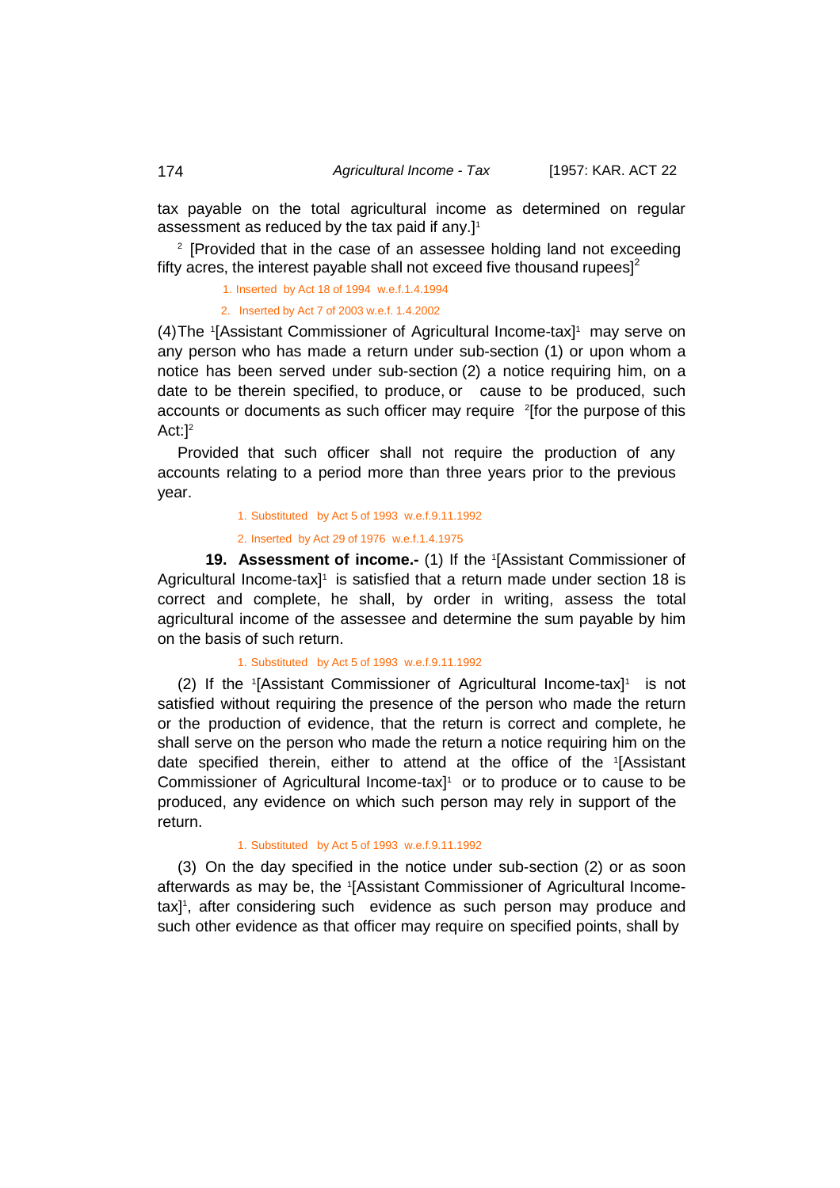tax payable on the total agricultural income as determined on regular assessment as reduced by the tax paid if any.] 1

<sup>2</sup> [Provided that in the case of an assessee holding land not exceeding fifty acres, the interest payable shall not exceed five thousand rupees] $<sup>2</sup>$ </sup>

1. Inserted by Act 18 of 1994 w.e.f.1.4.1994

2. Inserted by Act 7 of 2003 w.e.f. 1.4.2002

(4)The <sup>1</sup> [Assistant Commissioner of Agricultural Income-tax]1 may serve on any person who has made a return under sub-section (1) or upon whom a notice has been served under sub-section (2) a notice requiring him, on a date to be therein specified, to produce, or cause to be produced, such accounts or documents as such officer may require <sup>2</sup>[for the purpose of this Act:<sup>12</sup>

Provided that such officer shall not require the production of any accounts relating to a period more than three years prior to the previous year.

1. Substituted by Act 5 of 1993 w.e.f.9.11.1992

2. Inserted by Act 29 of 1976 w.e.f.1.4.1975

**19. Assessment of income.-** (1) If the <sup>1</sup> [Assistant Commissioner of Agricultural Income-tax<sup>1</sup> is satisfied that a return made under section 18 is correct and complete, he shall, by order in writing, assess the total agricultural income of the assessee and determine the sum payable by him on the basis of such return.

### 1. Substituted by Act 5 of 1993 w.e.f.9.11.1992

(2) If the  $[Assistant$  Commissioner of Agricultural Income-tax $]$ <sup>1</sup> is not satisfied without requiring the presence of the person who made the return or the production of evidence, that the return is correct and complete, he shall serve on the person who made the return a notice requiring him on the date specified therein, either to attend at the office of the 1 [Assistant Commissioner of Agricultural Income-tax] 1 or to produce or to cause to be produced, any evidence on which such person may rely in support of the return.

# 1. Substituted by Act 5 of 1993 w.e.f.9.11.1992

(3) On the day specified in the notice under sub-section (2) or as soon afterwards as may be, the <sup>1</sup> [Assistant Commissioner of Agricultural Incometax] 1 , after considering such evidence as such person may produce and such other evidence as that officer may require on specified points, shall by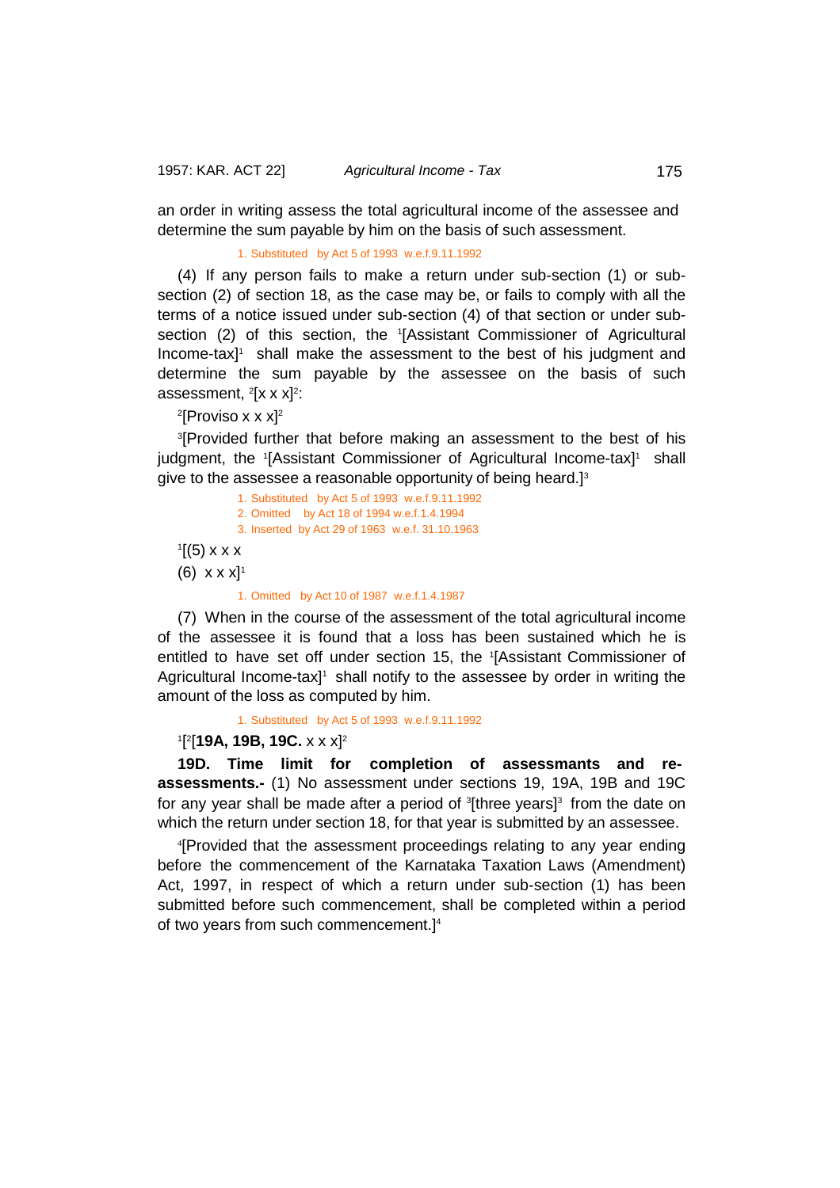an order in writing assess the total agricultural income of the assessee and determine the sum payable by him on the basis of such assessment.

# 1. Substituted by Act 5 of 1993 w.e.f.9.11.1992

(4) If any person fails to make a return under sub-section (1) or subsection (2) of section 18, as the case may be, or fails to comply with all the terms of a notice issued under sub-section (4) of that section or under subsection (2) of this section, the 1 [Assistant Commissioner of Agricultural Income-tax<sup>1</sup> shall make the assessment to the best of his judgment and determine the sum payable by the assessee on the basis of such assessment,  $2[x \times x]^2$ :

 $^{2}$ [Proviso x x x] $^{2}$ 

3 [Provided further that before making an assessment to the best of his judgment, the <sup>1</sup>[Assistant Commissioner of Agricultural Income-tax]<sup>1</sup> shall give to the assessee a reasonable opportunity of being heard.] $^{\text{\text{\textit{3}}}}$ 

- 1. Substituted by Act 5 of 1993 w.e.f.9.11.1992 2. Omitted by Act 18 of 1994 w.e.f.1.4.1994 3. Inserted by Act 29 of 1963 w.e.f. 31.10.1963
- $\mathbf{1}$ [(5) x x x
- (6)  $x \times x$ <sup>1</sup>

#### 1. Omitted by Act 10 of 1987 w.e.f.1.4.1987

(7) When in the course of the assessment of the total agricultural income of the assessee it is found that a loss has been sustained which he is entitled to have set off under section 15, the <sup>1</sup> [Assistant Commissioner of Agricultural Income-tax $1$ <sup>1</sup> shall notify to the assessee by order in writing the amount of the loss as computed by him.

1. Substituted by Act 5 of 1993 w.e.f.9.11.1992

# 1 [ 2 [**19A, 19B, 19C.** x x x]2

**19D. Time limit for completion of assessmants and reassessments.-** (1) No assessment under sections 19, 19A, 19B and 19C for any year shall be made after a period of <sup>3</sup>[three years]<sup>3</sup> from the date on which the return under section 18, for that year is submitted by an assessee.

4 [Provided that the assessment proceedings relating to any year ending before the commencement of the Karnataka Taxation Laws (Amendment) Act, 1997, in respect of which a return under sub-section (1) has been submitted before such commencement, shall be completed within a period of two years from such commencement.] 4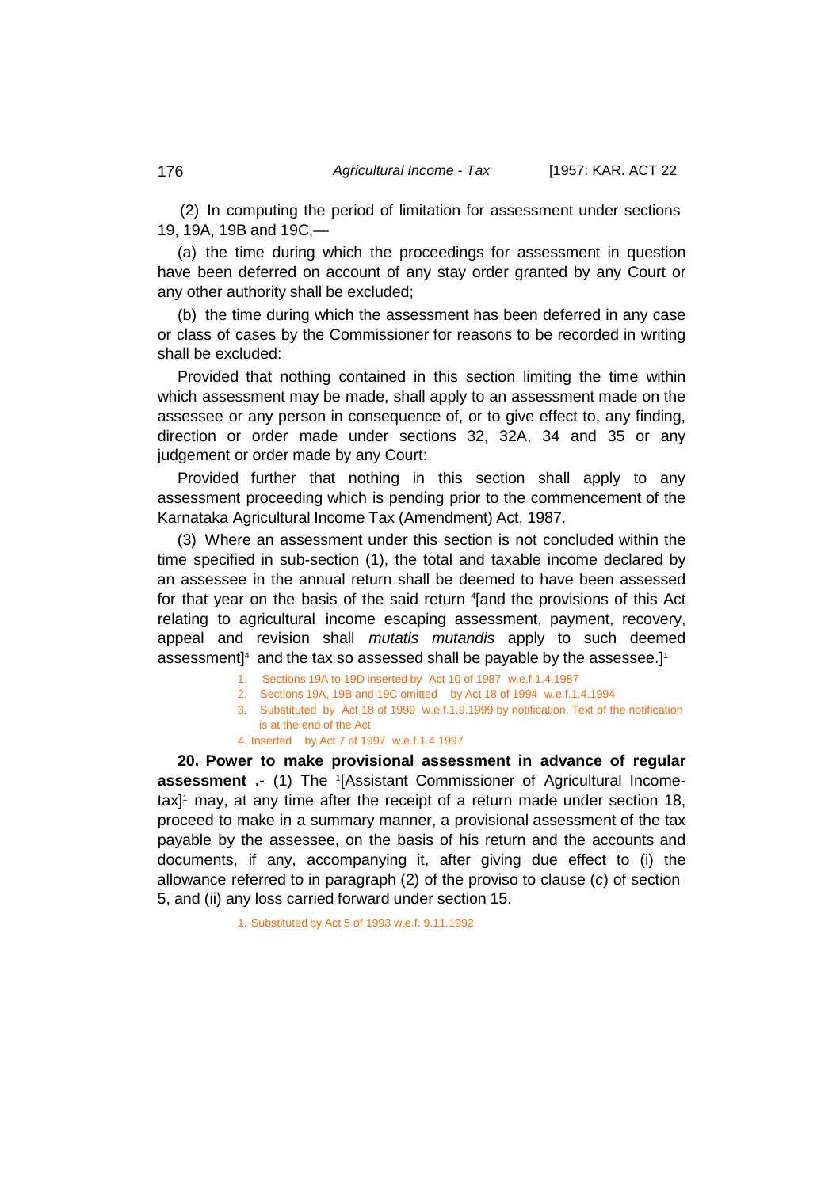(2) In computing the period of limitation for assessment under sections 19, 19A, 19B and 19C,—

(a) the time during which the proceedings for assessment in question have been deferred on account of any stay order granted by any Court or any other authority shall be excluded;

(b) the time during which the assessment has been deferred in any case or class of cases by the Commissioner for reasons to be recorded in writing shall be excluded:

Provided that nothing contained in this section limiting the time within which assessment may be made, shall apply to an assessment made on the assessee or any person in consequence of, or to give effect to, any finding, direction or order made under sections 32, 32A, 34 and 35 or any judgement or order made by any Court:

Provided further that nothing in this section shall apply to any assessment proceeding which is pending prior to the commencement of the Karnataka Agricultural Income Tax (Amendment) Act, 1987.

(3) Where an assessment under this section is not concluded within the time specified in sub-section (1), the total and taxable income declared by an assessee in the annual return shall be deemed to have been assessed for that year on the basis of the said return <sup>4</sup>[and the provisions of this Act relating to agricultural income escaping assessment, payment, recovery, appeal and revision shall *mutatis mutandis* apply to such deemed assessment] $^{\rm 4}$  and the tax so assessed shall be payable by the assessee.] $^{\rm 1}$ 

- 1. Sections 19A to 19D inserted by Act 10 of 1987 w.e.f.1.4.1987
- 2. Sections 19A, 19B and 19C omitted by Act 18 of 1994 w.e.f.1.4.1994
- 3. Substituted by Act 18 of 1999 w.e.f.1.9.1999 by notification. Text of the notification is at the end of the Act
- 4. Inserted by Act 7 of 1997 w.e.f.1.4.1997

**20. Power to make provisional assessment in advance of regular assessment .-** (1) The <sup>1</sup> [Assistant Commissioner of Agricultural Incometax] 1 may, at any time after the receipt of a return made under section 18, proceed to make in a summary manner, a provisional assessment of the tax payable by the assessee, on the basis of his return and the accounts and documents, if any, accompanying it, after giving due effect to (i) the allowance referred to in paragraph (2) of the proviso to clause (*c*) of section 5, and (ii) any loss carried forward under section 15.

1. Substituted by Act 5 of 1993 w.e.f. 9.11.1992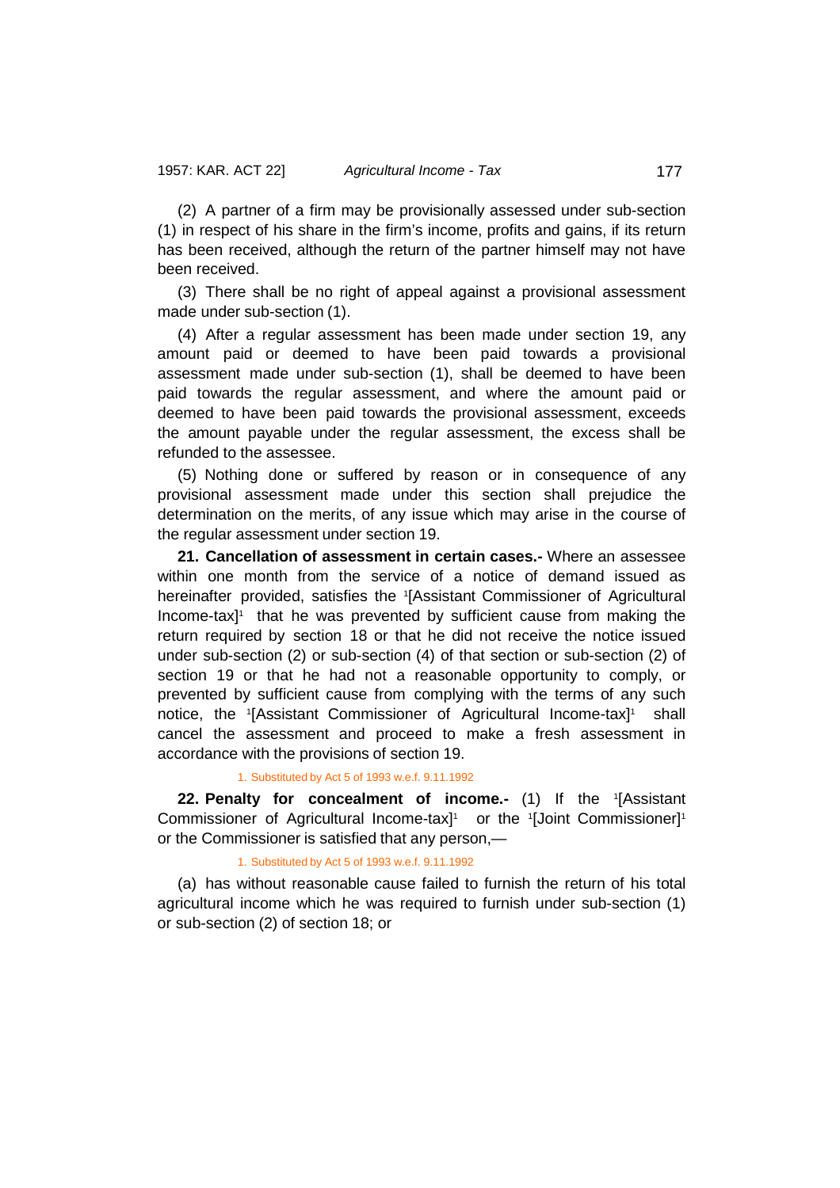(2) A partner of a firm may be provisionally assessed under sub-section (1) in respect of his share in the firm's income, profits and gains, if its return has been received, although the return of the partner himself may not have been received.

(3) There shall be no right of appeal against a provisional assessment made under sub-section (1).

(4) After a regular assessment has been made under section 19, any amount paid or deemed to have been paid towards a provisional assessment made under sub-section (1), shall be deemed to have been paid towards the regular assessment, and where the amount paid or deemed to have been paid towards the provisional assessment, exceeds the amount payable under the regular assessment, the excess shall be refunded to the assessee.

(5) Nothing done or suffered by reason or in consequence of any provisional assessment made under this section shall prejudice the determination on the merits, of any issue which may arise in the course of the regular assessment under section 19.

**21. Cancellation of assessment in certain cases.-** Where an assessee within one month from the service of a notice of demand issued as hereinafter provided, satisfies the <sup>1</sup> [Assistant Commissioner of Agricultural Income-tax]<sup>1</sup> that he was prevented by sufficient cause from making the return required by section 18 or that he did not receive the notice issued under sub-section (2) or sub-section (4) of that section or sub-section (2) of section 19 or that he had not a reasonable opportunity to comply, or prevented by sufficient cause from complying with the terms of any such notice, the <sup>1</sup>[Assistant Commissioner of Agricultural Income-tax]<sup>1</sup> shall cancel the assessment and proceed to make a fresh assessment in accordance with the provisions of section 19.

1. Substituted by Act 5 of 1993 w.e.f. 9.11.1992

**22. Penalty for concealment of income.-** (1) If the 1 [Assistant Commissioner of Agricultural Income-tax]<sup>1</sup> or the 1[Joint Commissioner]<sup>1</sup> or the Commissioner is satisfied that any person,—

## 1. Substituted by Act 5 of 1993 w.e.f. 9.11.1992

(a) has without reasonable cause failed to furnish the return of his total agricultural income which he was required to furnish under sub-section (1) or sub-section (2) of section 18; or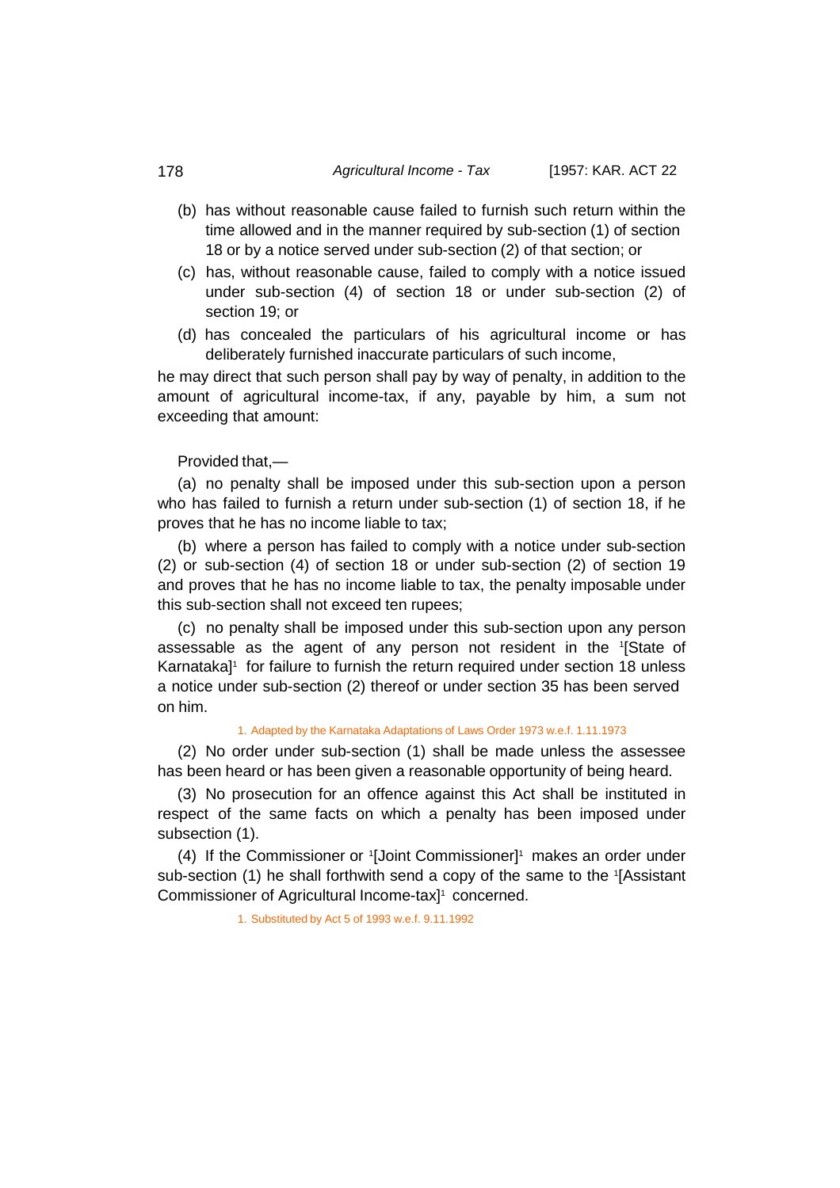- (b) has without reasonable cause failed to furnish such return within the time allowed and in the manner required by sub-section (1) of section 18 or by a notice served under sub-section (2) of that section; or
- (c) has, without reasonable cause, failed to comply with a notice issued under sub-section (4) of section 18 or under sub-section (2) of section 19; or
- (d) has concealed the particulars of his agricultural income or has deliberately furnished inaccurate particulars of such income,

he may direct that such person shall pay by way of penalty, in addition to the amount of agricultural income-tax, if any, payable by him, a sum not exceeding that amount:

Provided that,—

(a) no penalty shall be imposed under this sub-section upon a person who has failed to furnish a return under sub-section (1) of section 18, if he proves that he has no income liable to tax;

(b) where a person has failed to comply with a notice under sub-section (2) or sub-section (4) of section 18 or under sub-section (2) of section 19 and proves that he has no income liable to tax, the penalty imposable under this sub-section shall not exceed ten rupees;

(c) no penalty shall be imposed under this sub-section upon any person assessable as the agent of any person not resident in the 1 [State of Karnataka]<sup>1</sup> for failure to furnish the return required under section 18 unless a notice under sub-section (2) thereof or under section 35 has been served on him.

### 1. Adapted by the Karnataka Adaptations of Laws Order 1973 w.e.f. 1.11.1973

(2) No order under sub-section (1) shall be made unless the assessee has been heard or has been given a reasonable opportunity of being heard.

(3) No prosecution for an offence against this Act shall be instituted in respect of the same facts on which a penalty has been imposed under subsection (1).

(4) If the Commissioner or <sup>1</sup> [Joint Commissioner]1 makes an order under sub-section (1) he shall forthwith send a copy of the same to the <sup>1</sup> [Assistant Commissioner of Agricultural Income-tax] 1 concerned.

1. Substituted by Act 5 of 1993 w.e.f. 9.11.1992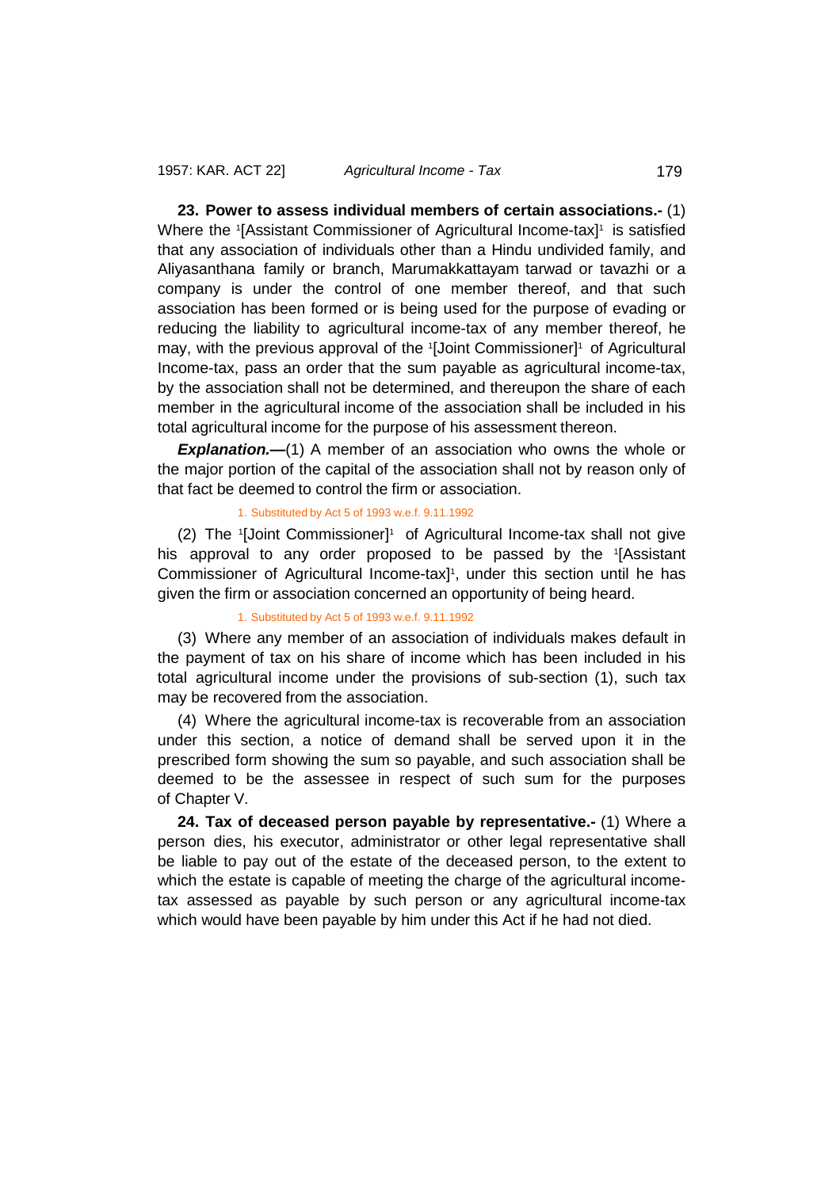**23. Power to assess individual members of certain associations.-** (1) Where the 1[Assistant Commissioner of Agricultural Income-tax]1 is satisfied that any association of individuals other than a Hindu undivided family, and Aliyasanthana family or branch, Marumakkattayam tarwad or tavazhi or a company is under the control of one member thereof, and that such association has been formed or is being used for the purpose of evading or reducing the liability to agricultural income-tax of any member thereof, he may, with the previous approval of the <sup>1</sup> [Joint Commissioner]1 of Agricultural Income-tax, pass an order that the sum payable as agricultural income-tax, by the association shall not be determined, and thereupon the share of each member in the agricultural income of the association shall be included in his total agricultural income for the purpose of his assessment thereon.

*Explanation.—*(1) A member of an association who owns the whole or the major portion of the capital of the association shall not by reason only of that fact be deemed to control the firm or association.

#### 1. Substituted by Act 5 of 1993 w.e.f. 9.11.1992

(2) The 1[Joint Commissioner]1 of Agricultural Income-tax shall not give his approval to any order proposed to be passed by the 1 [Assistant Commissioner of Agricultural Income-tax] 1 , under this section until he has given the firm or association concerned an opportunity of being heard.

### 1. Substituted by Act 5 of 1993 w.e.f. 9.11.1992

(3) Where any member of an association of individuals makes default in the payment of tax on his share of income which has been included in his total agricultural income under the provisions of sub-section (1), such tax may be recovered from the association.

(4) Where the agricultural income-tax is recoverable from an association under this section, a notice of demand shall be served upon it in the prescribed form showing the sum so payable, and such association shall be deemed to be the assessee in respect of such sum for the purposes of Chapter V.

**24. Tax of deceased person payable by representative.-** (1) Where a person dies, his executor, administrator or other legal representative shall be liable to pay out of the estate of the deceased person, to the extent to which the estate is capable of meeting the charge of the agricultural incometax assessed as payable by such person or any agricultural income-tax which would have been payable by him under this Act if he had not died.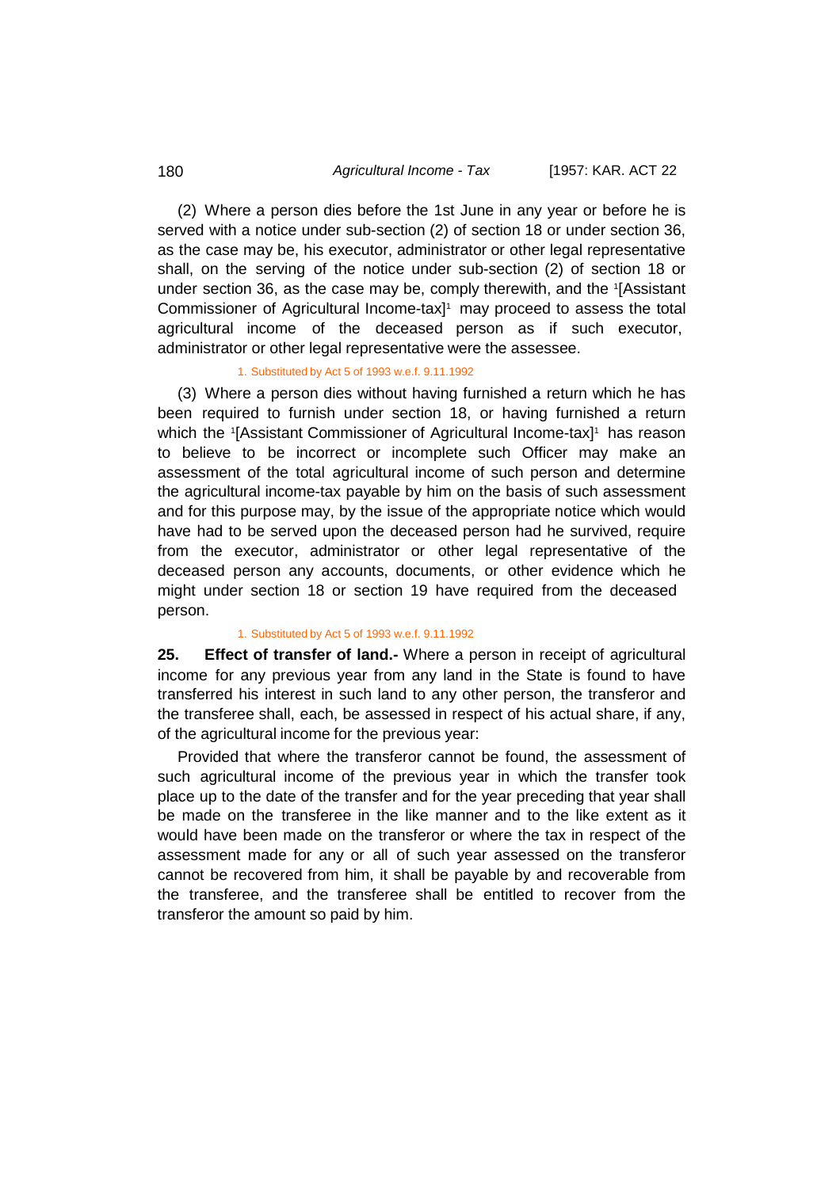## 180 *Agricultural Income - Tax* [1957: KAR. ACT 22

(2) Where a person dies before the 1st June in any year or before he is served with a notice under sub-section (2) of section 18 or under section 36, as the case may be, his executor, administrator or other legal representative shall, on the serving of the notice under sub-section (2) of section 18 or under section 36, as the case may be, comply therewith, and the <sup>1</sup> [Assistant Commissioner of Agricultural Income-tax] 1 may proceed to assess the total agricultural income of the deceased person as if such executor, administrator or other legal representative were the assessee.

### 1. Substituted by Act 5 of 1993 w.e.f. 9.11.1992

(3) Where a person dies without having furnished a return which he has been required to furnish under section 18, or having furnished a return which the <sup>1</sup> [Assistant Commissioner of Agricultural Income-tax]1 has reason to believe to be incorrect or incomplete such Officer may make an assessment of the total agricultural income of such person and determine the agricultural income-tax payable by him on the basis of such assessment and for this purpose may, by the issue of the appropriate notice which would have had to be served upon the deceased person had he survived, require from the executor, administrator or other legal representative of the deceased person any accounts, documents, or other evidence which he might under section 18 or section 19 have required from the deceased person.

### 1. Substituted by Act 5 of 1993 w.e.f. 9.11.1992

**25. Effect of transfer of land.-** Where a person in receipt of agricultural income for any previous year from any land in the State is found to have transferred his interest in such land to any other person, the transferor and the transferee shall, each, be assessed in respect of his actual share, if any, of the agricultural income for the previous year:

Provided that where the transferor cannot be found, the assessment of such agricultural income of the previous year in which the transfer took place up to the date of the transfer and for the year preceding that year shall be made on the transferee in the like manner and to the like extent as it would have been made on the transferor or where the tax in respect of the assessment made for any or all of such year assessed on the transferor cannot be recovered from him, it shall be payable by and recoverable from the transferee, and the transferee shall be entitled to recover from the transferor the amount so paid by him.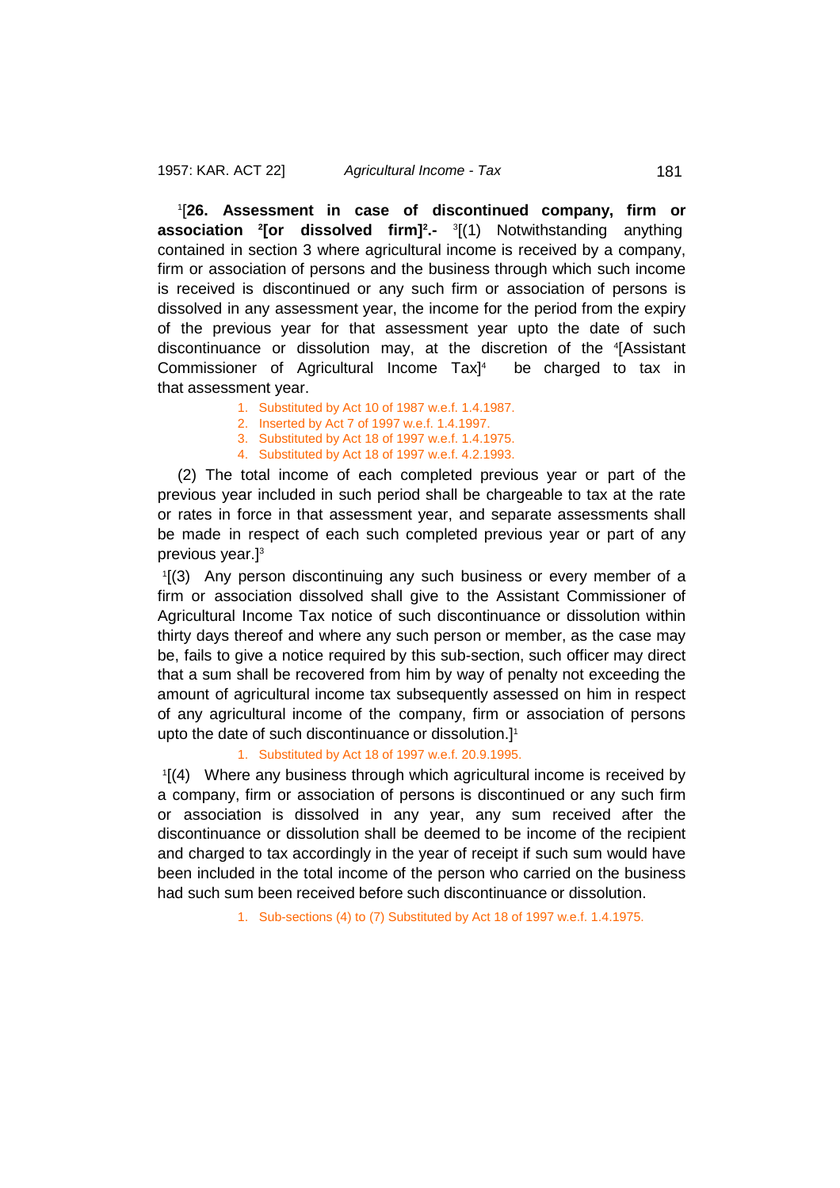1 [**26. Assessment in case of discontinued company, firm or association <sup>2</sup> [or dissolved firm]2 .-** <sup>3</sup> [(1) Notwithstanding anything contained in section 3 where agricultural income is received by a company, firm or association of persons and the business through which such income is received is discontinued or any such firm or association of persons is dissolved in any assessment year, the income for the period from the expiry of the previous year for that assessment year upto the date of such discontinuance or dissolution may, at the discretion of the 4 [Assistant Commissioner of Agricultural Income Tax] be charged to tax in that assessment year.

- 1. Substituted by Act 10 of 1987 w.e.f. 1.4.1987.
- 2. Inserted by Act 7 of 1997 w.e.f. 1.4.1997.
- 3. Substituted by Act 18 of 1997 w.e.f. 1.4.1975.
- 4. Substituted by Act 18 of 1997 w.e.f. 4.2.1993.

(2) The total income of each completed previous year or part of the previous year included in such period shall be chargeable to tax at the rate or rates in force in that assessment year, and separate assessments shall be made in respect of each such completed previous year or part of any previous year.]3

1 [(3) Any person discontinuing any such business or every member of a firm or association dissolved shall give to the Assistant Commissioner of Agricultural Income Tax notice of such discontinuance or dissolution within thirty days thereof and where any such person or member, as the case may be, fails to give a notice required by this sub-section, such officer may direct that a sum shall be recovered from him by way of penalty not exceeding the amount of agricultural income tax subsequently assessed on him in respect of any agricultural income of the company, firm or association of persons upto the date of such discontinuance or dissolution.] 1

1. Substituted by Act 18 of 1997 w.e.f. 20.9.1995.

1 [(4) Where any business through which agricultural income is received by a company, firm or association of persons is discontinued or any such firm or association is dissolved in any year, any sum received after the discontinuance or dissolution shall be deemed to be income of the recipient and charged to tax accordingly in the year of receipt if such sum would have been included in the total income of the person who carried on the business had such sum been received before such discontinuance or dissolution.

1. Sub-sections (4) to (7) Substituted by Act 18 of 1997 w.e.f. 1.4.1975.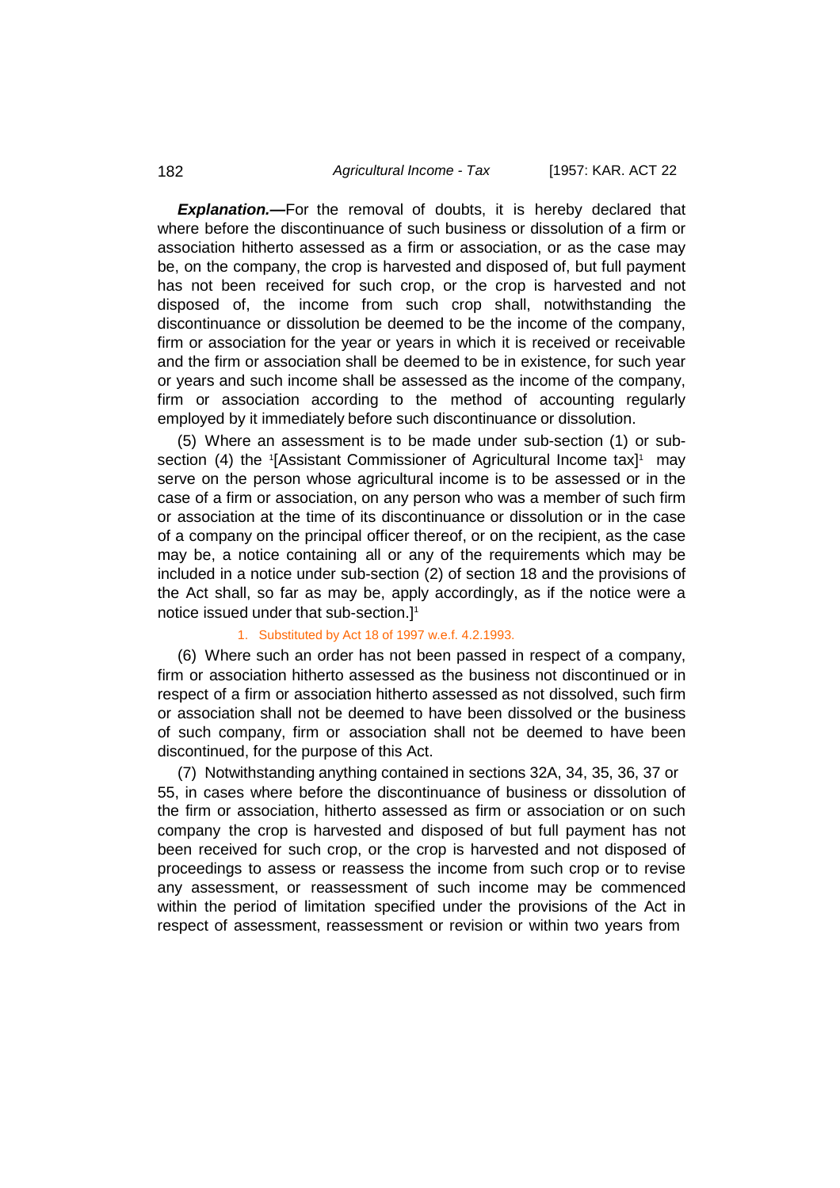**Explanation.**—For the removal of doubts, it is hereby declared that where before the discontinuance of such business or dissolution of a firm or association hitherto assessed as a firm or association, or as the case may be, on the company, the crop is harvested and disposed of, but full payment has not been received for such crop, or the crop is harvested and not disposed of, the income from such crop shall, notwithstanding the discontinuance or dissolution be deemed to be the income of the company, firm or association for the year or years in which it is received or receivable and the firm or association shall be deemed to be in existence, for such year or years and such income shall be assessed as the income of the company, firm or association according to the method of accounting regularly employed by it immediately before such discontinuance or dissolution.

(5) Where an assessment is to be made under sub-section (1) or subsection (4) the <sup>1</sup> [Assistant Commissioner of Agricultural Income tax] 1 may serve on the person whose agricultural income is to be assessed or in the case of a firm or association, on any person who was a member of such firm or association at the time of its discontinuance or dissolution or in the case of a company on the principal officer thereof, or on the recipient, as the case may be, a notice containing all or any of the requirements which may be included in a notice under sub-section (2) of section 18 and the provisions of the Act shall, so far as may be, apply accordingly, as if the notice were a notice issued under that sub-section.] 1

### 1. Substituted by Act 18 of 1997 w.e.f. 4.2.1993.

(6) Where such an order has not been passed in respect of a company, firm or association hitherto assessed as the business not discontinued or in respect of a firm or association hitherto assessed as not dissolved, such firm or association shall not be deemed to have been dissolved or the business of such company, firm or association shall not be deemed to have been discontinued, for the purpose of this Act.

(7) Notwithstanding anything contained in sections 32A, 34, 35, 36, 37 or 55, in cases where before the discontinuance of business or dissolution of the firm or association, hitherto assessed as firm or association or on such company the crop is harvested and disposed of but full payment has not been received for such crop, or the crop is harvested and not disposed of proceedings to assess or reassess the income from such crop or to revise any assessment, or reassessment of such income may be commenced within the period of limitation specified under the provisions of the Act in respect of assessment, reassessment or revision or within two years from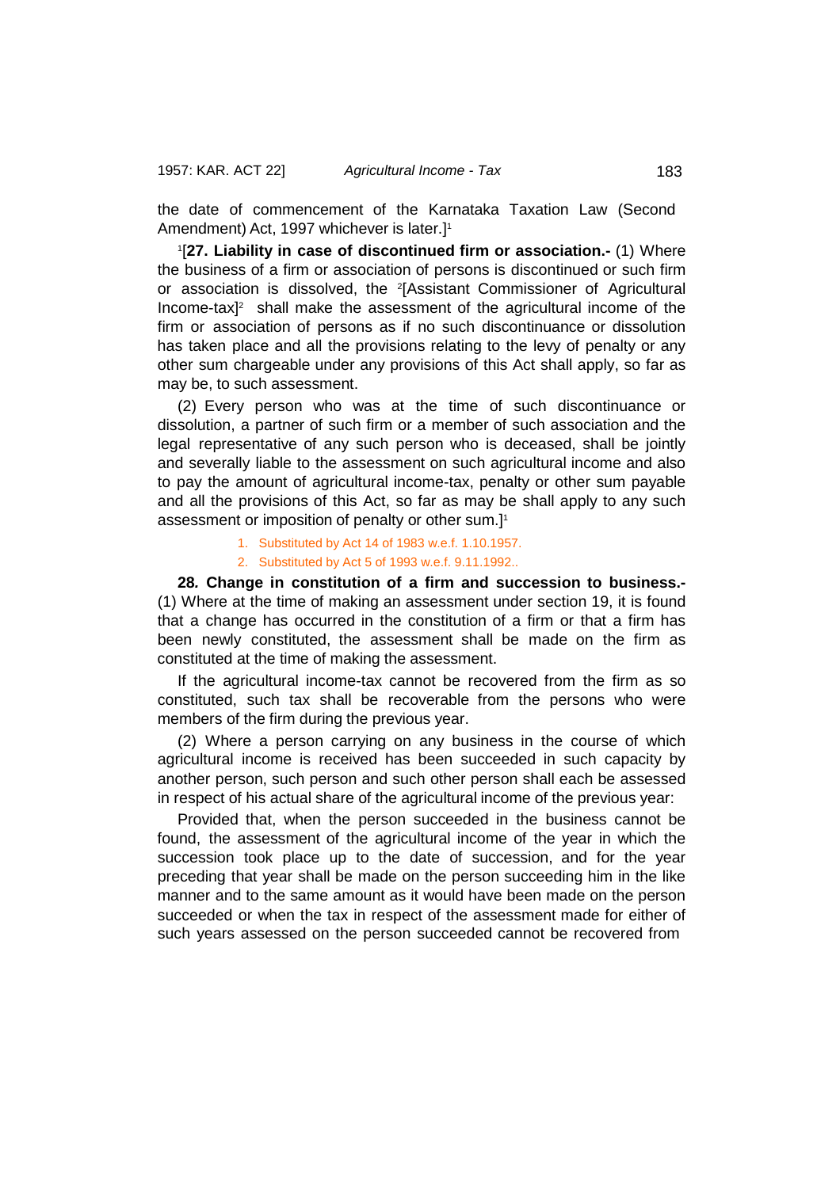the date of commencement of the Karnataka Taxation Law (Second Amendment) Act, 1997 whichever is later.]1

1 [**27. Liability in case of discontinued firm or association.-** (1) Where the business of a firm or association of persons is discontinued or such firm or association is dissolved, the 2 [Assistant Commissioner of Agricultural Income-tax]2 shall make the assessment of the agricultural income of the firm or association of persons as if no such discontinuance or dissolution has taken place and all the provisions relating to the levy of penalty or any other sum chargeable under any provisions of this Act shall apply, so far as may be, to such assessment.

(2) Every person who was at the time of such discontinuance or dissolution, a partner of such firm or a member of such association and the legal representative of any such person who is deceased, shall be jointly and severally liable to the assessment on such agricultural income and also to pay the amount of agricultural income-tax, penalty or other sum payable and all the provisions of this Act, so far as may be shall apply to any such assessment or imposition of penalty or other sum.] 1

- 1. Substituted by Act 14 of 1983 w.e.f. 1.10.1957.
- 2. Substituted by Act 5 of 1993 w.e.f. 9.11.1992..

**28***.* **Change in constitution of a firm and succession to business.-** (1) Where at the time of making an assessment under section 19, it is found that a change has occurred in the constitution of a firm or that a firm has been newly constituted, the assessment shall be made on the firm as constituted at the time of making the assessment.

If the agricultural income-tax cannot be recovered from the firm as so constituted, such tax shall be recoverable from the persons who were members of the firm during the previous year.

(2) Where a person carrying on any business in the course of which agricultural income is received has been succeeded in such capacity by another person, such person and such other person shall each be assessed in respect of his actual share of the agricultural income of the previous year:

Provided that, when the person succeeded in the business cannot be found, the assessment of the agricultural income of the year in which the succession took place up to the date of succession, and for the year preceding that year shall be made on the person succeeding him in the like manner and to the same amount as it would have been made on the person succeeded or when the tax in respect of the assessment made for either of such years assessed on the person succeeded cannot be recovered from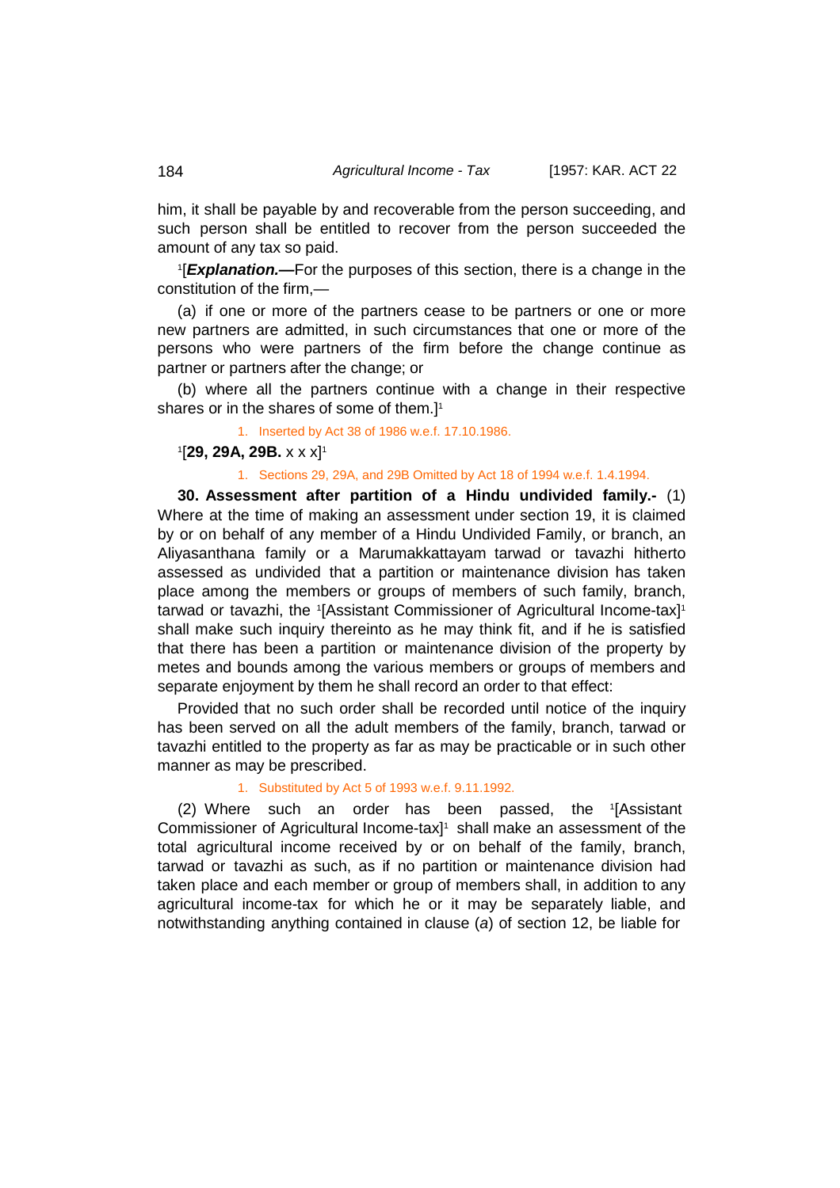him, it shall be payable by and recoverable from the person succeeding, and such person shall be entitled to recover from the person succeeded the amount of any tax so paid.

1 [*Explanation.—*For the purposes of this section, there is a change in the constitution of the firm,—

(a) if one or more of the partners cease to be partners or one or more new partners are admitted, in such circumstances that one or more of the persons who were partners of the firm before the change continue as partner or partners after the change; or

(b) where all the partners continue with a change in their respective shares or in the shares of some of them.<sup>11</sup>

1. Inserted by Act 38 of 1986 w.e.f. 17.10.1986.

# 1 [**29, 29A, 29B.** x x x]1

## 1. Sections 29, 29A, and 29B Omitted by Act 18 of 1994 w.e.f. 1.4.1994.

**30. Assessment after partition of a Hindu undivided family.-** (1) Where at the time of making an assessment under section 19, it is claimed by or on behalf of any member of a Hindu Undivided Family, or branch, an Aliyasanthana family or a Marumakkattayam tarwad or tavazhi hitherto assessed as undivided that a partition or maintenance division has taken place among the members or groups of members of such family, branch, tarwad or tavazhi, the 1[Assistant Commissioner of Agricultural Income-tax]1 shall make such inquiry thereinto as he may think fit, and if he is satisfied that there has been a partition or maintenance division of the property by metes and bounds among the various members or groups of members and separate enjoyment by them he shall record an order to that effect:

Provided that no such order shall be recorded until notice of the inquiry has been served on all the adult members of the family, branch, tarwad or tavazhi entitled to the property as far as may be practicable or in such other manner as may be prescribed.

#### 1. Substituted by Act 5 of 1993 w.e.f. 9.11.1992.

(2) Where such an order has been passed, the <sup>1</sup> [Assistant Commissioner of Agricultural Income-tax] 1 shall make an assessment of the total agricultural income received by or on behalf of the family, branch, tarwad or tavazhi as such, as if no partition or maintenance division had taken place and each member or group of members shall, in addition to any agricultural income-tax for which he or it may be separately liable, and notwithstanding anything contained in clause (*a*) of section 12, be liable for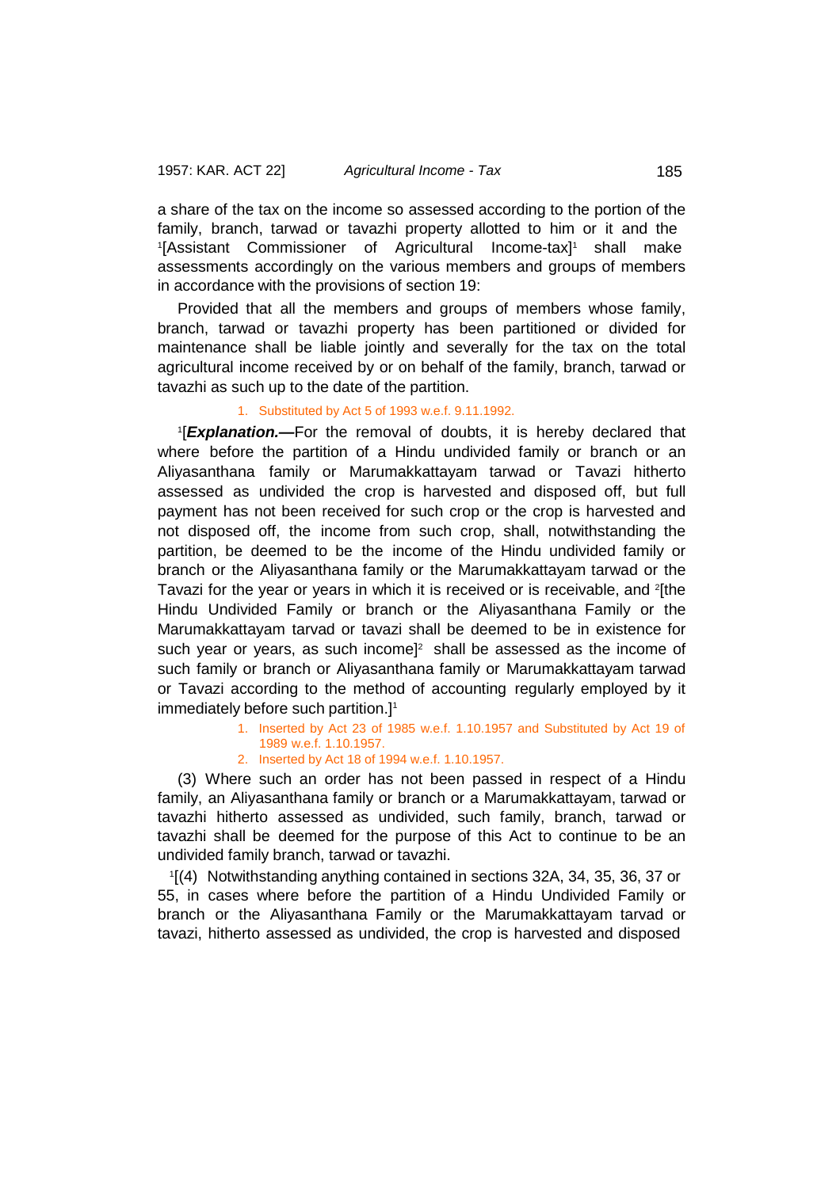a share of the tax on the income so assessed according to the portion of the family, branch, tarwad or tavazhi property allotted to him or it and the 1 [Assistant Commissioner of Agricultural Income-tax]1 shall make assessments accordingly on the various members and groups of members in accordance with the provisions of section 19:

Provided that all the members and groups of members whose family, branch, tarwad or tavazhi property has been partitioned or divided for maintenance shall be liable jointly and severally for the tax on the total agricultural income received by or on behalf of the family, branch, tarwad or tavazhi as such up to the date of the partition.

# 1. Substituted by Act 5 of 1993 w.e.f. 9.11.1992.

1 [*Explanation.—*For the removal of doubts, it is hereby declared that where before the partition of a Hindu undivided family or branch or an Aliyasanthana family or Marumakkattayam tarwad or Tavazi hitherto assessed as undivided the crop is harvested and disposed off, but full payment has not been received for such crop or the crop is harvested and not disposed off, the income from such crop, shall, notwithstanding the partition, be deemed to be the income of the Hindu undivided family or branch or the Aliyasanthana family or the Marumakkattayam tarwad or the Tavazi for the year or years in which it is received or is receivable, and <sup>2</sup>[the Hindu Undivided Family or branch or the Aliyasanthana Family or the Marumakkattayam tarvad or tavazi shall be deemed to be in existence for such year or years, as such income] 2 shall be assessed as the income of such family or branch or Aliyasanthana family or Marumakkattayam tarwad or Tavazi according to the method of accounting regularly employed by it immediately before such partition.] 1

- 1. Inserted by Act 23 of 1985 w.e.f. 1.10.1957 and Substituted by Act 19 of 1989 w.e.f. 1.10.1957.
- 2. Inserted by Act 18 of 1994 w.e.f. 1.10.1957.

(3) Where such an order has not been passed in respect of a Hindu family, an Aliyasanthana family or branch or a Marumakkattayam, tarwad or tavazhi hitherto assessed as undivided, such family, branch, tarwad or tavazhi shall be deemed for the purpose of this Act to continue to be an undivided family branch, tarwad or tavazhi.

1 [(4) Notwithstanding anything contained in sections 32A, 34, 35, 36, 37 or 55, in cases where before the partition of a Hindu Undivided Family or branch or the Aliyasanthana Family or the Marumakkattayam tarvad or tavazi, hitherto assessed as undivided, the crop is harvested and disposed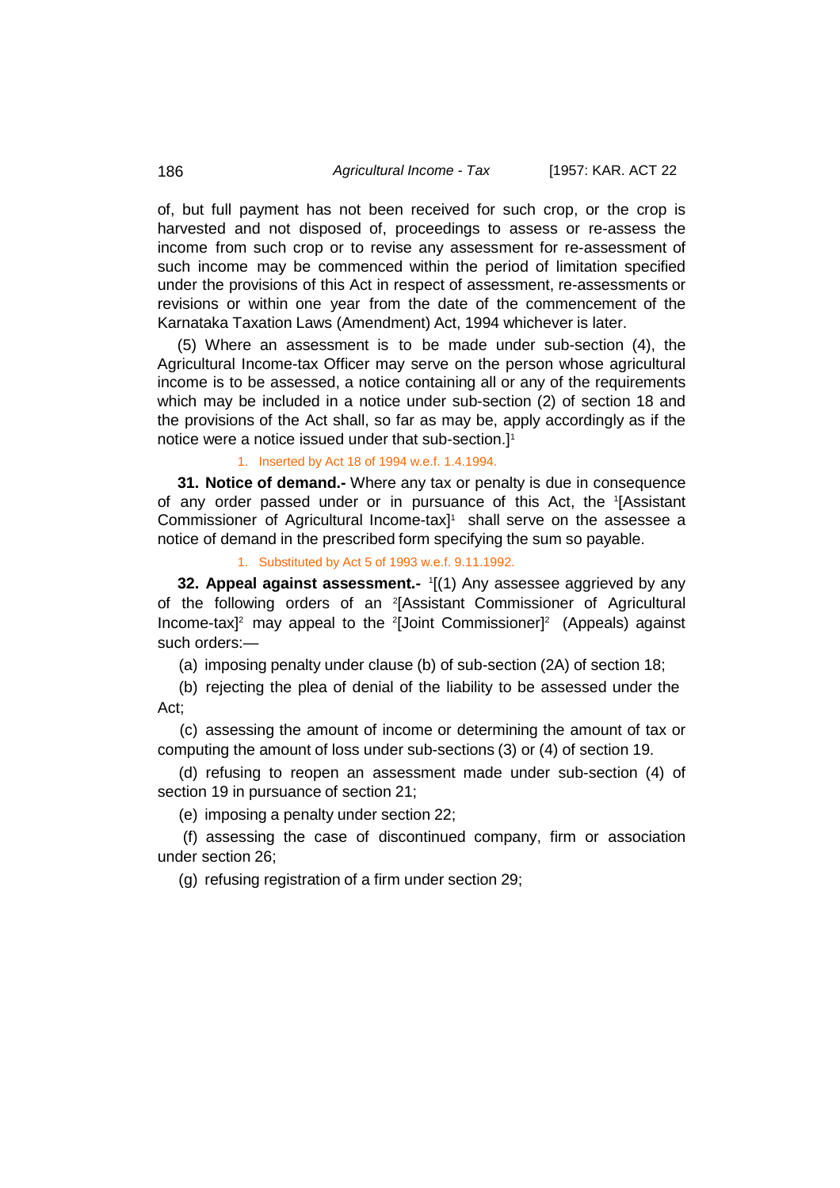of, but full payment has not been received for such crop, or the crop is harvested and not disposed of, proceedings to assess or re-assess the income from such crop or to revise any assessment for re-assessment of such income may be commenced within the period of limitation specified under the provisions of this Act in respect of assessment, re-assessments or revisions or within one year from the date of the commencement of the Karnataka Taxation Laws (Amendment) Act, 1994 whichever is later.

(5) Where an assessment is to be made under sub-section (4), the Agricultural Income-tax Officer may serve on the person whose agricultural income is to be assessed, a notice containing all or any of the requirements which may be included in a notice under sub-section (2) of section 18 and the provisions of the Act shall, so far as may be, apply accordingly as if the notice were a notice issued under that sub-section.] 1

1. Inserted by Act 18 of 1994 w.e.f. 1.4.1994.

**31. Notice of demand.-** Where any tax or penalty is due in consequence of any order passed under or in pursuance of this Act, the <sup>1</sup> [Assistant Commissioner of Agricultural Income-tax] 1 shall serve on the assessee a notice of demand in the prescribed form specifying the sum so payable.

1. Substituted by Act 5 of 1993 w.e.f. 9.11.1992.

**32. Appeal against assessment.-** <sup>1</sup> [(1) Any assessee aggrieved by any of the following orders of an 2 [Assistant Commissioner of Agricultural Income-tax]<sup>2</sup> may appeal to the <sup>2</sup>[Joint Commissioner]<sup>2</sup> (Appeals) against such orders:—

(a) imposing penalty under clause (b) of sub-section (2A) of section 18;

(b) rejecting the plea of denial of the liability to be assessed under the Act;

(c) assessing the amount of income or determining the amount of tax or computing the amount of loss under sub-sections (3) or (4) of section 19.

(d) refusing to reopen an assessment made under sub-section (4) of section 19 in pursuance of section 21;

(e) imposing a penalty under section 22;

(f) assessing the case of discontinued company, firm or association under section 26;

(g) refusing registration of a firm under section 29;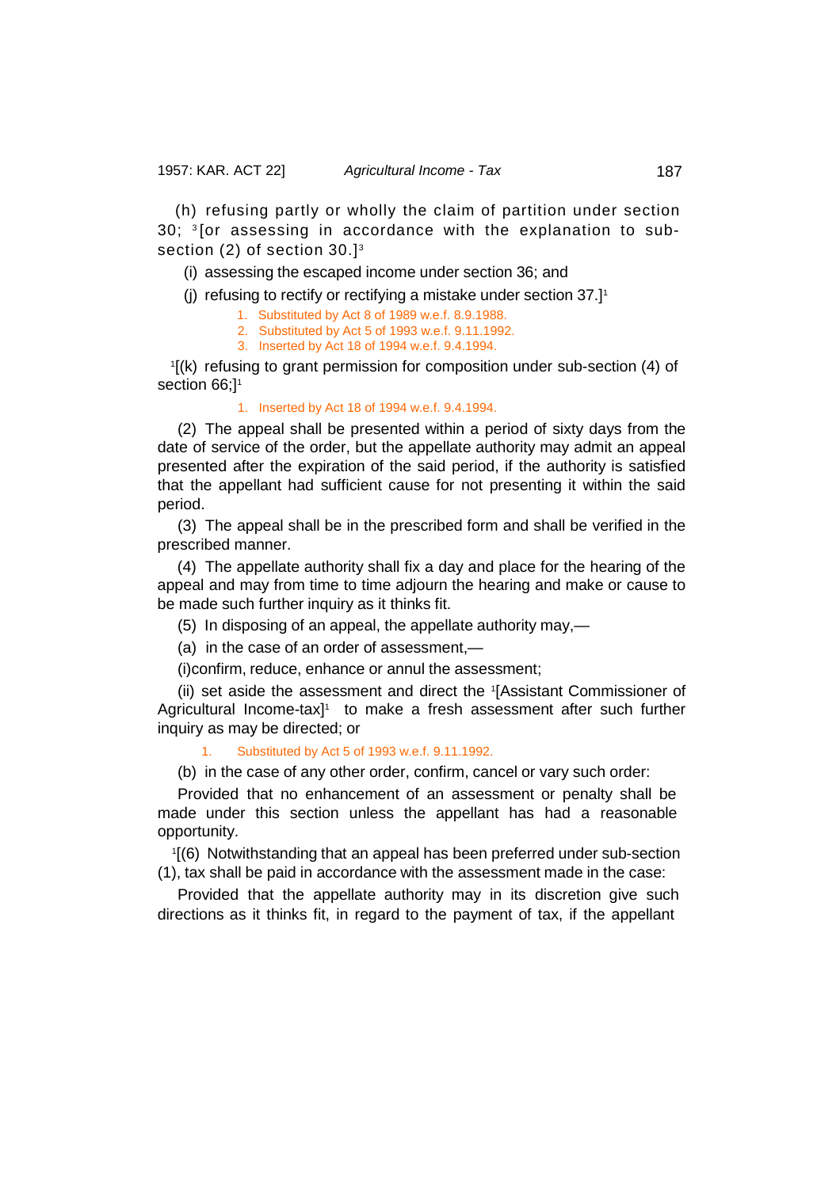(h) refusing partly or wholly the claim of partition under section  $30$ ;  $3$  [or assessing in accordance with the explanation to subsection (2) of section 30.]<sup>3</sup>

(i) assessing the escaped income under section 36; and

(j) refusing to rectify or rectifying a mistake under section 37.] 1

1. Substituted by Act 8 of 1989 w.e.f. 8.9.1988.

2. Substituted by Act 5 of 1993 w.e.f. 9.11.1992.

3. Inserted by Act 18 of 1994 w.e.f. 9.4.1994.

1 [(k) refusing to grant permission for composition under sub-section (4) of section 66;<sup>1</sup>

### 1. Inserted by Act 18 of 1994 w.e.f. 9.4.1994.

(2) The appeal shall be presented within a period of sixty days from the date of service of the order, but the appellate authority may admit an appeal presented after the expiration of the said period, if the authority is satisfied that the appellant had sufficient cause for not presenting it within the said period.

(3) The appeal shall be in the prescribed form and shall be verified in the prescribed manner.

(4) The appellate authority shall fix a day and place for the hearing of the appeal and may from time to time adjourn the hearing and make or cause to be made such further inquiry as it thinks fit.

(5) In disposing of an appeal, the appellate authority may,—

(a) in the case of an order of assessment,—

(i)confirm, reduce, enhance or annul the assessment;

(ii) set aside the assessment and direct the <sup>1</sup> [Assistant Commissioner of Agricultural Income-tax]<sup>1</sup> to make a fresh assessment after such further inquiry as may be directed; or

1. Substituted by Act 5 of 1993 w.e.f. 9.11.1992.

(b) in the case of any other order, confirm, cancel or vary such order:

Provided that no enhancement of an assessment or penalty shall be made under this section unless the appellant has had a reasonable opportunity.

1 [(6) Notwithstanding that an appeal has been preferred under sub-section (1), tax shall be paid in accordance with the assessment made in the case:

Provided that the appellate authority may in its discretion give such directions as it thinks fit, in regard to the payment of tax, if the appellant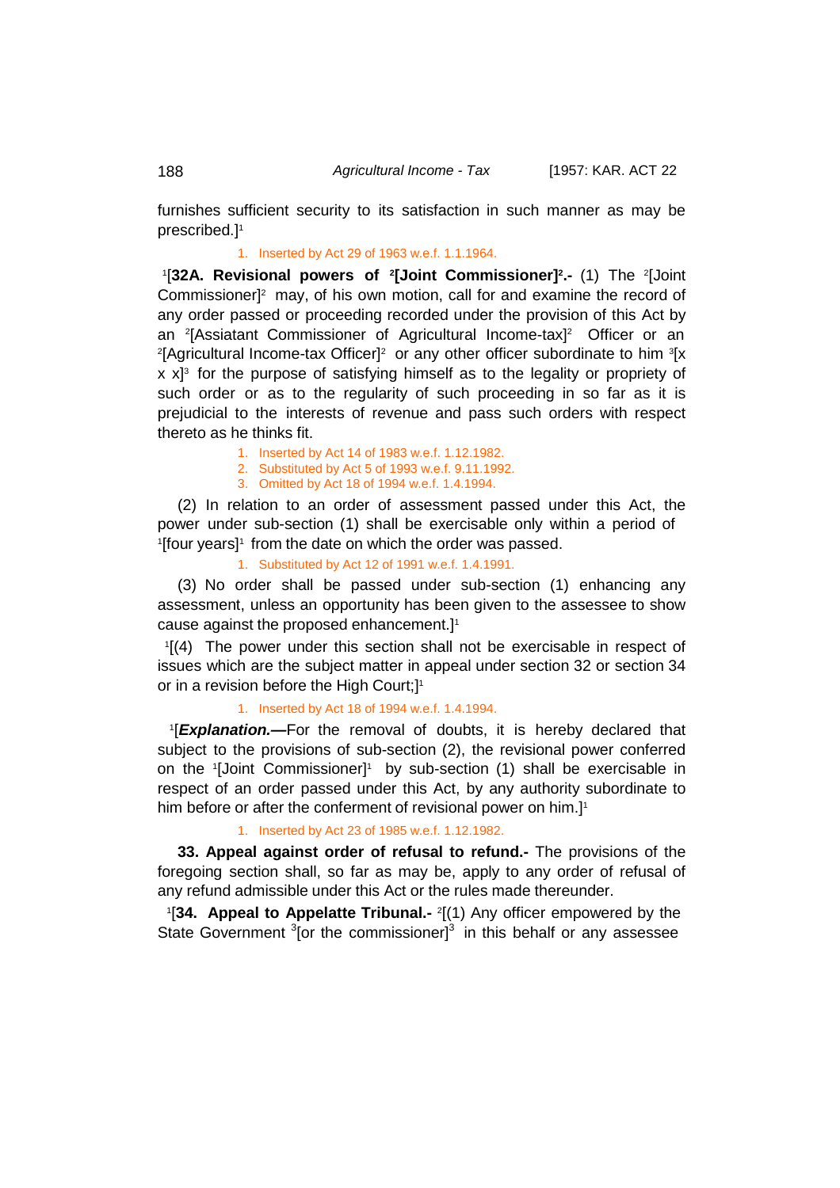furnishes sufficient security to its satisfaction in such manner as may be prescribed.] 1

1. Inserted by Act 29 of 1963 w.e.f. 1.1.1964.

1 [**32A. Revisional powers of 2 [Joint Commissioner]2 .-** (1) The <sup>2</sup> [Joint Commissioner]<sup>2</sup> may, of his own motion, call for and examine the record of any order passed or proceeding recorded under the provision of this Act by an 2 [Assiatant Commissioner of Agricultural Income-tax] 2 Officer or an <sup>2</sup>[Agricultural Income-tax Officer]<sup>2</sup> or any other officer subordinate to him <sup>3</sup>[x x x] 3 for the purpose of satisfying himself as to the legality or propriety of such order or as to the regularity of such proceeding in so far as it is prejudicial to the interests of revenue and pass such orders with respect thereto as he thinks fit.

- 1. Inserted by Act 14 of 1983 w.e.f. 1.12.1982.
- 2. Substituted by Act 5 of 1993 w.e.f. 9.11.1992.
- 3. Omitted by Act 18 of 1994 w.e.f. 1.4.1994.

(2) In relation to an order of assessment passed under this Act, the power under sub-section (1) shall be exercisable only within a period of '[four years]' from the date on which the order was passed.

1. Substituted by Act 12 of 1991 w.e.f. 1.4.1991.

(3) No order shall be passed under sub-section (1) enhancing any assessment, unless an opportunity has been given to the assessee to show cause against the proposed enhancement.] 1

1 [(4) The power under this section shall not be exercisable in respect of issues which are the subject matter in appeal under section 32 or section 34 or in a revision before the High Court;]<sup>1</sup>

1. Inserted by Act 18 of 1994 w.e.f. 1.4.1994.

1 [*Explanation.—*For the removal of doubts, it is hereby declared that subject to the provisions of sub-section (2), the revisional power conferred on the '[Joint Commissioner]' by sub-section (1) shall be exercisable in respect of an order passed under this Act, by any authority subordinate to him before or after the conferment of revisional power on him.] 1

1. Inserted by Act 23 of 1985 w.e.f. 1.12.1982.

**33. Appeal against order of refusal to refund.-** The provisions of the foregoing section shall, so far as may be, apply to any order of refusal of any refund admissible under this Act or the rules made thereunder.

1 [**34. Appeal to Appelatte Tribunal.-** <sup>2</sup> [(1) Any officer empowered by the State Government  $3$ [or the commissioner] $3$  in this behalf or any assessee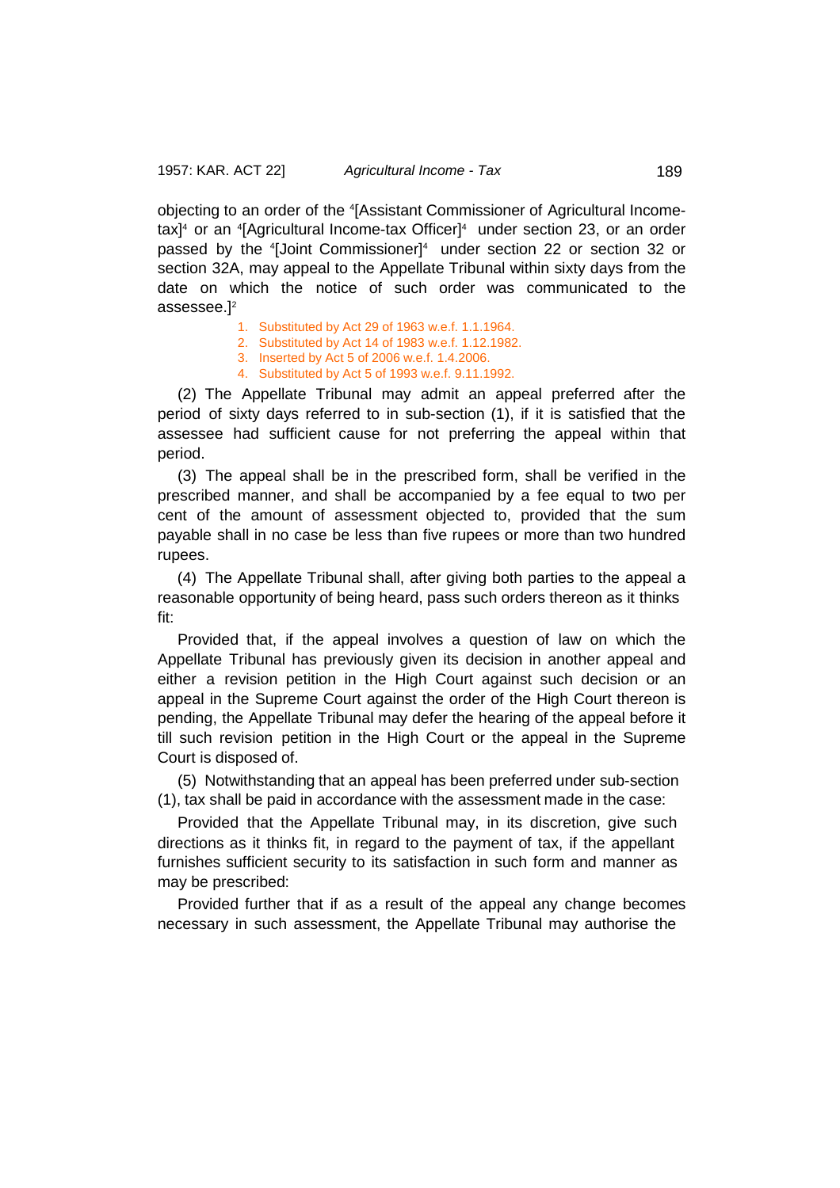objecting to an order of the <sup>4</sup> [Assistant Commissioner of Agricultural Incometax] 4 or an <sup>4</sup> [Agricultural Income-tax Officer]4 under section 23, or an order passed by the <sup>4</sup> [Joint Commissioner]4 under section 22 or section 32 or section 32A, may appeal to the Appellate Tribunal within sixty days from the date on which the notice of such order was communicated to the assessee.]2

- 1. Substituted by Act 29 of 1963 w.e.f. 1.1.1964.
- 2. Substituted by Act 14 of 1983 w.e.f. 1.12.1982.
- 3. Inserted by Act 5 of 2006 w.e.f. 1.4.2006.
- 4. Substituted by Act 5 of 1993 w.e.f. 9.11.1992.

(2) The Appellate Tribunal may admit an appeal preferred after the period of sixty days referred to in sub-section (1), if it is satisfied that the assessee had sufficient cause for not preferring the appeal within that period.

(3) The appeal shall be in the prescribed form, shall be verified in the prescribed manner, and shall be accompanied by a fee equal to two per cent of the amount of assessment objected to, provided that the sum payable shall in no case be less than five rupees or more than two hundred rupees.

(4) The Appellate Tribunal shall, after giving both parties to the appeal a reasonable opportunity of being heard, pass such orders thereon as it thinks fit:

Provided that, if the appeal involves a question of law on which the Appellate Tribunal has previously given its decision in another appeal and either a revision petition in the High Court against such decision or an appeal in the Supreme Court against the order of the High Court thereon is pending, the Appellate Tribunal may defer the hearing of the appeal before it till such revision petition in the High Court or the appeal in the Supreme Court is disposed of.

(5) Notwithstanding that an appeal has been preferred under sub-section (1), tax shall be paid in accordance with the assessment made in the case:

Provided that the Appellate Tribunal may, in its discretion, give such directions as it thinks fit, in regard to the payment of tax, if the appellant furnishes sufficient security to its satisfaction in such form and manner as may be prescribed:

Provided further that if as a result of the appeal any change becomes necessary in such assessment, the Appellate Tribunal may authorise the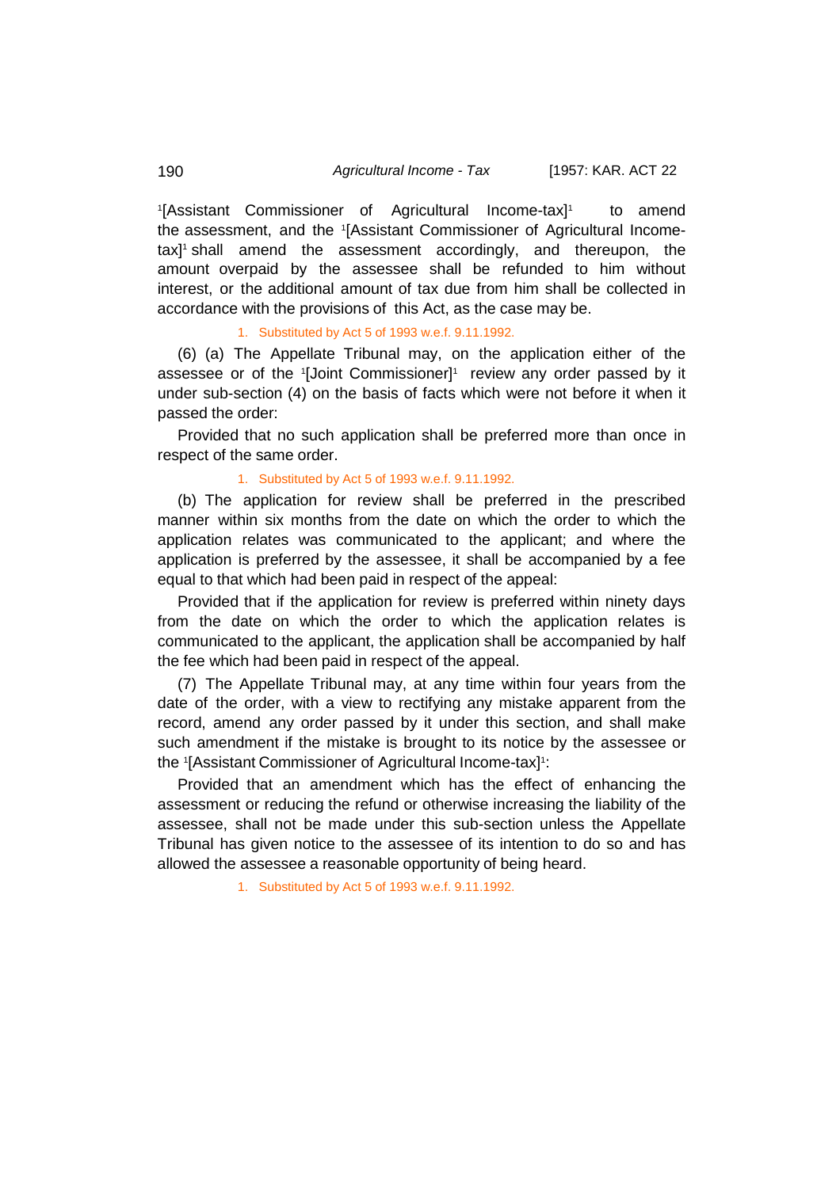<sup>1</sup>[Assistant Commissioner of Agricultural Income-tax]<sup>1</sup> to amend the assessment, and the <sup>1</sup> [Assistant Commissioner of Agricultural Incometax]<sup>1</sup> shall amend the assessment accordingly, and thereupon, the amount overpaid by the assessee shall be refunded to him without interest, or the additional amount of tax due from him shall be collected in accordance with the provisions of this Act, as the case may be.

# 1. Substituted by Act 5 of 1993 w.e.f. 9.11.1992.

(6) (a) The Appellate Tribunal may, on the application either of the assessee or of the <sup>1</sup> [Joint Commissioner]1 review any order passed by it under sub-section (4) on the basis of facts which were not before it when it passed the order:

Provided that no such application shall be preferred more than once in respect of the same order.

# 1. Substituted by Act 5 of 1993 w.e.f. 9.11.1992.

(b) The application for review shall be preferred in the prescribed manner within six months from the date on which the order to which the application relates was communicated to the applicant; and where the application is preferred by the assessee, it shall be accompanied by a fee equal to that which had been paid in respect of the appeal:

Provided that if the application for review is preferred within ninety days from the date on which the order to which the application relates is communicated to the applicant, the application shall be accompanied by half the fee which had been paid in respect of the appeal.

(7) The Appellate Tribunal may, at any time within four years from the date of the order, with a view to rectifying any mistake apparent from the record, amend any order passed by it under this section, and shall make such amendment if the mistake is brought to its notice by the assessee or the 1 [Assistant Commissioner of Agricultural Income-tax]1 :

Provided that an amendment which has the effect of enhancing the assessment or reducing the refund or otherwise increasing the liability of the assessee, shall not be made under this sub-section unless the Appellate Tribunal has given notice to the assessee of its intention to do so and has allowed the assessee a reasonable opportunity of being heard.

1. Substituted by Act 5 of 1993 w.e.f. 9.11.1992.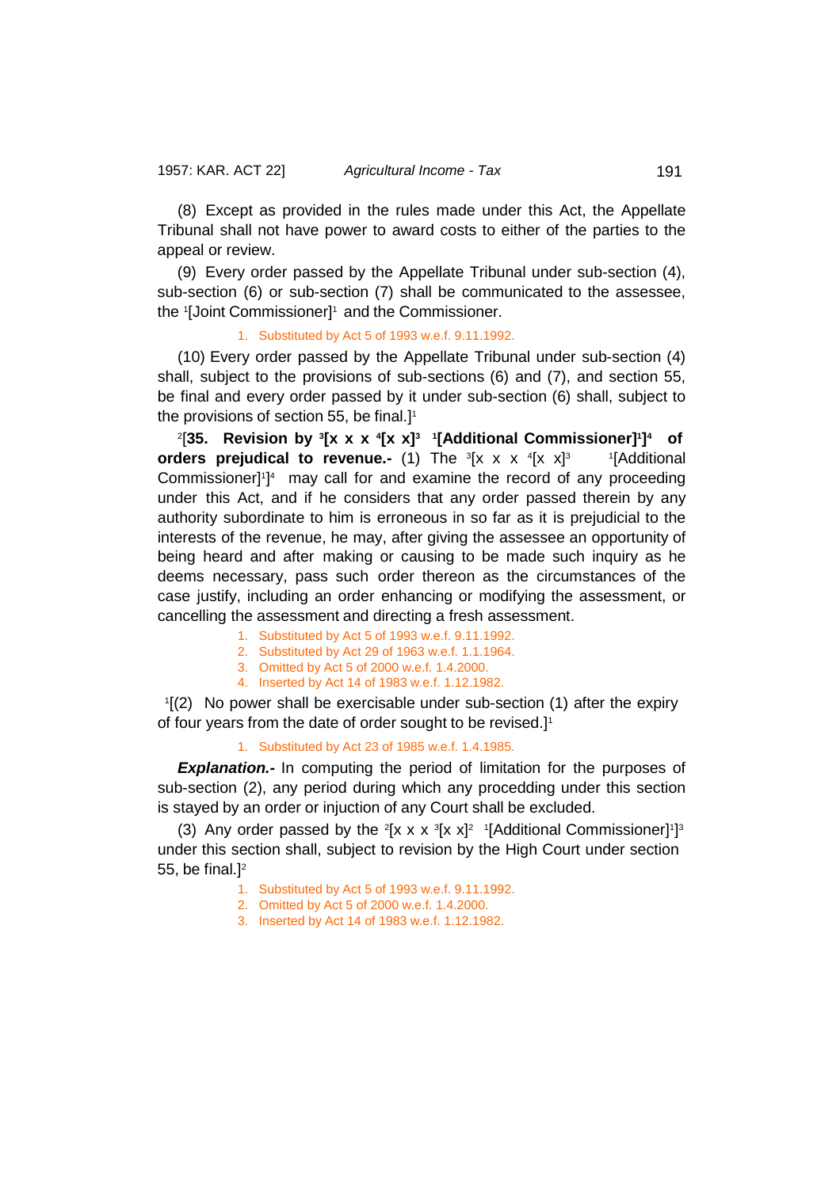(8) Except as provided in the rules made under this Act, the Appellate Tribunal shall not have power to award costs to either of the parties to the appeal or review.

(9) Every order passed by the Appellate Tribunal under sub-section (4), sub-section (6) or sub-section (7) shall be communicated to the assessee, the 1 [Joint Commissioner]1 and the Commissioner.

1. Substituted by Act 5 of 1993 w.e.f. 9.11.1992.

(10) Every order passed by the Appellate Tribunal under sub-section (4) shall, subject to the provisions of sub-sections (6) and (7), and section 55, be final and every order passed by it under sub-section (6) shall, subject to the provisions of section 55, be final.] 1

2 [**35. Revision by <sup>3</sup> [x x x <sup>4</sup> [x x]3 1 [Additional Commissioner]1 ]4 of orders prejudical to revenue.-** (1) The  ${}^3$ [x x x  ${}^4$ [x x]<sup>3</sup> 1 <sup>1</sup>[Additional Commissioner]<sup>1</sup>]<sup>4</sup> may call for and examine the record of any proceeding under this Act, and if he considers that any order passed therein by any authority subordinate to him is erroneous in so far as it is prejudicial to the interests of the revenue, he may, after giving the assessee an opportunity of being heard and after making or causing to be made such inquiry as he deems necessary, pass such order thereon as the circumstances of the case justify, including an order enhancing or modifying the assessment, or cancelling the assessment and directing a fresh assessment.

- 1. Substituted by Act 5 of 1993 w.e.f. 9.11.1992.
- 2. Substituted by Act 29 of 1963 w.e.f. 1.1.1964.
- 3. Omitted by Act 5 of 2000 w.e.f. 1.4.2000.
- 4. Inserted by Act 14 of 1983 w.e.f. 1.12.1982.

1 [(2) No power shall be exercisable under sub-section (1) after the expiry of four years from the date of order sought to be revised.]1

1. Substituted by Act 23 of 1985 w.e.f. 1.4.1985.

**Explanation.**- In computing the period of limitation for the purposes of sub-section (2), any period during which any procedding under this section is stayed by an order or injuction of any Court shall be excluded.

(3) Any order passed by the  $2[x \times x]$   $[x \times x]$ <sup>2</sup> 1[Additional Commissioner]<sup>1</sup>]<sup>3</sup> under this section shall, subject to revision by the High Court under section 55, be final. $]$ <sup>2</sup>

1. Substituted by Act 5 of 1993 w.e.f. 9.11.1992.

- 2. Omitted by Act 5 of 2000 w.e.f. 1.4.2000.
- 3. Inserted by Act 14 of 1983 w.e.f. 1.12.1982.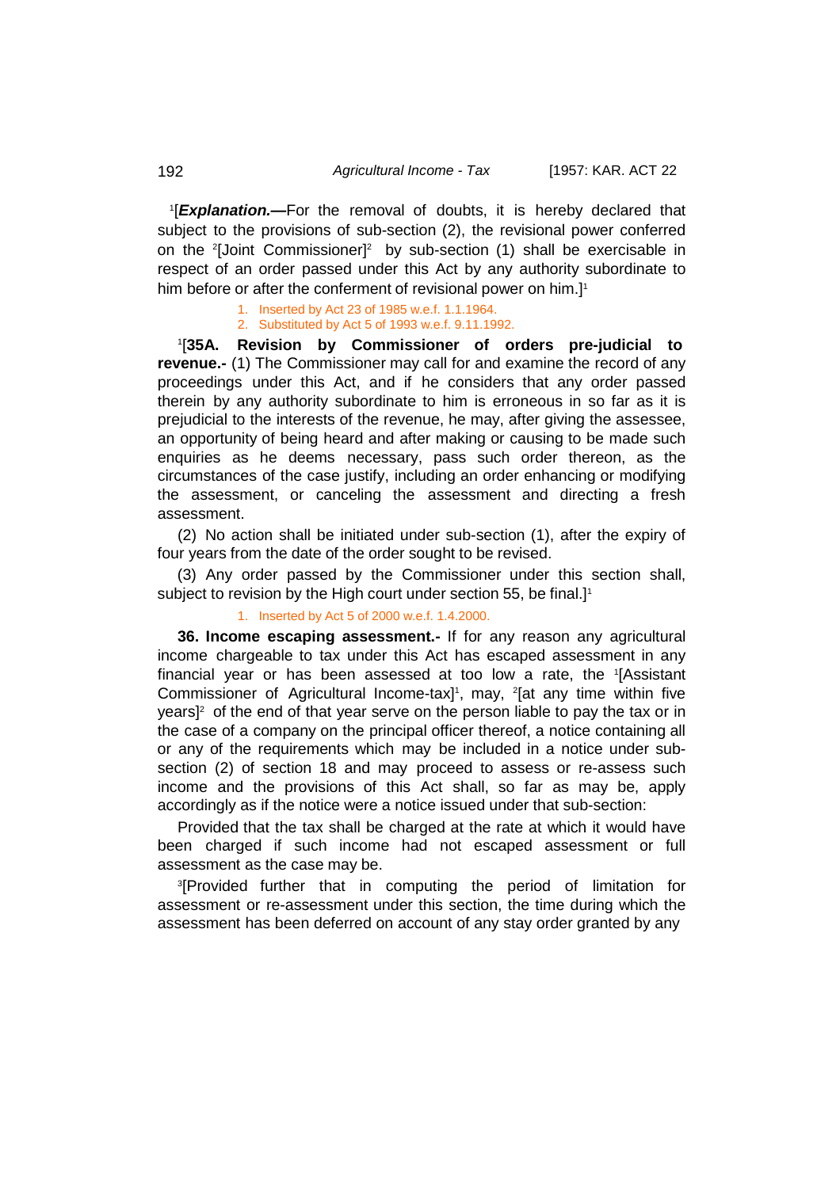1 [*Explanation.—*For the removal of doubts, it is hereby declared that subject to the provisions of sub-section (2), the revisional power conferred on the <sup>2</sup> [Joint Commissioner]2 by sub-section (1) shall be exercisable in respect of an order passed under this Act by any authority subordinate to him before or after the conferment of revisional power on him.] 1

> 1. Inserted by Act 23 of 1985 w.e.f. 1.1.1964. 2. Substituted by Act 5 of 1993 w.e.f. 9.11.1992.

1 [**35A. Revision by Commissioner of orders pre-judicial to revenue.-** (1) The Commissioner may call for and examine the record of any proceedings under this Act, and if he considers that any order passed therein by any authority subordinate to him is erroneous in so far as it is prejudicial to the interests of the revenue, he may, after giving the assessee, an opportunity of being heard and after making or causing to be made such enquiries as he deems necessary, pass such order thereon, as the circumstances of the case justify, including an order enhancing or modifying the assessment, or canceling the assessment and directing a fresh assessment.

(2) No action shall be initiated under sub-section (1), after the expiry of four years from the date of the order sought to be revised.

(3) Any order passed by the Commissioner under this section shall, subject to revision by the High court under section 55, be final.]<sup>1</sup>

#### 1. Inserted by Act 5 of 2000 w.e.f. 1.4.2000.

**36. Income escaping assessment.-** If for any reason any agricultural income chargeable to tax under this Act has escaped assessment in any financial year or has been assessed at too low a rate, the 1 [Assistant Commissioner of Agricultural Income-tax]<sup>1</sup>, may, <sup>2</sup>[at any time within five years]2 of the end of that year serve on the person liable to pay the tax or in the case of a company on the principal officer thereof, a notice containing all or any of the requirements which may be included in a notice under subsection (2) of section 18 and may proceed to assess or re-assess such income and the provisions of this Act shall, so far as may be, apply accordingly as if the notice were a notice issued under that sub-section:

Provided that the tax shall be charged at the rate at which it would have been charged if such income had not escaped assessment or full assessment as the case may be.

3 [Provided further that in computing the period of limitation for assessment or re-assessment under this section, the time during which the assessment has been deferred on account of any stay order granted by any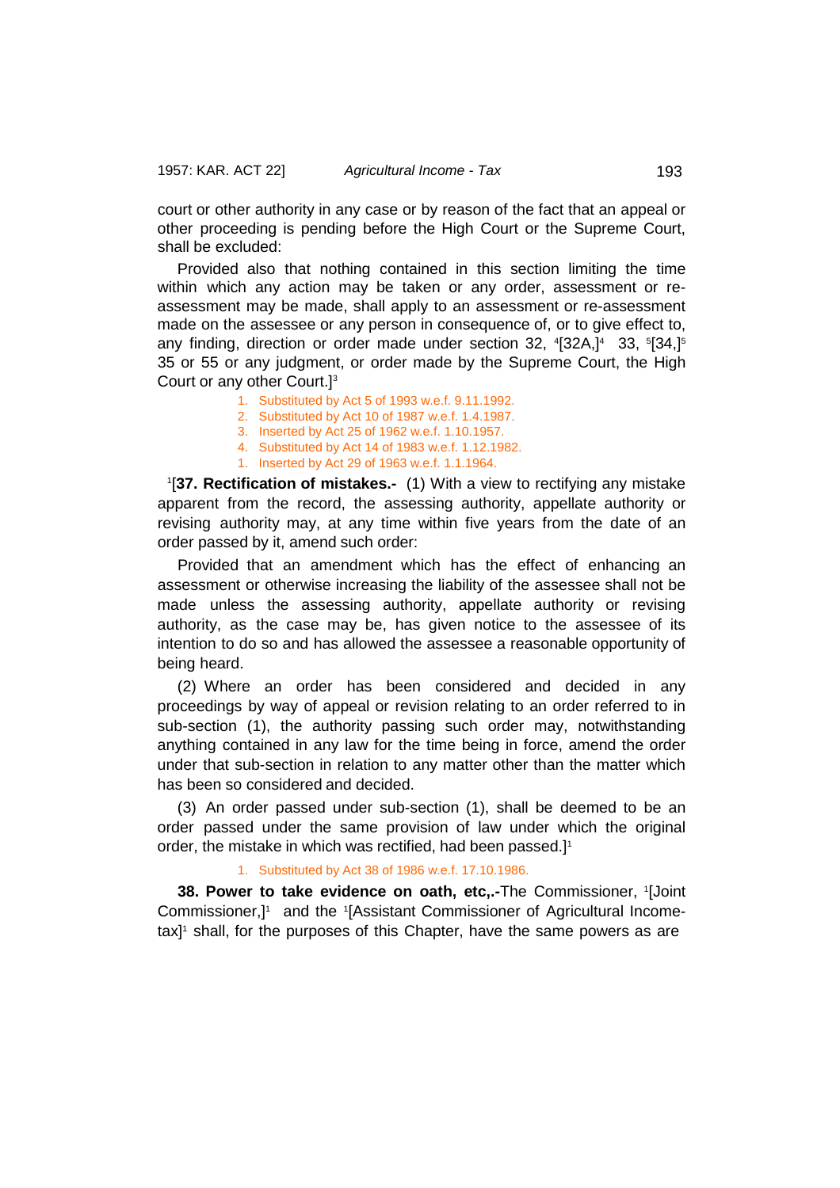court or other authority in any case or by reason of the fact that an appeal or other proceeding is pending before the High Court or the Supreme Court, shall be excluded:

Provided also that nothing contained in this section limiting the time within which any action may be taken or any order, assessment or reassessment may be made, shall apply to an assessment or re-assessment made on the assessee or any person in consequence of, or to give effect to, any finding, direction or order made under section 32, <sup>4</sup>[32A,]<sup>4</sup> 33, <sup>5</sup>[34,]<sup>5</sup> 35 or 55 or any judgment, or order made by the Supreme Court, the High Court or any other Court.]3

- 1. Substituted by Act 5 of 1993 w.e.f. 9.11.1992.
- 2. Substituted by Act 10 of 1987 w.e.f. 1.4.1987.
- 3. Inserted by Act 25 of 1962 w.e.f. 1.10.1957.
- 4. Substituted by Act 14 of 1983 w.e.f. 1.12.1982.
- 1. Inserted by Act 29 of 1963 w.e.f. 1.1.1964.

1 [**37. Rectification of mistakes.-** (1) With a view to rectifying any mistake apparent from the record, the assessing authority, appellate authority or revising authority may, at any time within five years from the date of an order passed by it, amend such order:

Provided that an amendment which has the effect of enhancing an assessment or otherwise increasing the liability of the assessee shall not be made unless the assessing authority, appellate authority or revising authority, as the case may be, has given notice to the assessee of its intention to do so and has allowed the assessee a reasonable opportunity of being heard.

(2) Where an order has been considered and decided in any proceedings by way of appeal or revision relating to an order referred to in sub-section (1), the authority passing such order may, notwithstanding anything contained in any law for the time being in force, amend the order under that sub-section in relation to any matter other than the matter which has been so considered and decided.

(3) An order passed under sub-section (1), shall be deemed to be an order passed under the same provision of law under which the original order, the mistake in which was rectified, had been passed.] 1

# 1. Substituted by Act 38 of 1986 w.e.f. 17.10.1986.

**38. Power to take evidence on oath, etc,.-**The Commissioner, 1 [Joint Commissioner,]<sup>1</sup> and the 1[Assistant Commissioner of Agricultural Incometax] 1 shall, for the purposes of this Chapter, have the same powers as are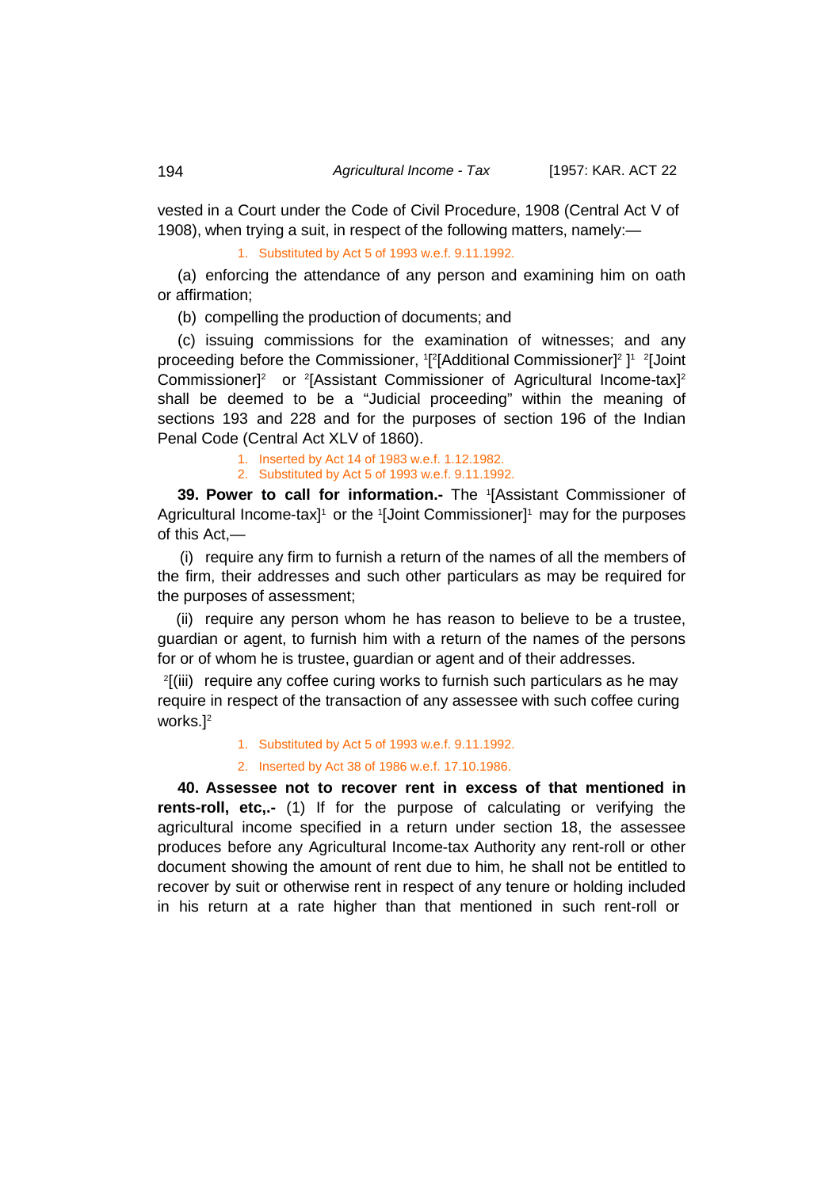vested in a Court under the Code of Civil Procedure, 1908 (Central Act V of 1908), when trying a suit, in respect of the following matters, namely:—

1. Substituted by Act 5 of 1993 w.e.f. 9.11.1992.

(a) enforcing the attendance of any person and examining him on oath or affirmation;

(b) compelling the production of documents; and

(c) issuing commissions for the examination of witnesses; and any proceeding before the Commissioner, 1[2[Additional Commissioner]<sup>2</sup> ]1 2[Joint Commissioner]<sup>2</sup> or <sup>2</sup>[Assistant Commissioner of Agricultural Income-tax]<sup>2</sup> shall be deemed to be a "Judicial proceeding" within the meaning of sections 193 and 228 and for the purposes of section 196 of the Indian Penal Code (Central Act XLV of 1860).

> 1. Inserted by Act 14 of 1983 w.e.f. 1.12.1982. 2. Substituted by Act 5 of 1993 w.e.f. 9.11.1992.

**39. Power to call for information.-** The <sup>1</sup> [Assistant Commissioner of Agricultural Income-tax]1 or the 1[Joint Commissioner]1 may for the purposes of this Act,—

(i) require any firm to furnish a return of the names of all the members of the firm, their addresses and such other particulars as may be required for the purposes of assessment;

(ii) require any person whom he has reason to believe to be a trustee, guardian or agent, to furnish him with a return of the names of the persons for or of whom he is trustee, guardian or agent and of their addresses.

2 [(iii) require any coffee curing works to furnish such particulars as he may require in respect of the transaction of any assessee with such coffee curing works.<sup>[2]</sup>

1. Substituted by Act 5 of 1993 w.e.f. 9.11.1992.

2. Inserted by Act 38 of 1986 w.e.f. 17.10.1986.

**40. Assessee not to recover rent in excess of that mentioned in rents-roll, etc,.-** (1) If for the purpose of calculating or verifying the agricultural income specified in a return under section 18, the assessee produces before any Agricultural Income-tax Authority any rent-roll or other document showing the amount of rent due to him, he shall not be entitled to recover by suit or otherwise rent in respect of any tenure or holding included in his return at a rate higher than that mentioned in such rent-roll or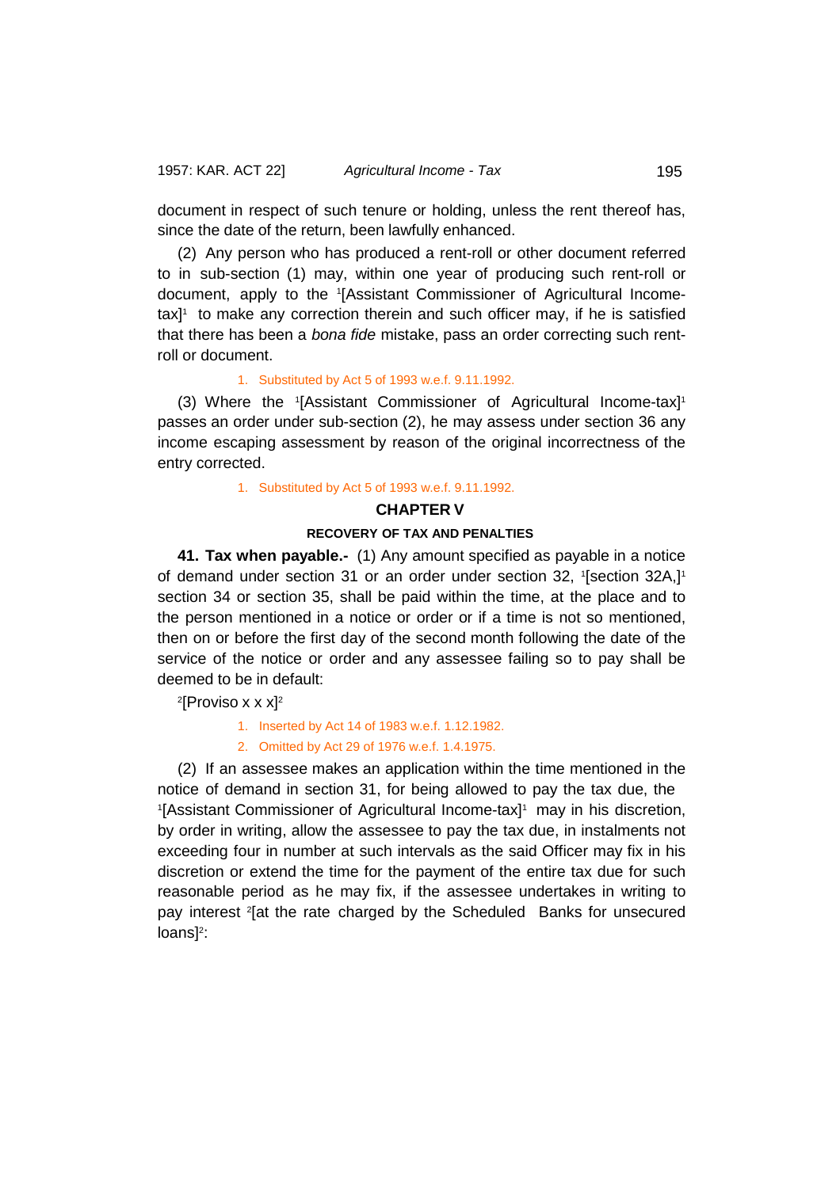document in respect of such tenure or holding, unless the rent thereof has, since the date of the return, been lawfully enhanced.

(2) Any person who has produced a rent-roll or other document referred to in sub-section (1) may, within one year of producing such rent-roll or document, apply to the <sup>1</sup> [Assistant Commissioner of Agricultural Incometax] 1 to make any correction therein and such officer may, if he is satisfied that there has been a *bona fide* mistake, pass an order correcting such rentroll or document.

## 1. Substituted by Act 5 of 1993 w.e.f. 9.11.1992.

(3) Where the 1 [Assistant Commissioner of Agricultural Income-tax]1 passes an order under sub-section (2), he may assess under section 36 any income escaping assessment by reason of the original incorrectness of the entry corrected.

1. Substituted by Act 5 of 1993 w.e.f. 9.11.1992.

### **CHAPTER V**

# **RECOVERY OF TAX AND PENALTIES**

**41. Tax when payable.-** (1) Any amount specified as payable in a notice of demand under section 31 or an order under section 32, 1[section 32A,]1 section 34 or section 35, shall be paid within the time, at the place and to the person mentioned in a notice or order or if a time is not so mentioned, then on or before the first day of the second month following the date of the service of the notice or order and any assessee failing so to pay shall be deemed to be in default:

2 [Proviso x x x] 2

1. Inserted by Act 14 of 1983 w.e.f. 1.12.1982.

2. Omitted by Act 29 of 1976 w.e.f. 1.4.1975.

(2) If an assessee makes an application within the time mentioned in the notice of demand in section 31, for being allowed to pay the tax due, the <sup>1</sup>[Assistant Commissioner of Agricultural Income-tax]<sup>1</sup> may in his discretion, by order in writing, allow the assessee to pay the tax due, in instalments not exceeding four in number at such intervals as the said Officer may fix in his discretion or extend the time for the payment of the entire tax due for such reasonable period as he may fix, if the assessee undertakes in writing to pay interest <sup>2</sup> [at the rate charged by the Scheduled Banks for unsecured  $loans]$ <sup>2</sup>: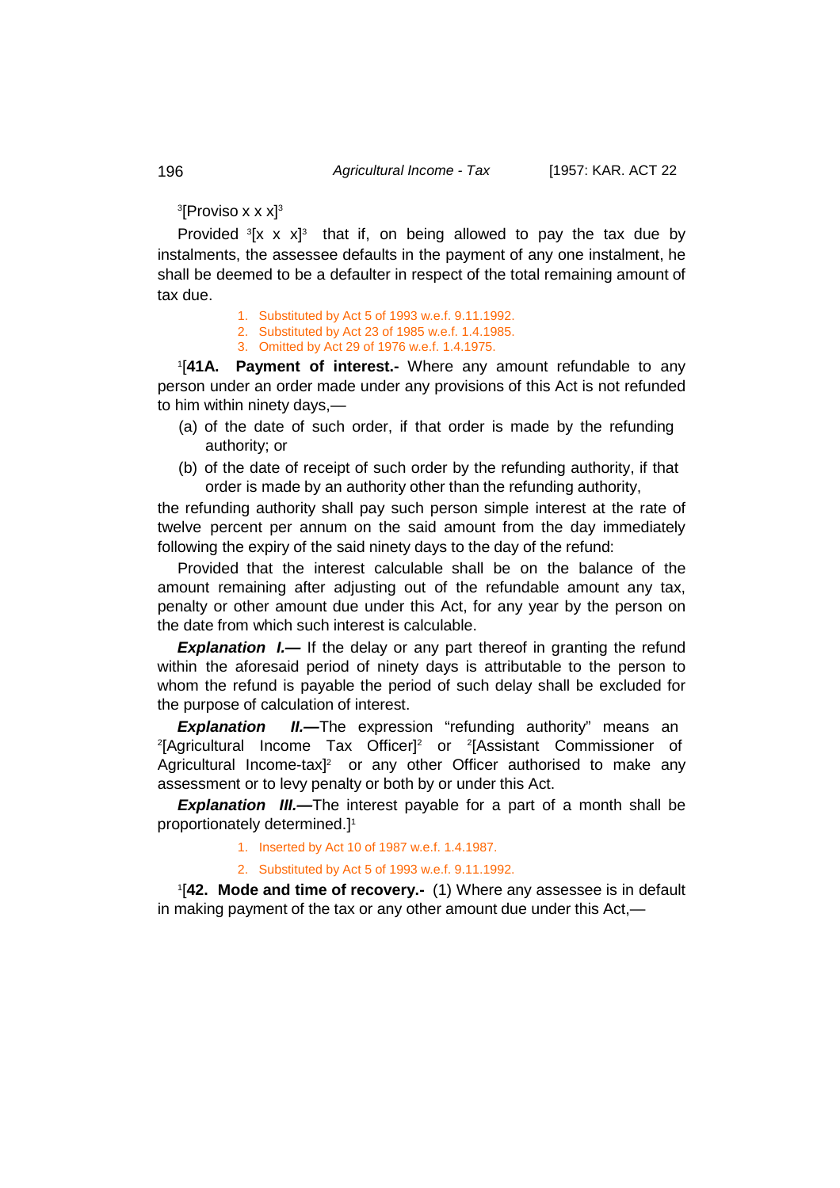$\rm ^3$ [Proviso x x x] $\rm ^3$ 

Provided  ${}^{3}$ [x x x]<sup>3</sup> that if, on being allowed to pay the tax due by instalments, the assessee defaults in the payment of any one instalment, he shall be deemed to be a defaulter in respect of the total remaining amount of tax due.

- 1. Substituted by Act 5 of 1993 w.e.f. 9.11.1992.
- 2. Substituted by Act 23 of 1985 w.e.f. 1.4.1985.
- 3. Omitted by Act 29 of 1976 w.e.f. 1.4.1975.

1 [**41A. Payment of interest.-** Where any amount refundable to any person under an order made under any provisions of this Act is not refunded to him within ninety days,—

- (a) of the date of such order, if that order is made by the refunding authority; or
- (b) of the date of receipt of such order by the refunding authority, if that order is made by an authority other than the refunding authority,

the refunding authority shall pay such person simple interest at the rate of twelve percent per annum on the said amount from the day immediately following the expiry of the said ninety days to the day of the refund:

Provided that the interest calculable shall be on the balance of the amount remaining after adjusting out of the refundable amount any tax, penalty or other amount due under this Act, for any year by the person on the date from which such interest is calculable.

**Explanation I.—** If the delay or any part thereof in granting the refund within the aforesaid period of ninety days is attributable to the person to whom the refund is payable the period of such delay shall be excluded for the purpose of calculation of interest.

**Explanation II.—The expression "refunding authority" means an** <sup>2</sup>[Agricultural Income Tax Officer]<sup>2</sup> or <sup>2</sup>[Assistant Commissioner of Agricultural Income-tax $l^2$  or any other Officer authorised to make any assessment or to levy penalty or both by or under this Act.

*Explanation III.—*The interest payable for a part of a month shall be proportionately determined.] 1

1. Inserted by Act 10 of 1987 w.e.f. 1.4.1987.

2. Substituted by Act 5 of 1993 w.e.f. 9.11.1992.

1 [**42. Mode and time of recovery.-** (1) Where any assessee is in default in making payment of the tax or any other amount due under this Act,—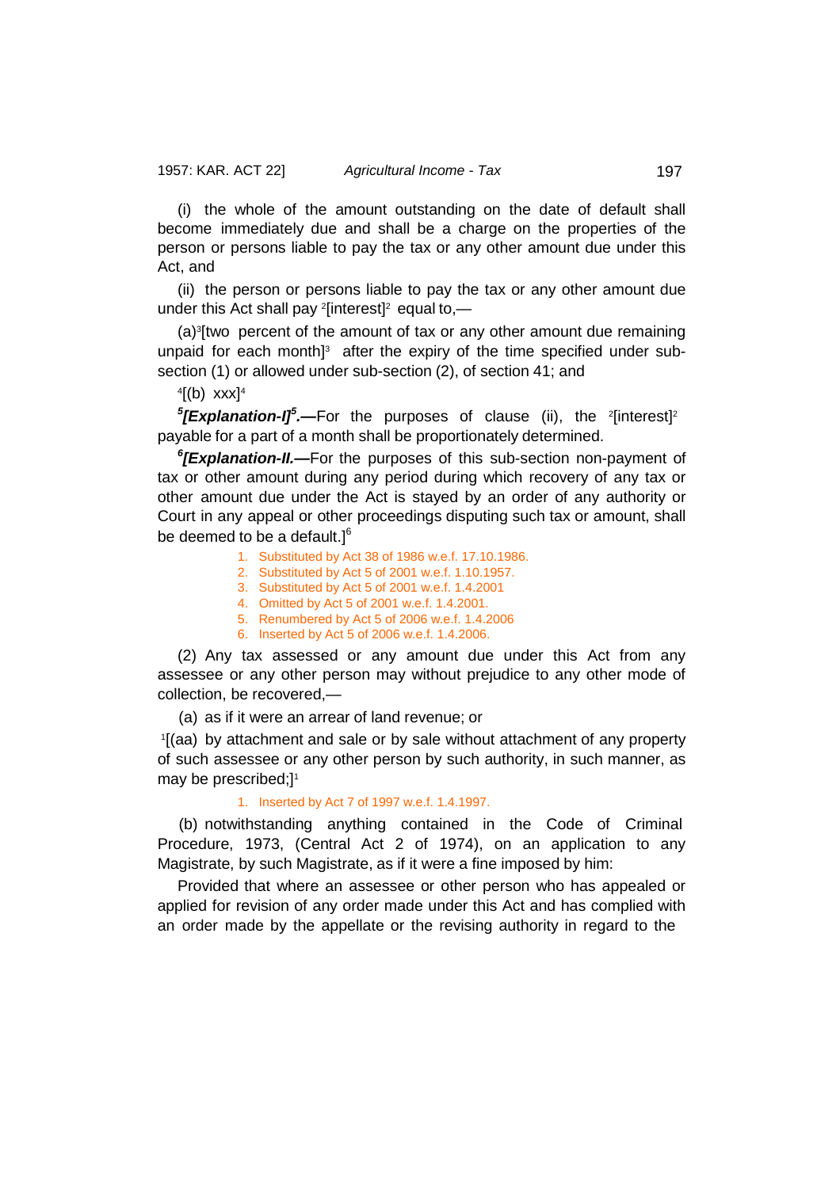(i) the whole of the amount outstanding on the date of default shall become immediately due and shall be a charge on the properties of the person or persons liable to pay the tax or any other amount due under this Act, and

(ii) the person or persons liable to pay the tax or any other amount due under this Act shall pay  $\frac{2}{1}$  interest]<sup>2</sup> equal to,—

(a)3 [two percent of the amount of tax or any other amount due remaining unpaid for each month] 3 after the expiry of the time specified under subsection (1) or allowed under sub-section (2), of section 41; and

 $\frac{4}{5}$  (b) xxx] $\frac{4}{5}$ 

*5*[Explanation-I]<sup>5</sup>.—For the purposes of clause (ii), the <sup>2</sup>[interest]<sup>2</sup> payable for a part of a month shall be proportionately determined.

*6 [Explanation-II.—*For the purposes of this sub-section non-payment of tax or other amount during any period during which recovery of any tax or other amount due under the Act is stayed by an order of any authority or Court in any appeal or other proceedings disputing such tax or amount, shall be deemed to be a default.]<sup>6</sup>

- 1. Substituted by Act 38 of 1986 w.e.f. 17.10.1986.
- 2. Substituted by Act 5 of 2001 w.e.f. 1.10.1957.
- 3. Substituted by Act 5 of 2001 w.e.f. 1.4.2001
- 4. Omitted by Act 5 of 2001 w.e.f. 1.4.2001.
- 5. Renumbered by Act 5 of 2006 w.e.f. 1.4.2006
- 6. Inserted by Act 5 of 2006 w.e.f. 1.4.2006.

(2) Any tax assessed or any amount due under this Act from any assessee or any other person may without prejudice to any other mode of collection, be recovered,—

(a) as if it were an arrear of land revenue; or

1 [(aa) by attachment and sale or by sale without attachment of any property of such assessee or any other person by such authority, in such manner, as may be prescribed;] 1

#### 1. Inserted by Act 7 of 1997 w.e.f. 1.4.1997.

(b) notwithstanding anything contained in the Code of Criminal Procedure, 1973, (Central Act 2 of 1974), on an application to any Magistrate, by such Magistrate, as if it were a fine imposed by him:

Provided that where an assessee or other person who has appealed or applied for revision of any order made under this Act and has complied with an order made by the appellate or the revising authority in regard to the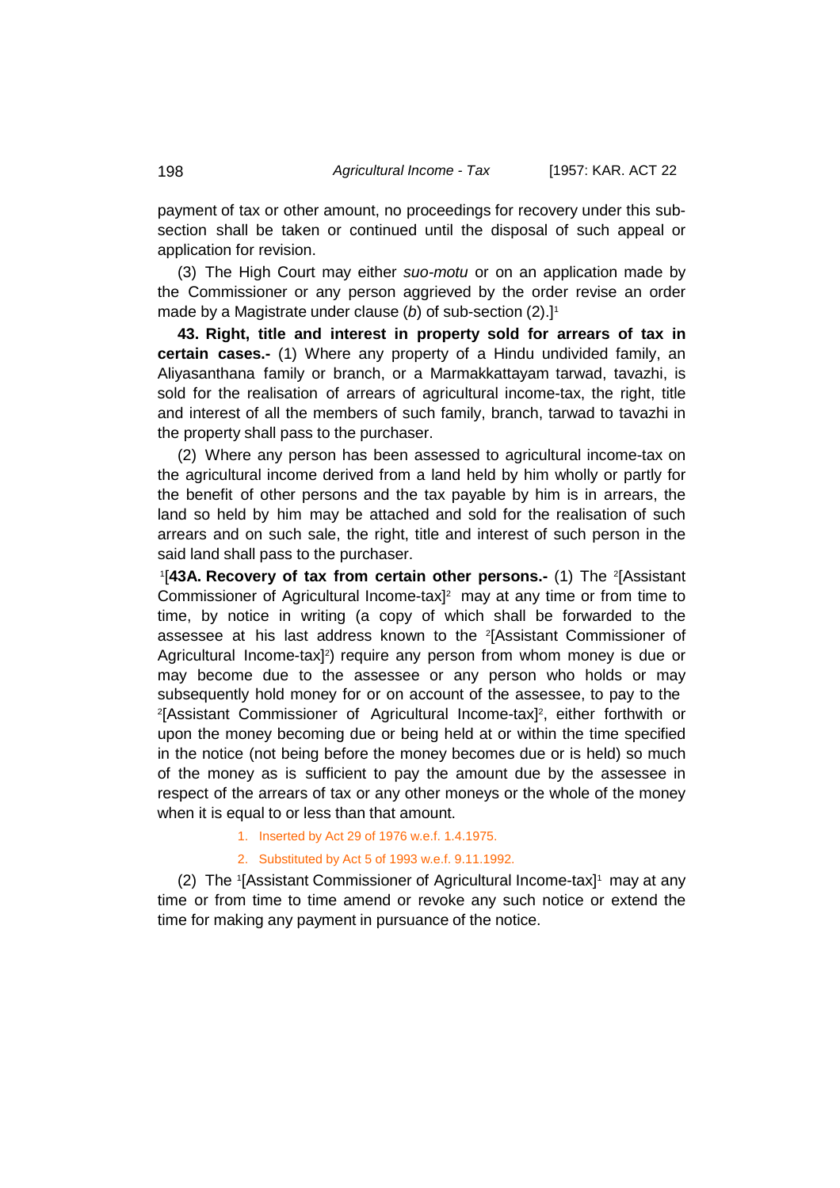payment of tax or other amount, no proceedings for recovery under this subsection shall be taken or continued until the disposal of such appeal or application for revision.

(3) The High Court may either *suo-motu* or on an application made by the Commissioner or any person aggrieved by the order revise an order made by a Magistrate under clause (b) of sub-section (2).<sup>11</sup>

**43. Right, title and interest in property sold for arrears of tax in certain cases.-** (1) Where any property of a Hindu undivided family, an Aliyasanthana family or branch, or a Marmakkattayam tarwad, tavazhi, is sold for the realisation of arrears of agricultural income-tax, the right, title and interest of all the members of such family, branch, tarwad to tavazhi in the property shall pass to the purchaser.

(2) Where any person has been assessed to agricultural income-tax on the agricultural income derived from a land held by him wholly or partly for the benefit of other persons and the tax payable by him is in arrears, the land so held by him may be attached and sold for the realisation of such arrears and on such sale, the right, title and interest of such person in the said land shall pass to the purchaser.

1 [**43A. Recovery of tax from certain other persons.-** (1) The <sup>2</sup> [Assistant Commissioner of Agricultural Income-tax] 2 may at any time or from time to time, by notice in writing (a copy of which shall be forwarded to the assessee at his last address known to the <sup>2</sup> [Assistant Commissioner of Agricultural Income-tax]<sup>2</sup>) require any person from whom money is due or may become due to the assessee or any person who holds or may subsequently hold money for or on account of the assessee, to pay to the <sup>2</sup>[Assistant Commissioner of Agricultural Income-tax]<sup>2</sup>, either forthwith or upon the money becoming due or being held at or within the time specified in the notice (not being before the money becomes due or is held) so much of the money as is sufficient to pay the amount due by the assessee in respect of the arrears of tax or any other moneys or the whole of the money when it is equal to or less than that amount.

- 1. Inserted by Act 29 of 1976 w.e.f. 1.4.1975.
- 2. Substituted by Act 5 of 1993 w.e.f. 9.11.1992.

(2) The 1 [Assistant Commissioner of Agricultural Income-tax]1 may at any time or from time to time amend or revoke any such notice or extend the time for making any payment in pursuance of the notice.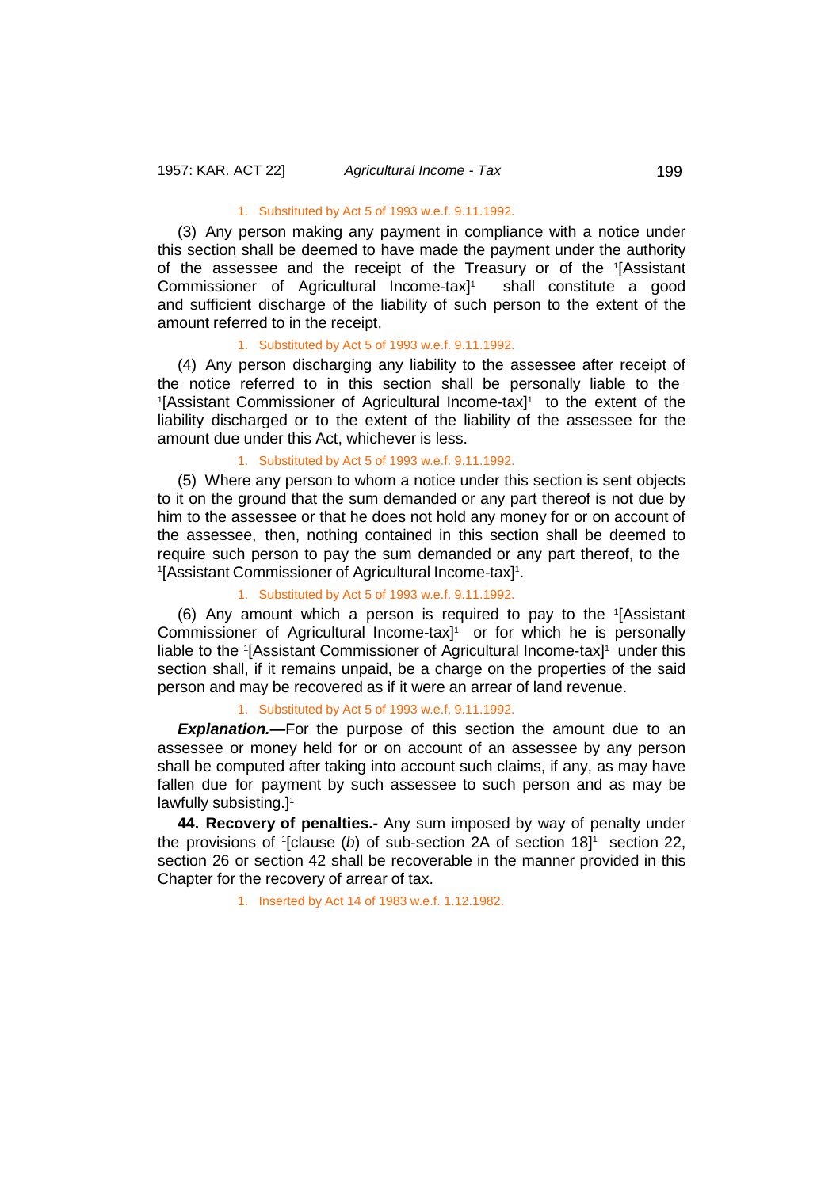## 1. Substituted by Act 5 of 1993 w.e.f. 9.11.1992.

(3) Any person making any payment in compliance with a notice under this section shall be deemed to have made the payment under the authority of the assessee and the receipt of the Treasury or of the 1 [Assistant Commissioner of Agricultural Income-tax] shall constitute a good and sufficient discharge of the liability of such person to the extent of the amount referred to in the receipt.

#### 1. Substituted by Act 5 of 1993 w.e.f. 9.11.1992.

(4) Any person discharging any liability to the assessee after receipt of the notice referred to in this section shall be personally liable to the <sup>1</sup>[Assistant Commissioner of Agricultural Income-tax]<sup>1</sup> to the extent of the liability discharged or to the extent of the liability of the assessee for the amount due under this Act, whichever is less.

#### 1. Substituted by Act 5 of 1993 w.e.f. 9.11.1992.

(5) Where any person to whom a notice under this section is sent objects to it on the ground that the sum demanded or any part thereof is not due by him to the assessee or that he does not hold any money for or on account of the assessee, then, nothing contained in this section shall be deemed to require such person to pay the sum demanded or any part thereof, to the <sup>1</sup>[Assistant Commissioner of Agricultural Income-tax]<sup>1</sup>.

#### 1. Substituted by Act 5 of 1993 w.e.f. 9.11.1992.

(6) Any amount which a person is required to pay to the <sup>1</sup> [Assistant Commissioner of Agricultural Income-tax] 1 or for which he is personally liable to the '[Assistant Commissioner of Agricultural Income-tax]<sup>1</sup> under this section shall, if it remains unpaid, be a charge on the properties of the said person and may be recovered as if it were an arrear of land revenue.

## 1. Substituted by Act 5 of 1993 w.e.f. 9.11.1992.

**Explanation.—**For the purpose of this section the amount due to an assessee or money held for or on account of an assessee by any person shall be computed after taking into account such claims, if any, as may have fallen due for payment by such assessee to such person and as may be lawfully subsisting.] 1

**44. Recovery of penalties.-** Any sum imposed by way of penalty under the provisions of <sup>1</sup> [clause (*b*) of sub-section 2A of section 18] 1 section 22, section 26 or section 42 shall be recoverable in the manner provided in this Chapter for the recovery of arrear of tax.

1. Inserted by Act 14 of 1983 w.e.f. 1.12.1982.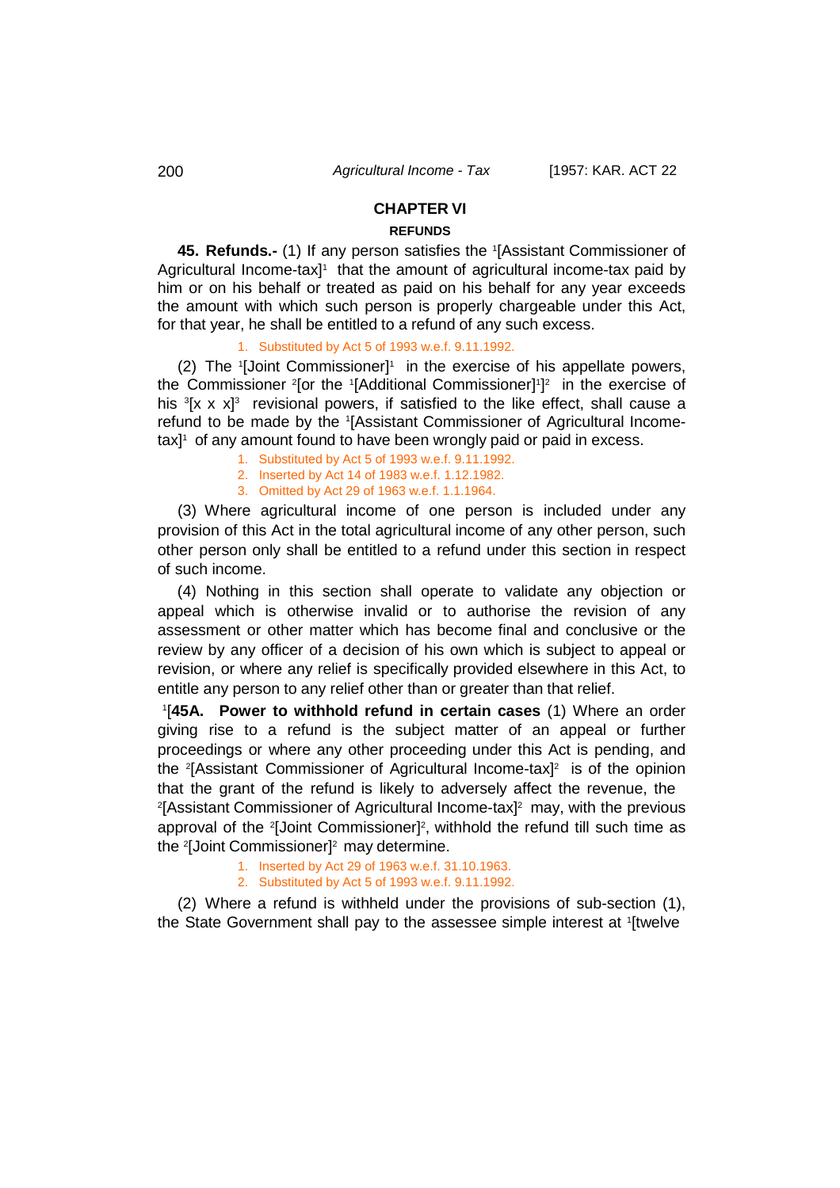# **CHAPTER VI**

# **REFUNDS**

**45. Refunds.-** (1) If any person satisfies the <sup>1</sup> [Assistant Commissioner of Agricultural Income-tax]<sup>1</sup> that the amount of agricultural income-tax paid by him or on his behalf or treated as paid on his behalf for any year exceeds the amount with which such person is properly chargeable under this Act, for that year, he shall be entitled to a refund of any such excess.

## 1. Substituted by Act 5 of 1993 w.e.f. 9.11.1992.

(2) The 1[Joint Commissioner]1 in the exercise of his appellate powers, the Commissioner <sup>2</sup> [or the <sup>1</sup> [Additional Commissioner] 1 ] 2 in the exercise of his <sup>3</sup>[x x x]<sup>3</sup> revisional powers, if satisfied to the like effect, shall cause a refund to be made by the <sup>1</sup> [Assistant Commissioner of Agricultural Incometax] 1 of any amount found to have been wrongly paid or paid in excess.

- 1. Substituted by Act 5 of 1993 w.e.f. 9.11.1992.
- 2. Inserted by Act 14 of 1983 w.e.f. 1.12.1982.
- 3. Omitted by Act 29 of 1963 w.e.f. 1.1.1964.

(3) Where agricultural income of one person is included under any provision of this Act in the total agricultural income of any other person, such other person only shall be entitled to a refund under this section in respect of such income.

(4) Nothing in this section shall operate to validate any objection or appeal which is otherwise invalid or to authorise the revision of any assessment or other matter which has become final and conclusive or the review by any officer of a decision of his own which is subject to appeal or revision, or where any relief is specifically provided elsewhere in this Act, to entitle any person to any relief other than or greater than that relief.

1 [**45A. Power to withhold refund in certain cases** (1) Where an order giving rise to a refund is the subject matter of an appeal or further proceedings or where any other proceeding under this Act is pending, and the <sup>2</sup>[Assistant Commissioner of Agricultural Income-tax]<sup>2</sup> is of the opinion that the grant of the refund is likely to adversely affect the revenue, the 2 [Assistant Commissioner of Agricultural Income-tax]2 may, with the previous approval of the <sup>2</sup>[Joint Commissioner]<sup>2</sup>, withhold the refund till such time as the 2 [Joint Commissioner]2 may determine.

- 1. Inserted by Act 29 of 1963 w.e.f. 31.10.1963.
- 2. Substituted by Act 5 of 1993 w.e.f. 9.11.1992.

(2) Where a refund is withheld under the provisions of sub-section (1), the State Government shall pay to the assessee simple interest at 1[twelve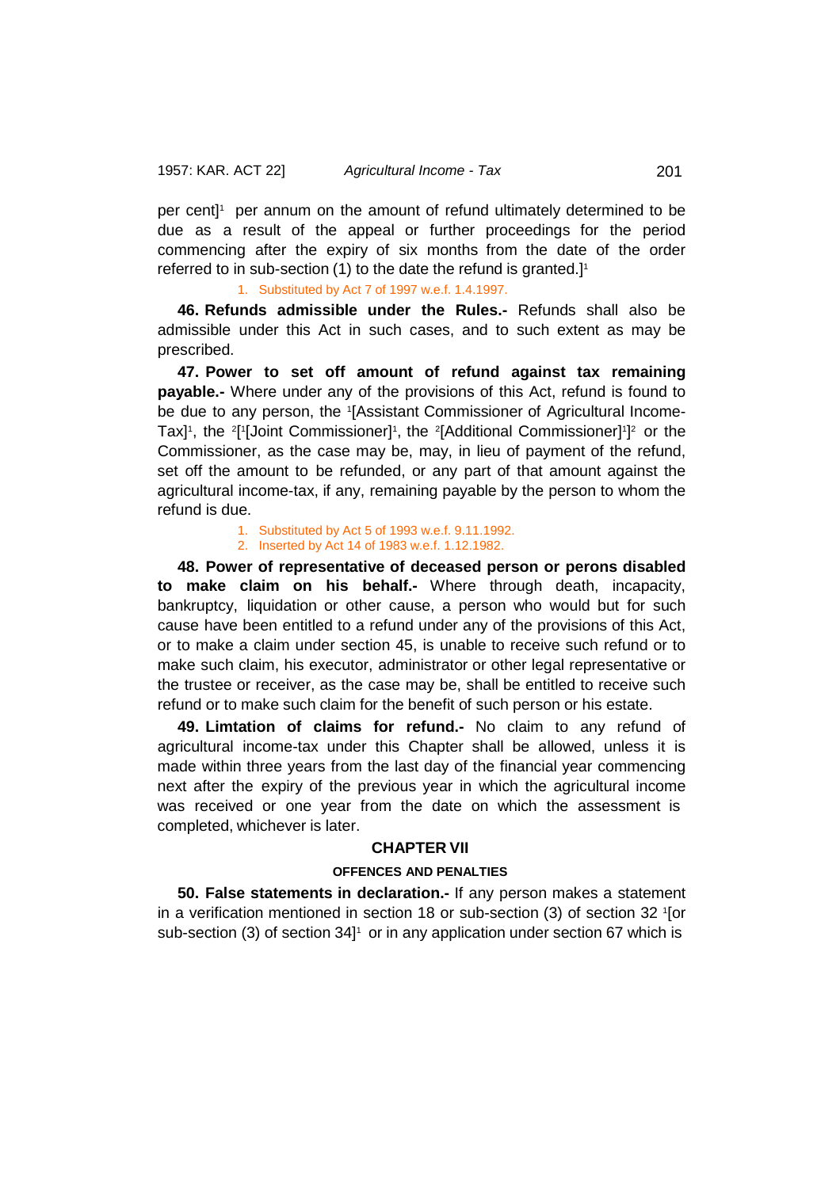per cent]<sup>1</sup> per annum on the amount of refund ultimately determined to be due as a result of the appeal or further proceedings for the period commencing after the expiry of six months from the date of the order referred to in sub-section (1) to the date the refund is granted.] 1

1. Substituted by Act 7 of 1997 w.e.f. 1.4.1997.

**46. Refunds admissible under the Rules.-** Refunds shall also be admissible under this Act in such cases, and to such extent as may be prescribed.

**47. Power to set off amount of refund against tax remaining payable.-** Where under any of the provisions of this Act, refund is found to be due to any person, the <sup>1</sup> [Assistant Commissioner of Agricultural Income-Tax]<sup>1</sup>, the <sup>2</sup>[<sup>1</sup>[Joint Commissioner]<sup>1</sup>, the <sup>2</sup>[Additional Commissioner]<sup>1</sup>]<sup>2</sup> or the Commissioner, as the case may be, may, in lieu of payment of the refund, set off the amount to be refunded, or any part of that amount against the agricultural income-tax, if any, remaining payable by the person to whom the refund is due.

> 1. Substituted by Act 5 of 1993 w.e.f. 9.11.1992. 2. Inserted by Act 14 of 1983 w.e.f. 1.12.1982.

**48. Power of representative of deceased person or perons disabled to make claim on his behalf.-** Where through death, incapacity, bankruptcy, liquidation or other cause, a person who would but for such cause have been entitled to a refund under any of the provisions of this Act, or to make a claim under section 45, is unable to receive such refund or to make such claim, his executor, administrator or other legal representative or the trustee or receiver, as the case may be, shall be entitled to receive such refund or to make such claim for the benefit of such person or his estate.

**49. Limtation of claims for refund.-** No claim to any refund of agricultural income-tax under this Chapter shall be allowed, unless it is made within three years from the last day of the financial year commencing next after the expiry of the previous year in which the agricultural income was received or one year from the date on which the assessment is completed, whichever is later.

# **CHAPTER VII**

# **OFFENCES AND PENALTIES**

**50. False statements in declaration.-** If any person makes a statement in a verification mentioned in section 18 or sub-section (3) of section 32 <sup>1</sup> [or sub-section (3) of section 34] 1 or in any application under section 67 which is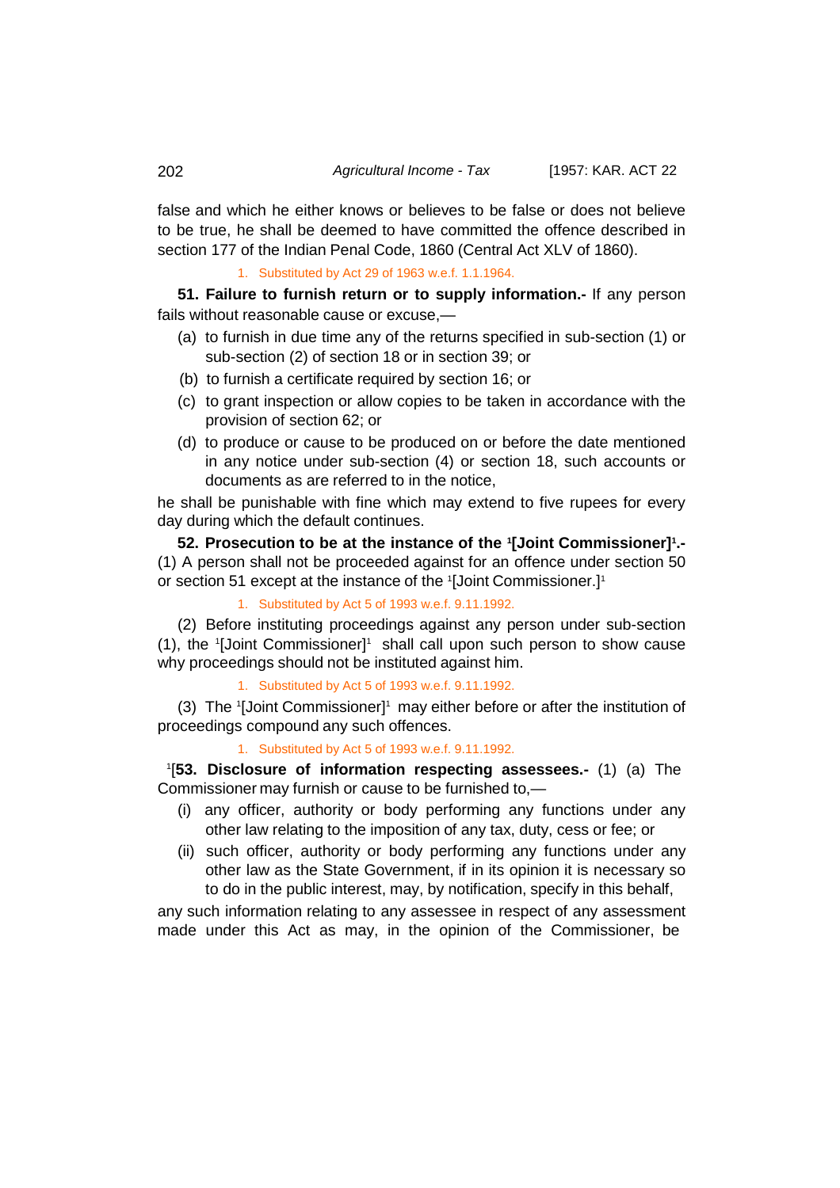false and which he either knows or believes to be false or does not believe to be true, he shall be deemed to have committed the offence described in section 177 of the Indian Penal Code, 1860 (Central Act XLV of 1860).

1. Substituted by Act 29 of 1963 w.e.f. 1.1.1964.

**51. Failure to furnish return or to supply information.-** If any person fails without reasonable cause or excuse,—

- (a) to furnish in due time any of the returns specified in sub-section (1) or sub-section (2) of section 18 or in section 39; or
- (b) to furnish a certificate required by section 16; or
- (c) to grant inspection or allow copies to be taken in accordance with the provision of section 62; or
- (d) to produce or cause to be produced on or before the date mentioned in any notice under sub-section (4) or section 18, such accounts or documents as are referred to in the notice,

he shall be punishable with fine which may extend to five rupees for every day during which the default continues.

**52. Prosecution to be at the instance of the <sup>1</sup> [Joint Commissioner]1 .-** (1) A person shall not be proceeded against for an offence under section 50 or section 51 except at the instance of the 1[Joint Commissioner.]1

1. Substituted by Act 5 of 1993 w.e.f. 9.11.1992.

(2) Before instituting proceedings against any person under sub-section (1), the '[Joint Commissioner]' shall call upon such person to show cause why proceedings should not be instituted against him.

1. Substituted by Act 5 of 1993 w.e.f. 9.11.1992.

(3) The <sup>1</sup> [Joint Commissioner]1 may either before or after the institution of proceedings compound any such offences.

1. Substituted by Act 5 of 1993 w.e.f. 9.11.1992.

1 [**53. Disclosure of information respecting assessees.-** (1) (a) The Commissioner may furnish or cause to be furnished to,—

- (i) any officer, authority or body performing any functions under any other law relating to the imposition of any tax, duty, cess or fee; or
- (ii) such officer, authority or body performing any functions under any other law as the State Government, if in its opinion it is necessary so to do in the public interest, may, by notification, specify in this behalf,

any such information relating to any assessee in respect of any assessment made under this Act as may, in the opinion of the Commissioner, be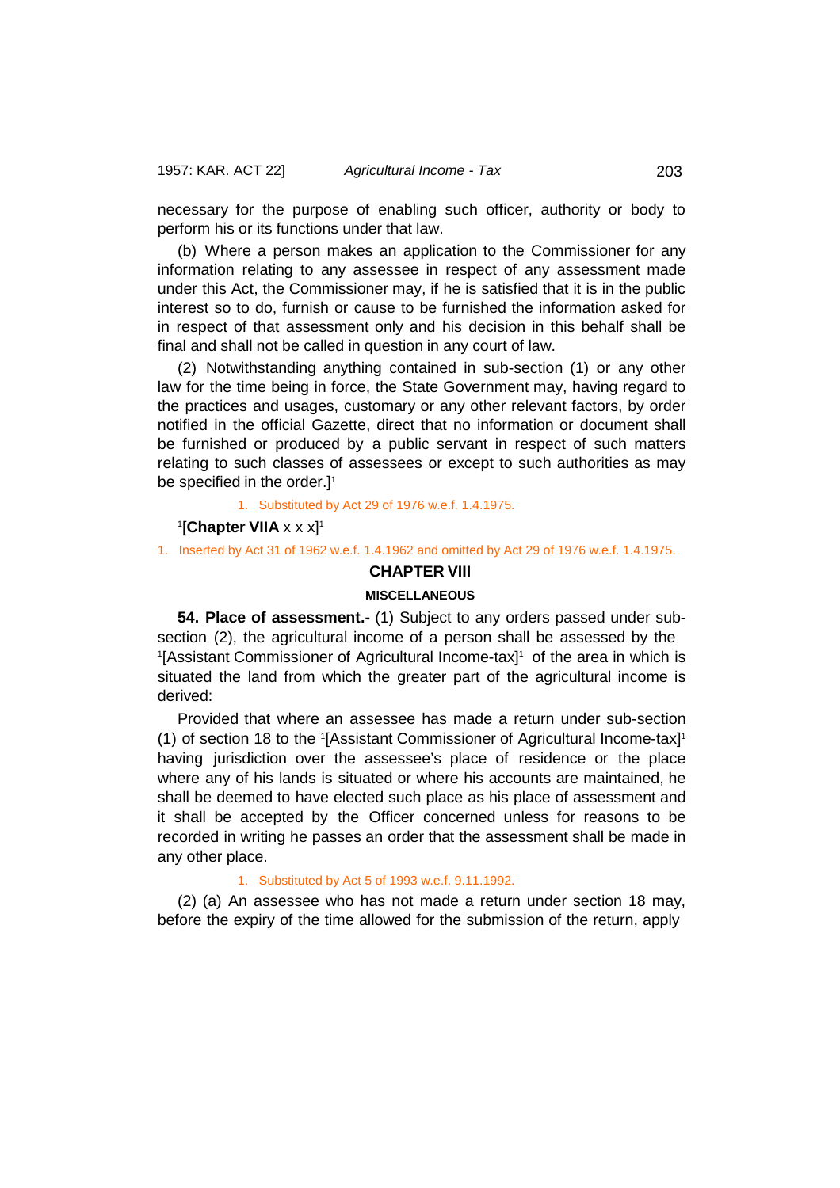necessary for the purpose of enabling such officer, authority or body to perform his or its functions under that law.

(b) Where a person makes an application to the Commissioner for any information relating to any assessee in respect of any assessment made under this Act, the Commissioner may, if he is satisfied that it is in the public interest so to do, furnish or cause to be furnished the information asked for in respect of that assessment only and his decision in this behalf shall be final and shall not be called in question in any court of law.

(2) Notwithstanding anything contained in sub-section (1) or any other law for the time being in force, the State Government may, having regard to the practices and usages, customary or any other relevant factors, by order notified in the official Gazette, direct that no information or document shall be furnished or produced by a public servant in respect of such matters relating to such classes of assessees or except to such authorities as may be specified in the order.]<sup>1</sup>

1. Substituted by Act 29 of 1976 w.e.f. 1.4.1975.

#### 1 [**Chapter VIIA** x x x]1

1. Inserted by Act 31 of 1962 w.e.f. 1.4.1962 and omitted by Act 29 of 1976 w.e.f. 1.4.1975.

# **CHAPTER VIII**

## **MISCELLANEOUS**

**54. Place of assessment.-** (1) Subject to any orders passed under subsection (2), the agricultural income of a person shall be assessed by the <sup>1</sup>[Assistant Commissioner of Agricultural Income-tax]<sup>1</sup> of the area in which is situated the land from which the greater part of the agricultural income is derived:

Provided that where an assessee has made a return under sub-section (1) of section 18 to the 1 [Assistant Commissioner of Agricultural Income-tax]1 having jurisdiction over the assessee's place of residence or the place where any of his lands is situated or where his accounts are maintained, he shall be deemed to have elected such place as his place of assessment and it shall be accepted by the Officer concerned unless for reasons to be recorded in writing he passes an order that the assessment shall be made in any other place.

#### 1. Substituted by Act 5 of 1993 w.e.f. 9.11.1992.

(2) (a) An assessee who has not made a return under section 18 may, before the expiry of the time allowed for the submission of the return, apply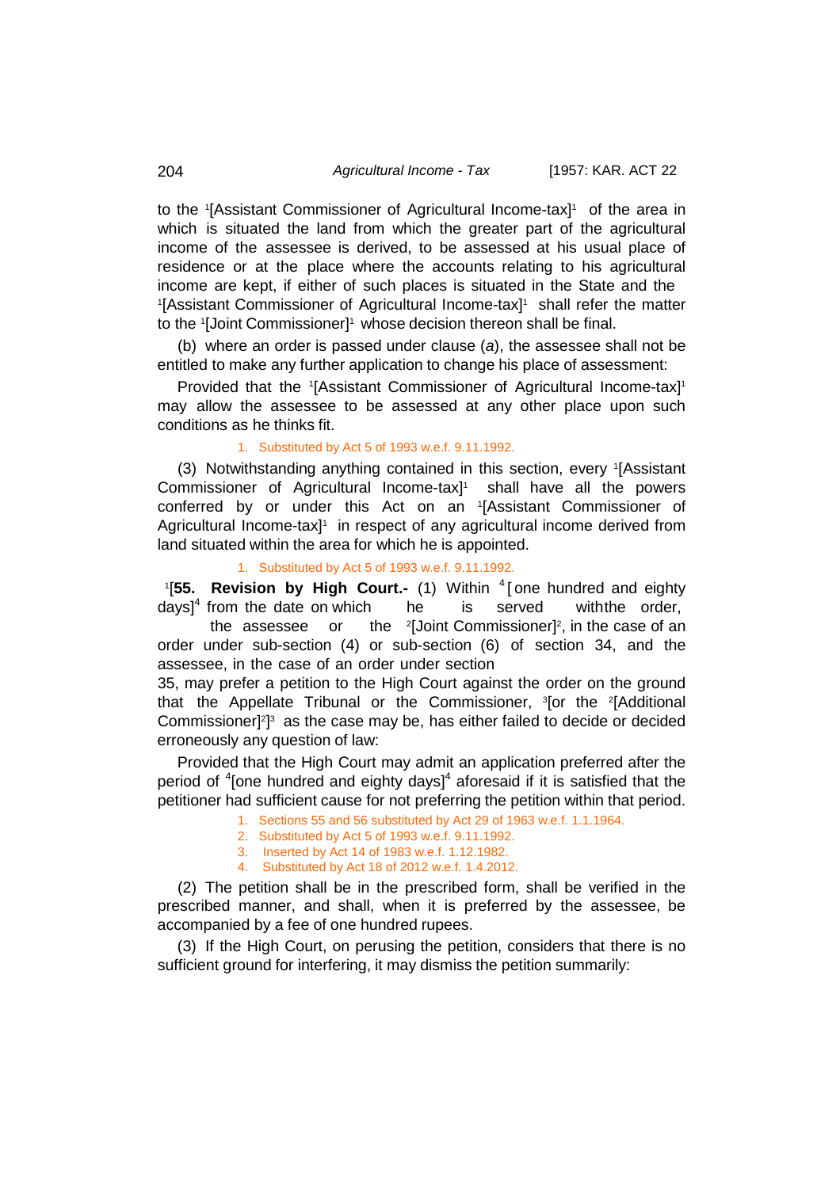to the <sup>1</sup> [Assistant Commissioner of Agricultural Income-tax]1 of the area in which is situated the land from which the greater part of the agricultural income of the assessee is derived, to be assessed at his usual place of residence or at the place where the accounts relating to his agricultural income are kept, if either of such places is situated in the State and the <sup>1</sup>[Assistant Commissioner of Agricultural Income-tax]<sup>1</sup> shall refer the matter to the 1[Joint Commissioner]1 whose decision thereon shall be final.

(b) where an order is passed under clause (*a*), the assessee shall not be entitled to make any further application to change his place of assessment:

Provided that the 1[Assistant Commissioner of Agricultural Income-tax]<sup>1</sup> may allow the assessee to be assessed at any other place upon such conditions as he thinks fit.

### 1. Substituted by Act 5 of 1993 w.e.f. 9.11.1992.

(3) Notwithstanding anything contained in this section, every <sup>1</sup> [Assistant Commissioner of Agricultural Income-tax] 1 shall have all the powers conferred by or under this Act on an 1 [Assistant Commissioner of Agricultural Income-tax<sup>1</sup> in respect of any agricultural income derived from land situated within the area for which he is appointed.

# 1. Substituted by Act 5 of 1993 w.e.f. 9.11.1992.

1 [**55. Revision by High Court.-** (1) Within <sup>4</sup> [ one hundred and eighty days]<sup>4</sup> from the date on which be is served withthe order,

the assessee or [Joint Commissioner]<sup>2</sup>, in the case of an order under sub-section (4) or sub-section (6) of section 34, and the assessee, in the case of an order under section

35, may prefer a petition to the High Court against the order on the ground that the Appellate Tribunal or the Commissioner, <sup>3</sup>[or the <sup>2</sup>[Additional Commissioner]<sup>2</sup>]<sup>3</sup> as the case may be, has either failed to decide or decided erroneously any question of law:

Provided that the High Court may admit an application preferred after the period of <sup>4</sup>[one hundred and eighty days]<sup>4</sup> aforesaid if it is satisfied that the petitioner had sufficient cause for not preferring the petition within that period.

- 1. Sections 55 and 56 substituted by Act 29 of 1963 w.e.f. 1.1.1964.
- 2. Substituted by Act 5 of 1993 w.e.f. 9.11.1992.
- 3. Inserted by Act 14 of 1983 w.e.f. 1.12.1982.
- 4. Substituted by Act 18 of 2012 w.e.f. 1.4.2012.

(2) The petition shall be in the prescribed form, shall be verified in the prescribed manner, and shall, when it is preferred by the assessee, be accompanied by a fee of one hundred rupees.

(3) If the High Court, on perusing the petition, considers that there is no sufficient ground for interfering, it may dismiss the petition summarily: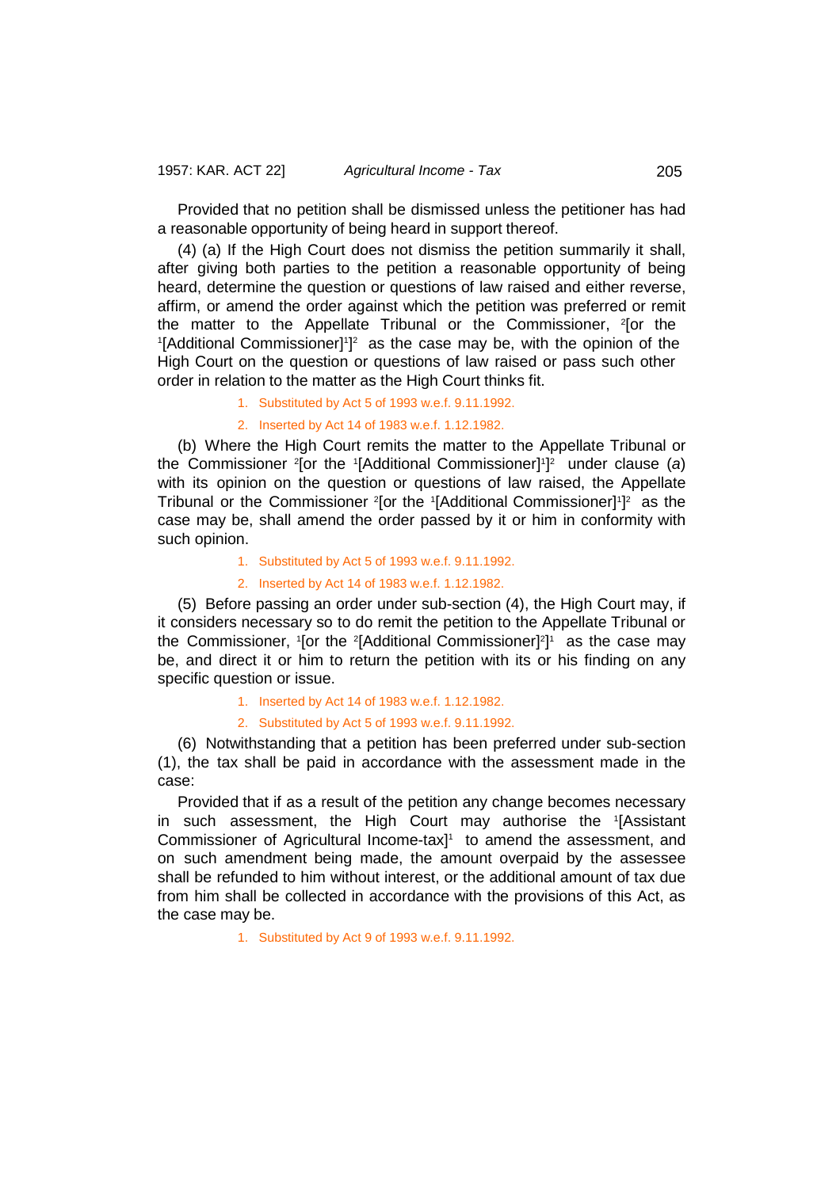Provided that no petition shall be dismissed unless the petitioner has had a reasonable opportunity of being heard in support thereof.

(4) (a) If the High Court does not dismiss the petition summarily it shall, after giving both parties to the petition a reasonable opportunity of being heard, determine the question or questions of law raised and either reverse, affirm, or amend the order against which the petition was preferred or remit the matter to the Appellate Tribunal or the Commissioner, 2 [or the <sup>1</sup>[Additional Commissioner]<sup>1</sup>]<sup>2</sup> as the case may be, with the opinion of the High Court on the question or questions of law raised or pass such other order in relation to the matter as the High Court thinks fit.

1. Substituted by Act 5 of 1993 w.e.f. 9.11.1992.

2. Inserted by Act 14 of 1983 w.e.f. 1.12.1982.

(b) Where the High Court remits the matter to the Appellate Tribunal or the Commissioner <sup>2</sup> [or the <sup>1</sup> [Additional Commissioner] 1 ] 2 under clause (*a*) with its opinion on the question or questions of law raised, the Appellate Tribunal or the Commissioner <sup>2</sup>[or the 1[Additional Commissioner]<sup>1</sup>]<sup>2</sup> as the case may be, shall amend the order passed by it or him in conformity with such opinion.

- 1. Substituted by Act 5 of 1993 w.e.f. 9.11.1992.
- 2. Inserted by Act 14 of 1983 w.e.f. 1.12.1982.

(5) Before passing an order under sub-section (4), the High Court may, if it considers necessary so to do remit the petition to the Appellate Tribunal or the Commissioner, '[or the <sup>2</sup>[Additional Commissioner]<sup>2</sup>]' as the case may be, and direct it or him to return the petition with its or his finding on any specific question or issue.

1. Inserted by Act 14 of 1983 w.e.f. 1.12.1982.

## 2. Substituted by Act 5 of 1993 w.e.f. 9.11.1992.

(6) Notwithstanding that a petition has been preferred under sub-section (1), the tax shall be paid in accordance with the assessment made in the case:

Provided that if as a result of the petition any change becomes necessary in such assessment, the High Court may authorise the 1 [Assistant Commissioner of Agricultural Income-tax] 1 to amend the assessment, and on such amendment being made, the amount overpaid by the assessee shall be refunded to him without interest, or the additional amount of tax due from him shall be collected in accordance with the provisions of this Act, as the case may be.

1. Substituted by Act 9 of 1993 w.e.f. 9.11.1992.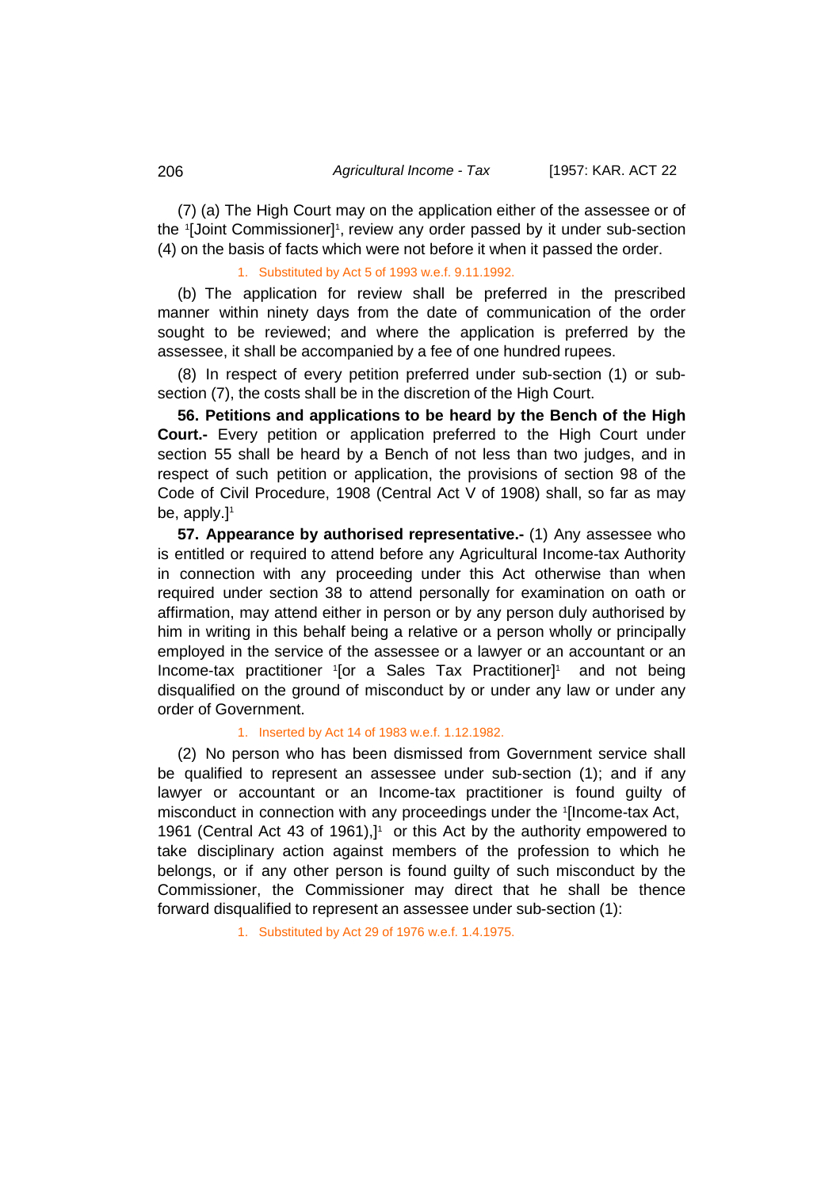(7) (a) The High Court may on the application either of the assessee or of the 1[Joint Commissioner]1, review any order passed by it under sub-section (4) on the basis of facts which were not before it when it passed the order.

1. Substituted by Act 5 of 1993 w.e.f. 9.11.1992.

(b) The application for review shall be preferred in the prescribed manner within ninety days from the date of communication of the order sought to be reviewed; and where the application is preferred by the assessee, it shall be accompanied by a fee of one hundred rupees.

(8) In respect of every petition preferred under sub-section (1) or subsection (7), the costs shall be in the discretion of the High Court.

**56. Petitions and applications to be heard by the Bench of the High Court.-** Every petition or application preferred to the High Court under section 55 shall be heard by a Bench of not less than two judges, and in respect of such petition or application, the provisions of section 98 of the Code of Civil Procedure, 1908 (Central Act V of 1908) shall, so far as may be, apply.]<sup>1</sup>

**57. Appearance by authorised representative.-** (1) Any assessee who is entitled or required to attend before any Agricultural Income-tax Authority in connection with any proceeding under this Act otherwise than when required under section 38 to attend personally for examination on oath or affirmation, may attend either in person or by any person duly authorised by him in writing in this behalf being a relative or a person wholly or principally employed in the service of the assessee or a lawyer or an accountant or an Income-tax practitioner '[or a Sales Tax Practitioner]' and not being disqualified on the ground of misconduct by or under any law or under any order of Government.

## 1. Inserted by Act 14 of 1983 w.e.f. 1.12.1982.

(2) No person who has been dismissed from Government service shall be qualified to represent an assessee under sub-section (1); and if any lawyer or accountant or an Income-tax practitioner is found guilty of misconduct in connection with any proceedings under the <sup>1</sup> [Income-tax Act, 1961 (Central Act 43 of 1961), $]$ <sup>1</sup> or this Act by the authority empowered to take disciplinary action against members of the profession to which he belongs, or if any other person is found guilty of such misconduct by the Commissioner, the Commissioner may direct that he shall be thence forward disqualified to represent an assessee under sub-section (1):

1. Substituted by Act 29 of 1976 w.e.f. 1.4.1975.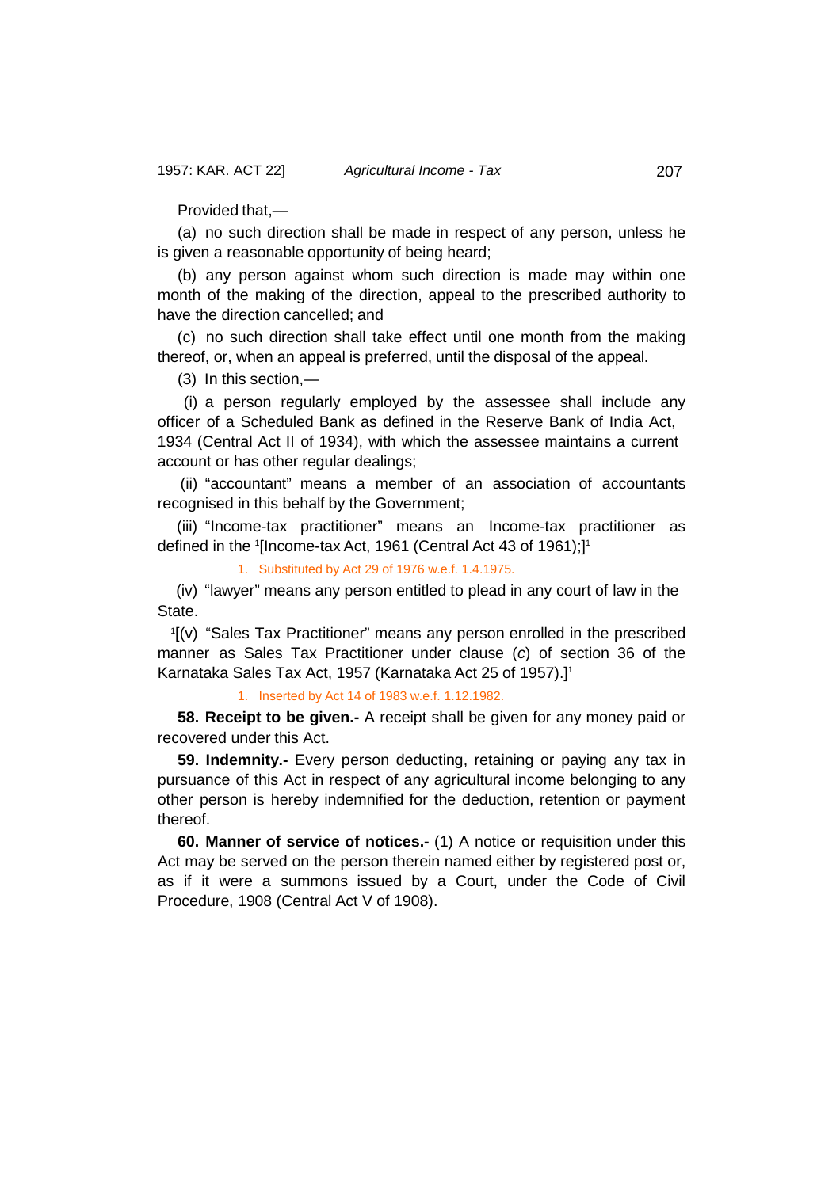Provided that,—

(a) no such direction shall be made in respect of any person, unless he is given a reasonable opportunity of being heard;

(b) any person against whom such direction is made may within one month of the making of the direction, appeal to the prescribed authority to have the direction cancelled; and

(c) no such direction shall take effect until one month from the making thereof, or, when an appeal is preferred, until the disposal of the appeal.

(3) In this section,—

(i) a person regularly employed by the assessee shall include any officer of a Scheduled Bank as defined in the Reserve Bank of India Act, 1934 (Central Act II of 1934), with which the assessee maintains a current account or has other regular dealings;

(ii) "accountant" means a member of an association of accountants recognised in this behalf by the Government;

(iii) "Income-tax practitioner" means an Income-tax practitioner as defined in the <sup>1</sup> [Income-tax Act, 1961 (Central Act 43 of 1961);]1

1. Substituted by Act 29 of 1976 w.e.f. 1.4.1975.

(iv) "lawyer" means any person entitled to plead in any court of law in the State.

1 [(v) "Sales Tax Practitioner" means any person enrolled in the prescribed manner as Sales Tax Practitioner under clause (*c*) of section 36 of the Karnataka Sales Tax Act, 1957 (Karnataka Act 25 of 1957).]1

1. Inserted by Act 14 of 1983 w.e.f. 1.12.1982.

**58. Receipt to be given.-** A receipt shall be given for any money paid or recovered under this Act.

**59. Indemnity.-** Every person deducting, retaining or paying any tax in pursuance of this Act in respect of any agricultural income belonging to any other person is hereby indemnified for the deduction, retention or payment thereof.

**60. Manner of service of notices.-** (1) A notice or requisition under this Act may be served on the person therein named either by registered post or, as if it were a summons issued by a Court, under the Code of Civil Procedure, 1908 (Central Act V of 1908).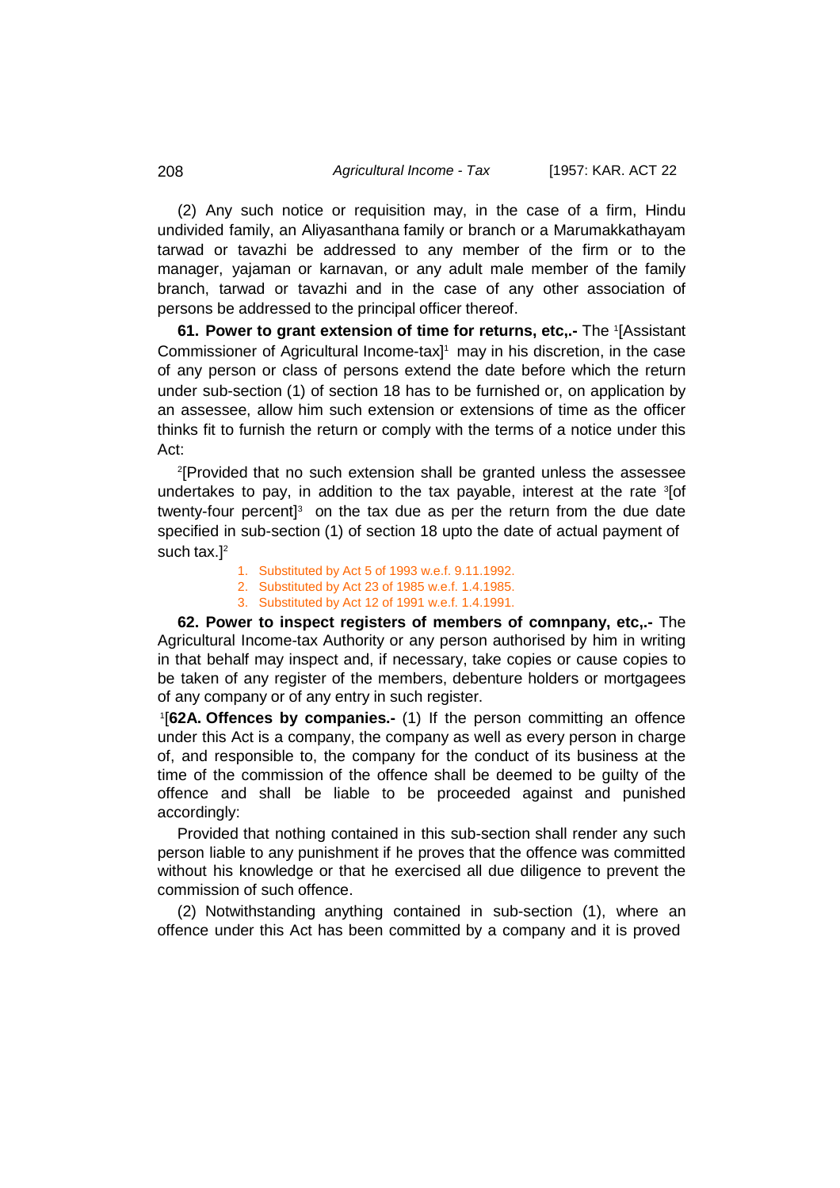(2) Any such notice or requisition may, in the case of a firm, Hindu undivided family, an Aliyasanthana family or branch or a Marumakkathayam tarwad or tavazhi be addressed to any member of the firm or to the manager, yajaman or karnavan, or any adult male member of the family branch, tarwad or tavazhi and in the case of any other association of persons be addressed to the principal officer thereof.

**61. Power to grant extension of time for returns, etc,.-** The <sup>1</sup> [Assistant Commissioner of Agricultural Income-tax] 1 may in his discretion, in the case of any person or class of persons extend the date before which the return under sub-section (1) of section 18 has to be furnished or, on application by an assessee, allow him such extension or extensions of time as the officer thinks fit to furnish the return or comply with the terms of a notice under this Act:

2 [Provided that no such extension shall be granted unless the assessee undertakes to pay, in addition to the tax payable, interest at the rate <sup>3</sup> [of twenty-four percent<sup>3</sup> on the tax due as per the return from the due date specified in sub-section (1) of section 18 upto the date of actual payment of such tax.<sup>12</sup>

1. Substituted by Act 5 of 1993 w.e.f. 9.11.1992.

2. Substituted by Act 23 of 1985 w.e.f. 1.4.1985.

3. Substituted by Act 12 of 1991 w.e.f. 1.4.1991.

**62. Power to inspect registers of members of comnpany, etc,.-** The Agricultural Income-tax Authority or any person authorised by him in writing in that behalf may inspect and, if necessary, take copies or cause copies to be taken of any register of the members, debenture holders or mortgagees of any company or of any entry in such register.

1 [**62A. Offences by companies.-** (1) If the person committing an offence under this Act is a company, the company as well as every person in charge of, and responsible to, the company for the conduct of its business at the time of the commission of the offence shall be deemed to be guilty of the offence and shall be liable to be proceeded against and punished accordingly:

Provided that nothing contained in this sub-section shall render any such person liable to any punishment if he proves that the offence was committed without his knowledge or that he exercised all due diligence to prevent the commission of such offence.

(2) Notwithstanding anything contained in sub-section (1), where an offence under this Act has been committed by a company and it is proved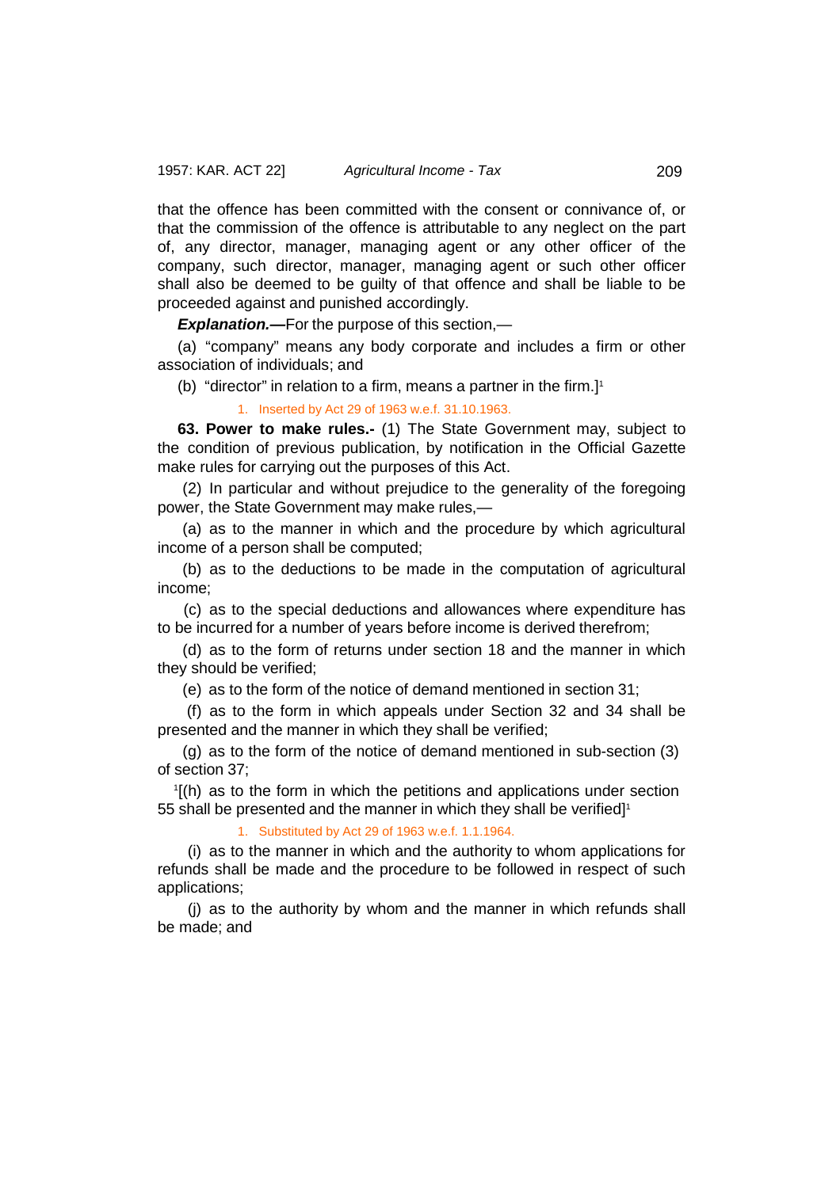that the offence has been committed with the consent or connivance of, or that the commission of the offence is attributable to any neglect on the part of, any director, manager, managing agent or any other officer of the company, such director, manager, managing agent or such other officer shall also be deemed to be guilty of that offence and shall be liable to be proceeded against and punished accordingly.

*Explanation.—*For the purpose of this section,—

(a) "company" means any body corporate and includes a firm or other association of individuals; and

(b) "director" in relation to a firm, means a partner in the firm.] 1

1. Inserted by Act 29 of 1963 w.e.f. 31.10.1963.

**63. Power to make rules.-** (1) The State Government may, subject to the condition of previous publication, by notification in the Official Gazette make rules for carrying out the purposes of this Act.

(2) In particular and without prejudice to the generality of the foregoing power, the State Government may make rules,—

(a) as to the manner in which and the procedure by which agricultural income of a person shall be computed;

(b) as to the deductions to be made in the computation of agricultural income;

(c) as to the special deductions and allowances where expenditure has to be incurred for a number of years before income is derived therefrom;

(d) as to the form of returns under section 18 and the manner in which they should be verified;

(e) as to the form of the notice of demand mentioned in section 31;

(f) as to the form in which appeals under Section 32 and 34 shall be presented and the manner in which they shall be verified;

(g) as to the form of the notice of demand mentioned in sub-section (3) of section 37;

1 [(h) as to the form in which the petitions and applications under section 55 shall be presented and the manner in which they shall be verified] $^{\scriptscriptstyle \dagger}$ 

1. Substituted by Act 29 of 1963 w.e.f. 1.1.1964.

(i) as to the manner in which and the authority to whom applications for refunds shall be made and the procedure to be followed in respect of such applications;

(j) as to the authority by whom and the manner in which refunds shall be made; and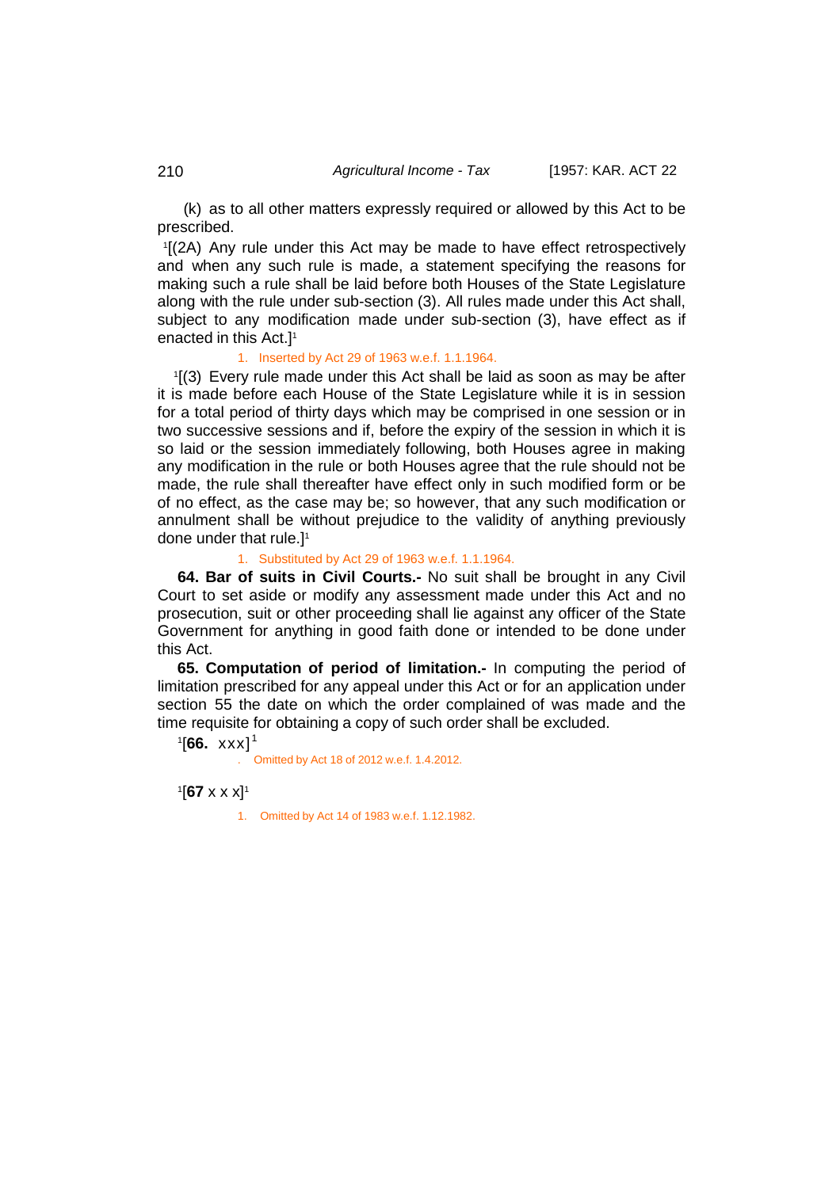(k) as to all other matters expressly required or allowed by this Act to be prescribed.

1 [(2A) Any rule under this Act may be made to have effect retrospectively and when any such rule is made, a statement specifying the reasons for making such a rule shall be laid before both Houses of the State Legislature along with the rule under sub-section (3). All rules made under this Act shall, subject to any modification made under sub-section (3), have effect as if enacted in this Act.] 1

#### 1. Inserted by Act 29 of 1963 w.e.f. 1.1.1964.

1 [(3) Every rule made under this Act shall be laid as soon as may be after it is made before each House of the State Legislature while it is in session for a total period of thirty days which may be comprised in one session or in two successive sessions and if, before the expiry of the session in which it is so laid or the session immediately following, both Houses agree in making any modification in the rule or both Houses agree that the rule should not be made, the rule shall thereafter have effect only in such modified form or be of no effect, as the case may be; so however, that any such modification or annulment shall be without prejudice to the validity of anything previously done under that rule.]1

#### 1. Substituted by Act 29 of 1963 w.e.f. 1.1.1964.

**64. Bar of suits in Civil Courts.-** No suit shall be brought in any Civil Court to set aside or modify any assessment made under this Act and no prosecution, suit or other proceeding shall lie against any officer of the State Government for anything in good faith done or intended to be done under this Act.

**65. Computation of period of limitation.-** In computing the period of limitation prescribed for any appeal under this Act or for an application under section 55 the date on which the order complained of was made and the time requisite for obtaining a copy of such order shall be excluded.

 $1$ [**66.** xxx]<sup>1</sup>

. Omitted by Act 18 of 2012 w.e.f. 1.4.2012.

1 [**67** x x x]1

1. Omitted by Act 14 of 1983 w.e.f. 1.12.1982.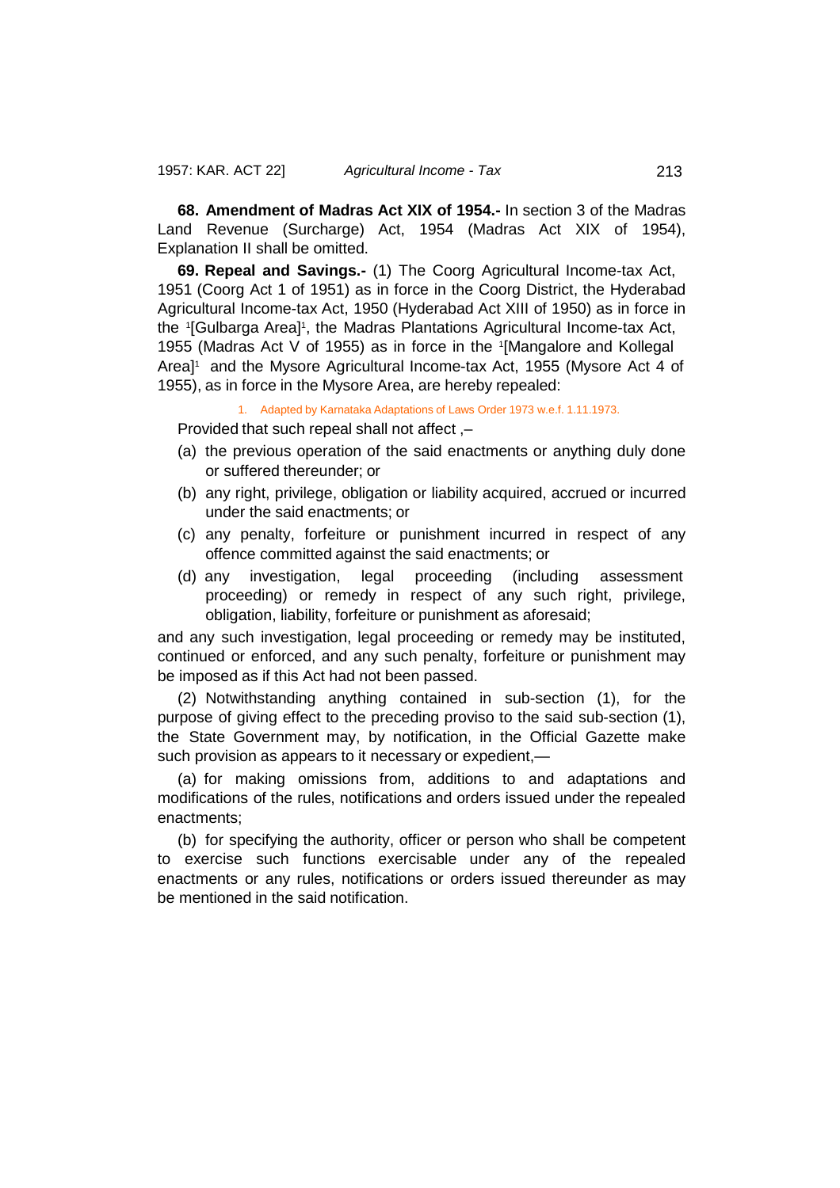**68. Amendment of Madras Act XIX of 1954.-** In section 3 of the Madras Land Revenue (Surcharge) Act, 1954 (Madras Act XIX of 1954), Explanation II shall be omitted.

**69. Repeal and Savings.-** (1) The Coorg Agricultural Income-tax Act, 1951 (Coorg Act 1 of 1951) as in force in the Coorg District, the Hyderabad Agricultural Income-tax Act, 1950 (Hyderabad Act XIII of 1950) as in force in the 1[Gulbarga Area]1, the Madras Plantations Agricultural Income-tax Act, 1955 (Madras Act V of 1955) as in force in the <sup>1</sup> [Mangalore and Kollegal Area<sup>11</sup> and the Mysore Agricultural Income-tax Act, 1955 (Mysore Act 4 of 1955), as in force in the Mysore Area, are hereby repealed:

1. Adapted by Karnataka Adaptations of Laws Order 1973 w.e.f. 1.11.1973.

Provided that such repeal shall not affect ,–

- (a) the previous operation of the said enactments or anything duly done or suffered thereunder; or
- (b) any right, privilege, obligation or liability acquired, accrued or incurred under the said enactments; or
- (c) any penalty, forfeiture or punishment incurred in respect of any offence committed against the said enactments; or
- (d) any investigation, legal proceeding (including assessment proceeding) or remedy in respect of any such right, privilege, obligation, liability, forfeiture or punishment as aforesaid;

and any such investigation, legal proceeding or remedy may be instituted, continued or enforced, and any such penalty, forfeiture or punishment may be imposed as if this Act had not been passed.

(2) Notwithstanding anything contained in sub-section (1), for the purpose of giving effect to the preceding proviso to the said sub-section (1), the State Government may, by notification, in the Official Gazette make such provision as appears to it necessary or expedient,—

(a) for making omissions from, additions to and adaptations and modifications of the rules, notifications and orders issued under the repealed enactments;

(b) for specifying the authority, officer or person who shall be competent to exercise such functions exercisable under any of the repealed enactments or any rules, notifications or orders issued thereunder as may be mentioned in the said notification.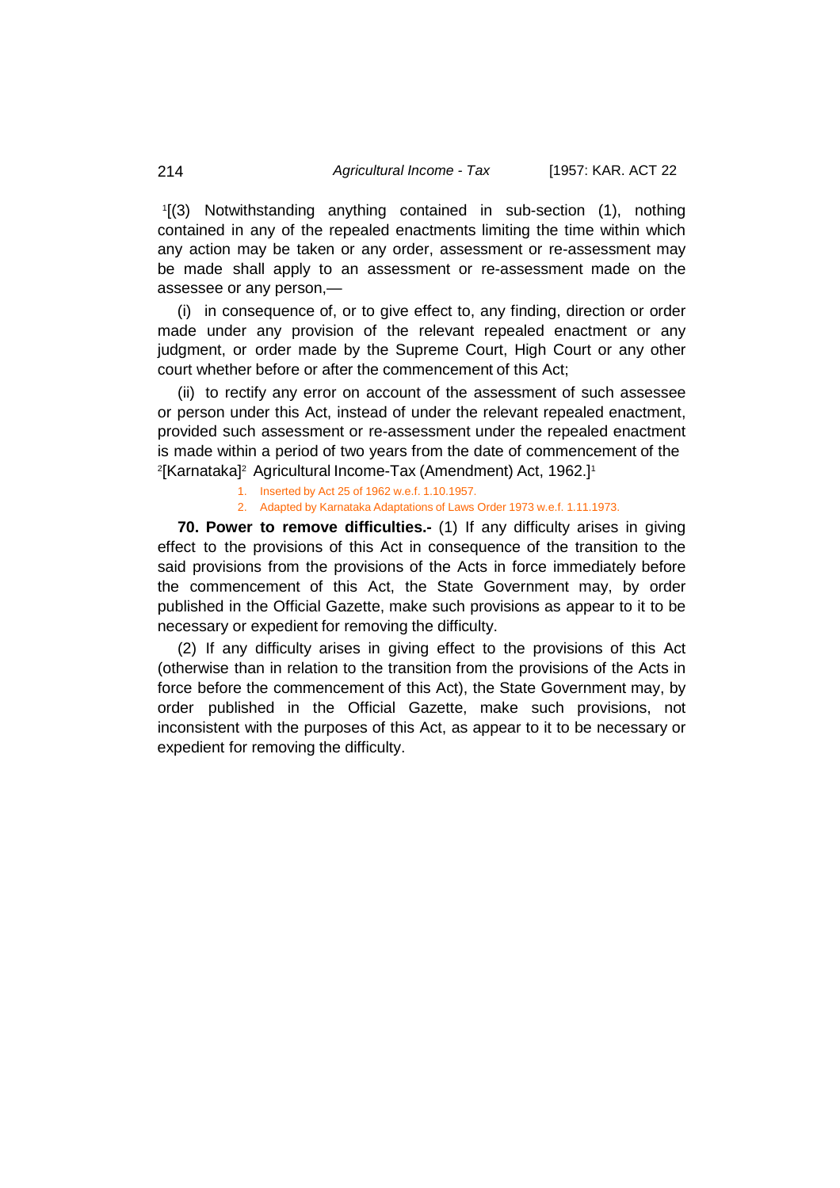1 [(3) Notwithstanding anything contained in sub-section (1), nothing contained in any of the repealed enactments limiting the time within which any action may be taken or any order, assessment or re-assessment may be made shall apply to an assessment or re-assessment made on the assessee or any person,—

(i) in consequence of, or to give effect to, any finding, direction or order made under any provision of the relevant repealed enactment or any judgment, or order made by the Supreme Court, High Court or any other court whether before or after the commencement of this Act;

(ii) to rectify any error on account of the assessment of such assessee or person under this Act, instead of under the relevant repealed enactment, provided such assessment or re-assessment under the repealed enactment is made within a period of two years from the date of commencement of the 2 [Karnataka]2 Agricultural Income-Tax (Amendment) Act, 1962.]1

- 1. Inserted by Act 25 of 1962 w.e.f. 1.10.1957.
	- 2. Adapted by Karnataka Adaptations of Laws Order 1973 w.e.f. 1.11.1973.

**70. Power to remove difficulties.-** (1) If any difficulty arises in giving effect to the provisions of this Act in consequence of the transition to the said provisions from the provisions of the Acts in force immediately before the commencement of this Act, the State Government may, by order published in the Official Gazette, make such provisions as appear to it to be necessary or expedient for removing the difficulty.

(2) If any difficulty arises in giving effect to the provisions of this Act (otherwise than in relation to the transition from the provisions of the Acts in force before the commencement of this Act), the State Government may, by order published in the Official Gazette, make such provisions, not inconsistent with the purposes of this Act, as appear to it to be necessary or expedient for removing the difficulty.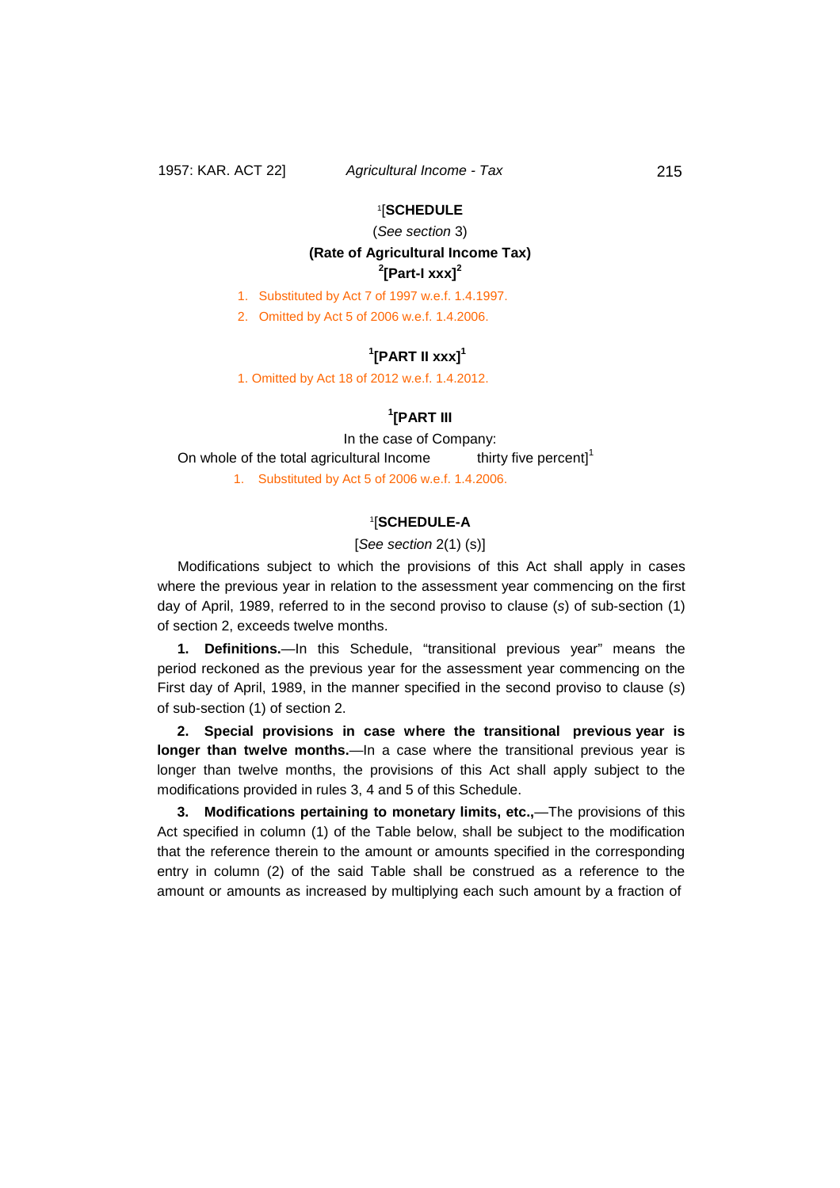# 1[**SCHEDULE**

(*See section* 3)

# **(Rate of Agricultural Income Tax) 2 [Part-I xxx] 2**

1. Substituted by Act 7 of 1997 w.e.f. 1.4.1997.

2. Omitted by Act 5 of 2006 w.e.f. 1.4.2006.

# $\mathbf{P}^1$ [PART II xxx]<sup>1</sup>

1. Omitted by Act 18 of 2012 w.e.f. 1.4.2012.

# **1 [PART III**

In the case of Company: On whole of the total agricultural Income thirty five percent]<sup>1</sup> 1. Substituted by Act 5 of 2006 w.e.f. 1.4.2006.

## 1[**SCHEDULE-A**

### [*See section* 2(1) (s)]

Modifications subject to which the provisions of this Act shall apply in cases where the previous year in relation to the assessment year commencing on the first day of April, 1989, referred to in the second proviso to clause (*s*) of sub-section (1) of section 2, exceeds twelve months.

**1. Definitions.**—In this Schedule, "transitional previous year" means the period reckoned as the previous year for the assessment year commencing on the First day of April, 1989, in the manner specified in the second proviso to clause (*s*) of sub-section (1) of section 2.

**2. Special provisions in case where the transitional previous year is longer than twelve months.**—In a case where the transitional previous year is longer than twelve months, the provisions of this Act shall apply subject to the modifications provided in rules 3, 4 and 5 of this Schedule.

**3. Modifications pertaining to monetary limits, etc.,**—The provisions of this Act specified in column (1) of the Table below, shall be subject to the modification that the reference therein to the amount or amounts specified in the corresponding entry in column (2) of the said Table shall be construed as a reference to the amount or amounts as increased by multiplying each such amount by a fraction of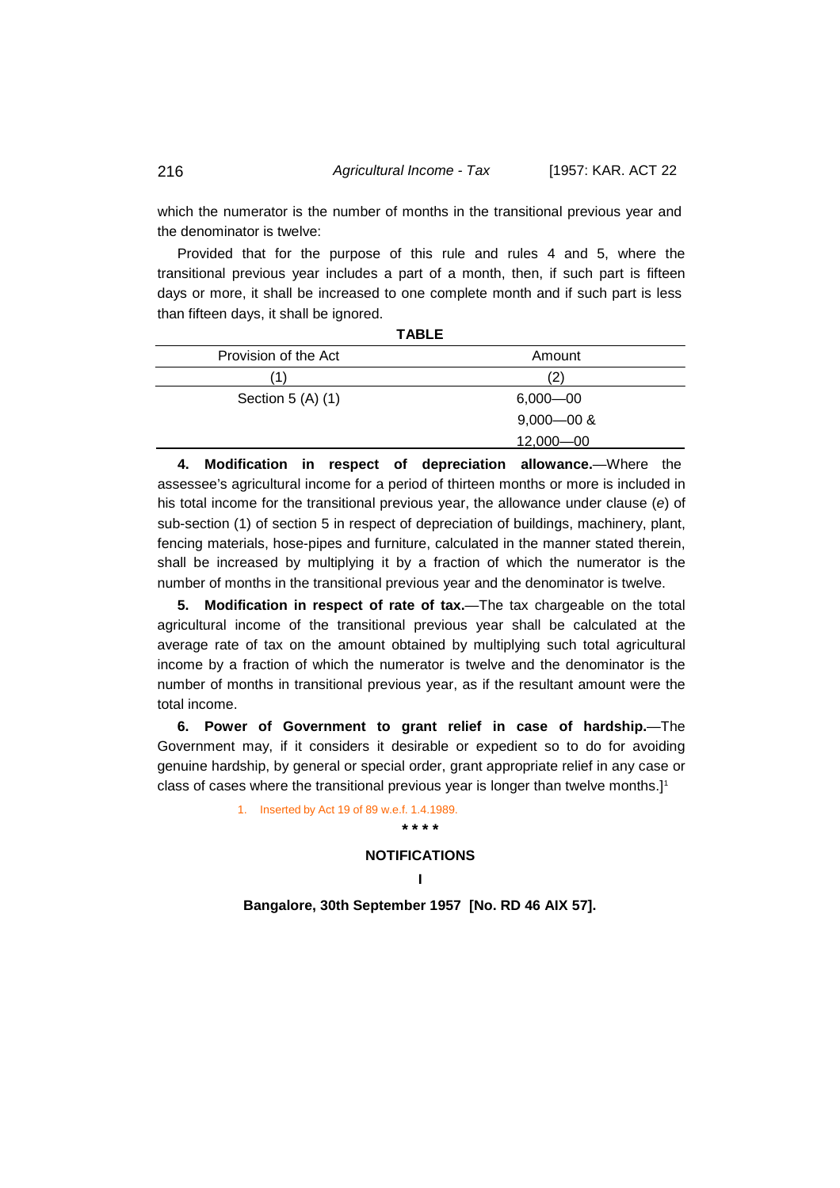which the numerator is the number of months in the transitional previous year and the denominator is twelve:

Provided that for the purpose of this rule and rules 4 and 5, where the transitional previous year includes a part of a month, then, if such part is fifteen days or more, it shall be increased to one complete month and if such part is less than fifteen days, it shall be ignored.

**TABLE**

| IADLE                |                |
|----------------------|----------------|
| Provision of the Act | Amount         |
| (1)                  | (2)            |
| Section $5(A)$ (1)   | $6,000 - 00$   |
|                      | $9,000 - 00$ & |
|                      | $12,000 - 00$  |
|                      |                |

**4. Modification in respect of depreciation allowance.**—Where the assessee's agricultural income for a period of thirteen months or more is included in his total income for the transitional previous year, the allowance under clause (*e*) of sub-section (1) of section 5 in respect of depreciation of buildings, machinery, plant, fencing materials, hose-pipes and furniture, calculated in the manner stated therein, shall be increased by multiplying it by a fraction of which the numerator is the number of months in the transitional previous year and the denominator is twelve.

**5. Modification in respect of rate of tax.**—The tax chargeable on the total agricultural income of the transitional previous year shall be calculated at the average rate of tax on the amount obtained by multiplying such total agricultural income by a fraction of which the numerator is twelve and the denominator is the number of months in transitional previous year, as if the resultant amount were the total income.

**6. Power of Government to grant relief in case of hardship.**—The Government may, if it considers it desirable or expedient so to do for avoiding genuine hardship, by general or special order, grant appropriate relief in any case or class of cases where the transitional previous year is longer than twelve months.] 1

1. Inserted by Act 19 of 89 w.e.f. 1.4.1989.

#### **NOTIFICATIONS**

**\* \* \* \*** 

## **I**

**Bangalore, 30th September 1957 [No. RD 46 AIX 57].**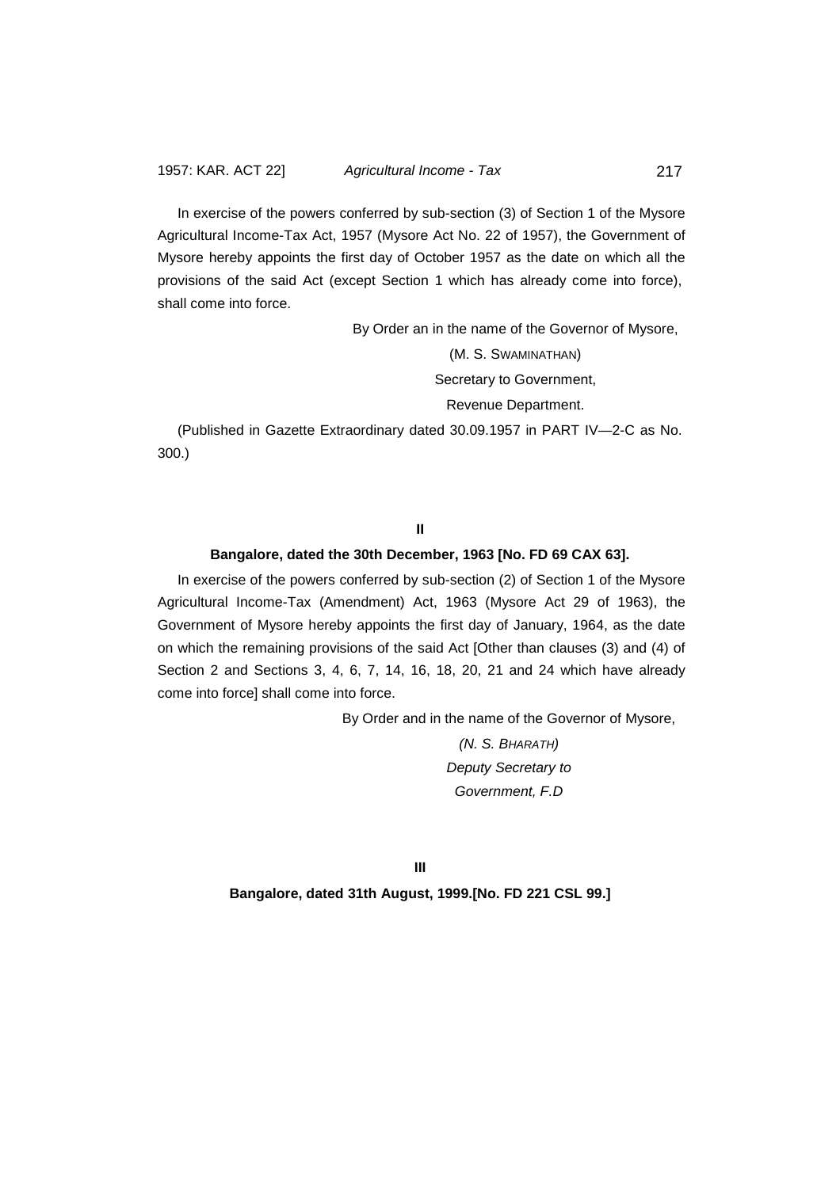In exercise of the powers conferred by sub-section (3) of Section 1 of the Mysore Agricultural Income-Tax Act, 1957 (Mysore Act No. 22 of 1957), the Government of Mysore hereby appoints the first day of October 1957 as the date on which all the provisions of the said Act (except Section 1 which has already come into force), shall come into force.

By Order an in the name of the Governor of Mysore,

(M. S. SWAMINATHAN) Secretary to Government,

Revenue Department.

(Published in Gazette Extraordinary dated 30.09.1957 in PART IV—2-C as No. 300.)

# **II**

## **Bangalore, dated the 30th December, 1963 [No. FD 69 CAX 63].**

In exercise of the powers conferred by sub-section (2) of Section 1 of the Mysore Agricultural Income-Tax (Amendment) Act, 1963 (Mysore Act 29 of 1963), the Government of Mysore hereby appoints the first day of January, 1964, as the date on which the remaining provisions of the said Act [Other than clauses (3) and (4) of Section 2 and Sections 3, 4, 6, 7, 14, 16, 18, 20, 21 and 24 which have already come into force] shall come into force.

By Order and in the name of the Governor of Mysore,

*(N. S. BHARATH) Deputy Secretary to Government, F.D*

**III Bangalore, dated 31th August, 1999.[No. FD 221 CSL 99.]**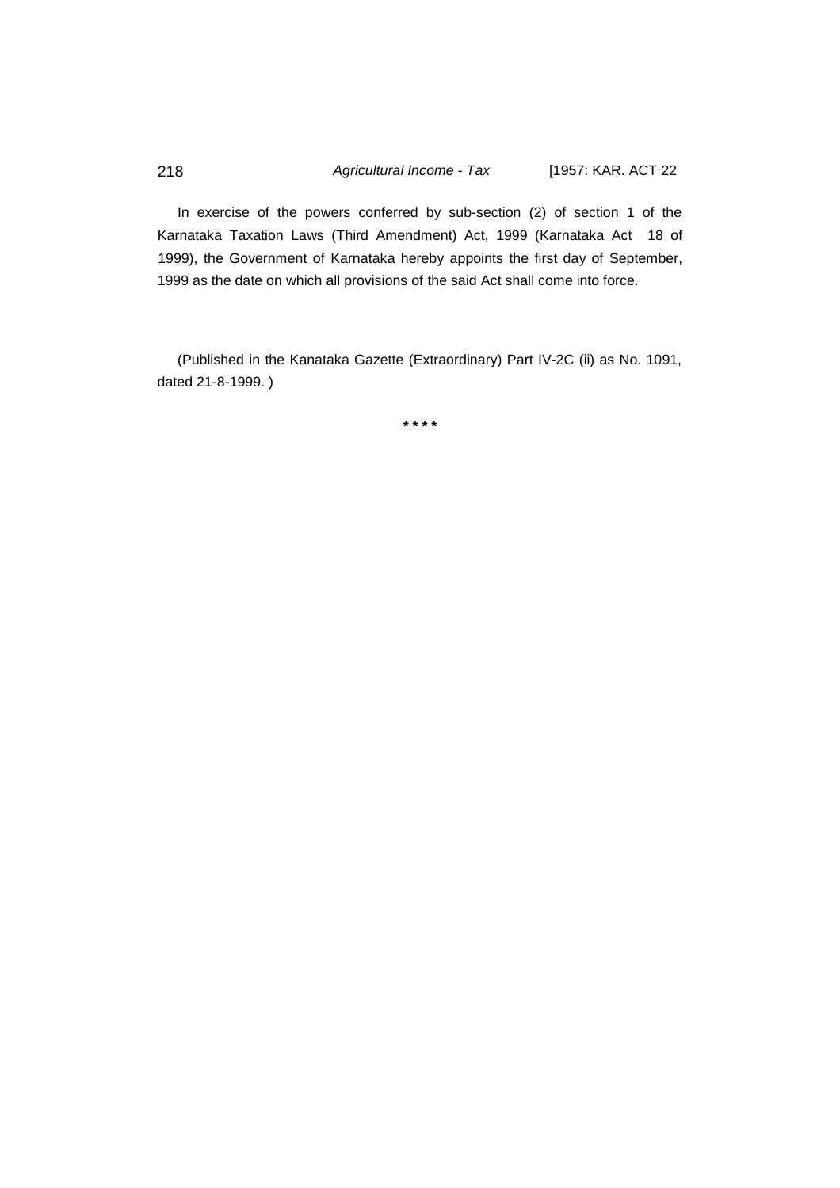In exercise of the powers conferred by sub-section (2) of section 1 of the Karnataka Taxation Laws (Third Amendment) Act, 1999 (Karnataka Act 18 of 1999), the Government of Karnataka hereby appoints the first day of September, 1999 as the date on which all provisions of the said Act shall come into force.

(Published in the Kanataka Gazette (Extraordinary) Part IV-2C (ii) as No. 1091, dated 21-8-1999. )

**\* \* \* \***